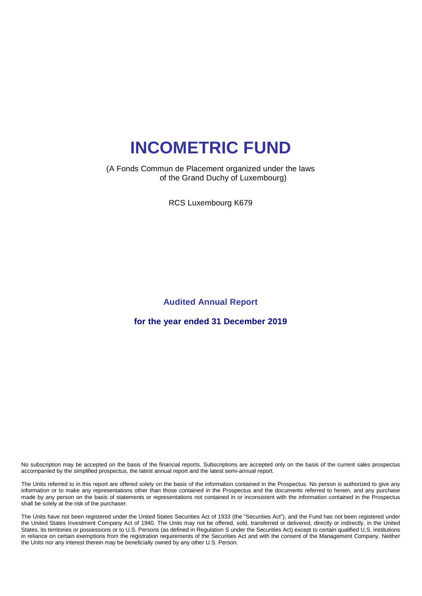#### (A Fonds Commun de Placement organized under the laws of the Grand Duchy of Luxembourg)

RCS Luxembourg K679

**Audited Annual Report** 

**for the year ended 31 December 2019**

No subscription may be accepted on the basis of the financial reports. Subscriptions are accepted only on the basis of the current sales prospectus accompanied by the simplified prospectus, the latest annual report and the latest semi-annual report.

The Units referred to in this report are offered solely on the basis of the information contained in the Prospectus. No person is authorized to give any information or to make any representations other than those contained in the Prospectus and the documents referred to herein, and any purchase made by any person on the basis of statements or representations not contained in or inconsistent with the information contained in the Prospectus shall be solely at the risk of the purchaser.

The Units have not been registered under the United States Securities Act of 1933 (the "Securities Act"), and the Fund has not been registered under the United States Investment Company Act of 1940. The Units may not be offered, sold, transferred or delivered, directly or indirectly, in the United States, its territories or possessions or to U.S. Persons (as defined in Regulation S under the Securities Act) except to certain qualified U.S. institutions in reliance on certain exemptions from the registration requirements of the Securities Act and with the consent of the Management Company. Neither the Units nor any interest therein may be beneficially owned by any other U.S. Person.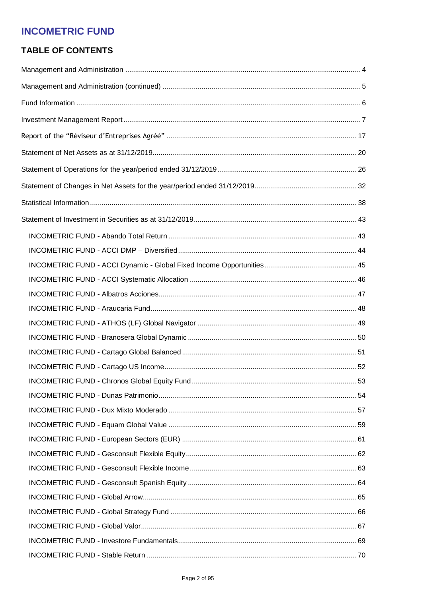# **TABLE OF CONTENTS**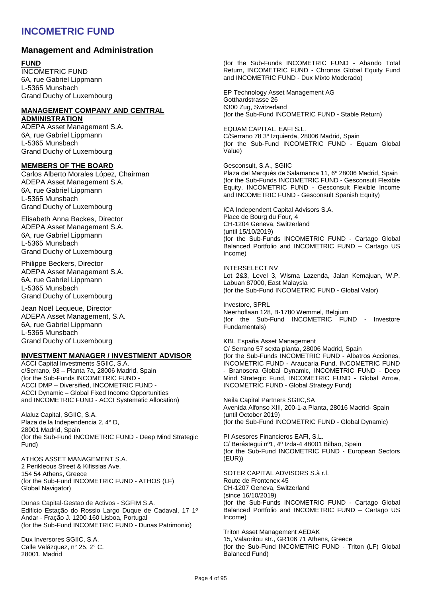### **Management and Administration**

#### **FUND**

INCOMETRIC FUND 6A, rue Gabriel Lippmann L-5365 Munsbach Grand Duchy of Luxembourg

#### **MANAGEMENT COMPANY AND CENTRAL ADMINISTRATION**

ADEPA Asset Management S.A. 6A, rue Gabriel Lippmann L-5365 Munsbach Grand Duchy of Luxembourg

#### **MEMBERS OF THE BOARD**

Carlos Alberto Morales López, Chairman ADEPA Asset Management S.A. 6A, rue Gabriel Lippmann L-5365 Munsbach Grand Duchy of Luxembourg

Elisabeth Anna Backes, Director ADEPA Asset Management S.A. 6A, rue Gabriel Lippmann L-5365 Munsbach Grand Duchy of Luxembourg

Philippe Beckers, Director ADEPA Asset Management S.A. 6A, rue Gabriel Lippmann L-5365 Munsbach Grand Duchy of Luxembourg

Jean Noël Lequeue, Director ADEPA Asset Management, S.A. 6A, rue Gabriel Lippmann L-5365 Munsbach Grand Duchy of Luxembourg

#### **INVESTMENT MANAGER / INVESTMENT ADVISOR**

ACCI Capital Investments SGIIC, S.A. c/Serrano, 93 – Planta 7a, 28006 Madrid, Spain (for the Sub-Funds INCOMETRIC FUND - ACCI DMP – Diversified, INCOMETRIC FUND - ACCI Dynamic – Global Fixed Income Opportunities and INCOMETRIC FUND - ACCI Systematic Allocation)

Alaluz Capital, SGIIC, S.A. Plaza de la Independencia 2, 4° D, 28001 Madrid, Spain (for the Sub-Fund INCOMETRIC FUND - Deep Mind Strategic Fund)

ATHOS ASSET MANAGEMENT S.A. 2 Perikleous Street & Kifissias Ave. 154 54 Athens, Greece (for the Sub-Fund INCOMETRIC FUND - ATHOS (LF) Global Navigator)

Dunas Capital-Gestao de Activos - SGFIM S.A. Edificio Estação do Rossio Largo Duque de Cadaval, 17 1º Andar - Fração J. 1200-160 Lisboa, Portugal (for the Sub-Fund INCOMETRIC FUND - Dunas Patrimonio)

Dux Inversores SGIIC, S.A. Calle Velázquez, n° 25, 2° C, 28001, Madrid

(for the Sub-Funds INCOMETRIC FUND - Abando Total Return, INCOMETRIC FUND - Chronos Global Equity Fund and INCOMETRIC FUND - Dux Mixto Moderado)

EP Technology Asset Management AG Gotthardstrasse 26 6300 Zug, Switzerland (for the Sub-Fund INCOMETRIC FUND - Stable Return)

EQUAM CAPITAL, EAFI S.L. C/Serrano 78 3º Izquierda, 28006 Madrid, Spain (for the Sub-Fund INCOMETRIC FUND - Equam Global Value)

Gesconsult, S.A., SGIIC Plaza del Marqués de Salamanca 11, 6º 28006 Madrid, Spain (for the Sub-Funds INCOMETRIC FUND - Gesconsult Flexible Equity, INCOMETRIC FUND - Gesconsult Flexible Income and INCOMETRIC FUND - Gesconsult Spanish Equity)

ICA Independent Capital Advisors S.A. Place de Bourg du Four, 4 CH-1204 Geneva, Switzerland (until 15/10/2019) (for the Sub-Funds INCOMETRIC FUND - Cartago Global Balanced Portfolio and INCOMETRIC FUND – Cartago US Income)

INTERSELECT NV Lot 2&3, Level 3, Wisma Lazenda, Jalan Kemajuan, W.P. Labuan 87000, East Malaysia (for the Sub-Fund INCOMETRIC FUND - Global Valor)

Investore, SPRL Neerhoflaan 128, B-1780 Wemmel, Belgium (for the Sub-Fund INCOMETRIC FUND - Investore Fundamentals)

KBL España Asset Management C/ Serrano 57 sexta planta, 28006 Madrid, Spain (for the Sub-Funds INCOMETRIC FUND - Albatros Acciones, INCOMETRIC FUND - Araucaria Fund, INCOMETRIC FUND - Branosera Global Dynamic, INCOMETRIC FUND - Deep Mind Strategic Fund, INCOMETRIC FUND - Global Arrow, INCOMETRIC FUND - Global Strategy Fund)

Neila Capital Partners SGIIC,SA Avenida Alfonso XIII, 200-1-a Planta, 28016 Madrid- Spain (until October 2019) (for the Sub-Fund INCOMETRIC FUND - Global Dynamic)

PI Asesores Financieros EAFI, S.L. C/ Berástegui nº1, 4º Izda-4 48001 Bilbao, Spain (for the Sub-Fund INCOMETRIC FUND - European Sectors (EUR))

SOTER CAPITAL ADVISORS S.à r.l. Route de Frontenex 45 CH-1207 Geneva, Switzerland (since 16/10/2019) (for the Sub-Funds INCOMETRIC FUND - Cartago Global Balanced Portfolio and INCOMETRIC FUND – Cartago US Income)

Triton Asset Management AEDAK 15, Valaoritou str., GR106 71 Athens, Greece (for the Sub-Fund INCOMETRIC FUND - Triton (LF) Global Balanced Fund)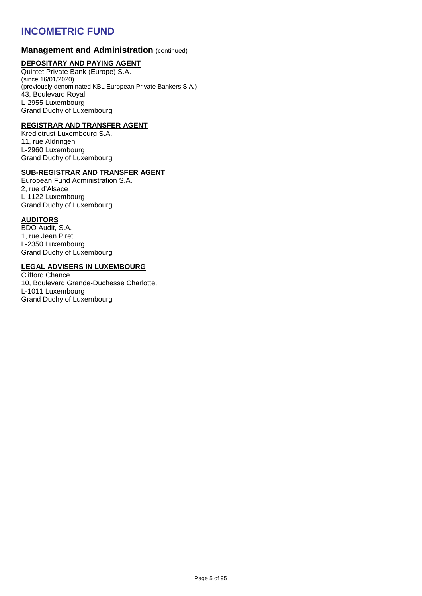#### **Management and Administration (continued)**

#### **DEPOSITARY AND PAYING AGENT**

Quintet Private Bank (Europe) S.A. (since 16/01/2020) (previously denominated KBL European Private Bankers S.A.) 43, Boulevard Royal L-2955 Luxembourg Grand Duchy of Luxembourg

#### **REGISTRAR AND TRANSFER AGENT**

Kredietrust Luxembourg S.A. 11, rue Aldringen L-2960 Luxembourg Grand Duchy of Luxembourg

#### **SUB-REGISTRAR AND TRANSFER AGENT**

European Fund Administration S.A. 2, rue d'Alsace L-1122 Luxembourg Grand Duchy of Luxembourg

#### **AUDITORS**

BDO Audit, S.A. 1, rue Jean Piret L-2350 Luxembourg Grand Duchy of Luxembourg

#### **LEGAL ADVISERS IN LUXEMBOURG**

Clifford Chance 10, Boulevard Grande-Duchesse Charlotte, L-1011 Luxembourg Grand Duchy of Luxembourg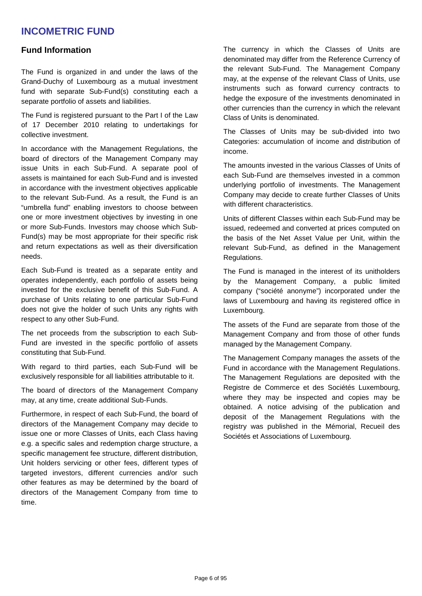### **Fund Information**

The Fund is organized in and under the laws of the Grand-Duchy of Luxembourg as a mutual investment fund with separate Sub-Fund(s) constituting each a separate portfolio of assets and liabilities.

The Fund is registered pursuant to the Part I of the Law of 17 December 2010 relating to undertakings for collective investment.

In accordance with the Management Regulations, the board of directors of the Management Company may issue Units in each Sub-Fund. A separate pool of assets is maintained for each Sub-Fund and is invested in accordance with the investment objectives applicable to the relevant Sub-Fund. As a result, the Fund is an "umbrella fund" enabling investors to choose between one or more investment objectives by investing in one or more Sub-Funds. Investors may choose which Sub-Fund(s) may be most appropriate for their specific risk and return expectations as well as their diversification needs.

Each Sub-Fund is treated as a separate entity and operates independently, each portfolio of assets being invested for the exclusive benefit of this Sub-Fund. A purchase of Units relating to one particular Sub-Fund does not give the holder of such Units any rights with respect to any other Sub-Fund.

The net proceeds from the subscription to each Sub-Fund are invested in the specific portfolio of assets constituting that Sub-Fund.

With regard to third parties, each Sub-Fund will be exclusively responsible for all liabilities attributable to it.

The board of directors of the Management Company may, at any time, create additional Sub-Funds.

Furthermore, in respect of each Sub-Fund, the board of directors of the Management Company may decide to issue one or more Classes of Units, each Class having e.g. a specific sales and redemption charge structure, a specific management fee structure, different distribution, Unit holders servicing or other fees, different types of targeted investors, different currencies and/or such other features as may be determined by the board of directors of the Management Company from time to time.

The currency in which the Classes of Units are denominated may differ from the Reference Currency of the relevant Sub-Fund. The Management Company may, at the expense of the relevant Class of Units, use instruments such as forward currency contracts to hedge the exposure of the investments denominated in other currencies than the currency in which the relevant Class of Units is denominated.

The Classes of Units may be sub-divided into two Categories: accumulation of income and distribution of income.

The amounts invested in the various Classes of Units of each Sub-Fund are themselves invested in a common underlying portfolio of investments. The Management Company may decide to create further Classes of Units with different characteristics.

Units of different Classes within each Sub-Fund may be issued, redeemed and converted at prices computed on the basis of the Net Asset Value per Unit, within the relevant Sub-Fund, as defined in the Management Regulations.

The Fund is managed in the interest of its unitholders by the Management Company, a public limited company ("société anonyme") incorporated under the laws of Luxembourg and having its registered office in Luxembourg.

The assets of the Fund are separate from those of the Management Company and from those of other funds managed by the Management Company.

The Management Company manages the assets of the Fund in accordance with the Management Regulations. The Management Regulations are deposited with the Registre de Commerce et des Sociétés Luxembourg, where they may be inspected and copies may be obtained. A notice advising of the publication and deposit of the Management Regulations with the registry was published in the Mémorial, Recueil des Sociétés et Associations of Luxembourg.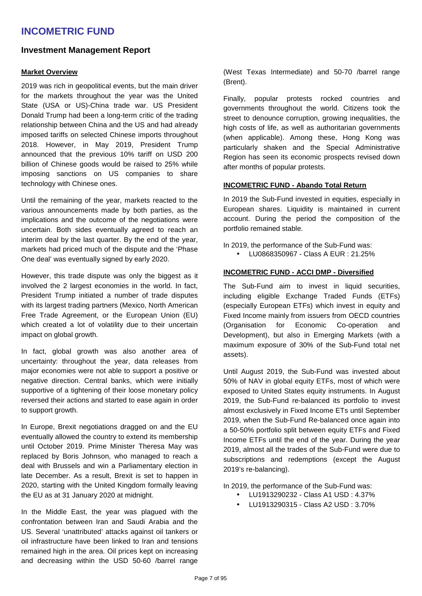### **Investment Management Report**

#### **Market Overview**

2019 was rich in geopolitical events, but the main driver for the markets throughout the year was the United State (USA or US)-China trade war. US President Donald Trump had been a long-term critic of the trading relationship between China and the US and had already imposed tariffs on selected Chinese imports throughout 2018. However, in May 2019, President Trump announced that the previous 10% tariff on USD 200 billion of Chinese goods would be raised to 25% while imposing sanctions on US companies to share technology with Chinese ones.

Until the remaining of the year, markets reacted to the various announcements made by both parties, as the implications and the outcome of the negotiations were uncertain. Both sides eventually agreed to reach an interim deal by the last quarter. By the end of the year, markets had priced much of the dispute and the 'Phase One deal' was eventually signed by early 2020.

However, this trade dispute was only the biggest as it involved the 2 largest economies in the world. In fact, President Trump initiated a number of trade disputes with its largest trading partners (Mexico, North American Free Trade Agreement, or the European Union (EU) which created a lot of volatility due to their uncertain impact on global growth.

In fact, global growth was also another area of uncertainty: throughout the year, data releases from major economies were not able to support a positive or negative direction. Central banks, which were initially supportive of a tightening of their loose monetary policy reversed their actions and started to ease again in order to support growth.

In Europe, Brexit negotiations dragged on and the EU eventually allowed the country to extend its membership until October 2019. Prime Minister Theresa May was replaced by Boris Johnson, who managed to reach a deal with Brussels and win a Parliamentary election in late December. As a result, Brexit is set to happen in 2020, starting with the United Kingdom formally leaving the EU as at 31 January 2020 at midnight.

In the Middle East, the year was plagued with the confrontation between Iran and Saudi Arabia and the US. Several 'unattributed' attacks against oil tankers or oil infrastructure have been linked to Iran and tensions remained high in the area. Oil prices kept on increasing and decreasing within the USD 50-60 /barrel range

(West Texas Intermediate) and 50-70 /barrel range (Brent).

Finally, popular protests rocked countries and governments throughout the world. Citizens took the street to denounce corruption, growing inequalities, the high costs of life, as well as authoritarian governments (when applicable). Among these, Hong Kong was particularly shaken and the Special Administrative Region has seen its economic prospects revised down after months of popular protests.

#### **INCOMETRIC FUND - Abando Total Return**

In 2019 the Sub-Fund invested in equities, especially in European shares. Liquidity is maintained in current account. During the period the composition of the portfolio remained stable.

In 2019, the performance of the Sub-Fund was:

• LU0868350967 - Class A EUR : 21.25%

#### **INCOMETRIC FUND - ACCI DMP - Diversified**

The Sub-Fund aim to invest in liquid securities, including eligible Exchange Traded Funds (ETFs) (especially European ETFs) which invest in equity and Fixed Income mainly from issuers from OECD countries (Organisation for Economic Co-operation and Development), but also in Emerging Markets (with a maximum exposure of 30% of the Sub-Fund total net assets).

Until August 2019, the Sub-Fund was invested about 50% of NAV in global equity ETFs, most of which were exposed to United States equity instruments. In August 2019, the Sub-Fund re-balanced its portfolio to invest almost exclusively in Fixed Income ETs until September 2019, when the Sub-Fund Re-balanced once again into a 50-50% portfolio split between equity ETFs and Fixed Income ETFs until the end of the year. During the year 2019, almost all the trades of the Sub-Fund were due to subscriptions and redemptions (except the August 2019's re-balancing).

In 2019, the performance of the Sub-Fund was:

- LU1913290232 Class A1 USD : 4.37%
- LU1913290315 Class A2 USD : 3.70%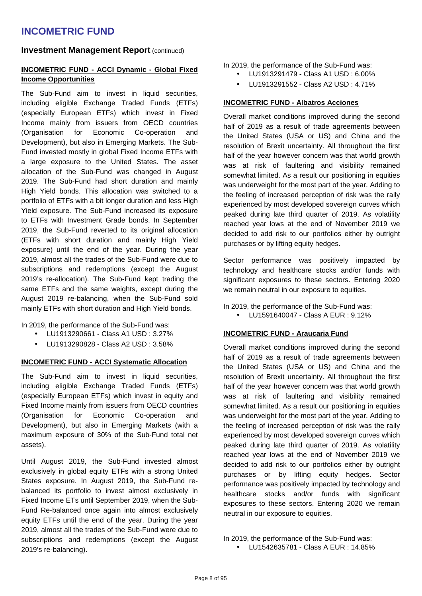#### **Investment Management Report (continued)**

#### **INCOMETRIC FUND - ACCI Dynamic - Global Fixed Income Opportunities**

The Sub-Fund aim to invest in liquid securities, including eligible Exchange Traded Funds (ETFs) (especially European ETFs) which invest in Fixed Income mainly from issuers from OECD countries (Organisation for Economic Co-operation and Development), but also in Emerging Markets. The Sub-Fund invested mostly in global Fixed Income ETFs with a large exposure to the United States. The asset allocation of the Sub-Fund was changed in August 2019. The Sub-Fund had short duration and mainly High Yield bonds. This allocation was switched to a portfolio of ETFs with a bit longer duration and less High Yield exposure. The Sub-Fund increased its exposure to ETFs with Investment Grade bonds. In September 2019, the Sub-Fund reverted to its original allocation (ETFs with short duration and mainly High Yield exposure) until the end of the year. During the year 2019, almost all the trades of the Sub-Fund were due to subscriptions and redemptions (except the August 2019's re-allocation). The Sub-Fund kept trading the same ETFs and the same weights, except during the August 2019 re-balancing, when the Sub-Fund sold mainly ETFs with short duration and High Yield bonds.

In 2019, the performance of the Sub-Fund was:

- LU1913290661 Class A1 USD : 3.27%
- LU1913290828 Class A2 USD : 3.58%

#### **INCOMETRIC FUND - ACCI Systematic Allocation**

The Sub-Fund aim to invest in liquid securities, including eligible Exchange Traded Funds (ETFs) (especially European ETFs) which invest in equity and Fixed Income mainly from issuers from OECD countries (Organisation for Economic Co-operation and Development), but also in Emerging Markets (with a maximum exposure of 30% of the Sub-Fund total net assets).

Until August 2019, the Sub-Fund invested almost exclusively in global equity ETFs with a strong United States exposure. In August 2019, the Sub-Fund rebalanced its portfolio to invest almost exclusively in Fixed Income ETs until September 2019, when the Sub-Fund Re-balanced once again into almost exclusively equity ETFs until the end of the year. During the year 2019, almost all the trades of the Sub-Fund were due to subscriptions and redemptions (except the August 2019's re-balancing).

In 2019, the performance of the Sub-Fund was:

- LU1913291479 Class A1 USD : 6.00%
- LU1913291552 Class A2 USD : 4.71%

#### **INCOMETRIC FUND - Albatros Acciones**

Overall market conditions improved during the second half of 2019 as a result of trade agreements between the United States (USA or US) and China and the resolution of Brexit uncertainty. All throughout the first half of the year however concern was that world growth was at risk of faultering and visibility remained somewhat limited. As a result our positioning in equities was underweight for the most part of the year. Adding to the feeling of increased perception of risk was the rally experienced by most developed sovereign curves which peaked during late third quarter of 2019. As volatility reached year lows at the end of November 2019 we decided to add risk to our portfolios either by outright purchases or by lifting equity hedges.

Sector performance was positively impacted by technology and healthcare stocks and/or funds with significant exposures to these sectors. Entering 2020 we remain neutral in our exposure to equities.

In 2019, the performance of the Sub-Fund was:

 $\bullet$  LU1591640047 - Class A FUR : 9.12%

#### **INCOMETRIC FUND - Araucaria Fund**

Overall market conditions improved during the second half of 2019 as a result of trade agreements between the United States (USA or US) and China and the resolution of Brexit uncertainty. All throughout the first half of the year however concern was that world growth was at risk of faultering and visibility remained somewhat limited. As a result our positioning in equities was underweight for the most part of the year. Adding to the feeling of increased perception of risk was the rally experienced by most developed sovereign curves which peaked during late third quarter of 2019. As volatility reached year lows at the end of November 2019 we decided to add risk to our portfolios either by outright purchases or by lifting equity hedges. Sector performance was positively impacted by technology and healthcare stocks and/or funds with significant exposures to these sectors. Entering 2020 we remain neutral in our exposure to equities.

• LU1542635781 - Class A EUR : 14.85%

In 2019, the performance of the Sub-Fund was: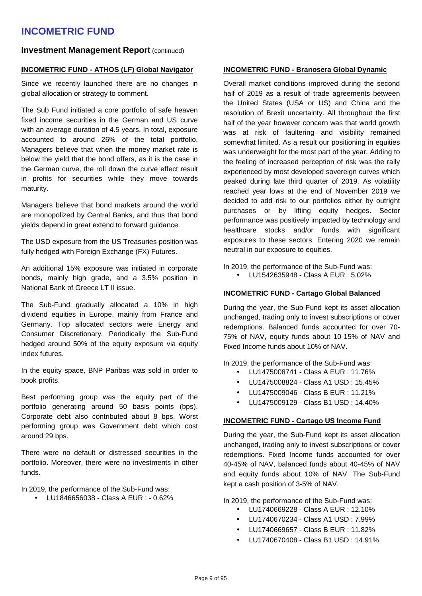#### **Investment Management Report (continued)**

#### **INCOMETRIC FUND - ATHOS (LF) Global Navigator**

Since we recently launched there are no changes in global allocation or strategy to comment.

The Sub Fund initiated a core portfolio of safe heaven fixed income securities in the German and US curve with an average duration of 4.5 years. In total, exposure accounted to around 26% of the total portfolio. Managers believe that when the money market rate is below the yield that the bond offers, as it is the case in the German curve, the roll down the curve effect result in profits for securities while they move towards maturity.

Managers believe that bond markets around the world are monopolized by Central Banks, and thus that bond yields depend in great extend to forward guidance.

The USD exposure from the US Treasuries position was fully hedged with Foreign Exchange (FX) Futures.

An additional 15% exposure was initiated in corporate bonds, mainly high grade, and a 3.5% position in National Bank of Greece LT II issue.

The Sub-Fund gradually allocated a 10% in high dividend equities in Europe, mainly from France and Germany. Top allocated sectors were Energy and Consumer Discretionary. Periodically the Sub-Fund hedged around 50% of the equity exposure via equity index futures.

In the equity space, BNP Paribas was sold in order to book profits.

Best performing group was the equity part of the portfolio generating around 50 basis points (bps). Corporate debt also contributed about 8 bps. Worst performing group was Government debt which cost around 29 bps.

There were no default or distressed securities in the portfolio. Moreover, there were no investments in other funds.

In 2019, the performance of the Sub-Fund was:

• LU1846656038 - Class A EUR : - 0.62%

#### **INCOMETRIC FUND - Branosera Global Dynamic**

Overall market conditions improved during the second half of 2019 as a result of trade agreements between the United States (USA or US) and China and the resolution of Brexit uncertainty. All throughout the first half of the year however concern was that world growth was at risk of faultering and visibility remained somewhat limited. As a result our positioning in equities was underweight for the most part of the year. Adding to the feeling of increased perception of risk was the rally experienced by most developed sovereign curves which peaked during late third quarter of 2019. As volatility reached year lows at the end of November 2019 we decided to add risk to our portfolios either by outright purchases or by lifting equity hedges. Sector performance was positively impacted by technology and healthcare stocks and/or funds with significant exposures to these sectors. Entering 2020 we remain neutral in our exposure to equities.

In 2019, the performance of the Sub-Fund was:

• LU1542635948 - Class A EUR : 5.02%

#### **INCOMETRIC FUND - Cartago Global Balanced**

During the year, the Sub-Fund kept its asset allocation unchanged, trading only to invest subscriptions or cover redemptions. Balanced funds accounted for over 70- 75% of NAV, equity funds about 10-15% of NAV and Fixed Income funds about 10% of NAV.

In 2019, the performance of the Sub-Fund was:

- LU1475008741 Class A EUR : 11.76%
- LU1475008824 Class A1 USD : 15.45%
- $\bullet$  LU1475009046 Class B FUR : 11.21%
- LU1475009129 Class B1 USD : 14.40%

#### **INCOMETRIC FUND - Cartago US Income Fund**

During the year, the Sub-Fund kept its asset allocation unchanged, trading only to invest subscriptions or cover redemptions. Fixed Income funds accounted for over 40-45% of NAV, balanced funds about 40-45% of NAV and equity funds about 10% of NAV. The Sub-Fund kept a cash position of 3-5% of NAV.

In 2019, the performance of the Sub-Fund was:

- LU1740669228 Class A EUR : 12.10%
- LU1740670234 Class A1 USD : 7.99%
- LU1740669657 Class B EUR : 11.82%
- LU1740670408 Class B1 USD : 14.91%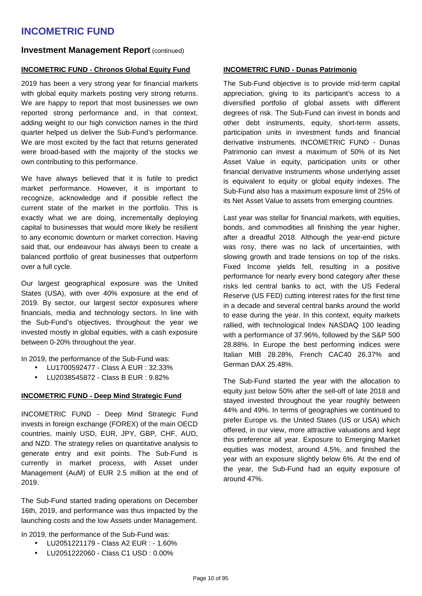#### **Investment Management Report (continued)**

#### **INCOMETRIC FUND - Chronos Global Equity Fund**

2019 has been a very strong year for financial markets with global equity markets posting very strong returns. We are happy to report that most businesses we own reported strong performance and, in that context, adding weight to our high conviction names in the third quarter helped us deliver the Sub-Fund's performance. We are most excited by the fact that returns generated were broad-based with the majority of the stocks we own contributing to this performance.

We have always believed that it is futile to predict market performance. However, it is important to recognize, acknowledge and if possible reflect the current state of the market in the portfolio. This is exactly what we are doing, incrementally deploying capital to businesses that would more likely be resilient to any economic downturn or market correction. Having said that, our endeavour has always been to create a balanced portfolio of great businesses that outperform over a full cycle.

Our largest geographical exposure was the United States (USA), with over 40% exposure at the end of 2019. By sector, our largest sector exposures where financials, media and technology sectors. In line with the Sub-Fund's objectives, throughout the year we invested mostly in global equities, with a cash exposure between 0-20% throughout the year.

In 2019, the performance of the Sub-Fund was:

- LU1700592477 Class A EUR : 32.33%
- LU2038545872 Class B EUR : 9.82%

#### **INCOMETRIC FUND - Deep Mind Strategic Fund**

INCOMETRIC FUND - Deep Mind Strategic Fund invests in foreign exchange (FOREX) of the main OECD countries, mainly USD, EUR, JPY, GBP, CHF, AUD, and NZD. The strategy relies on quantitative analysis to generate entry and exit points. The Sub-Fund is currently in market process, with Asset under Management (AuM) of EUR 2.5 million at the end of 2019.

The Sub-Fund started trading operations on December 16th, 2019, and performance was thus impacted by the launching costs and the low Assets under Management.

In 2019, the performance of the Sub-Fund was:

- LU2051221179 Class A2 EUR : 1.60%
- LU2051222060 Class C1 USD : 0.00%

#### **INCOMETRIC FUND - Dunas Patrimonio**

The Sub-Fund objective is to provide mid-term capital appreciation, giving to its participant's access to a diversified portfolio of global assets with different degrees of risk. The Sub-Fund can invest in bonds and other debt instruments, equity, short-term assets, participation units in investment funds and financial derivative instruments. INCOMETRIC FUND - Dunas Patrimonio can invest a maximum of 50% of its Net Asset Value in equity, participation units or other financial derivative instruments whose underlying asset is equivalent to equity or global equity indexes. The Sub-Fund also has a maximum exposure limit of 25% of its Net Asset Value to assets from emerging countries.

Last year was stellar for financial markets, with equities, bonds, and commodities all finishing the year higher, after a dreadful 2018. Although the year-end picture was rosy, there was no lack of uncertainties, with slowing growth and trade tensions on top of the risks. Fixed Income yields fell, resulting in a positive performance for nearly every bond category after these risks led central banks to act, with the US Federal Reserve (US FED) cutting interest rates for the first time in a decade and several central banks around the world to ease during the year. In this context, equity markets rallied, with technological Index NASDAQ 100 leading with a performance of 37.96%, followed by the S&P 500 28.88%. In Europe the best performing indices were Italian MIB 28.28%, French CAC40 26.37% and German DAX 25.48%.

The Sub-Fund started the year with the allocation to equity just below 50% after the sell-off of late 2018 and stayed invested throughout the year roughly between 44% and 49%. In terms of geographies we continued to prefer Europe vs. the United States (US or USA) which offered, in our view, more attractive valuations and kept this preference all year. Exposure to Emerging Market equities was modest, around 4.5%, and finished the year with an exposure slightly below 6%. At the end of the year, the Sub-Fund had an equity exposure of around 47%.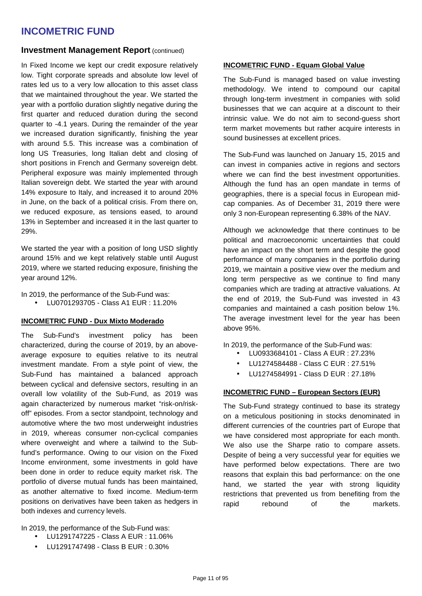#### **Investment Management Report (continued)**

In Fixed Income we kept our credit exposure relatively low. Tight corporate spreads and absolute low level of rates led us to a very low allocation to this asset class that we maintained throughout the year. We started the year with a portfolio duration slightly negative during the first quarter and reduced duration during the second quarter to -4.1 years. During the remainder of the year we increased duration significantly, finishing the year with around 5.5. This increase was a combination of long US Treasuries, long Italian debt and closing of short positions in French and Germany sovereign debt. Peripheral exposure was mainly implemented through Italian sovereign debt. We started the year with around 14% exposure to Italy, and increased it to around 20% in June, on the back of a political crisis. From there on, we reduced exposure, as tensions eased, to around 13% in September and increased it in the last quarter to 29%.

We started the year with a position of long USD slightly around 15% and we kept relatively stable until August 2019, where we started reducing exposure, finishing the year around 12%.

In 2019, the performance of the Sub-Fund was:

• LU0701293705 - Class A1 EUR : 11.20%

#### **INCOMETRIC FUND - Dux Mixto Moderado**

The Sub-Fund's investment policy has been characterized, during the course of 2019, by an aboveaverage exposure to equities relative to its neutral investment mandate. From a style point of view, the Sub-Fund has maintained a balanced approach between cyclical and defensive sectors, resulting in an overall low volatility of the Sub-Fund, as 2019 was again characterized by numerous market "risk-on/riskoff" episodes. From a sector standpoint, technology and automotive where the two most underweight industries in 2019, whereas consumer non-cyclical companies where overweight and where a tailwind to the Subfund's performance. Owing to our vision on the Fixed Income environment, some investments in gold have been done in order to reduce equity market risk. The portfolio of diverse mutual funds has been maintained, as another alternative to fixed income. Medium-term positions on derivatives have been taken as hedgers in both indexes and currency levels.

In 2019, the performance of the Sub-Fund was:

- LU1291747225 Class A EUR : 11.06%
- LU1291747498 Class B EUR : 0.30%

#### **INCOMETRIC FUND - Equam Global Value**

The Sub-Fund is managed based on value investing methodology. We intend to compound our capital through long-term investment in companies with solid businesses that we can acquire at a discount to their intrinsic value. We do not aim to second-guess short term market movements but rather acquire interests in sound businesses at excellent prices.

The Sub-Fund was launched on January 15, 2015 and can invest in companies active in regions and sectors where we can find the best investment opportunities. Although the fund has an open mandate in terms of geographies, there is a special focus in European midcap companies. As of December 31, 2019 there were only 3 non-European representing 6.38% of the NAV.

Although we acknowledge that there continues to be political and macroeconomic uncertainties that could have an impact on the short term and despite the good performance of many companies in the portfolio during 2019, we maintain a positive view over the medium and long term perspective as we continue to find many companies which are trading at attractive valuations. At the end of 2019, the Sub-Fund was invested in 43 companies and maintained a cash position below 1%. The average investment level for the year has been above 95%.

In 2019, the performance of the Sub-Fund was:

- LU0933684101 Class A EUR : 27.23%
- LU1274584488 Class C EUR : 27.51%
- LU1274584991 Class D EUR : 27.18%

### **INCOMETRIC FUND – European Sectors (EUR)**

The Sub-Fund strategy continued to base its strategy on a meticulous positioning in stocks denominated in different currencies of the countries part of Europe that we have considered most appropriate for each month. We also use the Sharpe ratio to compare assets. Despite of being a very successful year for equities we have performed below expectations. There are two reasons that explain this bad performance: on the one hand, we started the year with strong liquidity restrictions that prevented us from benefiting from the rapid rebound of the markets.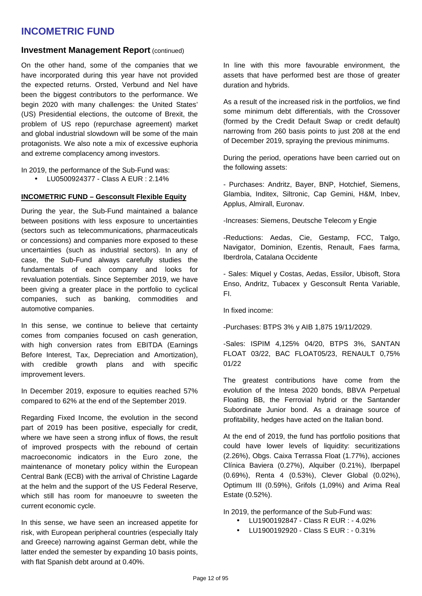#### **Investment Management Report (continued)**

On the other hand, some of the companies that we have incorporated during this year have not provided the expected returns. Orsted, Verbund and Nel have been the biggest contributors to the performance. We begin 2020 with many challenges: the United States' (US) Presidential elections, the outcome of Brexit, the problem of US repo (repurchase agreement) market and global industrial slowdown will be some of the main protagonists. We also note a mix of excessive euphoria and extreme complacency among investors.

In 2019, the performance of the Sub-Fund was:

• LU0500924377 - Class A EUR : 2.14%

#### **INCOMETRIC FUND – Gesconsult Flexible Equity**

During the year, the Sub-Fund maintained a balance between positions with less exposure to uncertainties (sectors such as telecommunications, pharmaceuticals or concessions) and companies more exposed to these uncertainties (such as industrial sectors). In any of case, the Sub-Fund always carefully studies the fundamentals of each company and looks for revaluation potentials. Since September 2019, we have been giving a greater place in the portfolio to cyclical companies, such as banking, commodities and automotive companies.

In this sense, we continue to believe that certainty comes from companies focused on cash generation, with high conversion rates from EBITDA (Earnings Before Interest, Tax, Depreciation and Amortization), with credible growth plans and with specific improvement levers.

In December 2019, exposure to equities reached 57% compared to 62% at the end of the September 2019.

Regarding Fixed Income, the evolution in the second part of 2019 has been positive, especially for credit, where we have seen a strong influx of flows, the result of improved prospects with the rebound of certain macroeconomic indicators in the Euro zone, the maintenance of monetary policy within the European Central Bank (ECB) with the arrival of Christine Lagarde at the helm and the support of the US Federal Reserve, which still has room for manoeuvre to sweeten the current economic cycle.

In this sense, we have seen an increased appetite for risk, with European peripheral countries (especially Italy and Greece) narrowing against German debt, while the latter ended the semester by expanding 10 basis points, with flat Spanish debt around at 0.40%.

In line with this more favourable environment, the assets that have performed best are those of greater duration and hybrids.

As a result of the increased risk in the portfolios, we find some minimum debt differentials, with the Crossover (formed by the Credit Default Swap or credit default) narrowing from 260 basis points to just 208 at the end of December 2019, spraying the previous minimums.

During the period, operations have been carried out on the following assets:

- Purchases: Andritz, Bayer, BNP, Hotchief, Siemens, Glambia, Inditex, Siltronic, Cap Gemini, H&M, Inbev, Applus, Almirall, Euronav.

-Increases: Siemens, Deutsche Telecom y Engie

-Reductions: Aedas, Cie, Gestamp, FCC, Talgo, Navigator, Dominion, Ezentis, Renault, Faes farma, Iberdrola, Catalana Occidente

- Sales: Miquel y Costas, Aedas, Essilor, Ubisoft, Stora Enso, Andritz, Tubacex y Gesconsult Renta Variable, FI.

In fixed income:

-Purchases: BTPS 3% y AIB 1,875 19/11/2029.

-Sales: ISPIM 4,125% 04/20, BTPS 3%, SANTAN FLOAT 03/22, BAC FLOAT05/23, RENAULT 0,75% 01/22

The greatest contributions have come from the evolution of the Intesa 2020 bonds, BBVA Perpetual Floating BB, the Ferrovial hybrid or the Santander Subordinate Junior bond. As a drainage source of profitability, hedges have acted on the Italian bond.

At the end of 2019, the fund has portfolio positions that could have lower levels of liquidity: securitizations (2.26%), Obgs. Caixa Terrassa Float (1.77%), acciones Clínica Baviera (0.27%), Alquiber (0.21%), Iberpapel (0.69%), Renta 4 (0.53%), Clever Global (0.02%), Optimum III (0.59%), Grifols (1,09%) and Arima Real Estate (0.52%).

In 2019, the performance of the Sub-Fund was:

- LU1900192847 Class R EUR : 4.02%
- LU1900192920 Class S EUR : 0.31%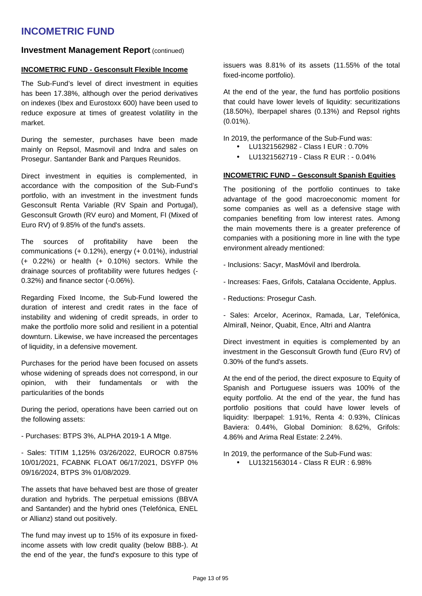#### **Investment Management Report (continued)**

#### **INCOMETRIC FUND - Gesconsult Flexible Income**

The Sub-Fund's level of direct investment in equities has been 17.38%, although over the period derivatives on indexes (Ibex and Eurostoxx 600) have been used to reduce exposure at times of greatest volatility in the market.

During the semester, purchases have been made mainly on Repsol, Masmovil and Indra and sales on Prosegur. Santander Bank and Parques Reunidos.

Direct investment in equities is complemented, in accordance with the composition of the Sub-Fund's portfolio, with an investment in the investment funds Gesconsult Renta Variable (RV Spain and Portugal), Gesconsult Growth (RV euro) and Moment, FI (Mixed of Euro RV) of 9.85% of the fund's assets.

The sources of profitability have been the communications (+ 0.12%), energy (+ 0.01%), industrial (+ 0.22%) or health (+ 0.10%) sectors. While the drainage sources of profitability were futures hedges (- 0.32%) and finance sector (-0.06%).

Regarding Fixed Income, the Sub-Fund lowered the duration of interest and credit rates in the face of instability and widening of credit spreads, in order to make the portfolio more solid and resilient in a potential downturn. Likewise, we have increased the percentages of liquidity, in a defensive movement.

Purchases for the period have been focused on assets whose widening of spreads does not correspond, in our opinion, with their fundamentals or with the particularities of the bonds

During the period, operations have been carried out on the following assets:

- Purchases: BTPS 3%, ALPHA 2019-1 A Mtge.

- Sales: TITIM 1,125% 03/26/2022, EUROCR 0.875% 10/01/2021, FCABNK FLOAT 06/17/2021, DSYFP 0% 09/16/2024, BTPS 3% 01/08/2029.

The assets that have behaved best are those of greater duration and hybrids. The perpetual emissions (BBVA and Santander) and the hybrid ones (Telefónica, ENEL or Allianz) stand out positively.

The fund may invest up to 15% of its exposure in fixedincome assets with low credit quality (below BBB-). At the end of the year, the fund's exposure to this type of

issuers was 8.81% of its assets (11.55% of the total fixed-income portfolio).

At the end of the year, the fund has portfolio positions that could have lower levels of liquidity: securitizations (18.50%), Iberpapel shares (0.13%) and Repsol rights  $(0.01\%)$ .

In 2019, the performance of the Sub-Fund was:

- LU1321562982 Class I EUR : 0.70%
- LU1321562719 Class R EUR : 0.04%

#### **INCOMETRIC FUND – Gesconsult Spanish Equities**

The positioning of the portfolio continues to take advantage of the good macroeconomic moment for some companies as well as a defensive stage with companies benefiting from low interest rates. Among the main movements there is a greater preference of companies with a positioning more in line with the type environment already mentioned:

- Inclusions: Sacyr, MasMóvil and Iberdrola.
- Increases: Faes, Grifols, Catalana Occidente, Applus.
- Reductions: Prosegur Cash.

- Sales: Arcelor, Acerinox, Ramada, Lar, Telefónica, Almirall, Neinor, Quabit, Ence, Altri and Alantra

Direct investment in equities is complemented by an investment in the Gesconsult Growth fund (Euro RV) of 0.30% of the fund's assets.

At the end of the period, the direct exposure to Equity of Spanish and Portuguese issuers was 100% of the equity portfolio. At the end of the year, the fund has portfolio positions that could have lower levels of liquidity: Iberpapel: 1.91%, Renta 4: 0.93%, Clínicas Baviera: 0.44%, Global Dominion: 8.62%, Grifols: 4.86% and Arima Real Estate: 2.24%.

In 2019, the performance of the Sub-Fund was:

• LU1321563014 - Class R EUR : 6.98%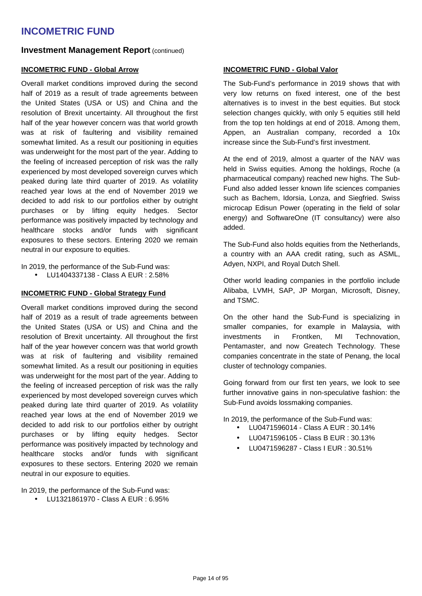#### **Investment Management Report (continued)**

#### **INCOMETRIC FUND - Global Arrow**

Overall market conditions improved during the second half of 2019 as a result of trade agreements between the United States (USA or US) and China and the resolution of Brexit uncertainty. All throughout the first half of the year however concern was that world growth was at risk of faultering and visibility remained somewhat limited. As a result our positioning in equities was underweight for the most part of the year. Adding to the feeling of increased perception of risk was the rally experienced by most developed sovereign curves which peaked during late third quarter of 2019. As volatility reached year lows at the end of November 2019 we decided to add risk to our portfolios either by outright purchases or by lifting equity hedges. Sector performance was positively impacted by technology and healthcare stocks and/or funds with significant exposures to these sectors. Entering 2020 we remain neutral in our exposure to equities.

In 2019, the performance of the Sub-Fund was:

• LU1404337138 - Class A EUR : 2.58%

#### **INCOMETRIC FUND - Global Strategy Fund**

Overall market conditions improved during the second half of 2019 as a result of trade agreements between the United States (USA or US) and China and the resolution of Brexit uncertainty. All throughout the first half of the year however concern was that world growth was at risk of faultering and visibility remained somewhat limited. As a result our positioning in equities was underweight for the most part of the year. Adding to the feeling of increased perception of risk was the rally experienced by most developed sovereign curves which peaked during late third quarter of 2019. As volatility reached year lows at the end of November 2019 we decided to add risk to our portfolios either by outright purchases or by lifting equity hedges. Sector performance was positively impacted by technology and healthcare stocks and/or funds with significant exposures to these sectors. Entering 2020 we remain neutral in our exposure to equities.

In 2019, the performance of the Sub-Fund was:

• LU1321861970 - Class A EUR : 6.95%

#### **INCOMETRIC FUND - Global Valor**

The Sub-Fund's performance in 2019 shows that with very low returns on fixed interest, one of the best alternatives is to invest in the best equities. But stock selection changes quickly, with only 5 equities still held from the top ten holdings at end of 2018. Among them, Appen, an Australian company, recorded a 10x increase since the Sub-Fund's first investment.

At the end of 2019, almost a quarter of the NAV was held in Swiss equities. Among the holdings, Roche (a pharmaceutical company) reached new highs. The Sub-Fund also added lesser known life sciences companies such as Bachem, Idorsia, Lonza, and Siegfried. Swiss microcap Edisun Power (operating in the field of solar energy) and SoftwareOne (IT consultancy) were also added.

The Sub-Fund also holds equities from the Netherlands, a country with an AAA credit rating, such as ASML, Adyen, NXPI, and Royal Dutch Shell.

Other world leading companies in the portfolio include Alibaba, LVMH, SAP, JP Morgan, Microsoft, Disney, and TSMC.

On the other hand the Sub-Fund is specializing in smaller companies, for example in Malaysia, with investments in Frontken, MI Technovation, Pentamaster, and now Greatech Technology. These companies concentrate in the state of Penang, the local cluster of technology companies.

Going forward from our first ten years, we look to see further innovative gains in non-speculative fashion: the Sub-Fund avoids lossmaking companies.

In 2019, the performance of the Sub-Fund was:

- LU0471596014 Class A EUR : 30.14%
- LU0471596105 Class B EUR : 30.13%
- LU0471596287 Class I EUR : 30.51%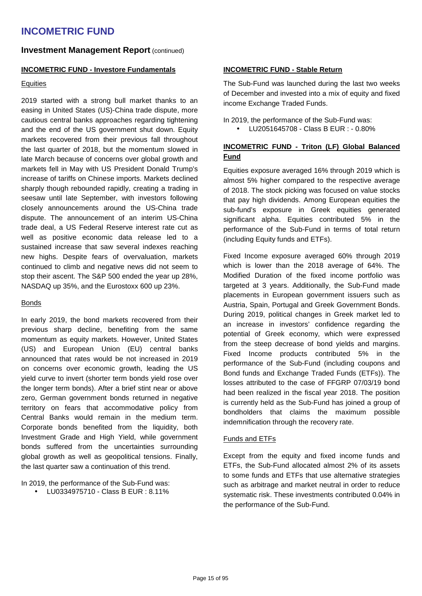#### **Investment Management Report (continued)**

#### **INCOMETRIC FUND - Investore Fundamentals**

#### **Equities**

2019 started with a strong bull market thanks to an easing in United States (US)-China trade dispute, more cautious central banks approaches regarding tightening and the end of the US government shut down. Equity markets recovered from their previous fall throughout the last quarter of 2018, but the momentum slowed in late March because of concerns over global growth and markets fell in May with US President Donald Trump's increase of tariffs on Chinese imports. Markets declined sharply though rebounded rapidly, creating a trading in seesaw until late September, with investors following closely announcements around the US-China trade dispute. The announcement of an interim US-China trade deal, a US Federal Reserve interest rate cut as well as positive economic data release led to a sustained increase that saw several indexes reaching new highs. Despite fears of overvaluation, markets continued to climb and negative news did not seem to stop their ascent. The S&P 500 ended the year up 28%, NASDAQ up 35%, and the Eurostoxx 600 up 23%.

#### Bonds

In early 2019, the bond markets recovered from their previous sharp decline, benefiting from the same momentum as equity markets. However, United States (US) and European Union (EU) central banks announced that rates would be not increased in 2019 on concerns over economic growth, leading the US yield curve to invert (shorter term bonds yield rose over the longer term bonds). After a brief stint near or above zero, German government bonds returned in negative territory on fears that accommodative policy from Central Banks would remain in the medium term. Corporate bonds benefited from the liquidity, both Investment Grade and High Yield, while government bonds suffered from the uncertainties surrounding global growth as well as geopolitical tensions. Finally, the last quarter saw a continuation of this trend.

In 2019, the performance of the Sub-Fund was:

• LU0334975710 - Class B EUR : 8.11%

#### **INCOMETRIC FUND - Stable Return**

The Sub-Fund was launched during the last two weeks of December and invested into a mix of equity and fixed income Exchange Traded Funds.

In 2019, the performance of the Sub-Fund was:

• LU2051645708 - Class B EUR : - 0.80%

#### **INCOMETRIC FUND - Triton (LF) Global Balanced Fund**

Equities exposure averaged 16% through 2019 which is almost 5% higher compared to the respective average of 2018. The stock picking was focused on value stocks that pay high dividends. Among European equities the sub-fund's exposure in Greek equities generated significant alpha. Equities contributed 5% in the performance of the Sub-Fund in terms of total return (including Equity funds and ETFs).

Fixed Income exposure averaged 60% through 2019 which is lower than the 2018 average of 64%. The Modified Duration of the fixed income portfolio was targeted at 3 years. Additionally, the Sub-Fund made placements in European government issuers such as Austria, Spain, Portugal and Greek Government Bonds. During 2019, political changes in Greek market led to an increase in investors' confidence regarding the potential of Greek economy, which were expressed from the steep decrease of bond yields and margins. Fixed Income products contributed 5% in the performance of the Sub-Fund (including coupons and Bond funds and Exchange Traded Funds (ETFs)). The losses attributed to the case of FFGRP 07/03/19 bond had been realized in the fiscal year 2018. The position is currently held as the Sub-Fund has joined a group of bondholders that claims the maximum possible indemnification through the recovery rate.

#### Funds and ETFs

Except from the equity and fixed income funds and ETFs, the Sub-Fund allocated almost 2% of its assets to some funds and ETFs that use alternative strategies such as arbitrage and market neutral in order to reduce systematic risk. These investments contributed 0.04% in the performance of the Sub-Fund.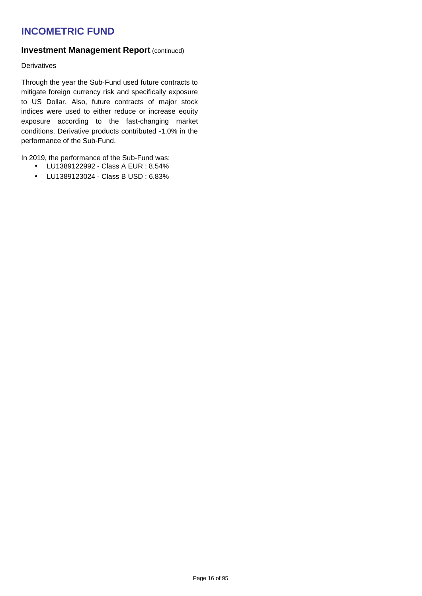#### **Investment Management Report (continued)**

#### **Derivatives**

Through the year the Sub-Fund used future contracts to mitigate foreign currency risk and specifically exposure to US Dollar. Also, future contracts of major stock indices were used to either reduce or increase equity exposure according to the fast-changing market conditions. Derivative products contributed -1.0% in the performance of the Sub-Fund.

In 2019, the performance of the Sub-Fund was:

- LU1389122992 Class A EUR : 8.54%
- LU1389123024 Class B USD : 6.83%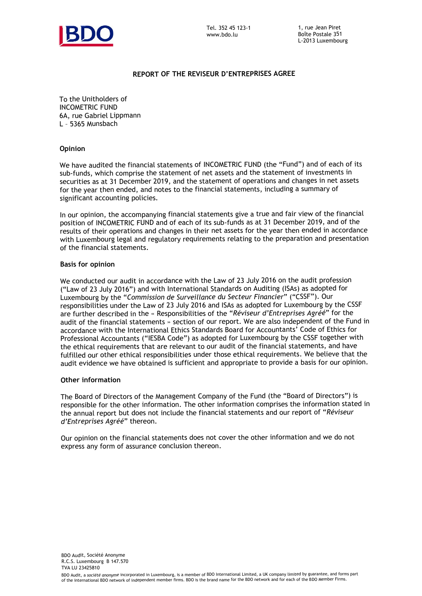

#### **REPORT OF THE REVISEUR D'ENTREPRISES AGREE**

To the Unitholders of INCOMETRIC FUND 6A, rue Gabriel Lippmann L – 5365 Munsbach

#### **Opinion**

We have audited the financial statements of INCOMETRIC FUND (the "Fund") and of each of its sub-funds, which comprise the statement of net assets and the statement of investments in securities as at 31 December 2019, and the statement of operations and changes in net assets for the year then ended, and notes to the financial statements, including a summary of significant accounting policies.

In our opinion, the accompanying financial statements give a true and fair view of the financial position of INCOMETRIC FUND and of each of its sub-funds as at 31 December 2019, and of the results of their operations and changes in their net assets for the year then ended in accordance with Luxembourg legal and regulatory requirements relating to the preparation and presentation of the financial statements.

#### **Basis for opinion**

We conducted our audit in accordance with the Law of 23 July 2016 on the audit profession ("Law of 23 July 2016") and with International Standards on Auditing (ISAs) as adopted for Luxembourg by the "*Commission de Surveillance du Secteur Financier*" ("CSSF"). Our responsibilities under the Law of 23 July 2016 and ISAs as adopted for Luxembourg by the CSSF are further described in the « Responsibilities of the "*Réviseur d'Entreprises Agréé*" for the audit of the financial statements » section of our report. We are also independent of the Fund in accordance with the International Ethics Standards Board for Accountants' Code of Ethics for Professional Accountants ("IESBA Code") as adopted for Luxembourg by the CSSF together with the ethical requirements that are relevant to our audit of the financial statements, and have fulfilled our other ethical responsibilities under those ethical requirements. We believe that the audit evidence we have obtained is sufficient and appropriate to provide a basis for our opinion.

#### **Other information**

The Board of Directors of the Management Company of the Fund (the "Board of Directors") is responsible for the other information. The other information comprises the information stated in the annual report but does not include the financial statements and our report of "*Réviseur d'Entreprises Agréé*" thereon.

Our opinion on the financial statements does not cover the other information and we do not express any form of assurance conclusion thereon.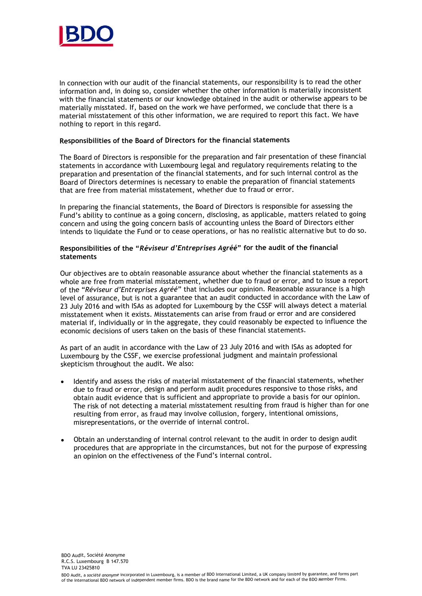

In connection with our audit of the financial statements, our responsibility is to read the other information and, in doing so, consider whether the other information is materially inconsistent with the financial statements or our knowledge obtained in the audit or otherwise appears to be materially misstated. If, based on the work we have performed, we conclude that there is a material misstatement of this other information, we are required to report this fact. We have nothing to report in this regard.

#### **Responsibilities of the Board of Directors for the financial statements**

The Board of Directors is responsible for the preparation and fair presentation of these financial statements in accordance with Luxembourg legal and regulatory requirements relating to the preparation and presentation of the financial statements, and for such internal control as the Board of Directors determines is necessary to enable the preparation of financial statements that are free from material misstatement, whether due to fraud or error.

In preparing the financial statements, the Board of Directors is responsible for assessing the Fund's ability to continue as a going concern, disclosing, as applicable, matters related to going concern and using the going concern basis of accounting unless the Board of Directors either intends to liquidate the Fund or to cease operations, or has no realistic alternative but to do so.

#### **Responsibilities of the "***Réviseur d'Entreprises Agréé***" for the audit of the financial statements**

Our objectives are to obtain reasonable assurance about whether the financial statements as a whole are free from material misstatement, whether due to fraud or error, and to issue a report of the "*Réviseur d'Entreprises Agréé*" that includes our opinion. Reasonable assurance is a high level of assurance, but is not a guarantee that an audit conducted in accordance with the Law of <sup>23</sup> July 2016 and with ISAs as adopted for Luxembourg by the CSSF will always detect a material misstatement when it exists. Misstatements can arise from fraud or error and are considered material if, individually or in the aggregate, they could reasonably be expected to influence the economic decisions of users taken on the basis of these financial statements.

As part of an audit in accordance with the Law of 23 July 2016 and with ISAs as adopted for Luxembourg by the CSSF, we exercise professional judgment and maintain professional skepticism throughout the audit. We also:

- . Identify and assess the risks of material misstatement of the financial statements, whether due to fraud or error, design and perform audit procedures responsive to those risks, and obtain audit evidence that is sufficient and appropriate to provide a basis for our opinion. The risk of not detecting a material misstatement resulting from fraud is higher than for one resulting from error, as fraud may involve collusion, forgery, intentional omissions, misrepresentations, or the override of internal control.
- e Obtain an understanding of internal control relevant to the audit in order to design audit procedures that are appropriate in the circumstances, but not for the purpose of expressing an opinion on the effectiveness of the Fund's internal control.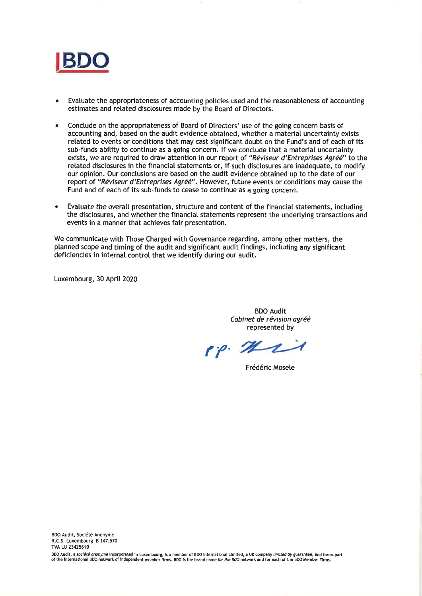

- a Evaluate the appropriateness of accounting policies used and the reasonableness of accounting Evaluate the appropriateness of accounting policies used and the reasonableness of accounting estimates and related disclosures made by the Board of Directors. estimates and related disclosures made by the Board of Directors.
- a Conclude on the appropriateness of Board of Directors' use of the going concern basis of Conclude on the appropriateness of Board of Directors' use of the going concern basis of accounting and, based on the audit evidence obtained, whether a material uncertainty exists accounting and, based on the audit evidence obtained, whether a material uncertainty exists related to events or conditions that may cast significant doubt on the Fund's and of each of its related to events or conditions that may cast significant doubt on the Fund's and of each of its sub-funds abitity to continue as a going concern. lf we conclude that a material uncertainty sub-funds ability to continue as a going concern. If we conclude that a material uncertainty exists, we are required to draw attention in our report of "*Réviseur d'Entreprises Agréé*" to the retated disclosures in the financial statements or, if such disclosures are inadequate, to modify related disclosures in the financial statements or, if such disclosures are inadequate, to modify our opinion. Our conclusions are based on the audit evidence obtained up to the date of our our opinion. Our conclusions are based on the audit evidence obtained up to the date of our report of "*Réviseur d'Entreprises Agréé"*. However, future events or conditions may cause the Fund and of each of its sub-funds to cease to continue as a going concern. Fund and of each of its sub-funds to cease to continue as a going concern.
- a Evaluate the overalI presentation, structure and content of the financial statements, inctuding Evaluate the overall presentation, structure and content of the financial statements, including the disctosures, and whether the financial statements represent the undertying transactions and the disclosures, and whether the financial statements represent the underlying transactions and events in a manner that achieves fair presentation. events in a manner that achieves fair presentation.

We communicate with Those Charged with Governance regarding, among other matters, the We communicate with These Charged with Governance regarding, among other matters, the planned scope and timing of the audit and significant audit findings, including any significant planned scope and timing of the audit and significant audit findings, including any significant deficiencies in internal control that we identify during our audit. deficiencies in internal control that we identify during our audit.

Luxembourg, 30 Aprit 2020 Luxembourg, 30 April 2020

BDO Audit BDO Audit Cabinet de révision agréé Cabinet de révision agréé represented by represented by

 $\mathfrak{e}_{\mathfrak{p}}\mathfrak{e}_{\mathfrak{p}}$ 

Frédéric Mosele Frédéric Mosele

3DO Audít, a *société anonyme* incorporated in Luxembourg, is a member of BDO International Limited, a UK company limited by guarantee, and forms part of the international BDO network of independent member firms. BDO is the brand name for the BDO network and for each of the BDO Member Firms.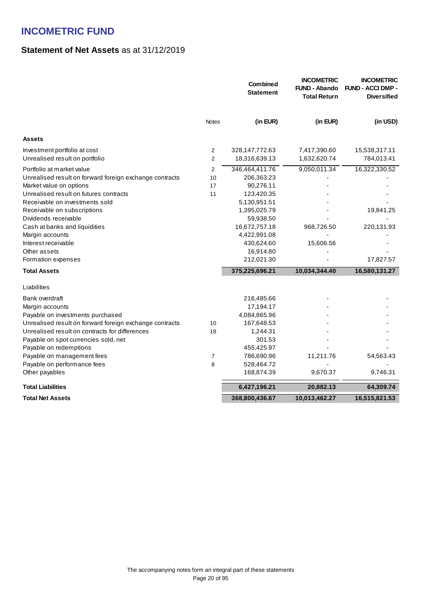### **Statement of Net Assets** as at 31/12/2019

|                                                                |                | <b>Combined</b><br><b>Statement</b> | <b>INCOMETRIC</b><br><b>FUND - Abando</b><br><b>Total Return</b> | <b>INCOMETRIC</b><br><b>FUND - ACCI DMP -</b><br><b>Diversified</b> |
|----------------------------------------------------------------|----------------|-------------------------------------|------------------------------------------------------------------|---------------------------------------------------------------------|
|                                                                | <b>Notes</b>   | (in EUR)                            | (in EUR)                                                         | (in USD)                                                            |
| <b>Assets</b>                                                  |                |                                     |                                                                  |                                                                     |
| Investment portfolio at cost<br>Unrealised result on portfolio | 2<br>2         | 328, 147, 772. 63<br>18,316,639.13  | 7,417,390.60<br>1,632,620.74                                     | 15,538,317.11<br>784,013.41                                         |
| Portfolio at market value                                      | 2              | 346,464,411.76                      | 9,050,011.34                                                     | 16,322,330.52                                                       |
| Unrealised result on forward foreign exchange contracts        | 10             | 206,363.23                          |                                                                  |                                                                     |
| Market value on options                                        | 17             | 90,276.11                           |                                                                  |                                                                     |
| Unrealised result on futures contracts                         | 11             | 123,420.35                          |                                                                  |                                                                     |
| Receivable on investments sold                                 |                | 5,130,951.51                        |                                                                  |                                                                     |
| Receivable on subscriptions                                    |                | 1,395,025.79                        |                                                                  | 19,841.25                                                           |
| Dividends receivable                                           |                | 59,938.50                           |                                                                  |                                                                     |
| Cash at banks and liquidities                                  |                | 16,672,757.18                       | 968,726.50                                                       | 220,131.93                                                          |
| Margin accounts                                                |                | 4,422,991.08                        |                                                                  |                                                                     |
| Interest receivable                                            |                | 430,624.60                          | 15,606.56                                                        |                                                                     |
| Other assets                                                   |                | 16,914.80                           |                                                                  |                                                                     |
| Formation expenses                                             |                | 212,021.30                          |                                                                  | 17,827.57                                                           |
| <b>Total Assets</b>                                            |                | 375,225,696.21                      | 10,034,344.40                                                    | 16,580,131.27                                                       |
| Liabilities                                                    |                |                                     |                                                                  |                                                                     |
| Bank overdraft                                                 |                | 216,485.66                          |                                                                  |                                                                     |
| Margin accounts                                                |                | 17,194.17                           |                                                                  |                                                                     |
| Payable on investments purchased                               |                | 4,084,865.96                        |                                                                  |                                                                     |
| Unrealised result on forward foreign exchange contracts        | 10             | 167,648.53                          |                                                                  |                                                                     |
| Unrealised result on contracts for differences                 | 18             | 1,244.31                            |                                                                  |                                                                     |
| Payable on spot currencies sold, net                           |                | 301.53                              |                                                                  |                                                                     |
| Payable on redemptions                                         |                | 455,425.97                          |                                                                  |                                                                     |
| Payable on management fees                                     | $\overline{7}$ | 786,690.96                          | 11,211.76                                                        | 54,563.43                                                           |
| Payable on performance fees                                    | 8              | 528,464.72                          |                                                                  |                                                                     |
| Other payables                                                 |                | 168,874.39                          | 9,670.37                                                         | 9,746.31                                                            |
| <b>Total Liabilities</b>                                       |                | 6,427,196.21                        | 20,882.13                                                        | 64,309.74                                                           |
| <b>Total Net Assets</b>                                        |                | 368,800,436.67                      | 10,013,462.27                                                    | 16,515,821.53                                                       |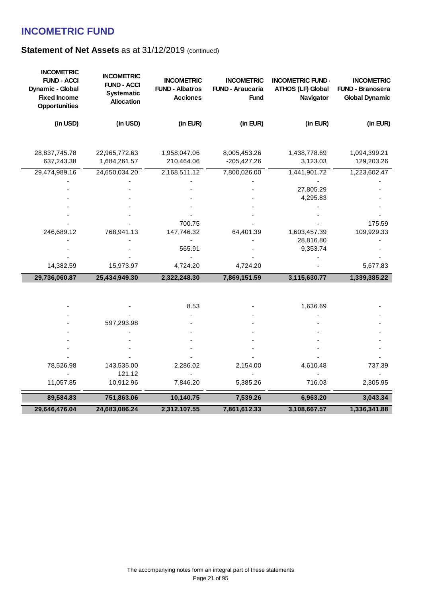| <b>INCOMETRIC</b><br><b>FUND - Branosera</b><br><b>Global Dynamic</b> | <b>INCOMETRIC FUND-</b><br><b>ATHOS (LF) Global</b><br>Navigator | <b>INCOMETRIC</b><br><b>FUND - Araucaria</b><br><b>Fund</b> | <b>INCOMETRIC</b><br><b>FUND - Albatros</b><br><b>Acciones</b> | <b>INCOMETRIC</b><br><b>FUND - ACCI</b><br><b>Systematic</b><br><b>Allocation</b> | <b>INCOMETRIC</b><br><b>FUND - ACCI</b><br>Dynamic - Global<br><b>Fixed Income</b><br><b>Opportunities</b> |
|-----------------------------------------------------------------------|------------------------------------------------------------------|-------------------------------------------------------------|----------------------------------------------------------------|-----------------------------------------------------------------------------------|------------------------------------------------------------------------------------------------------------|
| (in EUR)                                                              | (in EUR)                                                         | (in EUR)                                                    | (in EUR)                                                       | (in USD)                                                                          | (in USD)                                                                                                   |
|                                                                       |                                                                  |                                                             |                                                                |                                                                                   |                                                                                                            |
| 1,094,399.21<br>129,203.26                                            | 1,438,778.69<br>3,123.03                                         | 8,005,453.26<br>$-205,427.26$                               | 1,958,047.06<br>210,464.06                                     | 22,965,772.63<br>1,684,261.57                                                     | 28,837,745.78<br>637,243.38                                                                                |
| 1,223,602.47                                                          | 1,441,901.72                                                     | 7,800,026.00                                                | 2,168,511.12                                                   | 24,650,034.20                                                                     | 29,474,989.16                                                                                              |
|                                                                       |                                                                  |                                                             |                                                                |                                                                                   |                                                                                                            |
|                                                                       | 27,805.29                                                        |                                                             |                                                                |                                                                                   |                                                                                                            |
|                                                                       | 4,295.83                                                         |                                                             |                                                                |                                                                                   |                                                                                                            |
|                                                                       |                                                                  |                                                             |                                                                |                                                                                   |                                                                                                            |
| 175.59                                                                |                                                                  |                                                             | 700.75                                                         |                                                                                   |                                                                                                            |
| 109,929.33                                                            | 1,603,457.39                                                     | 64,401.39                                                   | 147,746.32                                                     | 768,941.13                                                                        | 246,689.12                                                                                                 |
|                                                                       | 28,816.80                                                        |                                                             |                                                                |                                                                                   |                                                                                                            |
|                                                                       | 9,353.74                                                         |                                                             | 565.91                                                         |                                                                                   |                                                                                                            |
|                                                                       |                                                                  |                                                             |                                                                |                                                                                   |                                                                                                            |
| 5,677.83                                                              |                                                                  | 4,724.20                                                    | 4,724.20                                                       | 15,973.97                                                                         | 14,382.59                                                                                                  |
| 1,339,385.22                                                          | 3,115,630.77                                                     | 7,869,151.59                                                | 2,322,248.30                                                   | 25,434,949.30                                                                     | 29,736,060.87                                                                                              |
|                                                                       |                                                                  |                                                             |                                                                |                                                                                   |                                                                                                            |
|                                                                       |                                                                  |                                                             |                                                                |                                                                                   |                                                                                                            |
|                                                                       | 1,636.69                                                         |                                                             | 8.53                                                           |                                                                                   |                                                                                                            |
|                                                                       |                                                                  |                                                             |                                                                | 597,293.98                                                                        |                                                                                                            |
|                                                                       |                                                                  |                                                             |                                                                |                                                                                   |                                                                                                            |
|                                                                       |                                                                  |                                                             |                                                                |                                                                                   |                                                                                                            |
|                                                                       |                                                                  |                                                             |                                                                |                                                                                   |                                                                                                            |
| 737.39                                                                | 4,610.48                                                         | 2,154.00                                                    | 2,286.02                                                       | 143,535.00                                                                        | 78,526.98                                                                                                  |
|                                                                       |                                                                  |                                                             |                                                                | 121.12                                                                            |                                                                                                            |
| 2,305.95                                                              | 716.03                                                           | 5,385.26                                                    | 7,846.20                                                       | 10,912.96                                                                         | 11,057.85                                                                                                  |
| 3,043.34                                                              | 6,963.20                                                         | 7,539.26                                                    | 10,140.75                                                      | 751,863.06                                                                        | 89,584.83                                                                                                  |
| 1,336,341.88                                                          | 3,108,667.57                                                     | 7,861,612.33                                                | 2,312,107.55                                                   | 24,683,086.24                                                                     | 29,646,476.04                                                                                              |
|                                                                       |                                                                  |                                                             |                                                                |                                                                                   |                                                                                                            |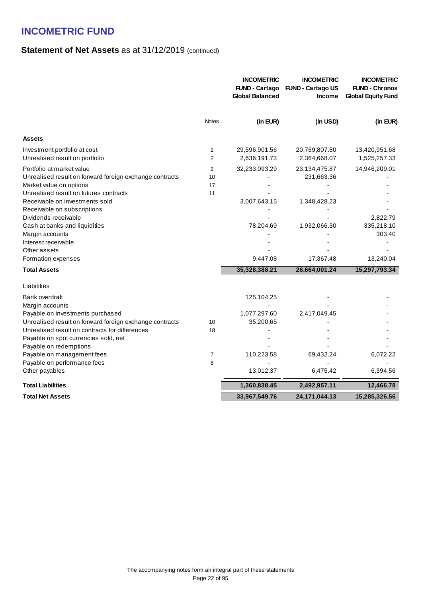|                                                                                                                                                                                                                                                                                                                                                                                            |                     | <b>INCOMETRIC</b><br><b>FUND - Cartago</b><br><b>Global Balanced</b>    | <b>INCOMETRIC</b><br><b>FUND - Cartago US</b><br><b>Income</b>                            | <b>INCOMETRIC</b><br><b>FUND - Chronos</b><br><b>Global Equity Fund</b>         |
|--------------------------------------------------------------------------------------------------------------------------------------------------------------------------------------------------------------------------------------------------------------------------------------------------------------------------------------------------------------------------------------------|---------------------|-------------------------------------------------------------------------|-------------------------------------------------------------------------------------------|---------------------------------------------------------------------------------|
|                                                                                                                                                                                                                                                                                                                                                                                            | <b>Notes</b>        | (in EUR)                                                                | (in USD)                                                                                  | (in EUR)                                                                        |
| <b>Assets</b>                                                                                                                                                                                                                                                                                                                                                                              |                     |                                                                         |                                                                                           |                                                                                 |
| Investment portfolio at cost<br>Unrealised result on portfolio                                                                                                                                                                                                                                                                                                                             | 2<br>$\overline{2}$ | 29,596,901.56<br>2,636,191.73                                           | 20,769,807.80<br>2,364,668.07                                                             | 13,420,951.68<br>1,525,257.33                                                   |
| Portfolio at market value<br>Unrealised result on forward foreign exchange contracts<br>Market value on options<br>Unrealised result on futures contracts<br>Receivable on investments sold<br>Receivable on subscriptions<br>Dividends receivable<br>Cash at banks and liquidities<br>Margin accounts<br>Interest receivable<br>Other assets<br>Formation expenses<br><b>Total Assets</b> | 2<br>10<br>17<br>11 | 32,233,093.29<br>3,007,643.15<br>78,204.69<br>9,447.08<br>35,328,388.21 | 23,134,475.87<br>231,663.36<br>1,348,428.23<br>1,932,066.30<br>17,367.48<br>26,664,001.24 | 14,946,209.01<br>2,822.79<br>335,218.10<br>303.40<br>13,240.04<br>15,297,793.34 |
| Liabilities                                                                                                                                                                                                                                                                                                                                                                                |                     |                                                                         |                                                                                           |                                                                                 |
| Bank overdraft<br>Margin accounts<br>Payable on investments purchased<br>Unrealised result on forward foreign exchange contracts<br>Unrealised result on contracts for differences<br>Payable on spot currencies sold, net<br>Payable on redemptions<br>Payable on management fees<br>Payable on performance fees<br>Other payables                                                        | 10<br>18<br>7<br>8  | 125,104.25<br>1,077,297.60<br>35,200.65<br>110,223.58<br>13,012.37      | 2,417,049.45<br>69,432.24<br>6,475.42                                                     | 6,072.22<br>6,394.56                                                            |
| <b>Total Liabilities</b>                                                                                                                                                                                                                                                                                                                                                                   |                     | 1,360,838.45                                                            | 2,492,957.11                                                                              | 12,466.78                                                                       |
| <b>Total Net Assets</b>                                                                                                                                                                                                                                                                                                                                                                    |                     | 33,967,549.76                                                           | 24,171,044.13                                                                             | 15,285,326.56                                                                   |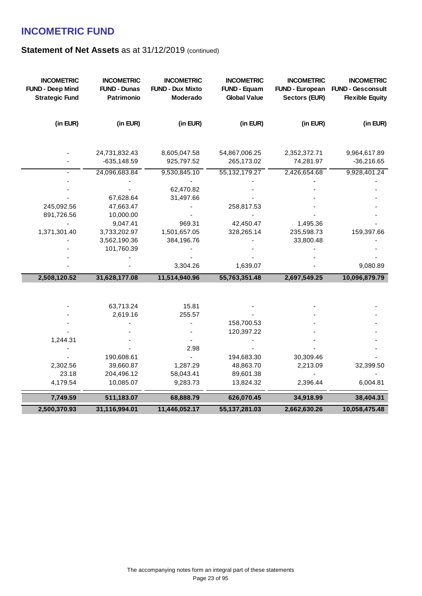| <b>INCOMETRIC</b><br><b>FUND - Deep Mind</b><br><b>Strategic Fund</b> | <b>INCOMETRIC</b><br><b>FUND - Dunas</b><br>Patrimonio | <b>INCOMETRIC</b><br><b>FUND - Dux Mixto</b><br>Moderado | <b>INCOMETRIC</b><br><b>FUND - Equam</b><br><b>Global Value</b> | <b>INCOMETRIC</b><br><b>FUND - European</b><br>Sectors (EUR) | <b>INCOMETRIC</b><br><b>FUND - Gesconsult</b><br><b>Flexible Equity</b> |
|-----------------------------------------------------------------------|--------------------------------------------------------|----------------------------------------------------------|-----------------------------------------------------------------|--------------------------------------------------------------|-------------------------------------------------------------------------|
| (in EUR)                                                              | (in EUR)                                               | (in EUR)                                                 | (in EUR)                                                        | (in EUR)                                                     | (in EUR)                                                                |
|                                                                       | 24,731,832.43                                          | 8,605,047.58                                             | 54,867,006.25                                                   | 2,352,372.71                                                 | 9,964,617.89                                                            |
|                                                                       | $-635,148.59$                                          | 925,797.52                                               | 265,173.02                                                      | 74,281.97                                                    | $-36,216.65$                                                            |
|                                                                       | 24,096,683.84                                          | 9,530,845.10                                             | 55, 132, 179. 27                                                | 2,426,654.68                                                 | 9,928,401.24                                                            |
|                                                                       |                                                        |                                                          |                                                                 |                                                              |                                                                         |
|                                                                       |                                                        | 62,470.82                                                |                                                                 |                                                              |                                                                         |
| 245,092.56                                                            | 67,628.64<br>47,663.47                                 | 31,497.66                                                | 258,817.53                                                      |                                                              |                                                                         |
| 891,726.56                                                            | 10,000.00                                              |                                                          |                                                                 |                                                              |                                                                         |
|                                                                       | 9,047.41                                               | 969.31                                                   | 42,450.47                                                       | 1,495.36                                                     |                                                                         |
| 1,371,301.40                                                          | 3,733,202.97                                           | 1,501,657.05                                             | 328,265.14                                                      | 235,598.73                                                   | 159,397.66                                                              |
|                                                                       | 3,562,190.36                                           | 384,196.76                                               |                                                                 | 33,800.48                                                    |                                                                         |
|                                                                       | 101,760.39                                             |                                                          |                                                                 |                                                              |                                                                         |
|                                                                       |                                                        |                                                          |                                                                 |                                                              |                                                                         |
|                                                                       |                                                        | 3,304.26                                                 | 1,639.07                                                        |                                                              | 9,080.89                                                                |
| 2,508,120.52                                                          | 31,628,177.08                                          | 11,514,940.96                                            | 55,763,351.48                                                   | 2,697,549.25                                                 | 10,096,879.79                                                           |
|                                                                       |                                                        |                                                          |                                                                 |                                                              |                                                                         |
|                                                                       | 63,713.24                                              | 15.81                                                    |                                                                 |                                                              |                                                                         |
|                                                                       | 2,619.16                                               | 255.57                                                   |                                                                 |                                                              |                                                                         |
|                                                                       |                                                        |                                                          | 158,700.53                                                      |                                                              |                                                                         |
|                                                                       |                                                        |                                                          | 120,397.22                                                      |                                                              |                                                                         |
| 1,244.31                                                              |                                                        |                                                          |                                                                 |                                                              |                                                                         |
|                                                                       |                                                        | 2.98                                                     |                                                                 |                                                              |                                                                         |
|                                                                       | 190,608.61                                             |                                                          | 194,683.30                                                      | 30,309.46                                                    |                                                                         |
| 2,302.56                                                              | 39,660.87                                              | 1,287.29                                                 | 48,863.70                                                       | 2,213.09                                                     | 32,399.50                                                               |
| 23.18                                                                 | 204,496.12                                             | 58,043.41                                                | 89,601.38                                                       |                                                              |                                                                         |
| 4,179.54                                                              | 10,085.07                                              | 9,283.73                                                 | 13,824.32                                                       | 2,396.44                                                     | 6,004.81                                                                |
| 7,749.59                                                              | 511,183.07                                             | 68,888.79                                                | 626,070.45                                                      | 34,918.99                                                    | 38,404.31                                                               |
| 2,500,370.93                                                          | 31,116,994.01                                          | 11,446,052.17                                            | 55, 137, 281.03                                                 | 2,662,630.26                                                 | 10,058,475.48                                                           |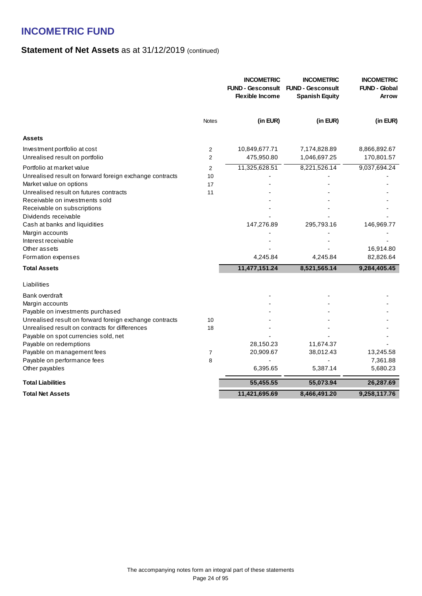|                                                                                                                                                                                                                                                                                                                                                                                            |                                  | <b>INCOMETRIC</b><br><b>FUND - Gesconsult</b><br><b>Flexible Income</b> | <b>INCOMETRIC</b><br><b>FUND - Gesconsult</b><br><b>Spanish Equity</b> | <b>INCOMETRIC</b><br><b>FUND - Global</b><br>Arrow                   |
|--------------------------------------------------------------------------------------------------------------------------------------------------------------------------------------------------------------------------------------------------------------------------------------------------------------------------------------------------------------------------------------------|----------------------------------|-------------------------------------------------------------------------|------------------------------------------------------------------------|----------------------------------------------------------------------|
|                                                                                                                                                                                                                                                                                                                                                                                            | <b>Notes</b>                     | (in EUR)                                                                | (in EUR)                                                               | (in EUR)                                                             |
| <b>Assets</b>                                                                                                                                                                                                                                                                                                                                                                              |                                  |                                                                         |                                                                        |                                                                      |
| Investment portfolio at cost<br>Unrealised result on portfolio                                                                                                                                                                                                                                                                                                                             | $\overline{2}$<br>$\overline{2}$ | 10,849,677.71<br>475,950.80                                             | 7,174,828.89<br>1,046,697.25                                           | 8,866,892.67<br>170,801.57                                           |
| Portfolio at market value<br>Unrealised result on forward foreign exchange contracts<br>Market value on options<br>Unrealised result on futures contracts<br>Receivable on investments sold<br>Receivable on subscriptions<br>Dividends receivable<br>Cash at banks and liquidities<br>Margin accounts<br>Interest receivable<br>Other assets<br>Formation expenses<br><b>Total Assets</b> | $\overline{2}$<br>10<br>17<br>11 | 11,325,628.51<br>147,276.89<br>4,245.84<br>11,477,151.24                | 8,221,526.14<br>295,793.16<br>4,245.84<br>8,521,565.14                 | 9,037,694.24<br>146,969.77<br>16,914.80<br>82,826.64<br>9,284,405.45 |
| Liabilities                                                                                                                                                                                                                                                                                                                                                                                |                                  |                                                                         |                                                                        |                                                                      |
| Bank overdraft<br>Margin accounts<br>Payable on investments purchased<br>Unrealised result on forward foreign exchange contracts<br>Unrealised result on contracts for differences<br>Payable on spot currencies sold, net<br>Payable on redemptions<br>Payable on management fees<br>Payable on performance fees<br>Other payables                                                        | 10<br>18<br>7<br>8               | 28,150.23<br>20,909.67<br>6,395.65                                      | 11,674.37<br>38,012.43<br>5,387.14                                     | 13,245.58<br>7,361.88<br>5,680.23                                    |
| <b>Total Liabilities</b>                                                                                                                                                                                                                                                                                                                                                                   |                                  | 55,455.55                                                               | 55,073.94                                                              | 26,287.69                                                            |
| <b>Total Net Assets</b>                                                                                                                                                                                                                                                                                                                                                                    |                                  | 11,421,695.69                                                           | 8,466,491.20                                                           | 9,258,117.76                                                         |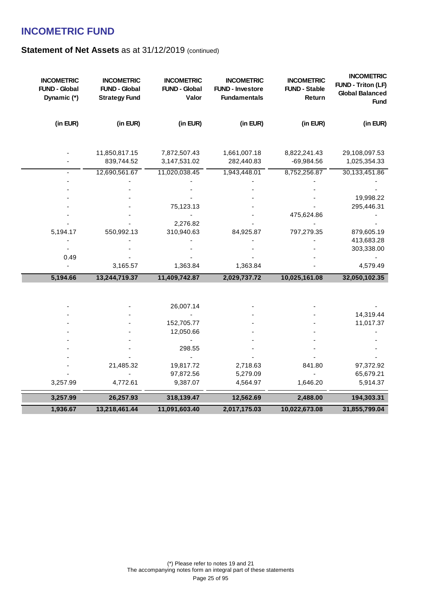| <b>INCOMETRIC</b><br><b>FUND - Global</b><br>Dynamic (*) | <b>INCOMETRIC</b><br><b>FUND - Global</b><br><b>Strategy Fund</b> | <b>INCOMETRIC</b><br><b>FUND - Global</b><br>Valor | <b>INCOMETRIC</b><br><b>FUND - Investore</b><br><b>Fundamentals</b> | <b>INCOMETRIC</b><br><b>FUND - Stable</b><br>Return | <b>INCOMETRIC</b><br><b>FUND - Triton (LF)</b><br><b>Global Balanced</b><br><b>Fund</b> |
|----------------------------------------------------------|-------------------------------------------------------------------|----------------------------------------------------|---------------------------------------------------------------------|-----------------------------------------------------|-----------------------------------------------------------------------------------------|
| (in EUR)                                                 | (in EUR)                                                          | (in EUR)                                           | (in EUR)                                                            | (in EUR)                                            | (in EUR)                                                                                |
|                                                          | 11,850,817.15<br>839,744.52                                       | 7,872,507.43<br>3, 147, 531. 02                    | 1,661,007.18<br>282,440.83                                          | 8,822,241.43<br>$-69,984.56$                        | 29,108,097.53<br>1,025,354.33                                                           |
|                                                          | 12,690,561.67                                                     | 11,020,038.45                                      | 1,943,448.01                                                        | 8,752,256.87                                        | 30,133,451.86                                                                           |
|                                                          |                                                                   |                                                    |                                                                     |                                                     |                                                                                         |
|                                                          |                                                                   |                                                    |                                                                     |                                                     |                                                                                         |
|                                                          |                                                                   | 75,123.13                                          |                                                                     |                                                     | 19,998.22<br>295,446.31                                                                 |
|                                                          |                                                                   |                                                    |                                                                     | 475,624.86                                          |                                                                                         |
|                                                          |                                                                   | 2,276.82                                           |                                                                     |                                                     |                                                                                         |
| 5,194.17                                                 | 550,992.13                                                        | 310,940.63                                         | 84,925.87                                                           | 797,279.35                                          | 879,605.19                                                                              |
|                                                          |                                                                   |                                                    |                                                                     |                                                     | 413,683.28                                                                              |
|                                                          |                                                                   |                                                    |                                                                     |                                                     | 303,338.00                                                                              |
| 0.49                                                     |                                                                   |                                                    |                                                                     |                                                     |                                                                                         |
|                                                          | 3,165.57                                                          | 1,363.84                                           | 1,363.84                                                            |                                                     | 4,579.49                                                                                |
| 5,194.66                                                 | 13,244,719.37                                                     | 11,409,742.87                                      | 2,029,737.72                                                        | 10,025,161.08                                       | 32,050,102.35                                                                           |
|                                                          |                                                                   |                                                    |                                                                     |                                                     |                                                                                         |
|                                                          |                                                                   |                                                    |                                                                     |                                                     |                                                                                         |
|                                                          |                                                                   | 26,007.14                                          |                                                                     |                                                     |                                                                                         |
|                                                          |                                                                   |                                                    |                                                                     |                                                     | 14,319.44                                                                               |
|                                                          |                                                                   | 152,705.77<br>12,050.66                            |                                                                     |                                                     | 11,017.37                                                                               |
|                                                          |                                                                   |                                                    |                                                                     |                                                     |                                                                                         |
|                                                          |                                                                   | 298.55                                             |                                                                     |                                                     |                                                                                         |
|                                                          |                                                                   |                                                    |                                                                     |                                                     |                                                                                         |
|                                                          | 21,485.32                                                         | 19,817.72                                          | 2,718.63                                                            | 841.80                                              | 97,372.92                                                                               |
|                                                          |                                                                   | 97,872.56                                          | 5,279.09                                                            |                                                     | 65,679.21                                                                               |
| 3,257.99                                                 | 4,772.61                                                          | 9,387.07                                           | 4,564.97                                                            | 1,646.20                                            | 5,914.37                                                                                |
| 3,257.99                                                 | 26,257.93                                                         | 318,139.47                                         | 12,562.69                                                           | 2,488.00                                            | 194,303.31                                                                              |
| 1,936.67                                                 | 13,218,461.44                                                     | 11,091,603.40                                      | 2,017,175.03                                                        | 10,022,673.08                                       | 31,855,799.04                                                                           |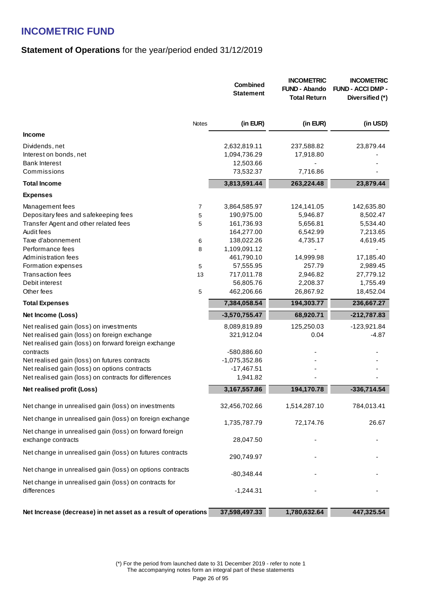### **Statement of Operations** for the year/period ended 31/12/2019

|                                                                                                      |                   | <b>Combined</b><br><b>Statement</b> | <b>INCOMETRIC</b><br><b>FUND - Abando</b><br><b>Total Return</b> | <b>INCOMETRIC</b><br><b>FUND - ACCI DMP -</b><br>Diversified (*) |
|------------------------------------------------------------------------------------------------------|-------------------|-------------------------------------|------------------------------------------------------------------|------------------------------------------------------------------|
|                                                                                                      | <b>Notes</b>      | (in EUR)                            | (in EUR)                                                         | (in USD)                                                         |
| Income                                                                                               |                   |                                     |                                                                  |                                                                  |
| Dividends, net                                                                                       |                   | 2,632,819.11                        | 237,588.82                                                       | 23,879.44                                                        |
| Interest on bonds, net                                                                               |                   | 1,094,736.29                        | 17,918.80                                                        |                                                                  |
| <b>Bank Interest</b>                                                                                 |                   | 12,503.66                           |                                                                  |                                                                  |
| Commissions                                                                                          |                   | 73,532.37                           | 7,716.86                                                         |                                                                  |
| <b>Total Income</b>                                                                                  |                   | 3,813,591.44                        | 263,224.48                                                       | 23,879.44                                                        |
| <b>Expenses</b>                                                                                      |                   |                                     |                                                                  |                                                                  |
| Management fees                                                                                      | $\overline{7}$    | 3,864,585.97                        | 124,141.05                                                       | 142,635.80                                                       |
| Depositary fees and safekeeping fees                                                                 | 5                 | 190,975.00                          | 5,946.87                                                         | 8,502.47                                                         |
| Transfer Agent and other related fees                                                                | 5                 | 161,736.93                          | 5,656.81                                                         | 5,534.40                                                         |
| Audit fees                                                                                           |                   | 164,277.00                          | 6,542.99                                                         | 7,213.65                                                         |
| Taxe d'abonnement                                                                                    | 6                 | 138,022.26                          | 4,735.17                                                         | 4,619.45                                                         |
| Performance fees                                                                                     | 8                 | 1,109,091.12                        |                                                                  |                                                                  |
| Administration fees                                                                                  |                   | 461,790.10                          | 14,999.98<br>257.79                                              | 17,185.40                                                        |
| Formation expenses<br><b>Transaction fees</b>                                                        | $\,$ 5 $\,$<br>13 | 57,555.95<br>717,011.78             | 2,946.82                                                         | 2,989.45<br>27,779.12                                            |
| Debit interest                                                                                       |                   | 56,805.76                           | 2,208.37                                                         | 1,755.49                                                         |
| Other fees                                                                                           | 5                 | 462,206.66                          | 26,867.92                                                        | 18,452.04                                                        |
| <b>Total Expenses</b>                                                                                |                   | 7,384,058.54                        | 194,303.77                                                       | 236,667.27                                                       |
| Net Income (Loss)                                                                                    |                   | $-3,570,755.47$                     | 68,920.71                                                        | $-212,787.83$                                                    |
| Net realised gain (loss) on investments                                                              |                   | 8,089,819.89                        | 125,250.03                                                       | $-123,921.84$                                                    |
| Net realised gain (loss) on foreign exchange<br>Net realised gain (loss) on forward foreign exchange |                   | 321,912.04                          | 0.04                                                             | $-4.87$                                                          |
| contracts                                                                                            |                   | -580,886.60                         |                                                                  |                                                                  |
| Net realised gain (loss) on futures contracts                                                        |                   | -1,075,352.86                       |                                                                  |                                                                  |
| Net realised gain (loss) on options contracts                                                        |                   | $-17,467.51$                        |                                                                  |                                                                  |
| Net realised gain (loss) on contracts for differences                                                |                   | 1,941.82                            |                                                                  |                                                                  |
| Net realised profit (Loss)                                                                           |                   | 3, 167, 557.86                      | 194,170.78                                                       | $-336,714.54$                                                    |
| Net change in unrealised gain (loss) on investments                                                  |                   | 32,456,702.66                       | 1,514,287.10                                                     | 784,013.41                                                       |
| Net change in unrealised gain (loss) on foreign exchange                                             |                   | 1,735,787.79                        | 72,174.76                                                        | 26.67                                                            |
| Net change in unrealised gain (loss) on forward foreign<br>exchange contracts                        |                   | 28,047.50                           |                                                                  |                                                                  |
| Net change in unrealised gain (loss) on futures contracts                                            |                   | 290,749.97                          |                                                                  |                                                                  |
| Net change in unrealised gain (loss) on options contracts                                            |                   | $-80,348.44$                        |                                                                  |                                                                  |
| Net change in unrealised gain (loss) on contracts for                                                |                   |                                     |                                                                  |                                                                  |
| differences                                                                                          |                   | $-1,244.31$                         |                                                                  |                                                                  |
| Net Increase (decrease) in net asset as a result of operations                                       |                   | 37,598,497.33                       | 1,780,632.64                                                     | 447,325.54                                                       |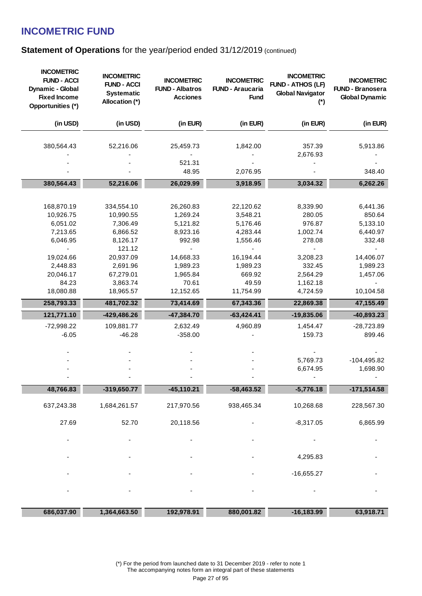### **Statement of Operations** for the year/period ended 31/12/2019 (continued)

| <b>INCOMETRIC</b><br><b>FUND - ACCI</b><br>Dynamic - Global<br><b>Fixed Income</b><br>Opportunities (*) | <b>INCOMETRIC</b><br><b>FUND - ACCI</b><br><b>Systematic</b><br>Allocation (*) | <b>INCOMETRIC</b><br><b>FUND - Albatros</b><br><b>Acciones</b> | <b>INCOMETRIC</b><br><b>FUND - Araucaria</b><br><b>Fund</b> | <b>INCOMETRIC</b><br><b>FUND - ATHOS (LF)</b><br><b>Global Navigator</b><br>$(*)$ | <b>INCOMETRIC</b><br><b>FUND - Branosera</b><br><b>Global Dynamic</b> |
|---------------------------------------------------------------------------------------------------------|--------------------------------------------------------------------------------|----------------------------------------------------------------|-------------------------------------------------------------|-----------------------------------------------------------------------------------|-----------------------------------------------------------------------|
| (in USD)                                                                                                | (in USD)                                                                       | (in EUR)                                                       | (in EUR)                                                    | (in EUR)                                                                          | (in EUR)                                                              |
| 380,564.43                                                                                              | 52,216.06                                                                      | 25,459.73                                                      | 1,842.00                                                    | 357.39                                                                            | 5,913.86                                                              |
|                                                                                                         |                                                                                |                                                                |                                                             | 2,676.93                                                                          |                                                                       |
|                                                                                                         |                                                                                | 521.31                                                         |                                                             |                                                                                   |                                                                       |
|                                                                                                         |                                                                                | 48.95                                                          | 2,076.95                                                    |                                                                                   | 348.40                                                                |
| 380,564.43                                                                                              | 52,216.06                                                                      | 26,029.99                                                      | 3,918.95                                                    | 3,034.32                                                                          | 6,262.26                                                              |
|                                                                                                         |                                                                                |                                                                |                                                             |                                                                                   |                                                                       |
| 168,870.19                                                                                              | 334,554.10                                                                     | 26,260.83                                                      | 22,120.62                                                   | 8,339.90                                                                          | 6,441.36                                                              |
| 10,926.75                                                                                               | 10,990.55                                                                      | 1,269.24                                                       | 3,548.21                                                    | 280.05                                                                            | 850.64                                                                |
| 6,051.02                                                                                                | 7,306.49                                                                       | 5,121.82                                                       | 5,176.46                                                    | 976.87                                                                            | 5,133.10                                                              |
| 7,213.65                                                                                                | 6,866.52                                                                       | 8,923.16                                                       | 4,283.44                                                    | 1,002.74                                                                          | 6,440.97                                                              |
| 6,046.95                                                                                                | 8,126.17                                                                       | 992.98                                                         | 1,556.46                                                    | 278.08                                                                            | 332.48                                                                |
|                                                                                                         | 121.12                                                                         |                                                                |                                                             |                                                                                   |                                                                       |
| 19,024.66                                                                                               | 20,937.09                                                                      | 14,668.33                                                      | 16,194.44                                                   | 3,208.23                                                                          | 14,406.07                                                             |
| 2,448.83                                                                                                | 2,691.96                                                                       | 1,989.23                                                       | 1,989.23                                                    | 332.45                                                                            | 1,989.23                                                              |
| 20,046.17                                                                                               | 67,279.01                                                                      | 1,965.84                                                       | 669.92                                                      | 2,564.29                                                                          | 1,457.06                                                              |
| 84.23                                                                                                   | 3,863.74                                                                       | 70.61                                                          | 49.59                                                       | 1,162.18                                                                          |                                                                       |
| 18,080.88                                                                                               | 18,965.57                                                                      | 12,152.65                                                      | 11,754.99                                                   | 4,724.59                                                                          | 10,104.58                                                             |
| 258,793.33                                                                                              | 481,702.32                                                                     | 73,414.69                                                      | 67,343.36                                                   | 22,869.38                                                                         | 47,155.49                                                             |
| 121,771.10                                                                                              | $-429,486.26$                                                                  | $-47,384.70$                                                   | $-63,424.41$                                                | $-19,835.06$                                                                      | $-40,893.23$                                                          |
| $-72,998.22$                                                                                            | 109,881.77                                                                     | 2,632.49                                                       | 4,960.89                                                    | 1,454.47                                                                          | -28,723.89                                                            |
| $-6.05$                                                                                                 | $-46.28$                                                                       | $-358.00$                                                      |                                                             | 159.73                                                                            | 899.46                                                                |
|                                                                                                         |                                                                                |                                                                |                                                             |                                                                                   |                                                                       |
|                                                                                                         |                                                                                |                                                                |                                                             |                                                                                   |                                                                       |
|                                                                                                         |                                                                                |                                                                |                                                             | 5,769.73                                                                          | $-104,495.82$                                                         |
|                                                                                                         |                                                                                |                                                                |                                                             | 6,674.95                                                                          | 1,698.90                                                              |
| 48,766.83                                                                                               | $-319,650.77$                                                                  | $-45,110.21$                                                   | $-58,463.52$                                                | $-5,776.18$                                                                       | $-171,514.58$                                                         |
|                                                                                                         |                                                                                |                                                                |                                                             |                                                                                   |                                                                       |
| 637,243.38                                                                                              | 1,684,261.57                                                                   | 217,970.56                                                     | 938,465.34                                                  | 10,268.68                                                                         | 228,567.30                                                            |
| 27.69                                                                                                   | 52.70                                                                          | 20,118.56                                                      |                                                             | $-8,317.05$                                                                       | 6,865.99                                                              |
|                                                                                                         |                                                                                |                                                                |                                                             |                                                                                   |                                                                       |
|                                                                                                         |                                                                                |                                                                |                                                             |                                                                                   |                                                                       |
|                                                                                                         |                                                                                |                                                                |                                                             | 4,295.83                                                                          |                                                                       |
|                                                                                                         |                                                                                |                                                                |                                                             | $-16,655.27$                                                                      |                                                                       |
|                                                                                                         |                                                                                |                                                                |                                                             |                                                                                   |                                                                       |
|                                                                                                         |                                                                                |                                                                |                                                             |                                                                                   |                                                                       |
| 686,037.90                                                                                              | 1,364,663.50                                                                   | 192,978.91                                                     | 880,001.82                                                  | $-16,183.99$                                                                      | 63,918.71                                                             |

(\*) For the period from launched date to 31 December 2019 - refer to note 1 The accompanying notes form an integral part of these statements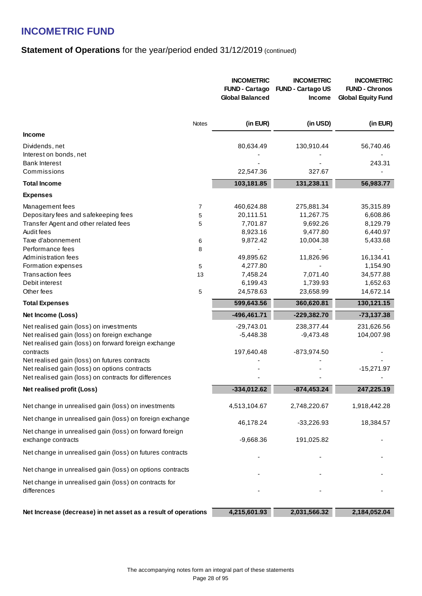### **Statement of Operations** for the year/period ended 31/12/2019 (continued)

|                                                                               |       | <b>INCOMETRIC</b><br><b>FUND - Cartago</b><br><b>Global Balanced</b> | <b>INCOMETRIC</b><br><b>FUND - Cartago US</b><br><b>Income</b> | <b>INCOMETRIC</b><br><b>FUND - Chronos</b><br><b>Global Equity Fund</b> |
|-------------------------------------------------------------------------------|-------|----------------------------------------------------------------------|----------------------------------------------------------------|-------------------------------------------------------------------------|
|                                                                               | Notes | (in EUR)                                                             | (in USD)                                                       | (in EUR)                                                                |
| <b>Income</b>                                                                 |       |                                                                      |                                                                |                                                                         |
| Dividends, net                                                                |       | 80,634.49                                                            | 130,910.44                                                     | 56,740.46                                                               |
| Interest on bonds, net                                                        |       |                                                                      |                                                                |                                                                         |
| <b>Bank Interest</b>                                                          |       |                                                                      |                                                                | 243.31                                                                  |
| Commissions                                                                   |       | 22,547.36                                                            | 327.67                                                         |                                                                         |
| <b>Total Income</b>                                                           |       | 103,181.85                                                           | 131,238.11                                                     | 56,983.77                                                               |
| <b>Expenses</b>                                                               |       |                                                                      |                                                                |                                                                         |
| Management fees                                                               | 7     | 460,624.88                                                           | 275,881.34                                                     | 35,315.89                                                               |
| Depositary fees and safekeeping fees                                          | 5     | 20,111.51                                                            | 11,267.75                                                      | 6,608.86                                                                |
| Transfer Agent and other related fees                                         | 5     | 7,701.87                                                             | 9,692.26                                                       | 8,129.79                                                                |
| Audit fees                                                                    |       | 8,923.16                                                             | 9,477.80                                                       | 6,440.97                                                                |
| Taxe d'abonnement                                                             | 6     | 9,872.42                                                             | 10,004.38                                                      | 5,433.68                                                                |
| Performance fees                                                              | 8     |                                                                      |                                                                |                                                                         |
| Administration fees                                                           |       | 49,895.62                                                            | 11,826.96                                                      | 16,134.41                                                               |
| Formation expenses                                                            | 5     | 4,277.80                                                             |                                                                | 1,154.90                                                                |
| <b>Transaction fees</b><br>Debit interest                                     | 13    | 7,458.24<br>6,199.43                                                 | 7,071.40<br>1,739.93                                           | 34,577.88<br>1,652.63                                                   |
| Other fees                                                                    | 5     | 24,578.63                                                            | 23,658.99                                                      | 14,672.14                                                               |
| <b>Total Expenses</b>                                                         |       | 599,643.56                                                           | 360,620.81                                                     | 130,121.15                                                              |
|                                                                               |       |                                                                      |                                                                |                                                                         |
| Net Income (Loss)                                                             |       | $-496,461.71$                                                        | $-229,382.70$                                                  | $-73,137.38$                                                            |
| Net realised gain (loss) on investments                                       |       | $-29,743.01$                                                         | 238,377.44                                                     | 231,626.56                                                              |
| Net realised gain (loss) on foreign exchange                                  |       | $-5,448.38$                                                          | $-9,473.48$                                                    | 104,007.98                                                              |
| Net realised gain (loss) on forward foreign exchange<br>contracts             |       | 197,640.48                                                           | -873,974.50                                                    |                                                                         |
| Net realised gain (loss) on futures contracts                                 |       |                                                                      |                                                                |                                                                         |
| Net realised gain (loss) on options contracts                                 |       |                                                                      |                                                                | $-15,271.97$                                                            |
| Net realised gain (loss) on contracts for differences                         |       |                                                                      |                                                                |                                                                         |
| Net realised profit (Loss)                                                    |       | $-334,012.62$                                                        | $-874, 453.24$                                                 | 247,225.19                                                              |
| Net change in unrealised gain (loss) on investments                           |       | 4,513,104.67                                                         | 2,748,220.67                                                   | 1,918,442.28                                                            |
| Net change in unrealised gain (loss) on foreign exchange                      |       |                                                                      |                                                                |                                                                         |
|                                                                               |       | 46,178.24                                                            | $-33,226.93$                                                   | 18,384.57                                                               |
| Net change in unrealised gain (loss) on forward foreign<br>exchange contracts |       | $-9,668.36$                                                          | 191,025.82                                                     |                                                                         |
| Net change in unrealised gain (loss) on futures contracts                     |       |                                                                      |                                                                |                                                                         |
| Net change in unrealised gain (loss) on options contracts                     |       |                                                                      |                                                                |                                                                         |
| Net change in unrealised gain (loss) on contracts for<br>differences          |       |                                                                      |                                                                |                                                                         |
| Net Increase (decrease) in net asset as a result of operations                |       | 4,215,601.93                                                         | 2,031,566.32                                                   | 2,184,052.04                                                            |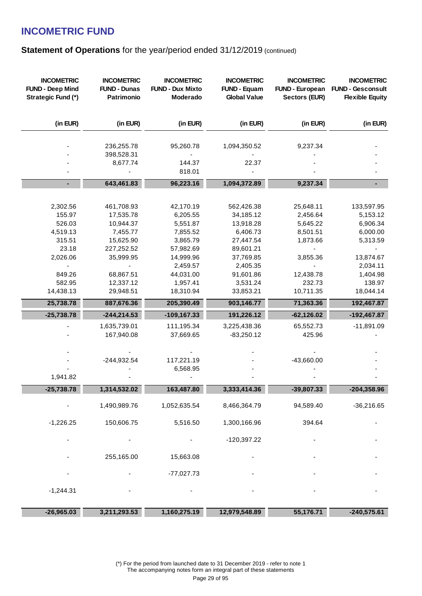### **Statement of Operations** for the year/period ended 31/12/2019 (continued)

| <b>INCOMETRIC</b><br><b>FUND - Deep Mind</b><br>Strategic Fund (*) | <b>INCOMETRIC</b><br><b>FUND - Dunas</b><br>Patrimonio | <b>INCOMETRIC</b><br><b>FUND - Dux Mixto</b><br>Moderado | <b>INCOMETRIC</b><br><b>FUND - Equam</b><br><b>Global Value</b> | <b>INCOMETRIC</b><br>FUND - European<br><b>Sectors (EUR)</b> | <b>INCOMETRIC</b><br><b>FUND - Gesconsult</b><br><b>Flexible Equity</b> |
|--------------------------------------------------------------------|--------------------------------------------------------|----------------------------------------------------------|-----------------------------------------------------------------|--------------------------------------------------------------|-------------------------------------------------------------------------|
| (in EUR)                                                           | (in EUR)                                               | (in EUR)                                                 | (in EUR)                                                        | (in EUR)                                                     | (in EUR)                                                                |
|                                                                    | 236,255.78<br>398,528.31                               | 95,260.78                                                | 1,094,350.52                                                    | 9,237.34                                                     |                                                                         |
|                                                                    | 8,677.74                                               | 144.37                                                   | 22.37                                                           |                                                              |                                                                         |
|                                                                    |                                                        | 818.01                                                   |                                                                 |                                                              |                                                                         |
| $\blacksquare$                                                     | 643,461.83                                             | 96,223.16                                                | 1,094,372.89                                                    | 9,237.34                                                     |                                                                         |
|                                                                    |                                                        |                                                          |                                                                 |                                                              |                                                                         |
| 2,302.56<br>155.97                                                 | 461,708.93<br>17,535.78                                | 42,170.19<br>6,205.55                                    | 562,426.38<br>34,185.12                                         | 25,648.11<br>2,456.64                                        | 133,597.95<br>5,153.12                                                  |
| 526.03                                                             | 10,944.37                                              | 5,551.87                                                 | 13,918.28                                                       | 5,645.22                                                     | 6,906.34                                                                |
| 4,519.13                                                           | 7,455.77                                               | 7,855.52                                                 | 6,406.73                                                        | 8,501.51                                                     | 6,000.00                                                                |
| 315.51                                                             | 15,625.90                                              | 3,865.79                                                 | 27,447.54                                                       | 1,873.66                                                     | 5,313.59                                                                |
| 23.18                                                              | 227,252.52                                             | 57,982.69                                                | 89,601.21                                                       |                                                              |                                                                         |
| 2,026.06                                                           | 35,999.95                                              | 14,999.96                                                | 37,769.85                                                       | 3,855.36                                                     | 13,874.67                                                               |
|                                                                    |                                                        | 2,459.57                                                 | 2,405.35                                                        |                                                              | 2,034.11                                                                |
| 849.26                                                             | 68,867.51                                              | 44,031.00                                                | 91,601.86                                                       | 12,438.78                                                    | 1,404.98                                                                |
| 582.95<br>14,438.13                                                | 12,337.12<br>29,948.51                                 | 1,957.41<br>18,310.94                                    | 3,531.24<br>33,853.21                                           | 232.73<br>10,711.35                                          | 138.97<br>18,044.14                                                     |
|                                                                    |                                                        |                                                          |                                                                 |                                                              |                                                                         |
| 25,738.78                                                          | 887,676.36                                             | 205,390.49                                               | 903,146.77                                                      | 71,363.36                                                    | 192,467.87                                                              |
| $-25,738.78$                                                       | $-244,214.53$                                          | $-109, 167.33$                                           | 191,226.12                                                      | $-62,126.02$                                                 | $-192,467.87$                                                           |
|                                                                    | 1,635,739.01<br>167,940.08                             | 111,195.34<br>37,669.65                                  | 3,225,438.36<br>$-83,250.12$                                    | 65,552.73<br>425.96                                          | $-11,891.09$                                                            |
|                                                                    |                                                        |                                                          |                                                                 |                                                              |                                                                         |
|                                                                    | $-244,932.54$                                          | 117,221.19                                               |                                                                 | $-43,660.00$                                                 |                                                                         |
| 1,941.82                                                           |                                                        | 6,568.95                                                 |                                                                 |                                                              |                                                                         |
|                                                                    |                                                        |                                                          |                                                                 |                                                              |                                                                         |
| $-25,738.78$                                                       | 1,314,532.02                                           | 163,487.80                                               | 3,333,414.36                                                    | $-39,807.33$                                                 | $-204,358.96$                                                           |
|                                                                    | 1,490,989.76                                           | 1,052,635.54                                             | 8,466,364.79                                                    | 94,589.40                                                    | $-36,216.65$                                                            |
| $-1,226.25$                                                        | 150,606.75                                             | 5,516.50                                                 | 1,300,166.96                                                    | 394.64                                                       |                                                                         |
|                                                                    |                                                        |                                                          | $-120,397.22$                                                   |                                                              |                                                                         |
|                                                                    | 255,165.00                                             | 15,663.08                                                |                                                                 |                                                              |                                                                         |
|                                                                    |                                                        | $-77,027.73$                                             |                                                                 |                                                              |                                                                         |
| $-1,244.31$                                                        |                                                        |                                                          |                                                                 |                                                              |                                                                         |
| $-26,965.03$                                                       | 3,211,293.53                                           | 1,160,275.19                                             | 12,979,548.89                                                   | 55,176.71                                                    | $-240,575.61$                                                           |

(\*) For the period from launched date to 31 December 2019 - refer to note 1 The accompanying notes form an integral part of these statements Page 29 of 95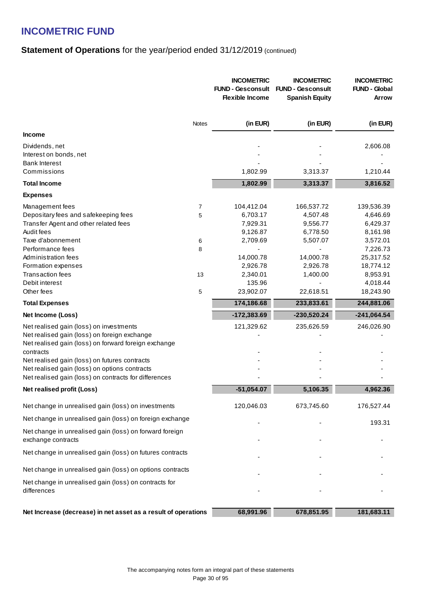### **Statement of Operations** for the year/period ended 31/12/2019 (continued)

|                                                                               |              | <b>INCOMETRIC</b><br><b>FUND - Gesconsult</b><br><b>Flexible Income</b> | <b>INCOMETRIC</b><br><b>FUND - Gesconsult</b><br><b>Spanish Equity</b> | <b>INCOMETRIC</b><br><b>FUND - Global</b><br>Arrow |
|-------------------------------------------------------------------------------|--------------|-------------------------------------------------------------------------|------------------------------------------------------------------------|----------------------------------------------------|
|                                                                               | <b>Notes</b> | (in EUR)                                                                | (in EUR)                                                               | (in EUR)                                           |
| <b>Income</b>                                                                 |              |                                                                         |                                                                        |                                                    |
| Dividends, net                                                                |              |                                                                         |                                                                        | 2,606.08                                           |
| Interest on bonds, net                                                        |              |                                                                         |                                                                        |                                                    |
| <b>Bank Interest</b>                                                          |              |                                                                         |                                                                        |                                                    |
| Commissions                                                                   |              | 1,802.99                                                                | 3,313.37                                                               | 1,210.44                                           |
| <b>Total Income</b>                                                           |              | 1,802.99                                                                | 3,313.37                                                               | 3,816.52                                           |
| <b>Expenses</b>                                                               |              |                                                                         |                                                                        |                                                    |
| Management fees                                                               | 7            | 104,412.04                                                              | 166,537.72                                                             | 139,536.39                                         |
| Depositary fees and safekeeping fees                                          | 5            | 6,703.17                                                                | 4,507.48                                                               | 4,646.69                                           |
| Transfer Agent and other related fees                                         |              | 7,929.31                                                                | 9,556.77                                                               | 6,429.37                                           |
| Audit fees                                                                    |              | 9,126.87                                                                | 6,778.50                                                               | 8,161.98                                           |
| Taxe d'abonnement                                                             | 6            | 2,709.69                                                                | 5,507.07                                                               | 3,572.01                                           |
| Performance fees                                                              | 8            |                                                                         |                                                                        | 7,226.73                                           |
| Administration fees                                                           |              | 14,000.78                                                               | 14,000.78                                                              | 25,317.52                                          |
| Formation expenses                                                            |              | 2,926.78                                                                | 2,926.78                                                               | 18,774.12                                          |
| <b>Transaction fees</b>                                                       | 13           | 2,340.01                                                                | 1,400.00                                                               | 8,953.91                                           |
| Debit interest                                                                |              | 135.96                                                                  |                                                                        | 4,018.44                                           |
| Other fees                                                                    | 5            | 23,902.07                                                               | 22,618.51                                                              | 18,243.90                                          |
| <b>Total Expenses</b>                                                         |              | 174,186.68                                                              | 233,833.61                                                             | 244,881.06                                         |
| Net Income (Loss)                                                             |              | $-172,383.69$                                                           | $-230,520.24$                                                          | $-241,064.54$                                      |
| Net realised gain (loss) on investments                                       |              | 121,329.62                                                              | 235,626.59                                                             | 246,026.90                                         |
| Net realised gain (loss) on foreign exchange                                  |              |                                                                         |                                                                        |                                                    |
| Net realised gain (loss) on forward foreign exchange                          |              |                                                                         |                                                                        |                                                    |
| contracts                                                                     |              |                                                                         |                                                                        |                                                    |
| Net realised gain (loss) on futures contracts                                 |              |                                                                         |                                                                        |                                                    |
| Net realised gain (loss) on options contracts                                 |              |                                                                         |                                                                        |                                                    |
| Net realised gain (loss) on contracts for differences                         |              |                                                                         |                                                                        |                                                    |
| Net realised profit (Loss)                                                    |              | $-51,054.07$                                                            | 5,106.35                                                               | 4,962.36                                           |
| Net change in unrealised gain (loss) on investments                           |              | 120,046.03                                                              | 673,745.60                                                             | 176,527.44                                         |
| Net change in unrealised gain (loss) on foreign exchange                      |              |                                                                         |                                                                        | 193.31                                             |
| Net change in unrealised gain (loss) on forward foreign<br>exchange contracts |              |                                                                         |                                                                        |                                                    |
| Net change in unrealised gain (loss) on futures contracts                     |              |                                                                         |                                                                        |                                                    |
| Net change in unrealised gain (loss) on options contracts                     |              |                                                                         |                                                                        |                                                    |
| Net change in unrealised gain (loss) on contracts for                         |              |                                                                         |                                                                        |                                                    |
| differences                                                                   |              |                                                                         |                                                                        |                                                    |
|                                                                               |              |                                                                         |                                                                        |                                                    |
| Net Increase (decrease) in net asset as a result of operations                |              | 68,991.96                                                               | 678,851.95                                                             | 181,683.11                                         |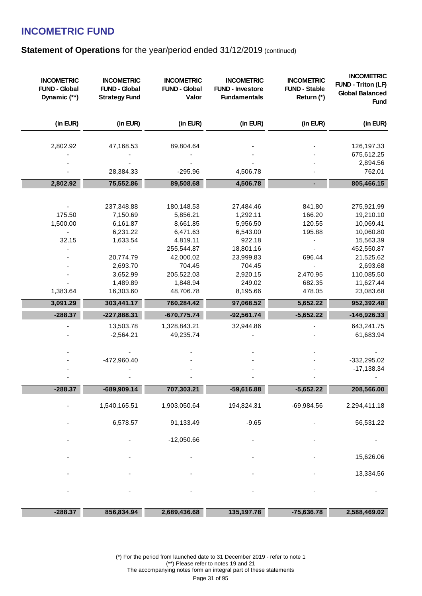### **Statement of Operations** for the year/period ended 31/12/2019 (continued)

| <b>INCOMETRIC</b><br><b>FUND - Global</b><br>Dynamic (**) | <b>INCOMETRIC</b><br><b>FUND - Global</b><br><b>Strategy Fund</b> | <b>INCOMETRIC</b><br><b>FUND - Global</b><br>Valor | <b>INCOMETRIC</b><br><b>FUND - Investore</b><br><b>Fundamentals</b> | <b>INCOMETRIC</b><br><b>FUND - Stable</b><br>Return (*) | <b>INCOMETRIC</b><br><b>FUND - Triton (LF)</b><br><b>Global Balanced</b><br><b>Fund</b> |
|-----------------------------------------------------------|-------------------------------------------------------------------|----------------------------------------------------|---------------------------------------------------------------------|---------------------------------------------------------|-----------------------------------------------------------------------------------------|
| (in EUR)                                                  | (in EUR)                                                          | (in EUR)                                           | (in EUR)                                                            | (in EUR)                                                | (in EUR)                                                                                |
| 2,802.92                                                  | 47,168.53                                                         | 89,804.64                                          |                                                                     |                                                         | 126,197.33                                                                              |
|                                                           |                                                                   |                                                    |                                                                     |                                                         | 675,612.25                                                                              |
|                                                           |                                                                   |                                                    |                                                                     |                                                         | 2,894.56                                                                                |
|                                                           | 28,384.33                                                         | $-295.96$                                          | 4,506.78                                                            |                                                         | 762.01                                                                                  |
| 2,802.92                                                  | 75,552.86                                                         | 89,508.68                                          | 4,506.78                                                            | $\blacksquare$                                          | 805,466.15                                                                              |
|                                                           |                                                                   |                                                    |                                                                     |                                                         |                                                                                         |
|                                                           | 237,348.88                                                        | 180,148.53                                         | 27,484.46                                                           | 841.80                                                  | 275,921.99                                                                              |
| 175.50                                                    | 7,150.69                                                          | 5,856.21                                           | 1,292.11                                                            | 166.20                                                  | 19,210.10                                                                               |
| 1,500.00                                                  | 6,161.87                                                          | 8,661.85                                           | 5,956.50                                                            | 120.55                                                  | 10,069.41                                                                               |
|                                                           | 6,231.22                                                          | 6,471.63                                           | 6,543.00                                                            | 195.88                                                  | 10,060.80                                                                               |
| 32.15                                                     | 1,633.54                                                          | 4,819.11                                           | 922.18                                                              |                                                         | 15,563.39                                                                               |
|                                                           |                                                                   | 255,544.87                                         | 18,801.16                                                           |                                                         | 452,550.87                                                                              |
|                                                           | 20,774.79                                                         | 42,000.02                                          | 23,999.83                                                           | 696.44                                                  | 21,525.62                                                                               |
|                                                           | 2,693.70                                                          | 704.45                                             | 704.45                                                              |                                                         | 2,693.68                                                                                |
|                                                           | 3,652.99                                                          | 205,522.03                                         | 2,920.15                                                            | 2,470.95                                                | 110,085.50                                                                              |
|                                                           | 1,489.89                                                          | 1,848.94                                           | 249.02                                                              | 682.35                                                  | 11,627.44                                                                               |
| 1,383.64                                                  | 16,303.60                                                         | 48,706.78                                          | 8,195.66                                                            | 478.05                                                  | 23,083.68                                                                               |
| 3,091.29                                                  | 303,441.17                                                        | 760,284.42                                         | 97,068.52                                                           | 5,652.22                                                | 952,392.48                                                                              |
| $-288.37$                                                 | $-227,888.31$                                                     | $-670,775.74$                                      | $-92,561.74$                                                        | $-5,652.22$                                             | $-146,926.33$                                                                           |
|                                                           | 13,503.78                                                         | 1,328,843.21                                       | 32,944.86                                                           |                                                         | 643,241.75                                                                              |
|                                                           | $-2,564.21$                                                       | 49,235.74                                          |                                                                     |                                                         | 61,683.94                                                                               |
|                                                           |                                                                   |                                                    |                                                                     |                                                         |                                                                                         |
|                                                           | -472,960.40                                                       |                                                    |                                                                     |                                                         | $-332,295.02$                                                                           |
|                                                           |                                                                   |                                                    |                                                                     |                                                         | $-17,138.34$                                                                            |
|                                                           |                                                                   |                                                    |                                                                     |                                                         |                                                                                         |
| $-288.37$                                                 | $-689,909.14$                                                     | 707,303.21                                         | $-59,616.88$                                                        | $-5,652.22$                                             | 208,566.00                                                                              |
|                                                           | 1,540,165.51                                                      | 1,903,050.64                                       | 194,824.31                                                          | $-69,984.56$                                            | 2,294,411.18                                                                            |
|                                                           |                                                                   |                                                    |                                                                     |                                                         |                                                                                         |
|                                                           | 6,578.57                                                          | 91,133.49                                          | $-9.65$                                                             |                                                         | 56,531.22                                                                               |
|                                                           |                                                                   | $-12,050.66$                                       |                                                                     |                                                         |                                                                                         |
|                                                           |                                                                   |                                                    |                                                                     |                                                         |                                                                                         |
|                                                           |                                                                   |                                                    |                                                                     |                                                         | 15,626.06                                                                               |
|                                                           |                                                                   |                                                    |                                                                     |                                                         | 13,334.56                                                                               |
|                                                           |                                                                   |                                                    |                                                                     |                                                         |                                                                                         |
|                                                           |                                                                   |                                                    |                                                                     |                                                         |                                                                                         |
| $-288.37$                                                 | 856,834.94                                                        | 2,689,436.68                                       | 135, 197. 78                                                        | $-75,636.78$                                            | 2,588,469.02                                                                            |

(\*) For the period from launched date to 31 December 2019 - refer to note 1 (\*\*) Please refer to notes 19 and 21 The accompanying notes form an integral part of these statements Page 31 of 95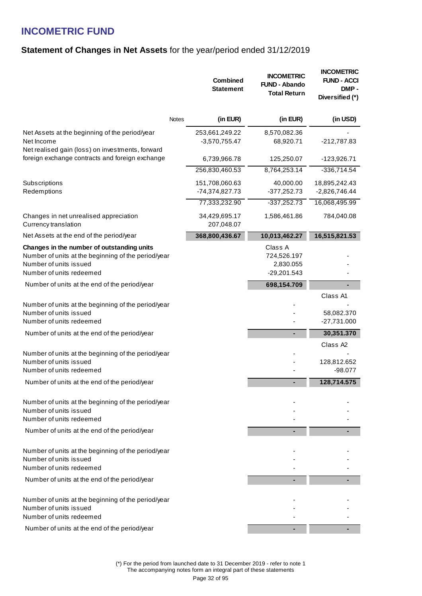### **Statement of Changes in Net Assets** for the year/period ended 31/12/2019

|                                                                                                                                                         | <b>Combined</b><br><b>Statement</b> | <b>INCOMETRIC</b><br><b>FUND - Abando</b><br><b>Total Return</b> | <b>INCOMETRIC</b><br><b>FUND - ACCI</b><br>DMP-<br>Diversified (*) |
|---------------------------------------------------------------------------------------------------------------------------------------------------------|-------------------------------------|------------------------------------------------------------------|--------------------------------------------------------------------|
| Notes                                                                                                                                                   | (in EUR)                            | (in EUR)                                                         | (in USD)                                                           |
| Net Assets at the beginning of the period/year<br>Net Income<br>Net realised gain (loss) on investments, forward                                        | 253,661,249.22<br>$-3,570,755.47$   | 8,570,082.36<br>68,920.71                                        | -212,787.83                                                        |
| foreign exchange contracts and foreign exchange                                                                                                         | 6,739,966.78                        | 125,250.07                                                       | $-123,926.71$                                                      |
|                                                                                                                                                         | 256,830,460.53                      | 8,764,253.14                                                     | $-336,714.54$                                                      |
| Subscriptions<br>Redemptions                                                                                                                            | 151,708,060.63<br>-74,374,827.73    | 40,000.00<br>$-377,252.73$                                       | 18,895,242.43<br>$-2,826,746.44$                                   |
|                                                                                                                                                         | 77,333,232.90                       | $-337,252.73$                                                    | 16,068,495.99                                                      |
| Changes in net unrealised appreciation<br>Currency translation                                                                                          | 34,429,695.17<br>207,048.07         | 1,586,461.86                                                     | 784,040.08                                                         |
| Net Assets at the end of the period/year                                                                                                                | 368,800,436.67                      | 10,013,462.27                                                    | 16,515,821.53                                                      |
| Changes in the number of outstanding units<br>Number of units at the beginning of the period/year<br>Number of units issued<br>Number of units redeemed |                                     | Class A<br>724,526.197<br>2,830.055<br>$-29,201.543$             |                                                                    |
| Number of units at the end of the period/year                                                                                                           |                                     | 698,154.709                                                      |                                                                    |
| Number of units at the beginning of the period/year<br>Number of units issued<br>Number of units redeemed                                               |                                     |                                                                  | Class A1<br>58,082.370<br>$-27,731.000$                            |
| Number of units at the end of the period/year                                                                                                           |                                     | ۰.                                                               | 30,351.370                                                         |
| Number of units at the beginning of the period/year<br>Number of units issued<br>Number of units redeemed                                               |                                     |                                                                  | Class A <sub>2</sub><br>128,812.652<br>$-98.077$                   |
| Number of units at the end of the period/year                                                                                                           |                                     |                                                                  | 128,714.575                                                        |
| Number of units at the beginning of the period/year<br>Number of units issued<br>Number of units redeemed                                               |                                     |                                                                  |                                                                    |
| Number of units at the end of the period/year                                                                                                           |                                     |                                                                  |                                                                    |
| Number of units at the beginning of the period/year<br>Number of units issued<br>Number of units redeemed                                               |                                     |                                                                  |                                                                    |
| Number of units at the end of the period/year                                                                                                           |                                     |                                                                  |                                                                    |
| Number of units at the beginning of the period/year<br>Number of units issued<br>Number of units redeemed                                               |                                     |                                                                  |                                                                    |
| Number of units at the end of the period/year                                                                                                           |                                     |                                                                  |                                                                    |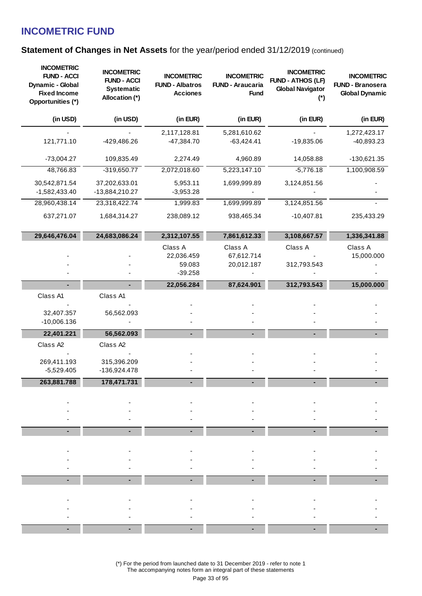### **Statement of Changes in Net Assets for the year/period ended 31/12/2019 (continued)**

| <b>INCOMETRIC</b><br><b>FUND - ACCI</b><br>Dynamic - Global<br><b>Fixed Income</b><br>Opportunities (*) | <b>INCOMETRIC</b><br><b>FUND - ACCI</b><br><b>Systematic</b><br>Allocation (*) | <b>INCOMETRIC</b><br><b>FUND - Albatros</b><br><b>Acciones</b> | <b>INCOMETRIC</b><br><b>FUND - Araucaria</b><br><b>Fund</b> | <b>INCOMETRIC</b><br><b>FUND - ATHOS (LF)</b><br><b>Global Navigator</b><br>$(*)$ | <b>INCOMETRIC</b><br><b>FUND - Branosera</b><br><b>Global Dynamic</b> |
|---------------------------------------------------------------------------------------------------------|--------------------------------------------------------------------------------|----------------------------------------------------------------|-------------------------------------------------------------|-----------------------------------------------------------------------------------|-----------------------------------------------------------------------|
| (in USD)                                                                                                | (in USD)                                                                       | (in EUR)                                                       | (in EUR)                                                    | (in EUR)                                                                          | (in EUR)                                                              |
| 121,771.10                                                                                              | -429,486.26                                                                    | 2,117,128.81<br>$-47,384.70$                                   | 5,281,610.62<br>$-63,424.41$                                | $-19,835.06$                                                                      | 1,272,423.17<br>$-40,893.23$                                          |
| $-73,004.27$                                                                                            | 109,835.49                                                                     | 2,274.49                                                       | 4,960.89                                                    | 14,058.88                                                                         | -130,621.35                                                           |
| 48,766.83                                                                                               | $-319,650.77$                                                                  | 2,072,018.60                                                   | 5,223,147.10                                                | $-5,776.18$                                                                       | 1,100,908.59                                                          |
| 30,542,871.54<br>-1,582,433.40                                                                          | 37,202,633.01<br>-13,884,210.27                                                | 5,953.11<br>$-3,953.28$                                        | 1,699,999.89                                                | 3,124,851.56                                                                      |                                                                       |
| 28,960,438.14                                                                                           | 23,318,422.74                                                                  | 1,999.83                                                       | 1,699,999.89                                                | 3,124,851.56                                                                      |                                                                       |
| 637,271.07                                                                                              | 1,684,314.27                                                                   | 238,089.12                                                     | 938,465.34                                                  | $-10,407.81$                                                                      | 235,433.29                                                            |
| 29,646,476.04                                                                                           | 24,683,086.24                                                                  | 2,312,107.55                                                   | 7,861,612.33                                                | 3,108,667.57                                                                      | 1,336,341.88                                                          |
|                                                                                                         |                                                                                | Class A<br>22,036.459<br>59.083<br>$-39.258$                   | Class A<br>67,612.714<br>20,012.187                         | Class A<br>312,793.543                                                            | Class A<br>15,000.000                                                 |
|                                                                                                         |                                                                                | 22,056.284                                                     | 87,624.901                                                  | 312,793.543                                                                       | 15,000.000                                                            |
| Class A1<br>32,407.357<br>$-10,006.136$                                                                 | Class A1<br>56,562.093                                                         |                                                                |                                                             |                                                                                   |                                                                       |
| 22,401.221                                                                                              | 56,562.093                                                                     |                                                                |                                                             |                                                                                   |                                                                       |
| Class A2<br>269,411.193<br>$-5,529.405$                                                                 | Class A2<br>315,396.209<br>-136,924.478                                        |                                                                |                                                             |                                                                                   |                                                                       |
| 263,881.788                                                                                             | 178,471.731                                                                    |                                                                |                                                             |                                                                                   |                                                                       |
|                                                                                                         |                                                                                |                                                                |                                                             |                                                                                   |                                                                       |
|                                                                                                         |                                                                                |                                                                |                                                             |                                                                                   |                                                                       |
|                                                                                                         |                                                                                |                                                                |                                                             |                                                                                   |                                                                       |
|                                                                                                         |                                                                                |                                                                |                                                             |                                                                                   |                                                                       |
|                                                                                                         |                                                                                |                                                                |                                                             |                                                                                   |                                                                       |
|                                                                                                         |                                                                                |                                                                |                                                             |                                                                                   |                                                                       |

(\*) For the period from launched date to 31 December 2019 - refer to note 1 The accompanying notes form an integral part of these statements Page 33 of 95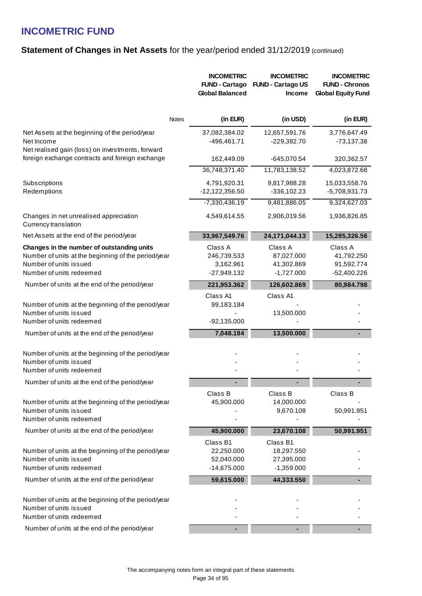### **Statement of Changes in Net Assets for the year/period ended 31/12/2019 (continued)**

|                                                                                                                                                         |              | <b>INCOMETRIC</b><br><b>FUND - Cartago</b><br><b>Global Balanced</b> | <b>INCOMETRIC</b><br><b>FUND - Cartago US</b><br><b>Income</b> | <b>INCOMETRIC</b><br><b>FUND - Chronos</b><br><b>Global Equity Fund</b> |
|---------------------------------------------------------------------------------------------------------------------------------------------------------|--------------|----------------------------------------------------------------------|----------------------------------------------------------------|-------------------------------------------------------------------------|
|                                                                                                                                                         | <b>Notes</b> | (in EUR)                                                             | (in USD)                                                       | (in EUR)                                                                |
| Net Assets at the beginning of the period/year<br>Net Income<br>Net realised gain (loss) on investments, forward                                        |              | 37,082,384.02<br>-496,461.71                                         | 12,657,591.76<br>$-229,382.70$                                 | 3,776,647.49<br>$-73,137.38$                                            |
| foreign exchange contracts and foreign exchange                                                                                                         |              | 162,449.09                                                           | -645,070.54                                                    | 320,362.57                                                              |
|                                                                                                                                                         |              | 36,748,371.40                                                        | 11,783,138.52                                                  | 4,023,872.68                                                            |
| Subscriptions<br>Redemptions                                                                                                                            |              | 4,791,920.31<br>$-12,122,356.50$                                     | 9,817,988.28<br>$-336, 102.23$                                 | 15,033,558.76<br>-5,708,931.73                                          |
|                                                                                                                                                         |              | $-7,330,436.19$                                                      | 9,481,886.05                                                   | 9,324,627.03                                                            |
| Changes in net unrealised appreciation<br>Currency translation                                                                                          |              | 4,549,614.55                                                         | 2,906,019.56                                                   | 1,936,826.85                                                            |
| Net Assets at the end of the period/year                                                                                                                |              | 33,967,549.76                                                        | 24,171,044.13                                                  | 15,285,326.56                                                           |
| Changes in the number of outstanding units<br>Number of units at the beginning of the period/year<br>Number of units issued<br>Number of units redeemed |              | Class A<br>246,739.533<br>3,162.961<br>$-27,949.132$                 | Class A<br>87,027.000<br>41,302.869<br>$-1,727.000$            | Class A<br>41,792.250<br>91,592.774<br>$-52,400.226$                    |
| Number of units at the end of the period/year                                                                                                           |              | 221,953.362                                                          | 126,602.869                                                    | 80,984.798                                                              |
| Number of units at the beginning of the period/year<br>Number of units issued<br>Number of units redeemed                                               |              | Class A1<br>99,183.184<br>$-92,135.000$                              | Class A1<br>13,500.000                                         |                                                                         |
| Number of units at the end of the period/year                                                                                                           |              | 7,048.184                                                            | 13,500.000                                                     |                                                                         |
| Number of units at the beginning of the period/year<br>Number of units issued<br>Number of units redeemed                                               |              |                                                                      |                                                                |                                                                         |
| Number of units at the end of the period/year                                                                                                           |              |                                                                      |                                                                |                                                                         |
| Number of units at the beginning of the period/year<br>Number of units issued<br>Number of units redeemed                                               |              | Class B<br>45,900.000                                                | Class B<br>14,000.000<br>9,670.108                             | Class B<br>50,991.951                                                   |
| Number of units at the end of the period/year                                                                                                           |              | 45,900.000                                                           | 23,670.108                                                     | 50,991.951                                                              |
| Number of units at the beginning of the period/year<br>Number of units issued<br>Number of units redeemed                                               |              | Class B1<br>22,250.000<br>52,040.000<br>$-14,675.000$                | Class B1<br>18,297.550<br>27,395.000<br>$-1,359.000$           |                                                                         |
| Number of units at the end of the period/year                                                                                                           |              | 59,615.000                                                           | 44,333.550                                                     |                                                                         |
| Number of units at the beginning of the period/year<br>Number of units issued<br>Number of units redeemed                                               |              |                                                                      |                                                                |                                                                         |
| Number of units at the end of the period/year                                                                                                           |              |                                                                      |                                                                |                                                                         |
|                                                                                                                                                         |              |                                                                      |                                                                |                                                                         |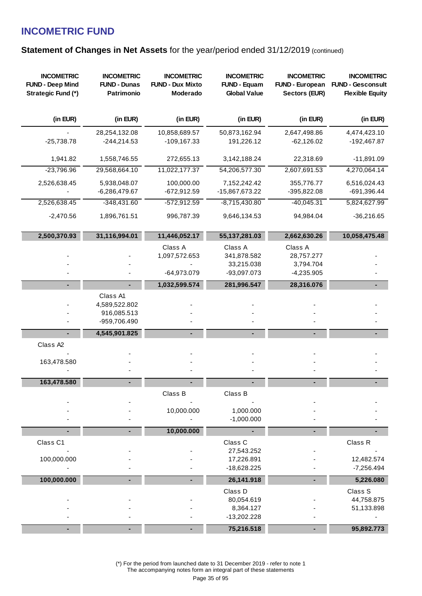### **Statement of Changes in Net Assets for the year/period ended 31/12/2019 (continued)**

| <b>INCOMETRIC</b><br><b>FUND - Deep Mind</b><br>Strategic Fund (*) | <b>INCOMETRIC</b><br><b>FUND - Dunas</b><br>Patrimonio   | <b>INCOMETRIC</b><br><b>FUND - Dux Mixto</b><br>Moderado | <b>INCOMETRIC</b><br><b>FUND - Equam</b><br><b>Global Value</b> | <b>INCOMETRIC</b><br><b>FUND - European</b><br>Sectors (EUR) | <b>INCOMETRIC</b><br><b>FUND - Gesconsult</b><br><b>Flexible Equity</b> |
|--------------------------------------------------------------------|----------------------------------------------------------|----------------------------------------------------------|-----------------------------------------------------------------|--------------------------------------------------------------|-------------------------------------------------------------------------|
| (in EUR)                                                           | (in EUR)                                                 | (in EUR)                                                 | (in EUR)                                                        | (in EUR)                                                     | (in EUR)                                                                |
| $-25,738.78$                                                       | 28,254,132.08<br>$-244,214.53$                           | 10,858,689.57<br>$-109, 167.33$                          | 50,873,162.94<br>191,226.12                                     | 2,647,498.86<br>$-62,126.02$                                 | 4,474,423.10<br>-192,467.87                                             |
| 1,941.82                                                           | 1,558,746.55                                             | 272,655.13                                               | 3,142,188.24                                                    | 22,318.69                                                    | $-11,891.09$                                                            |
| $-23,796.96$                                                       | 29,568,664.10                                            | 11,022,177.37                                            | 54,206,577.30                                                   | 2,607,691.53                                                 | 4,270,064.14                                                            |
| 2,526,638.45                                                       | 5,938,048.07<br>$-6,286,479.67$                          | 100,000.00<br>$-672,912.59$                              | 7,152,242.42<br>-15,867,673.22                                  | 355,776.77<br>-395,822.08                                    | 6,516,024.43<br>-691,396.44                                             |
| 2,526,638.45                                                       | $-348,431.60$                                            | $-572,912.59$                                            | $-8,715,430.80$                                                 | $-40,045.31$                                                 | 5,824,627.99                                                            |
| $-2,470.56$                                                        | 1,896,761.51                                             | 996,787.39                                               | 9,646,134.53                                                    | 94,984.04                                                    | $-36,216.65$                                                            |
| 2,500,370.93                                                       | 31,116,994.01                                            | 11,446,052.17                                            | 55, 137, 281.03                                                 | 2,662,630.26                                                 | 10,058,475.48                                                           |
|                                                                    |                                                          | Class A<br>1,097,572.653<br>-64,973.079                  | Class A<br>341,878.582<br>33,215.038<br>-93,097.073             | Class A<br>28,757.277<br>3,794.704<br>$-4,235.905$           |                                                                         |
|                                                                    |                                                          | 1,032,599.574                                            | 281,996.547                                                     | 28,316.076                                                   |                                                                         |
|                                                                    | Class A1<br>4,589,522.802<br>916,085.513<br>-959,706.490 |                                                          |                                                                 |                                                              |                                                                         |
| $\blacksquare$                                                     | 4,545,901.825                                            |                                                          | ٠                                                               |                                                              |                                                                         |
| Class A2<br>163,478.580                                            |                                                          |                                                          |                                                                 |                                                              |                                                                         |
| 163,478.580                                                        |                                                          |                                                          |                                                                 |                                                              |                                                                         |
|                                                                    |                                                          | Class B<br>10,000.000                                    | Class B<br>1,000.000<br>$-1,000.000$                            |                                                              |                                                                         |
|                                                                    |                                                          | 10,000.000                                               |                                                                 |                                                              |                                                                         |
| Class C1<br>100,000.000                                            |                                                          |                                                          | Class C<br>27,543.252<br>17,226.891                             |                                                              | Class R<br>12,482.574                                                   |
|                                                                    |                                                          |                                                          | -18,628.225                                                     |                                                              | $-7,256.494$                                                            |
| 100,000.000                                                        |                                                          |                                                          | 26,141.918                                                      |                                                              | 5,226.080                                                               |
|                                                                    |                                                          |                                                          | Class D<br>80,054.619<br>8,364.127<br>$-13,202.228$             |                                                              | Class S<br>44,758.875<br>51,133.898                                     |
|                                                                    |                                                          |                                                          | 75,216.518                                                      |                                                              | 95,892.773                                                              |

(\*) For the period from launched date to 31 December 2019 - refer to note 1 The accompanying notes form an integral part of these statements

Page 35 of 95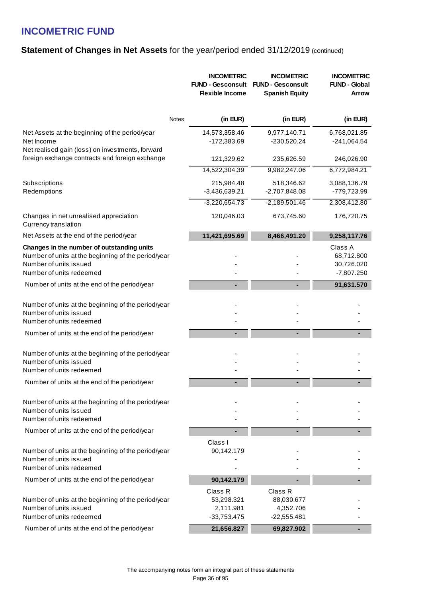### **Statement of Changes in Net Assets for the year/period ended 31/12/2019 (continued)**

|                                                                                                                                                         |              | <b>INCOMETRIC</b><br><b>FUND - Gesconsult</b><br><b>Flexible Income</b> | <b>INCOMETRIC</b><br><b>FUND - Gesconsult</b><br><b>Spanish Equity</b> | <b>INCOMETRIC</b><br><b>FUND - Global</b><br><b>Arrow</b> |
|---------------------------------------------------------------------------------------------------------------------------------------------------------|--------------|-------------------------------------------------------------------------|------------------------------------------------------------------------|-----------------------------------------------------------|
|                                                                                                                                                         | <b>Notes</b> | (in EUR)                                                                | (in EUR)                                                               | (in EUR)                                                  |
| Net Assets at the beginning of the period/year<br>Net Income<br>Net realised gain (loss) on investments, forward                                        |              | 14,573,358.46<br>-172,383.69                                            | 9,977,140.71<br>-230,520.24                                            | 6,768,021.85<br>$-241,064.54$                             |
| foreign exchange contracts and foreign exchange                                                                                                         |              | 121,329.62                                                              | 235,626.59                                                             | 246,026.90                                                |
|                                                                                                                                                         |              | 14,522,304.39                                                           | 9,982,247.06                                                           | 6,772,984.21                                              |
| Subscriptions<br>Redemptions                                                                                                                            |              | 215,984.48<br>$-3,436,639.21$                                           | 518,346.62<br>-2,707,848.08                                            | 3,088,136.79<br>-779,723.99                               |
|                                                                                                                                                         |              | $-3,220,654.73$                                                         | $-2,189,501.46$                                                        | 2,308,412.80                                              |
| Changes in net unrealised appreciation<br>Currency translation                                                                                          |              | 120,046.03                                                              | 673,745.60                                                             | 176,720.75                                                |
| Net Assets at the end of the period/year                                                                                                                |              | 11,421,695.69                                                           | 8,466,491.20                                                           | 9,258,117.76                                              |
| Changes in the number of outstanding units<br>Number of units at the beginning of the period/year<br>Number of units issued<br>Number of units redeemed |              |                                                                         |                                                                        | Class A<br>68,712.800<br>30,726.020<br>$-7,807.250$       |
| Number of units at the end of the period/year                                                                                                           |              |                                                                         |                                                                        | 91,631.570                                                |
| Number of units at the beginning of the period/year<br>Number of units issued<br>Number of units redeemed                                               |              |                                                                         |                                                                        |                                                           |
| Number of units at the end of the period/year                                                                                                           |              |                                                                         |                                                                        |                                                           |
| Number of units at the beginning of the period/year<br>Number of units issued<br>Number of units redeemed                                               |              |                                                                         |                                                                        |                                                           |
| Number of units at the end of the period/year                                                                                                           |              |                                                                         |                                                                        |                                                           |
| Number of units at the beginning of the period/year<br>Number of units issued<br>Number of units redeemed                                               |              |                                                                         |                                                                        |                                                           |
| Number of units at the end of the period/year                                                                                                           |              |                                                                         |                                                                        |                                                           |
| Number of units at the beginning of the period/year<br>Number of units issued<br>Number of units redeemed                                               |              | Class I<br>90,142.179                                                   |                                                                        |                                                           |
| Number of units at the end of the period/year                                                                                                           |              | 90,142.179                                                              |                                                                        |                                                           |
| Number of units at the beginning of the period/year<br>Number of units issued<br>Number of units redeemed                                               |              | Class R<br>53,298.321<br>2,111.981<br>$-33,753.475$                     | Class R<br>88,030.677<br>4,352.706<br>$-22,555.481$                    |                                                           |
| Number of units at the end of the period/year                                                                                                           |              | 21,656.827                                                              | 69,827.902                                                             |                                                           |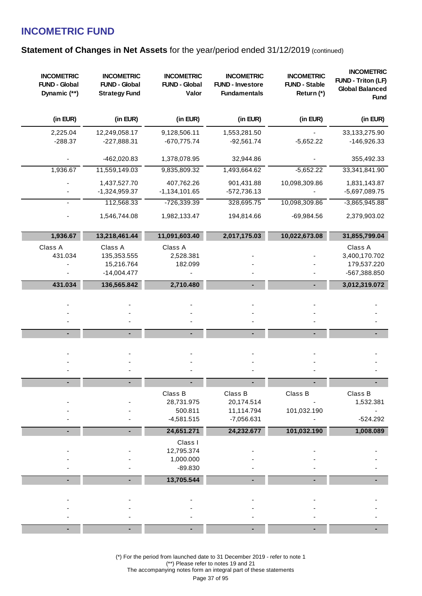### **Statement of Changes in Net Assets for the year/period ended 31/12/2019 (continued)**

| <b>INCOMETRIC</b><br><b>FUND - Global</b><br>Dynamic (**) | <b>INCOMETRIC</b><br><b>FUND - Global</b><br><b>Strategy Fund</b> | <b>INCOMETRIC</b><br><b>FUND - Global</b><br>Valor | <b>INCOMETRIC</b><br><b>FUND - Investore</b><br><b>Fundamentals</b> | <b>INCOMETRIC</b><br><b>FUND - Stable</b><br>Return (*) | <b>INCOMETRIC</b><br>FUND - Triton (LF)<br><b>Global Balanced</b><br><b>Fund</b> |
|-----------------------------------------------------------|-------------------------------------------------------------------|----------------------------------------------------|---------------------------------------------------------------------|---------------------------------------------------------|----------------------------------------------------------------------------------|
| (in EUR)                                                  | (in EUR)                                                          | (in EUR)                                           | (in EUR)                                                            | (in EUR)                                                | (in EUR)                                                                         |
| 2,225.04<br>$-288.37$                                     | 12,249,058.17<br>-227,888.31                                      | 9,128,506.11<br>$-670,775.74$                      | 1,553,281.50<br>$-92,561.74$                                        | $-5,652.22$                                             | 33,133,275.90<br>-146,926.33                                                     |
|                                                           | -462,020.83                                                       | 1,378,078.95                                       | 32,944.86                                                           |                                                         | 355,492.33                                                                       |
| 1,936.67                                                  | 11,559,149.03                                                     | 9,835,809.32                                       | 1,493,664.62                                                        | $-5,652.22$                                             | 33,341,841.90                                                                    |
|                                                           | 1,437,527.70<br>-1,324,959.37                                     | 407,762.26<br>$-1,134,101.65$                      | 901,431.88<br>$-572,736.13$                                         | 10,098,309.86                                           | 1,831,143.87<br>-5,697,089.75                                                    |
|                                                           | 112,568.33                                                        | $-726,339.39$                                      | 328,695.75                                                          | 10,098,309.86                                           | $-3,865,945.88$                                                                  |
|                                                           | 1,546,744.08                                                      | 1,982,133.47                                       | 194,814.66                                                          | $-69,984.56$                                            | 2,379,903.02                                                                     |
| 1,936.67                                                  | 13,218,461.44                                                     | 11,091,603.40                                      | 2,017,175.03                                                        | 10,022,673.08                                           | 31,855,799.04                                                                    |
| Class A<br>431.034                                        | Class A<br>135,353.555<br>15,216.764<br>$-14,004.477$             | Class A<br>2,528.381<br>182.099                    |                                                                     |                                                         | Class A<br>3,400,170.702<br>179,537.220<br>-567,388.850                          |
| 431.034                                                   | 136,565.842                                                       | 2,710.480                                          |                                                                     |                                                         | 3,012,319.072                                                                    |
|                                                           |                                                                   |                                                    |                                                                     |                                                         |                                                                                  |
|                                                           |                                                                   |                                                    |                                                                     |                                                         |                                                                                  |
|                                                           |                                                                   |                                                    |                                                                     |                                                         |                                                                                  |
|                                                           |                                                                   |                                                    |                                                                     |                                                         |                                                                                  |
|                                                           |                                                                   |                                                    |                                                                     |                                                         |                                                                                  |
|                                                           |                                                                   | Class B<br>28,731.975<br>500.811<br>$-4,581.515$   | Class B<br>20,174.514<br>11,114.794<br>$-7,056.631$                 | Class B<br>101,032.190                                  | Class B<br>1,532.381<br>$-524.292$                                               |
|                                                           |                                                                   | 24,651.271                                         | 24,232.677                                                          | 101,032.190                                             | 1,008.089                                                                        |
|                                                           |                                                                   | Class I<br>12,795.374<br>1,000.000<br>$-89.830$    |                                                                     |                                                         |                                                                                  |
|                                                           |                                                                   | 13,705.544                                         |                                                                     |                                                         |                                                                                  |
|                                                           |                                                                   |                                                    |                                                                     |                                                         |                                                                                  |
|                                                           |                                                                   |                                                    |                                                                     |                                                         |                                                                                  |
|                                                           |                                                                   |                                                    |                                                                     |                                                         |                                                                                  |

(\*) For the period from launched date to 31 December 2019 - refer to note 1 (\*\*) Please refer to notes 19 and 21 The accompanying notes form an integral part of these statements Page 37 of 95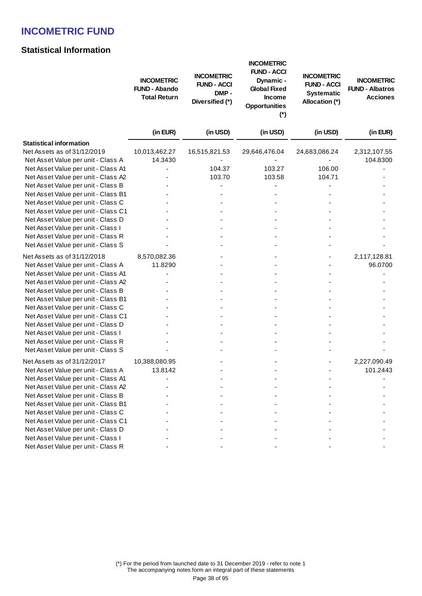## **Statistical Information**

|                                     | <b>INCOMETRIC</b><br><b>FUND - Abando</b><br><b>Total Return</b> | <b>INCOMETRIC</b><br><b>FUND - ACCI</b><br>DMP-<br>Diversified (*) | <b>INCOMETRIC</b><br><b>FUND - ACCI</b><br>Dynamic -<br><b>Global Fixed</b><br><b>Income</b><br><b>Opportunities</b><br>$(*)$ | <b>INCOMETRIC</b><br><b>FUND - ACCI</b><br><b>Systematic</b><br>Allocation (*) | <b>INCOMETRIC</b><br><b>FUND - Albatros</b><br><b>Acciones</b> |
|-------------------------------------|------------------------------------------------------------------|--------------------------------------------------------------------|-------------------------------------------------------------------------------------------------------------------------------|--------------------------------------------------------------------------------|----------------------------------------------------------------|
|                                     | (in EUR)                                                         | (in USD)                                                           | (in USD)                                                                                                                      | (in USD)                                                                       | (in EUR)                                                       |
| <b>Statistical information</b>      |                                                                  |                                                                    |                                                                                                                               |                                                                                |                                                                |
| Net Assets as of 31/12/2019         | 10,013,462.27                                                    | 16,515,821.53                                                      | 29,646,476.04                                                                                                                 | 24,683,086.24                                                                  | 2,312,107.55                                                   |
| Net Asset Value per unit - Class A  | 14.3430                                                          |                                                                    |                                                                                                                               |                                                                                | 104.8300                                                       |
| Net Asset Value per unit - Class A1 |                                                                  | 104.37                                                             | 103.27                                                                                                                        | 106.00                                                                         |                                                                |
| Net Asset Value per unit - Class A2 |                                                                  | 103.70                                                             | 103.58                                                                                                                        | 104.71                                                                         |                                                                |
| Net Asset Value per unit - Class B  |                                                                  |                                                                    |                                                                                                                               |                                                                                |                                                                |
| Net Asset Value per unit - Class B1 |                                                                  |                                                                    |                                                                                                                               |                                                                                |                                                                |
| Net Asset Value per unit - Class C  |                                                                  |                                                                    |                                                                                                                               |                                                                                |                                                                |
| Net Asset Value per unit - Class C1 |                                                                  |                                                                    |                                                                                                                               |                                                                                |                                                                |
| Net Asset Value per unit - Class D  |                                                                  |                                                                    |                                                                                                                               |                                                                                |                                                                |
| Net Asset Value per unit - Class I  |                                                                  |                                                                    |                                                                                                                               |                                                                                |                                                                |
| Net Asset Value per unit - Class R  |                                                                  |                                                                    |                                                                                                                               |                                                                                |                                                                |
| Net Asset Value per unit - Class S  |                                                                  |                                                                    |                                                                                                                               |                                                                                |                                                                |
| Net Assets as of 31/12/2018         | 8,570,082.36                                                     |                                                                    |                                                                                                                               |                                                                                | 2,117,128.81                                                   |
| Net Asset Value per unit - Class A  | 11.8290                                                          |                                                                    |                                                                                                                               |                                                                                | 96.0700                                                        |
| Net Asset Value per unit - Class A1 |                                                                  |                                                                    |                                                                                                                               |                                                                                |                                                                |
| Net Asset Value per unit - Class A2 |                                                                  |                                                                    |                                                                                                                               |                                                                                |                                                                |
| Net Asset Value per unit - Class B  |                                                                  |                                                                    |                                                                                                                               |                                                                                |                                                                |
| Net Asset Value per unit - Class B1 |                                                                  |                                                                    |                                                                                                                               |                                                                                |                                                                |
| Net Asset Value per unit - Class C  |                                                                  |                                                                    |                                                                                                                               |                                                                                |                                                                |
| Net Asset Value per unit - Class C1 |                                                                  |                                                                    |                                                                                                                               |                                                                                |                                                                |
| Net Asset Value per unit - Class D  |                                                                  |                                                                    |                                                                                                                               |                                                                                |                                                                |
| Net Asset Value per unit - Class I  |                                                                  |                                                                    |                                                                                                                               |                                                                                |                                                                |
| Net Asset Value per unit - Class R  |                                                                  |                                                                    |                                                                                                                               |                                                                                |                                                                |
| Net Asset Value per unit - Class S  |                                                                  |                                                                    |                                                                                                                               |                                                                                |                                                                |
| Net Assets as of 31/12/2017         | 10,388,080.95                                                    |                                                                    |                                                                                                                               |                                                                                | 2,227,090.49                                                   |
| Net Asset Value per unit - Class A  | 13.8142                                                          |                                                                    |                                                                                                                               |                                                                                | 101.2443                                                       |
| Net Asset Value per unit - Class A1 |                                                                  |                                                                    |                                                                                                                               |                                                                                |                                                                |
| Net Asset Value per unit - Class A2 |                                                                  |                                                                    |                                                                                                                               |                                                                                |                                                                |
| Net Asset Value per unit - Class B  |                                                                  |                                                                    |                                                                                                                               |                                                                                |                                                                |
| Net Asset Value per unit - Class B1 |                                                                  |                                                                    |                                                                                                                               |                                                                                |                                                                |
| Net Asset Value per unit - Class C  |                                                                  |                                                                    |                                                                                                                               |                                                                                |                                                                |
| Net Asset Value per unit - Class C1 |                                                                  |                                                                    |                                                                                                                               |                                                                                |                                                                |
| Net Asset Value per unit - Class D  |                                                                  |                                                                    |                                                                                                                               |                                                                                |                                                                |
| Net Asset Value per unit - Class I  |                                                                  |                                                                    |                                                                                                                               |                                                                                |                                                                |
| Net Asset Value per unit - Class R  |                                                                  |                                                                    |                                                                                                                               |                                                                                |                                                                |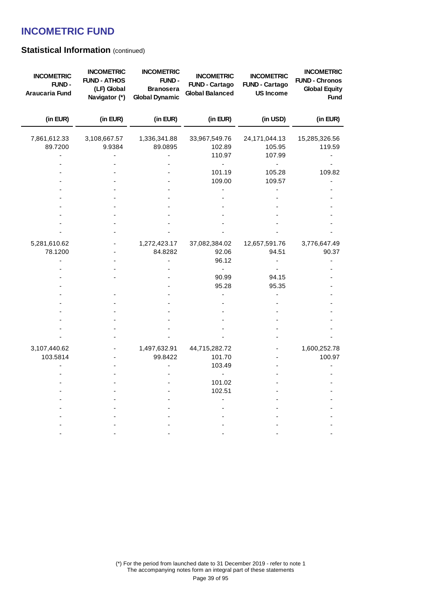## **Statistical Information (continued)**

| <b>INCOMETRIC</b><br>FUND-<br>Araucaria Fund | <b>INCOMETRIC</b><br><b>FUND - ATHOS</b><br>(LF) Global<br>Navigator (*) | <b>INCOMETRIC</b><br><b>FUND-</b><br><b>Branosera</b><br><b>Global Dynamic</b> | <b>INCOMETRIC</b><br><b>FUND - Cartago</b><br><b>Global Balanced</b> | <b>INCOMETRIC</b><br><b>FUND - Cartago</b><br><b>US Income</b> | <b>INCOMETRIC</b><br><b>FUND - Chronos</b><br><b>Global Equity</b><br><b>Fund</b> |
|----------------------------------------------|--------------------------------------------------------------------------|--------------------------------------------------------------------------------|----------------------------------------------------------------------|----------------------------------------------------------------|-----------------------------------------------------------------------------------|
| (in EUR)                                     | (in EUR)                                                                 | (in EUR)                                                                       | (in EUR)                                                             | (in USD)                                                       | (in EUR)                                                                          |
| 7,861,612.33<br>89.7200                      | 3,108,667.57<br>9.9384                                                   | 1,336,341.88<br>89.0895                                                        | 33,967,549.76<br>102.89<br>110.97                                    | 24,171,044.13<br>105.95<br>107.99                              | 15,285,326.56<br>119.59                                                           |
|                                              |                                                                          |                                                                                | $\blacksquare$<br>101.19<br>109.00                                   | $\blacksquare$<br>105.28<br>109.57                             | 109.82                                                                            |
|                                              |                                                                          |                                                                                |                                                                      |                                                                |                                                                                   |
|                                              |                                                                          |                                                                                |                                                                      |                                                                |                                                                                   |
| 5,281,610.62<br>78.1200                      |                                                                          | 1,272,423.17<br>84.8282                                                        | 37,082,384.02<br>92.06                                               | 12,657,591.76<br>94.51                                         | 3,776,647.49<br>90.37                                                             |
|                                              |                                                                          |                                                                                | 96.12<br>$\blacksquare$<br>90.99                                     | 94.15                                                          |                                                                                   |
|                                              |                                                                          |                                                                                | 95.28                                                                | 95.35                                                          |                                                                                   |
|                                              |                                                                          |                                                                                |                                                                      |                                                                |                                                                                   |
|                                              |                                                                          |                                                                                |                                                                      |                                                                |                                                                                   |
| 3,107,440.62                                 |                                                                          | 1,497,632.91                                                                   | 44,715,282.72                                                        |                                                                | 1,600,252.78                                                                      |
| 103.5814                                     |                                                                          | 99.8422                                                                        | 101.70<br>103.49                                                     |                                                                | 100.97                                                                            |
|                                              |                                                                          |                                                                                | ÷,<br>101.02<br>102.51                                               |                                                                |                                                                                   |
|                                              |                                                                          |                                                                                |                                                                      |                                                                |                                                                                   |
|                                              |                                                                          |                                                                                |                                                                      |                                                                |                                                                                   |
|                                              |                                                                          |                                                                                |                                                                      |                                                                |                                                                                   |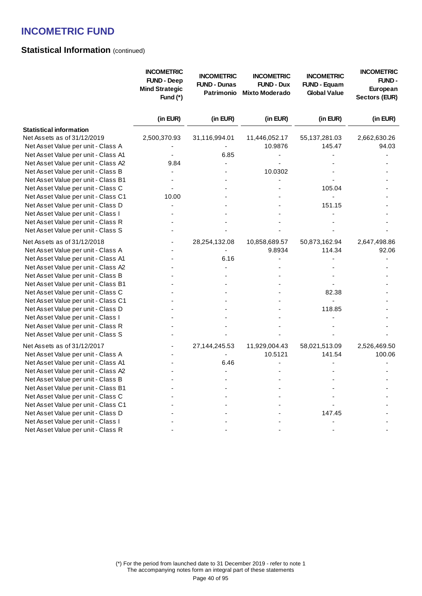## **Statistical Information (continued)**

|                                     | <b>INCOMETRIC</b><br><b>FUND - Deep</b><br><b>Mind Strategic</b><br>Fund $(*)$ | <b>INCOMETRIC</b><br><b>FUND - Dunas</b><br>Patrimonio | <b>INCOMETRIC</b><br><b>FUND - Dux</b><br><b>Mixto Moderado</b> | <b>INCOMETRIC</b><br><b>FUND - Equam</b><br><b>Global Value</b> | <b>INCOMETRIC</b><br><b>FUND-</b><br>European<br>Sectors (EUR) |
|-------------------------------------|--------------------------------------------------------------------------------|--------------------------------------------------------|-----------------------------------------------------------------|-----------------------------------------------------------------|----------------------------------------------------------------|
|                                     | (in EUR)                                                                       | (in EUR)                                               | (in EUR)                                                        | (in EUR)                                                        | (in EUR)                                                       |
| <b>Statistical information</b>      |                                                                                |                                                        |                                                                 |                                                                 |                                                                |
| Net Assets as of 31/12/2019         | 2,500,370.93                                                                   | 31,116,994.01                                          | 11,446,052.17                                                   | 55,137,281.03                                                   | 2,662,630.26                                                   |
| Net Asset Value per unit - Class A  |                                                                                |                                                        | 10.9876                                                         | 145.47                                                          | 94.03                                                          |
| Net Asset Value per unit - Class A1 |                                                                                | 6.85                                                   |                                                                 |                                                                 |                                                                |
| Net Asset Value per unit - Class A2 | 9.84                                                                           |                                                        |                                                                 |                                                                 |                                                                |
| Net Asset Value per unit - Class B  |                                                                                |                                                        | 10.0302                                                         |                                                                 |                                                                |
| Net Asset Value per unit - Class B1 |                                                                                |                                                        |                                                                 |                                                                 |                                                                |
| Net Asset Value per unit - Class C  |                                                                                |                                                        |                                                                 | 105.04                                                          |                                                                |
| Net Asset Value per unit - Class C1 | 10.00                                                                          |                                                        |                                                                 |                                                                 |                                                                |
| Net Asset Value per unit - Class D  |                                                                                |                                                        |                                                                 | 151.15                                                          |                                                                |
| Net Asset Value per unit - Class I  |                                                                                |                                                        |                                                                 |                                                                 |                                                                |
| Net Asset Value per unit - Class R  |                                                                                |                                                        |                                                                 |                                                                 |                                                                |
| Net Asset Value per unit - Class S  |                                                                                |                                                        |                                                                 |                                                                 |                                                                |
| Net Assets as of 31/12/2018         |                                                                                | 28,254,132.08                                          | 10,858,689.57                                                   | 50,873,162.94                                                   | 2,647,498.86                                                   |
| Net Asset Value per unit - Class A  |                                                                                |                                                        | 9.8934                                                          | 114.34                                                          | 92.06                                                          |
| Net Asset Value per unit - Class A1 |                                                                                | 6.16                                                   |                                                                 |                                                                 |                                                                |
| Net Asset Value per unit - Class A2 |                                                                                |                                                        |                                                                 |                                                                 |                                                                |
| Net Asset Value per unit - Class B  |                                                                                |                                                        |                                                                 |                                                                 |                                                                |
| Net Asset Value per unit - Class B1 |                                                                                |                                                        |                                                                 |                                                                 |                                                                |
| Net Asset Value per unit - Class C  |                                                                                |                                                        |                                                                 | 82.38                                                           |                                                                |
| Net Asset Value per unit - Class C1 |                                                                                |                                                        |                                                                 |                                                                 |                                                                |
| Net Asset Value per unit - Class D  |                                                                                |                                                        |                                                                 | 118.85                                                          |                                                                |
| Net Asset Value per unit - Class I  |                                                                                |                                                        |                                                                 |                                                                 |                                                                |
| Net Asset Value per unit - Class R  |                                                                                |                                                        |                                                                 |                                                                 |                                                                |
| Net Asset Value per unit - Class S  |                                                                                |                                                        |                                                                 |                                                                 |                                                                |
| Net Assets as of 31/12/2017         |                                                                                | 27,144,245.53                                          | 11,929,004.43                                                   | 58,021,513.09                                                   | 2,526,469.50                                                   |
| Net Asset Value per unit - Class A  |                                                                                |                                                        | 10.5121                                                         | 141.54                                                          | 100.06                                                         |
| Net Asset Value per unit - Class A1 |                                                                                | 6.46                                                   |                                                                 |                                                                 |                                                                |
| Net Asset Value per unit - Class A2 |                                                                                |                                                        |                                                                 |                                                                 |                                                                |
| Net Asset Value per unit - Class B  |                                                                                |                                                        |                                                                 |                                                                 |                                                                |
| Net Asset Value per unit - Class B1 |                                                                                |                                                        |                                                                 |                                                                 |                                                                |
| Net Asset Value per unit - Class C  |                                                                                |                                                        |                                                                 |                                                                 |                                                                |
| Net Asset Value per unit - Class C1 |                                                                                |                                                        |                                                                 |                                                                 |                                                                |
| Net Asset Value per unit - Class D  |                                                                                |                                                        |                                                                 | 147.45                                                          |                                                                |
| Net Asset Value per unit - Class I  |                                                                                |                                                        |                                                                 |                                                                 |                                                                |
| Net Asset Value per unit - Class R  |                                                                                |                                                        |                                                                 |                                                                 |                                                                |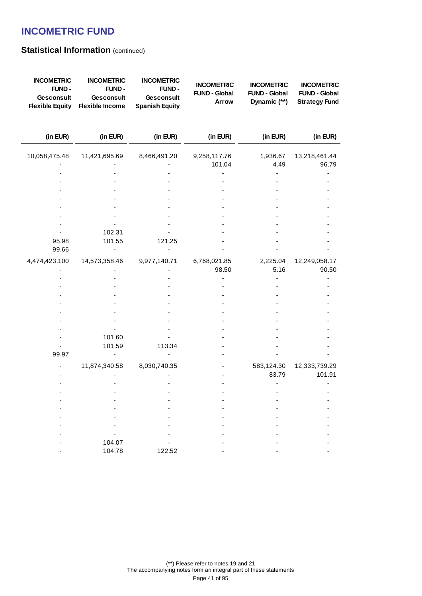## **Statistical Information (continued)**

| <b>INCOMETRIC</b><br>FUND-<br>Gesconsult<br><b>Flexible Equity</b> | <b>INCOMETRIC</b><br>FUND-<br>Gesconsult<br><b>Flexible Income</b> | <b>INCOMETRIC</b><br>FUND-<br><b>Gesconsult</b><br><b>Spanish Equity</b> | <b>INCOMETRIC</b><br><b>FUND - Global</b><br>Arrow | <b>INCOMETRIC</b><br><b>FUND - Global</b><br>Dynamic (**) | <b>INCOMETRIC</b><br><b>FUND - Global</b><br><b>Strategy Fund</b> |
|--------------------------------------------------------------------|--------------------------------------------------------------------|--------------------------------------------------------------------------|----------------------------------------------------|-----------------------------------------------------------|-------------------------------------------------------------------|
| (in EUR)                                                           | (in EUR)                                                           | (in EUR)                                                                 | (in EUR)                                           | (in EUR)                                                  | (in EUR)                                                          |
| 10,058,475.48                                                      | 11,421,695.69                                                      | 8,466,491.20                                                             | 9,258,117.76                                       | 1,936.67                                                  | 13,218,461.44                                                     |
|                                                                    |                                                                    |                                                                          | 101.04                                             | 4.49                                                      | 96.79                                                             |
|                                                                    |                                                                    |                                                                          |                                                    |                                                           |                                                                   |
|                                                                    |                                                                    |                                                                          |                                                    |                                                           |                                                                   |
|                                                                    |                                                                    |                                                                          |                                                    |                                                           |                                                                   |
|                                                                    |                                                                    |                                                                          |                                                    |                                                           |                                                                   |
|                                                                    |                                                                    |                                                                          |                                                    |                                                           |                                                                   |
|                                                                    |                                                                    |                                                                          |                                                    |                                                           |                                                                   |
|                                                                    |                                                                    |                                                                          |                                                    |                                                           |                                                                   |
|                                                                    | 102.31                                                             |                                                                          |                                                    |                                                           |                                                                   |
| 95.98                                                              | 101.55                                                             | 121.25                                                                   |                                                    |                                                           |                                                                   |
| 99.66                                                              |                                                                    |                                                                          |                                                    |                                                           |                                                                   |
| 4,474,423.100                                                      | 14,573,358.46                                                      | 9,977,140.71                                                             | 6,768,021.85                                       | 2,225.04                                                  | 12,249,058.17                                                     |
|                                                                    |                                                                    |                                                                          | 98.50                                              | 5.16                                                      | 90.50                                                             |
|                                                                    |                                                                    |                                                                          |                                                    |                                                           |                                                                   |
|                                                                    |                                                                    |                                                                          |                                                    |                                                           |                                                                   |
|                                                                    |                                                                    |                                                                          |                                                    |                                                           |                                                                   |
|                                                                    |                                                                    |                                                                          |                                                    |                                                           |                                                                   |
|                                                                    |                                                                    |                                                                          |                                                    |                                                           |                                                                   |
|                                                                    |                                                                    |                                                                          |                                                    |                                                           |                                                                   |
|                                                                    |                                                                    |                                                                          |                                                    |                                                           |                                                                   |
|                                                                    | 101.60                                                             |                                                                          |                                                    |                                                           |                                                                   |
|                                                                    | 101.59                                                             | 113.34                                                                   |                                                    |                                                           |                                                                   |
| 99.97                                                              |                                                                    |                                                                          |                                                    |                                                           |                                                                   |
|                                                                    | 11,874,340.58                                                      | 8,030,740.35                                                             |                                                    | 583,124.30                                                | 12,333,739.29                                                     |
|                                                                    |                                                                    |                                                                          |                                                    | 83.79                                                     | 101.91                                                            |
|                                                                    |                                                                    |                                                                          |                                                    |                                                           |                                                                   |
|                                                                    |                                                                    |                                                                          |                                                    |                                                           |                                                                   |
|                                                                    |                                                                    |                                                                          |                                                    |                                                           |                                                                   |
|                                                                    |                                                                    |                                                                          |                                                    |                                                           |                                                                   |
|                                                                    |                                                                    |                                                                          |                                                    |                                                           |                                                                   |
|                                                                    |                                                                    |                                                                          |                                                    |                                                           |                                                                   |
|                                                                    |                                                                    |                                                                          |                                                    |                                                           |                                                                   |
|                                                                    | 104.07                                                             |                                                                          |                                                    |                                                           |                                                                   |
|                                                                    | 104.78                                                             | 122.52                                                                   |                                                    |                                                           |                                                                   |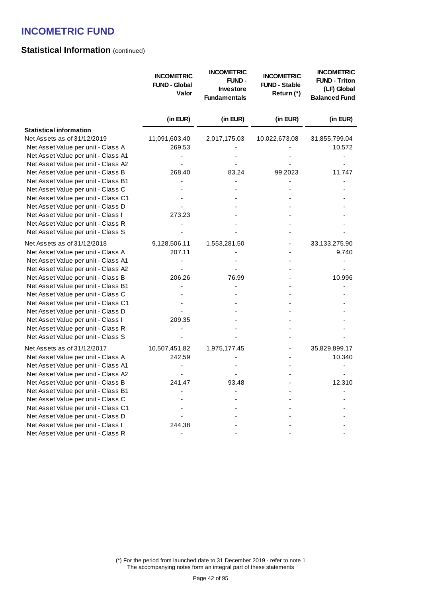## **Statistical Information (continued)**

|                                     | <b>INCOMETRIC</b><br><b>FUND - Global</b><br>Valor | <b>INCOMETRIC</b><br><b>FUND-</b><br><b>Investore</b><br><b>Fundamentals</b> | <b>INCOMETRIC</b><br><b>FUND - Stable</b><br>Return (*) | <b>INCOMETRIC</b><br><b>FUND - Triton</b><br>(LF) Global<br><b>Balanced Fund</b> |
|-------------------------------------|----------------------------------------------------|------------------------------------------------------------------------------|---------------------------------------------------------|----------------------------------------------------------------------------------|
|                                     | (in EUR)                                           | (in EUR)                                                                     | (in EUR)                                                | (in EUR)                                                                         |
| <b>Statistical information</b>      |                                                    |                                                                              |                                                         |                                                                                  |
| Net Assets as of 31/12/2019         | 11,091,603.40                                      | 2,017,175.03                                                                 | 10,022,673.08                                           | 31,855,799.04                                                                    |
| Net Asset Value per unit - Class A  | 269.53                                             |                                                                              |                                                         | 10.572                                                                           |
| Net Asset Value per unit - Class A1 |                                                    |                                                                              |                                                         |                                                                                  |
| Net Asset Value per unit - Class A2 |                                                    |                                                                              |                                                         |                                                                                  |
| Net Asset Value per unit - Class B  | 268.40                                             | 83.24                                                                        | 99.2023                                                 | 11.747                                                                           |
| Net Asset Value per unit - Class B1 |                                                    |                                                                              |                                                         |                                                                                  |
| Net Asset Value per unit - Class C  |                                                    |                                                                              |                                                         |                                                                                  |
| Net Asset Value per unit - Class C1 |                                                    |                                                                              |                                                         |                                                                                  |
| Net Asset Value per unit - Class D  |                                                    |                                                                              |                                                         |                                                                                  |
| Net Asset Value per unit - Class I  | 273.23                                             |                                                                              |                                                         |                                                                                  |
| Net Asset Value per unit - Class R  |                                                    |                                                                              |                                                         |                                                                                  |
| Net Asset Value per unit - Class S  |                                                    |                                                                              |                                                         |                                                                                  |
| Net Assets as of 31/12/2018         | 9,128,506.11                                       | 1,553,281.50                                                                 |                                                         | 33,133,275.90                                                                    |
| Net Asset Value per unit - Class A  | 207.11                                             |                                                                              |                                                         | 9.740                                                                            |
| Net Asset Value per unit - Class A1 |                                                    |                                                                              |                                                         |                                                                                  |
| Net Asset Value per unit - Class A2 |                                                    |                                                                              |                                                         |                                                                                  |
| Net Asset Value per unit - Class B  | 206.26                                             | 76.99                                                                        |                                                         | 10.996                                                                           |
| Net Asset Value per unit - Class B1 |                                                    |                                                                              |                                                         |                                                                                  |
| Net Asset Value per unit - Class C  |                                                    |                                                                              |                                                         |                                                                                  |
| Net Asset Value per unit - Class C1 |                                                    |                                                                              |                                                         |                                                                                  |
| Net Asset Value per unit - Class D  |                                                    |                                                                              |                                                         |                                                                                  |
| Net Asset Value per unit - Class I  | 209.35                                             |                                                                              |                                                         |                                                                                  |
| Net Asset Value per unit - Class R  |                                                    |                                                                              |                                                         |                                                                                  |
| Net Asset Value per unit - Class S  |                                                    |                                                                              |                                                         |                                                                                  |
| Net Assets as of 31/12/2017         | 10,507,451.82                                      | 1,975,177.45                                                                 |                                                         | 35,829,899.17                                                                    |
| Net Asset Value per unit - Class A  | 242.59                                             |                                                                              |                                                         | 10.340                                                                           |
| Net Asset Value per unit - Class A1 |                                                    |                                                                              |                                                         |                                                                                  |
| Net Asset Value per unit - Class A2 |                                                    |                                                                              |                                                         |                                                                                  |
| Net Asset Value per unit - Class B  | 241.47                                             | 93.48                                                                        |                                                         | 12.310                                                                           |
| Net Asset Value per unit - Class B1 |                                                    |                                                                              |                                                         |                                                                                  |
| Net Asset Value per unit - Class C  |                                                    |                                                                              |                                                         |                                                                                  |
| Net Asset Value per unit - Class C1 |                                                    |                                                                              |                                                         |                                                                                  |
| Net Asset Value per unit - Class D  |                                                    |                                                                              |                                                         |                                                                                  |
| Net Asset Value per unit - Class I  | 244.38                                             |                                                                              |                                                         |                                                                                  |
| Net Asset Value per unit - Class R  |                                                    |                                                                              |                                                         |                                                                                  |

(\*) For the period from launched date to 31 December 2019 - refer to note 1 The accompanying notes form an integral part of these statements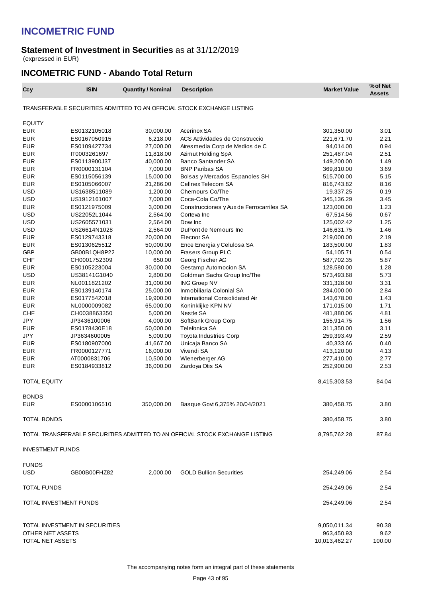#### **Statement of Investment in Securities** as at 31/12/2019 (expressed in EUR)

### **INCOMETRIC FUND - Abando Total Return**

| Ccy                        | <b>ISIN</b>                    | <b>Quantity / Nominal</b> | <b>Description</b>                                                           | <b>Market Value</b> | % of Net<br><b>Assets</b> |
|----------------------------|--------------------------------|---------------------------|------------------------------------------------------------------------------|---------------------|---------------------------|
|                            |                                |                           | TRANSFERABLE SECURITIES ADMITTED TO AN OFFICIAL STOCK EXCHANGE LISTING       |                     |                           |
| <b>EQUITY</b>              |                                |                           |                                                                              |                     |                           |
| EUR                        | ES0132105018                   | 30,000.00                 | Acerinox SA                                                                  | 301,350.00          | 3.01                      |
| <b>EUR</b>                 | ES0167050915                   | 6,218.00                  | ACS Actividades de Construccio                                               | 221,671.70          | 2.21                      |
| <b>EUR</b>                 | ES0109427734                   | 27,000.00                 | Atres media Corp de Medios de C                                              | 94,014.00           | 0.94                      |
| <b>EUR</b>                 | IT0003261697                   | 11,818.00                 | Azimut Holding SpA                                                           | 251,487.04          | 2.51                      |
| <b>EUR</b>                 | ES0113900J37                   | 40,000.00                 | Banco Santander SA                                                           | 149,200.00          | 1.49                      |
| <b>EUR</b>                 | FR0000131104                   | 7,000.00                  | <b>BNP Paribas SA</b>                                                        | 369,810.00          | 3.69                      |
| <b>EUR</b>                 | ES0115056139                   | 15,000.00                 | Bolsas y Mercados Espanoles SH                                               | 515,700.00          | 5.15                      |
| <b>EUR</b>                 | ES0105066007                   | 21,286.00                 | Cellnex Telecom SA                                                           | 816,743.82          | 8.16                      |
| <b>USD</b>                 | US1638511089                   | 1,200.00                  | Chemours Co/The                                                              | 19,337.25           | 0.19                      |
| <b>USD</b>                 | US1912161007                   | 7,000.00                  | Coca-Cola Co/The                                                             | 345,136.29          | 3.45                      |
| <b>EUR</b>                 | ES0121975009                   | 3,000.00                  | Construcciones y Aux de Ferrocarriles SA                                     | 123,000.00          | 1.23                      |
| <b>USD</b>                 | US22052L1044                   | 2,564.00                  | Corteva Inc                                                                  | 67,514.56           | 0.67                      |
| <b>USD</b>                 | US2605571031                   | 2,564.00                  | Dow Inc                                                                      | 125,002.42          | 1.25                      |
| <b>USD</b>                 | US26614N1028                   | 2,564.00                  | DuPont de Nemours Inc                                                        | 146,631.75          | 1.46                      |
| <b>EUR</b>                 | ES0129743318                   | 20,000.00                 | Elecnor SA                                                                   | 219,000.00          | 2.19                      |
| <b>EUR</b>                 | ES0130625512                   | 50,000.00                 | Ence Energia y Celulosa SA                                                   | 183,500.00          | 1.83                      |
| <b>GBP</b>                 | GB00B1QH8P22                   | 10,000.00                 | Frasers Group PLC                                                            | 54,105.71           | 0.54                      |
| <b>CHF</b>                 | CH0001752309                   | 650.00                    | Georg Fischer AG                                                             | 587,702.35          | 5.87                      |
| <b>EUR</b>                 | ES0105223004                   | 30,000.00                 | Gestamp Automocion SA                                                        | 128,580.00          | 1.28                      |
| <b>USD</b>                 | US38141G1040                   | 2,800.00                  | Goldman Sachs Group Inc/The                                                  | 573,493.68          | 5.73                      |
| <b>EUR</b>                 | NL0011821202                   | 31,000.00                 | <b>ING Groep NV</b>                                                          | 331,328.00          | 3.31                      |
| <b>EUR</b>                 | ES0139140174                   | 25,000.00                 | Inmobiliaria Colonial SA                                                     | 284,000.00          | 2.84                      |
| <b>EUR</b>                 | ES0177542018                   | 19,900.00                 | International Consolidated Air                                               | 143,678.00          | 1.43                      |
| <b>EUR</b>                 | NL0000009082                   | 65,000.00                 | Koninklijke KPN NV                                                           | 171,015.00          | 1.71                      |
| <b>CHF</b>                 | CH0038863350                   | 5,000.00                  | Nestle SA                                                                    | 481,880.06          | 4.81                      |
| JPY                        | JP3436100006                   | 4,000.00                  | SoftBank Group Corp                                                          | 155,914.75          | 1.56                      |
| <b>EUR</b>                 | ES0178430E18                   | 50,000.00                 | Telefonica SA                                                                | 311,350.00          | 3.11                      |
| JPY                        | JP3634600005                   | 5,000.00                  | <b>Toyota Industries Corp</b>                                                | 259,393.49          | 2.59                      |
| <b>EUR</b>                 | ES0180907000                   | 41,667.00                 | Unicaja Banco SA                                                             | 40,333.66           | 0.40                      |
| <b>EUR</b>                 | FR0000127771                   | 16,000.00                 | Vivendi SA                                                                   | 413,120.00          | 4.13                      |
| <b>EUR</b>                 | AT0000831706                   | 10,500.00                 | Wienerberger AG                                                              | 277,410.00          | 2.77                      |
| <b>EUR</b>                 | ES0184933812                   | 36,000.00                 | Zardoya Otis SA                                                              | 252,900.00          | 2.53                      |
|                            |                                |                           |                                                                              |                     |                           |
| TOTAL EQUITY               |                                |                           |                                                                              | 8,415,303.53        | 84.04                     |
| <b>BONDS</b><br><b>EUR</b> | ES0000106510                   | 350,000.00                | Basque Govt 6,375% 20/04/2021                                                | 380,458.75          | 3.80                      |
|                            |                                |                           |                                                                              |                     |                           |
| TOTAL BONDS                |                                |                           |                                                                              | 380,458.75          | 3.80                      |
|                            |                                |                           | TOTAL TRANSFERABLE SECURITIES ADMITTED TO AN OFFICIAL STOCK EXCHANGE LISTING | 8,795,762.28        | 87.84                     |
| <b>INVESTMENT FUNDS</b>    |                                |                           |                                                                              |                     |                           |
| <b>FUNDS</b>               |                                |                           |                                                                              |                     |                           |
| <b>USD</b>                 | GB00B00FHZ82                   | 2,000.00                  | <b>GOLD Bullion Securities</b>                                               | 254,249.06          | 2.54                      |
| <b>TOTAL FUNDS</b>         |                                |                           |                                                                              | 254,249.06          | 2.54                      |
| TOTAL INVESTMENT FUNDS     |                                |                           |                                                                              | 254,249.06          | 2.54                      |
|                            |                                |                           |                                                                              |                     |                           |
|                            | TOTAL INVESTMENT IN SECURITIES |                           |                                                                              | 9,050,011.34        | 90.38                     |
| OTHER NET ASSETS           |                                |                           |                                                                              | 963,450.93          | 9.62                      |
| TOTAL NET ASSETS           |                                |                           |                                                                              | 10,013,462.27       | 100.00                    |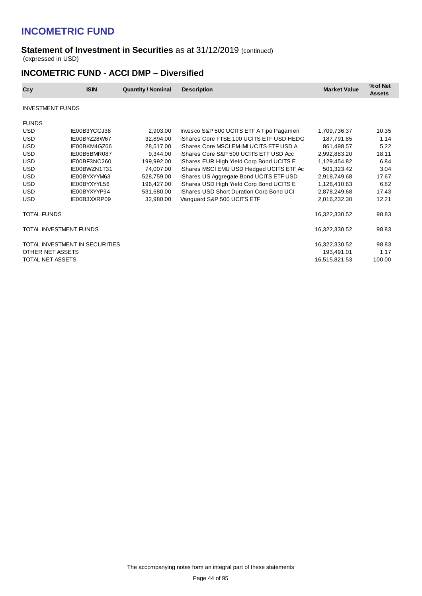#### **Statement of Investment in Securities** as at 31/12/2019 (continued) (expressed in USD)

### **INCOMETRIC FUND - ACCI DMP – Diversified**

| Ccy                     | <b>ISIN</b>                    | <b>Quantity / Nominal</b> | <b>Description</b>                              | <b>Market Value</b> | % of Net<br><b>Assets</b> |
|-------------------------|--------------------------------|---------------------------|-------------------------------------------------|---------------------|---------------------------|
| <b>INVESTMENT FUNDS</b> |                                |                           |                                                 |                     |                           |
| <b>FUNDS</b>            |                                |                           |                                                 |                     |                           |
| <b>USD</b>              | IE00B3YCGJ38                   | 2,903.00                  | Invesco S&P 500 UCITS ETF A Tipo Pagamen        | 1,709,736.37        | 10.35                     |
| <b>USD</b>              | IE00BYZ28W67                   | 32,894.00                 | iShares Core FTSE 100 UCITS ETF USD HEDG        | 187,791.85          | 1.14                      |
| <b>USD</b>              | IE00BKM4GZ66                   | 28,517.00                 | <b>iShares Core MSCI EM IMI UCITS ETF USD A</b> | 861,498.57          | 5.22                      |
| <b>USD</b>              | IE00B5BMR087                   | 9,344.00                  | iShares Core S&P 500 UCITS ETF USD Acc          | 2,992,883.20        | 18.11                     |
| <b>USD</b>              | IE00BF3NC260                   | 199,992.00                | iShares EUR High Yield Corp Bond UCITS E        | 1,129,454.82        | 6.84                      |
| <b>USD</b>              | IE00BWZN1T31                   | 74,007.00                 | iShares MSCI EMU USD Hedged UCITS ETF Ac        | 501,323.42          | 3.04                      |
| <b>USD</b>              | IE00BYXYYM63                   | 528,759.00                | iShares US Aggregate Bond UCITS ETF USD         | 2,918,749.68        | 17.67                     |
| <b>USD</b>              | IE00BYXYYL56                   | 196,427.00                | iShares USD High Yield Corp Bond UCITS E        | 1,126,410.63        | 6.82                      |
| <b>USD</b>              | IE00BYXYYP94                   | 531,680.00                | iShares USD Short Duration Corp Bond UCI        | 2,878,249.68        | 17.43                     |
| <b>USD</b>              | IE00B3XXRP09                   | 32,980.00                 | Vanguard S&P 500 UCITS ETF                      | 2,016,232.30        | 12.21                     |
| <b>TOTAL FUNDS</b>      |                                |                           |                                                 | 16,322,330.52       | 98.83                     |
|                         | TOTAL INVESTMENT FUNDS         |                           |                                                 | 16,322,330.52       | 98.83                     |
|                         | TOTAL INVESTMENT IN SECURITIES |                           |                                                 | 16,322,330.52       | 98.83                     |
| OTHER NET ASSETS        |                                |                           |                                                 | 193,491.01          | 1.17                      |
| TOTAL NET ASSETS        |                                |                           |                                                 | 16,515,821.53       | 100.00                    |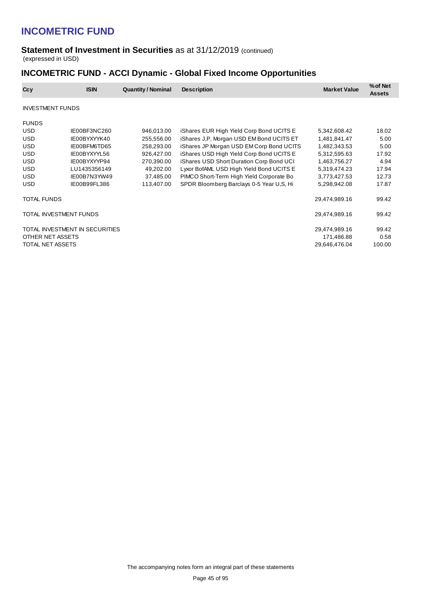#### **Statement of Investment in Securities** as at 31/12/2019 (continued) (expressed in USD)

## **INCOMETRIC FUND - ACCI Dynamic - Global Fixed Income Opportunities**

| Ccy                     | <b>ISIN</b>                    | <b>Quantity / Nominal</b> | <b>Description</b>                       | <b>Market Value</b> | % of Net<br><b>Assets</b> |
|-------------------------|--------------------------------|---------------------------|------------------------------------------|---------------------|---------------------------|
| <b>INVESTMENT FUNDS</b> |                                |                           |                                          |                     |                           |
| <b>FUNDS</b>            |                                |                           |                                          |                     |                           |
| USD                     | IE00BF3NC260                   | 946,013.00                | iShares EUR High Yield Corp Bond UCITS E | 5,342,608.42        | 18.02                     |
| <b>USD</b>              | IE00BYXYYK40                   | 255,556.00                | iShares J,P, Morgan USD EM Bond UCITS ET | 1,481,841.47        | 5.00                      |
| <b>USD</b>              | IE00BFM6TD65                   | 258,293.00                | iShares JP Morgan USD EM Corp Bond UCITS | 1,482,343.53        | 5.00                      |
| USD                     | IE00BYXYYL56                   | 926,427.00                | iShares USD High Yield Corp Bond UCITS E | 5,312,595.63        | 17.92                     |
| <b>USD</b>              | IE00BYXYYP94                   | 270,390.00                | iShares USD Short Duration Corp Bond UCI | 1,463,756.27        | 4.94                      |
| <b>USD</b>              | LU1435356149                   | 49,202.00                 | Lyxor BofAML USD High Yield Bond UCITS E | 5,319,474.23        | 17.94                     |
| <b>USD</b>              | IE00B7N3YW49                   | 37,485.00                 | PIMCO Short-Term High Yield Corporate Bo | 3,773,427.53        | 12.73                     |
| USD.                    | IE00B99FL386                   | 113,407.00                | SPDR Bloomberg Barclays 0-5 Year U,S, Hi | 5,298,942.08        | 17.87                     |
| TOTAL FUNDS             |                                |                           |                                          | 29,474,989.16       | 99.42                     |
| TOTAL INVESTMENT FUNDS  |                                |                           |                                          | 29,474,989.16       | 99.42                     |
|                         | TOTAL INVESTMENT IN SECURITIES |                           |                                          | 29,474,989.16       | 99.42                     |
| OTHER NET ASSETS        |                                |                           |                                          | 171,486.88          | 0.58                      |
| TOTAL NET ASSETS        |                                |                           |                                          | 29,646,476.04       | 100.00                    |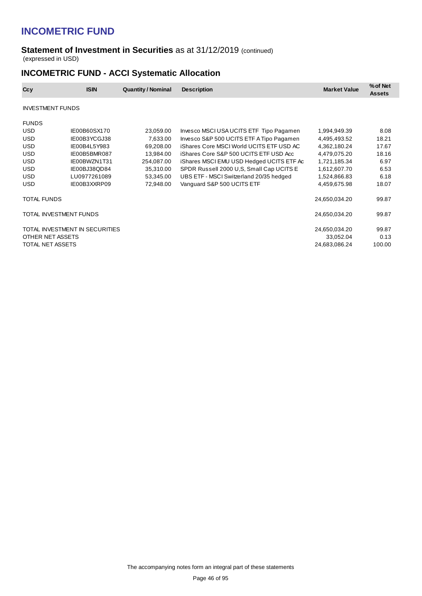#### **Statement of Investment in Securities** as at 31/12/2019 (continued) (expressed in USD)

## **INCOMETRIC FUND - ACCI Systematic Allocation**

| Ccy                     | <b>ISIN</b>                    | <b>Quantity / Nominal</b> | <b>Description</b>                       | <b>Market Value</b> | % of Net<br><b>Assets</b> |
|-------------------------|--------------------------------|---------------------------|------------------------------------------|---------------------|---------------------------|
| <b>INVESTMENT FUNDS</b> |                                |                           |                                          |                     |                           |
| <b>FUNDS</b>            |                                |                           |                                          |                     |                           |
| USD                     | IE00B60SX170                   | 23,059.00                 | Invesco MSCI USA UCITS ETF Tipo Pagamen  | 1,994,949.39        | 8.08                      |
| <b>USD</b>              | IE00B3YCGJ38                   | 7,633.00                  | Invesco S&P 500 UCITS ETF A Tipo Pagamen | 4,495,493.52        | 18.21                     |
| <b>USD</b>              | IE00B4L5Y983                   | 69,208.00                 | iShares Core MSCI World UCITS ETF USD AC | 4,362,180.24        | 17.67                     |
| <b>USD</b>              | IE00B5BMR087                   | 13,984.00                 | iShares Core S&P 500 UCITS ETF USD Acc   | 4,479,075.20        | 18.16                     |
| <b>USD</b>              | IE00BWZN1T31                   | 254,087.00                | iShares MSCI EMU USD Hedged UCITS ETF Ac | 1,721,185.34        | 6.97                      |
| <b>USD</b>              | IE00BJ38QD84                   | 35,310.00                 | SPDR Russell 2000 U.S. Small Cap UCITS E | 1,612,607.70        | 6.53                      |
| <b>USD</b>              | LU0977261089                   | 53,345.00                 | UBS ETF - MSCI Switzerland 20/35 hedged  | 1,524,866.83        | 6.18                      |
| <b>USD</b>              | IE00B3XXRP09                   | 72,948.00                 | Vanguard S&P 500 UCITS ETF               | 4,459,675.98        | 18.07                     |
| <b>TOTAL FUNDS</b>      |                                |                           |                                          | 24,650,034.20       | 99.87                     |
| TOTAL INVESTMENT FUNDS  |                                |                           |                                          | 24,650,034.20       | 99.87                     |
|                         | TOTAL INVESTMENT IN SECURITIES |                           |                                          | 24,650,034.20       | 99.87                     |
| OTHER NET ASSETS        |                                |                           |                                          | 33,052.04           | 0.13                      |
| TOTAL NET ASSETS        |                                |                           |                                          | 24,683,086.24       | 100.00                    |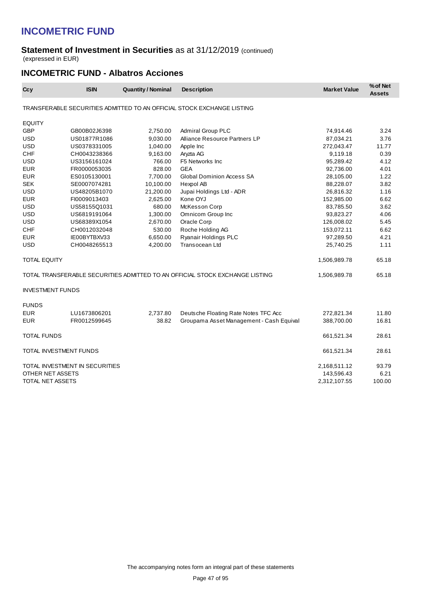#### **Statement of Investment in Securities** as at 31/12/2019 (continued) (expressed in EUR)

### **INCOMETRIC FUND - Albatros Acciones**

| Ccy                     | <b>ISIN</b>                    | <b>Quantity / Nominal</b> | <b>Description</b>                                                           | <b>Market Value</b> | % of Net<br><b>Assets</b> |
|-------------------------|--------------------------------|---------------------------|------------------------------------------------------------------------------|---------------------|---------------------------|
|                         |                                |                           | TRANSFERABLE SECURITIES ADMITTED TO AN OFFICIAL STOCK EXCHANGE LISTING       |                     |                           |
| <b>EQUITY</b>           |                                |                           |                                                                              |                     |                           |
| <b>GBP</b>              | GB00B02J6398                   | 2,750.00                  | <b>Admiral Group PLC</b>                                                     | 74,914.46           | 3.24                      |
| <b>USD</b>              | US01877R1086                   | 9,030.00                  | Alliance Resource Partners LP                                                | 87,034.21           | 3.76                      |
| <b>USD</b>              | US0378331005                   | 1,040.00                  | Apple Inc                                                                    | 272,043.47          | 11.77                     |
| <b>CHF</b>              | CH0043238366                   | 9,163.00                  | Aryzta AG                                                                    | 9,119.18            | 0.39                      |
| <b>USD</b>              | US3156161024                   | 766.00                    | F5 Networks Inc                                                              | 95,289.42           | 4.12                      |
| <b>EUR</b>              | FR0000053035                   | 828.00                    | <b>GEA</b>                                                                   | 92,736.00           | 4.01                      |
| <b>EUR</b>              | ES0105130001                   | 7,700.00                  | <b>Global Dominion Access SA</b>                                             | 28,105.00           | 1.22                      |
| <b>SEK</b>              | SE0007074281                   | 10,100.00                 | Hexpol AB                                                                    | 88,228.07           | 3.82                      |
| <b>USD</b>              | US48205B1070                   | 21,200.00                 | Jupai Holdings Ltd - ADR                                                     | 26,816.32           | 1.16                      |
| <b>EUR</b>              | FI0009013403                   | 2,625.00                  | Kone OYJ                                                                     | 152,985.00          | 6.62                      |
| <b>USD</b>              | US58155Q1031                   | 680.00                    | McKesson Corp                                                                | 83,785.50           | 3.62                      |
| <b>USD</b>              | US6819191064                   | 1,300.00                  | Omnicom Group Inc                                                            | 93,823.27           | 4.06                      |
| <b>USD</b>              | US68389X1054                   | 2,670.00                  | Oracle Corp                                                                  | 126,008.02          | 5.45                      |
| <b>CHF</b>              | CH0012032048                   | 530.00                    | Roche Holding AG                                                             | 153,072.11          | 6.62                      |
| <b>EUR</b>              | IE00BYTBXV33                   | 6,650.00                  | Ryanair Holdings PLC                                                         | 97,289.50           | 4.21                      |
| <b>USD</b>              | CH0048265513                   | 4,200.00                  | <b>Transocean Ltd</b>                                                        | 25,740.25           | 1.11                      |
| <b>TOTAL EQUITY</b>     |                                |                           |                                                                              | 1,506,989.78        | 65.18                     |
|                         |                                |                           | TOTAL TRANSFERABLE SECURITIES ADMITTED TO AN OFFICIAL STOCK EXCHANGE LISTING | 1,506,989.78        | 65.18                     |
| <b>INVESTMENT FUNDS</b> |                                |                           |                                                                              |                     |                           |
| <b>FUNDS</b>            |                                |                           |                                                                              |                     |                           |
| <b>EUR</b>              | LU1673806201                   | 2,737.80                  | Deutsche Floating Rate Notes TFC Acc                                         | 272,821.34          | 11.80                     |
| <b>EUR</b>              | FR0012599645                   | 38.82                     | Groupama Asset Management - Cash Equival                                     | 388,700.00          | 16.81                     |
| <b>TOTAL FUNDS</b>      |                                |                           |                                                                              | 661,521.34          | 28.61                     |
| TOTAL INVESTMENT FUNDS  |                                |                           |                                                                              | 661,521.34          | 28.61                     |
|                         | TOTAL INVESTMENT IN SECURITIES |                           |                                                                              | 2,168,511.12        | 93.79                     |
| OTHER NET ASSETS        |                                |                           |                                                                              | 143,596.43          | 6.21                      |
| <b>TOTAL NET ASSETS</b> |                                |                           |                                                                              | 2,312,107.55        | 100.00                    |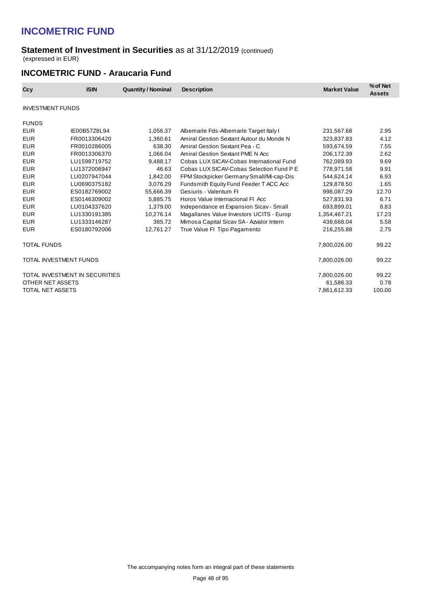#### **Statement of Investment in Securities** as at 31/12/2019 (continued) (expressed in EUR)

### **INCOMETRIC FUND - Araucaria Fund**

| Ccy                     | <b>ISIN</b>                    | <b>Quantity / Nominal</b> | <b>Description</b>                       | <b>Market Value</b> | % of Net<br><b>Assets</b> |
|-------------------------|--------------------------------|---------------------------|------------------------------------------|---------------------|---------------------------|
| <b>INVESTMENT FUNDS</b> |                                |                           |                                          |                     |                           |
| <b>FUNDS</b>            |                                |                           |                                          |                     |                           |
| <b>EUR</b>              | IE00B57Z8L94                   | 1,056.37                  | Albemarle Fds-Albemarle Target Italy I   | 231,567.68          | 2.95                      |
| <b>EUR</b>              | FR0013306420                   | 1.360.61                  | Amiral Gestion Sextant Autour du Monde N | 323,837.83          | 4.12                      |
| <b>EUR</b>              | FR0010286005                   | 638.30                    | Amiral Gestion Sextant Pea - C           | 593,674.59          | 7.55                      |
| <b>EUR</b>              | FR0013306370                   | 1.066.04                  | Amiral Gestion Sextant PME N Acc         | 206,172.39          | 2.62                      |
| <b>EUR</b>              | LU1598719752                   | 9.488.17                  | Cobas LUX SICAV-Cobas International Fund | 762.089.93          | 9.69                      |
| <b>EUR</b>              | LU1372006947                   | 46.63                     | Cobas LUX SICAV-Cobas Selection Fund P E | 778,971.58          | 9.91                      |
| <b>EUR</b>              | LU0207947044                   | 1,842.00                  | FPM Stockpicker Germany Small/Mi-cap-Dis | 544.624.14          | 6.93                      |
| <b>EUR</b>              | LU0690375182                   | 3,076.29                  | Fundsmith Equity Fund Feeder T ACC Acc   | 129,878.50          | 1.65                      |
| <b>EUR</b>              | ES0182769002                   | 55,666.39                 | Gesiuris - Valentum Fl                   | 998,087.29          | 12.70                     |
| <b>EUR</b>              | ES0146309002                   | 5.885.75                  | Horos Value Internacional FI Acc         | 527.831.93          | 6.71                      |
| <b>EUR</b>              | LU0104337620                   | 1,379.00                  | Independance et Expansion Sicav - Small  | 693,899.01          | 8.83                      |
| <b>EUR</b>              | LU1330191385                   | 10,276.14                 | Magallanes Value Investors UCITS - Europ | 1,354,467.21        | 17.23                     |
| <b>EUR</b>              | LU1333146287                   | 385.72                    | Mimosa Capital Sicav SA - Azvalor Intern | 438,668.04          | 5.58                      |
| <b>EUR</b>              | ES0180792006                   | 12.761.27                 | True Value FI Tipo Pagamento             | 216,255.88          | 2.75                      |
| <b>TOTAL FUNDS</b>      |                                |                           |                                          | 7,800,026.00        | 99.22                     |
| TOTAL INVESTMENT FUNDS  |                                |                           |                                          | 7,800,026.00        | 99.22                     |
|                         | TOTAL INVESTMENT IN SECURITIES |                           |                                          | 7,800,026.00        | 99.22                     |
| OTHER NET ASSETS        |                                |                           |                                          | 61,586.33           | 0.78                      |
| TOTAL NET ASSETS        |                                |                           |                                          | 7,861,612.33        | 100.00                    |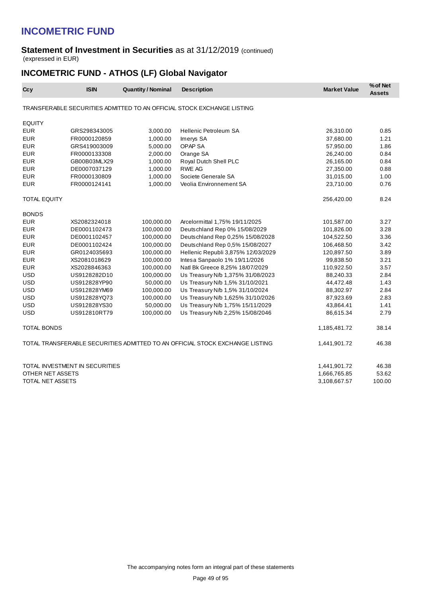#### **Statement of Investment in Securities** as at 31/12/2019 (continued) (expressed in EUR)

## **INCOMETRIC FUND - ATHOS (LF) Global Navigator**

| Ccy                 | <b>ISIN</b>                    | <b>Quantity / Nominal</b> | <b>Description</b>                                                           | <b>Market Value</b> | % of Net<br><b>Assets</b> |
|---------------------|--------------------------------|---------------------------|------------------------------------------------------------------------------|---------------------|---------------------------|
|                     |                                |                           | TRANSFERABLE SECURITIES ADMITTED TO AN OFFICIAL STOCK EXCHANGE LISTING       |                     |                           |
| <b>EQUITY</b>       |                                |                           |                                                                              |                     |                           |
| <b>EUR</b>          | GRS298343005                   | 3,000.00                  | <b>Hellenic Petroleum SA</b>                                                 | 26,310.00           | 0.85                      |
| <b>EUR</b>          | FR0000120859                   | 1,000.00                  | Imerys SA                                                                    | 37,680.00           | 1.21                      |
| <b>EUR</b>          | GRS419003009                   | 5,000.00                  | OPAP <sub>SA</sub>                                                           | 57,950.00           | 1.86                      |
| <b>EUR</b>          | FR0000133308                   | 2,000.00                  | Orange SA                                                                    | 26,240.00           | 0.84                      |
| <b>EUR</b>          | GB00B03MLX29                   | 1,000.00                  | Royal Dutch Shell PLC                                                        | 26,165.00           | 0.84                      |
| <b>EUR</b>          | DE0007037129                   | 1,000.00                  | <b>RWE AG</b>                                                                | 27,350.00           | 0.88                      |
| <b>EUR</b>          | FR0000130809                   | 1,000.00                  | Societe Generale SA                                                          | 31,015.00           | 1.00                      |
| <b>EUR</b>          | FR0000124141                   | 1,000.00                  | Veolia Environnement SA                                                      | 23,710.00           | 0.76                      |
| <b>TOTAL EQUITY</b> |                                |                           |                                                                              | 256,420.00          | 8.24                      |
| <b>BONDS</b>        |                                |                           |                                                                              |                     |                           |
| <b>EUR</b>          | XS2082324018                   | 100,000.00                | Arcelormittal 1,75% 19/11/2025                                               | 101,587.00          | 3.27                      |
| <b>EUR</b>          | DE0001102473                   | 100,000.00                | Deutschland Rep 0% 15/08/2029                                                | 101,826.00          | 3.28                      |
| <b>EUR</b>          | DE0001102457                   | 100,000.00                | Deutschland Rep 0,25% 15/08/2028                                             | 104,522.50          | 3.36                      |
| <b>EUR</b>          | DE0001102424                   | 100,000.00                | Deutschland Rep 0,5% 15/08/2027                                              | 106,468.50          | 3.42                      |
| <b>EUR</b>          | GR0124035693                   | 100,000.00                | Hellenic Republi 3,875% 12/03/2029                                           | 120,897.50          | 3.89                      |
| <b>EUR</b>          | XS2081018629                   | 100,000.00                | Intesa Sanpaolo 1% 19/11/2026                                                | 99,838.50           | 3.21                      |
| <b>EUR</b>          | XS2028846363                   | 100,000.00                | Natl Bk Greece 8,25% 18/07/2029                                              | 110,922.50          | 3.57                      |
| <b>USD</b>          | US9128282D10                   | 100,000.00                | Us Treasury N/b 1,375% 31/08/2023                                            | 88,240.33           | 2.84                      |
| <b>USD</b>          | US912828YP90                   | 50,000.00                 | Us Treasury N/b 1,5% 31/10/2021                                              | 44,472.48           | 1.43                      |
| <b>USD</b>          | US912828YM69                   | 100,000.00                | Us Treasury N/b 1,5% 31/10/2024                                              | 88,302.97           | 2.84                      |
| <b>USD</b>          | US912828YQ73                   | 100,000.00                | Us Treasury N/b 1,625% 31/10/2026                                            | 87,923.69           | 2.83                      |
| <b>USD</b>          | US912828YS30                   | 50,000.00                 | Us Treasury N/b 1,75% 15/11/2029                                             | 43,864.41           | 1.41                      |
| <b>USD</b>          | US912810RT79                   | 100,000.00                | Us Treasury N/b 2,25% 15/08/2046                                             | 86,615.34           | 2.79                      |
| <b>TOTAL BONDS</b>  |                                |                           |                                                                              | 1,185,481.72        | 38.14                     |
|                     |                                |                           | TOTAL TRANSFERABLE SECURITIES ADMITTED TO AN OFFICIAL STOCK EXCHANGE LISTING | 1,441,901.72        | 46.38                     |
|                     | TOTAL INVESTMENT IN SECURITIES |                           |                                                                              | 1,441,901.72        | 46.38                     |
| OTHER NET ASSETS    |                                |                           |                                                                              | 1,666,765.85        | 53.62                     |
| TOTAL NET ASSETS    |                                |                           |                                                                              | 3,108,667.57        | 100.00                    |
|                     |                                |                           |                                                                              |                     |                           |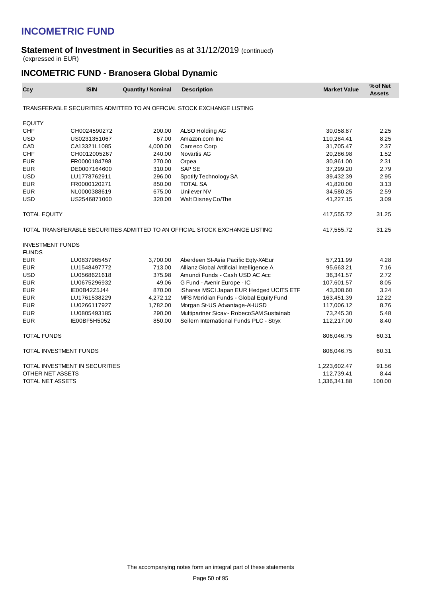#### **Statement of Investment in Securities** as at 31/12/2019 (continued) (expressed in EUR)

## **INCOMETRIC FUND - Branosera Global Dynamic**

| Ccy                     | <b>ISIN</b>                    | <b>Quantity / Nominal</b> | <b>Description</b>                                                           | <b>Market Value</b> | % of Net<br><b>Assets</b> |
|-------------------------|--------------------------------|---------------------------|------------------------------------------------------------------------------|---------------------|---------------------------|
|                         |                                |                           | TRANSFERABLE SECURITIES ADMITTED TO AN OFFICIAL STOCK EXCHANGE LISTING       |                     |                           |
| <b>EQUITY</b>           |                                |                           |                                                                              |                     |                           |
| <b>CHF</b>              | CH0024590272                   | 200.00                    | ALSO Holding AG                                                              | 30,058.87           | 2.25                      |
| <b>USD</b>              | US0231351067                   | 67.00                     | Amazon.com Inc.                                                              | 110,284.41          | 8.25                      |
| CAD                     | CA13321L1085                   | 4,000.00                  | Cameco Corp                                                                  | 31,705.47           | 2.37                      |
| CHF                     | CH0012005267                   | 240.00                    | Novartis AG                                                                  | 20,286.98           | 1.52                      |
| <b>EUR</b>              | FR0000184798                   | 270.00                    | Orpea                                                                        | 30,861.00           | 2.31                      |
| <b>EUR</b>              | DE0007164600                   | 310.00                    | SAP SE                                                                       | 37,299.20           | 2.79                      |
| <b>USD</b>              | LU1778762911                   | 296.00                    | Spotify Technology SA                                                        | 39,432.39           | 2.95                      |
| <b>EUR</b>              | FR0000120271                   | 850.00                    | <b>TOTAL SA</b>                                                              | 41,820.00           | 3.13                      |
| <b>EUR</b>              | NL0000388619                   | 675.00                    | Unilever NV                                                                  | 34,580.25           | 2.59                      |
| <b>USD</b>              | US2546871060                   | 320.00                    | Walt Disney Co/The                                                           | 41,227.15           | 3.09                      |
| <b>TOTAL EQUITY</b>     |                                |                           |                                                                              | 417,555.72          | 31.25                     |
|                         |                                |                           | TOTAL TRANSFERABLE SECURITIES ADMITTED TO AN OFFICIAL STOCK EXCHANGE LISTING | 417,555.72          | 31.25                     |
| <b>INVESTMENT FUNDS</b> |                                |                           |                                                                              |                     |                           |
| <b>FUNDS</b>            |                                |                           |                                                                              |                     |                           |
| <b>EUR</b>              | LU0837965457                   | 3,700.00                  | Aberdeen St-Asia Pacific Eqty-XAEur                                          | 57,211.99           | 4.28                      |
| <b>EUR</b>              | LU1548497772                   | 713.00                    | Allianz Global Artificial Intelligence A                                     | 95,663.21           | 7.16                      |
| <b>USD</b>              | LU0568621618                   | 375.98                    | Amundi Funds - Cash USD AC Acc                                               | 36,341.57           | 2.72                      |
| <b>EUR</b>              | LU0675296932                   | 49.06                     | G Fund - Avenir Europe - IC                                                  | 107,601.57          | 8.05                      |
| <b>EUR</b>              | IE00B42Z5J44                   | 870.00                    | iShares MSCI Japan EUR Hedged UCITS ETF                                      | 43,308.60           | 3.24                      |
| <b>EUR</b>              | LU1761538229                   | 4,272.12                  | MFS Meridian Funds - Global Equity Fund                                      | 163,451.39          | 12.22                     |
| <b>EUR</b>              | LU0266117927                   | 1,782.00                  | Morgan St-US Advantage-AHUSD                                                 | 117,006.12          | 8.76                      |
| <b>EUR</b>              | LU0805493185                   | 290.00                    | Multipartner Sicav - RobecoSAM Sustainab                                     | 73,245.30           | 5.48                      |
| <b>EUR</b>              | IE00BF5H5052                   | 850.00                    | Seilern International Funds PLC - Stryx                                      | 112,217.00          | 8.40                      |
| <b>TOTAL FUNDS</b>      |                                |                           |                                                                              | 806,046.75          | 60.31                     |
| TOTAL INVESTMENT FUNDS  |                                |                           |                                                                              | 806,046.75          | 60.31                     |
|                         | TOTAL INVESTMENT IN SECURITIES |                           |                                                                              | 1,223,602.47        | 91.56                     |
| OTHER NET ASSETS        |                                |                           |                                                                              | 112,739.41          | 8.44                      |
| TOTAL NET ASSETS        |                                |                           |                                                                              | 1,336,341.88        | 100.00                    |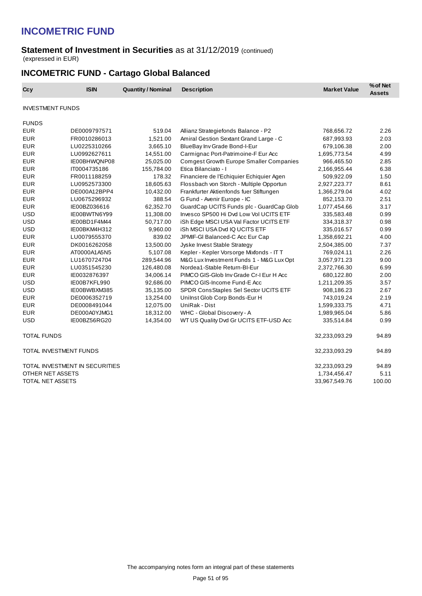#### **Statement of Investment in Securities** as at 31/12/2019 (continued) (expressed in EUR)

## **INCOMETRIC FUND - Cartago Global Balanced**

| Ccy                     | <b>ISIN</b>                    | <b>Quantity / Nominal</b> | <b>Description</b>                             | <b>Market Value</b> | % of Net<br><b>Assets</b> |
|-------------------------|--------------------------------|---------------------------|------------------------------------------------|---------------------|---------------------------|
| <b>INVESTMENT FUNDS</b> |                                |                           |                                                |                     |                           |
| <b>FUNDS</b>            |                                |                           |                                                |                     |                           |
| <b>EUR</b>              | DE0009797571                   | 519.04                    | Allianz Strategiefonds Balance - P2            | 768,656.72          | 2.26                      |
| <b>EUR</b>              | FR0010286013                   | 1,521.00                  | Amiral Gestion Sextant Grand Large - C         | 687,993.93          | 2.03                      |
| <b>EUR</b>              | LU0225310266                   | 3,665.10                  | BlueBay Inv Grade Bond-I-Eur                   | 679,106.38          | 2.00                      |
| <b>EUR</b>              | LU0992627611                   | 14,551.00                 | Carmignac Port-Patrimoine-F Eur Acc            | 1,695,773.54        | 4.99                      |
| <b>EUR</b>              | IE00BHWQNP08                   | 25,025.00                 | <b>Comgest Growth Europe Smaller Companies</b> | 966,465.50          | 2.85                      |
| <b>EUR</b>              | IT0004735186                   | 155,784.00                | Etica Bilanciato - I                           | 2,166,955.44        | 6.38                      |
| <b>EUR</b>              | FR0011188259                   | 178.32                    | Financiere de l'Echiquier Echiquier Agen       | 509,922.09          | 1.50                      |
| <b>EUR</b>              | LU0952573300                   | 18,605.63                 | Flossbach von Storch - Multiple Opportun       | 2,927,223.77        | 8.61                      |
| <b>EUR</b>              | DE000A12BPP4                   | 10,432.00                 | Frankfurter Aktienfonds fuer Stiftungen        | 1,366,279.04        | 4.02                      |
| <b>EUR</b>              | LU0675296932                   | 388.54                    | G Fund - Avenir Europe - IC                    | 852,153.70          | 2.51                      |
| <b>EUR</b>              | IE00BZ036616                   | 62,352.70                 | GuardCap UCITS Funds plc - GuardCap Glob       | 1,077,454.66        | 3.17                      |
| <b>USD</b>              | IE00BWTN6Y99                   | 11,308.00                 | Invesco SP500 Hi Dvd Low Vol UCITS ETF         | 335,583.48          | 0.99                      |
| <b>USD</b>              | IE00BD1F4M44                   | 50,717.00                 | iSh Edge MSCI USA Val Factor UCITS ETF         | 334,318.37          | 0.98                      |
| <b>USD</b>              | IE00BKM4H312                   | 9,960.00                  | iSh MSCI USA Dvd IQ UCITS ETF                  | 335,016.57          | 0.99                      |
| <b>EUR</b>              | LU0079555370                   | 839.02                    | JPMIF-GI Balanced-C Acc Eur Cap                | 1,358,692.21        | 4.00                      |
| <b>EUR</b>              | DK0016262058                   | 13,500.00                 | Jyske Invest Stable Strategy                   | 2,504,385.00        | 7.37                      |
| <b>EUR</b>              | AT0000A1A5N5                   | 5,107.08                  | Kepler - Kepler Vorsorge Mixfonds - IT T       | 769,024.11          | 2.26                      |
| <b>EUR</b>              | LU1670724704                   | 289,544.96                | M&G Lux Investment Funds 1 - M&G Lux Opt       | 3,057,971.23        | 9.00                      |
| <b>EUR</b>              | LU0351545230                   | 126,480.08                | Nordea1-Stable Return-BI-Eur                   | 2,372,766.30        | 6.99                      |
| <b>EUR</b>              | IE0032876397                   | 34,006.14                 | PIMCO GIS-Glob Inv Grade Cr-I Eur H Acc        | 680,122.80          | 2.00                      |
| <b>USD</b>              | IE00B7KFL990                   | 92,686.00                 | PIMCO GIS-Income Fund-E Acc                    | 1,211,209.35        | 3.57                      |
| <b>USD</b>              | IE00BWBXM385                   | 35,135.00                 | SPDR ConsStaples Sel Sector UCITS ETF          | 908,186.23          | 2.67                      |
| <b>EUR</b>              | DE0006352719                   | 13,254.00                 | Unilnst Glob Corp Bonds-Eur H                  | 743,019.24          | 2.19                      |
| <b>EUR</b>              | DE0008491044                   | 12,075.00                 | UniRak - Dist                                  | 1,599,333.75        | 4.71                      |
| <b>EUR</b>              | DE000A0YJMG1                   | 18,312.00                 | WHC - Global Discovery - A                     | 1,989,965.04        | 5.86                      |
| <b>USD</b>              | IE00BZ56RG20                   | 14,354.00                 | WT US Quality Dvd Gr UCITS ETF-USD Acc         | 335,514.84          | 0.99                      |
| <b>TOTAL FUNDS</b>      |                                |                           |                                                | 32,233,093.29       | 94.89                     |
| TOTAL INVESTMENT FUNDS  |                                |                           |                                                | 32,233,093.29       | 94.89                     |
|                         | TOTAL INVESTMENT IN SECURITIES |                           |                                                | 32,233,093.29       | 94.89                     |
| OTHER NET ASSETS        |                                |                           |                                                | 1,734,456.47        | 5.11                      |
| TOTAL NET ASSETS        |                                |                           |                                                | 33,967,549.76       | 100.00                    |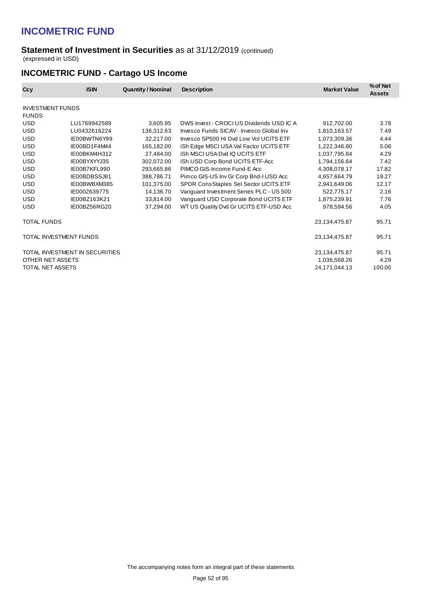#### **Statement of Investment in Securities** as at 31/12/2019 (continued) (expressed in USD)

## **INCOMETRIC FUND - Cartago US Income**

| Ccy                                     | <b>ISIN</b>                    | <b>Quantity / Nominal</b> | <b>Description</b>                       | <b>Market Value</b> | % of Net<br><b>Assets</b> |
|-----------------------------------------|--------------------------------|---------------------------|------------------------------------------|---------------------|---------------------------|
| <b>INVESTMENT FUNDS</b><br><b>FUNDS</b> |                                |                           |                                          |                     |                           |
| <b>USD</b>                              | LU1769942589                   | 3,605.95                  | DWS Invest - CROCI US Dividends USD IC A | 912,702.00          | 3.78                      |
| <b>USD</b>                              | LU0432616224                   | 136,312.63                | Invesco Funds SICAV - Invesco Global Inv | 1,810,163.57        | 7.49                      |
| <b>USD</b>                              | IE00BWTN6Y99                   | 32,217.00                 | Invesco SP500 Hi Dvd Low Vol UCITS ETF   | 1,073,309.36        | 4.44                      |
| <b>USD</b>                              | IE00BD1F4M44                   | 165,182.00                | iSh Edge MSCI USA Val Factor UCITS ETF   | 1,222,346.80        | 5.06                      |
| <b>USD</b>                              | IE00BKM4H312                   | 27.484.00                 | <b>iSh MSCI USA Dvd IQ UCITS ETF</b>     | 1,037,795.84        | 4.29                      |
| <b>USD</b>                              | IE00BYXYYJ35                   | 302,072.00                | iSh USD Corp Bond UCITS ETF-Acc          | 1,794,156.64        | 7.42                      |
| <b>USD</b>                              | IE00B7KFL990                   | 293,665.86                | PIMCO GIS-Income Fund-E Acc              | 4,308,078.17        | 17.82                     |
| <b>USD</b>                              | IE00BDBSSJ81                   | 388,786.71                | Pimco GIS-US Inv Gr Corp Bnd-I USD Acc   | 4,657,664.79        | 19.27                     |
| <b>USD</b>                              | IE00BWBXM385                   | 101,375.00                | SPDR ConsStaples Sel Sector UCITS ETF    | 2,941,649.06        | 12.17                     |
| <b>USD</b>                              | IE0002639775                   | 14,136.70                 | Vanguard Investment Series PLC - US 500  | 522,775.17          | 2.16                      |
| <b>USD</b>                              | IE00BZ163K21                   | 33,814.00                 | Vanguard USD Corporate Bond UCITS ETF    | 1,875,239.91        | 7.76                      |
| <b>USD</b>                              | IE00BZ56RG20                   | 37,294.00                 | WT US Quality Dvd Gr UCITS ETF-USD Acc   | 978,594.56          | 4.05                      |
| TOTAL FUNDS                             |                                |                           |                                          | 23,134,475.87       | 95.71                     |
| TOTAL INVESTMENT FUNDS                  |                                |                           |                                          | 23,134,475.87       | 95.71                     |
|                                         | TOTAL INVESTMENT IN SECURITIES |                           |                                          | 23,134,475.87       | 95.71                     |
| OTHER NET ASSETS                        |                                |                           |                                          | 1,036,568.26        | 4.29                      |
| TOTAL NET ASSETS                        |                                |                           |                                          | 24,171,044.13       | 100.00                    |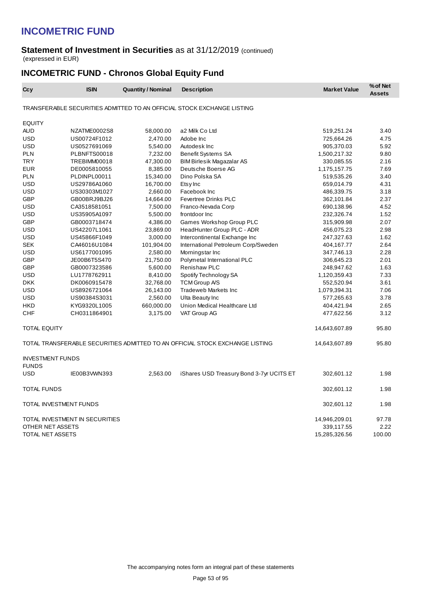#### **Statement of Investment in Securities** as at 31/12/2019 (continued) (expressed in EUR)

## **INCOMETRIC FUND - Chronos Global Equity Fund**

| Ccy                                                | <b>ISIN</b>  | <b>Quantity / Nominal</b> | <b>Description</b>                                                           | <b>Market Value</b>         | % of Net<br><b>Assets</b> |
|----------------------------------------------------|--------------|---------------------------|------------------------------------------------------------------------------|-----------------------------|---------------------------|
|                                                    |              |                           | TRANSFERABLE SECURITIES ADMITTED TO AN OFFICIAL STOCK EXCHANGE LISTING       |                             |                           |
| <b>EQUITY</b>                                      |              |                           |                                                                              |                             |                           |
| <b>AUD</b>                                         | NZATME0002S8 | 58,000.00                 | a2 Milk Co Ltd                                                               | 519,251.24                  | 3.40                      |
| <b>USD</b>                                         | US00724F1012 | 2,470.00                  | Adobe Inc                                                                    | 725,664.26                  | 4.75                      |
| <b>USD</b>                                         | US0527691069 | 5,540.00                  | Autodesk Inc                                                                 | 905,370.03                  | 5.92                      |
| <b>PLN</b>                                         | PLBNFTS00018 | 7,232.00                  | Benefit Systems SA                                                           | 1,500,217.32                | 9.80                      |
| <b>TRY</b>                                         | TREBIMM00018 | 47,300.00                 | <b>BIM Birlesik Magazalar AS</b>                                             | 330,085.55                  | 2.16                      |
| <b>EUR</b>                                         | DE0005810055 | 8,385.00                  | Deutsche Boerse AG                                                           | 1,175,157.75                | 7.69                      |
| <b>PLN</b>                                         | PLDINPL00011 | 15,340.00                 | Dino Polska SA                                                               | 519,535.26                  | 3.40                      |
| <b>USD</b>                                         | US29786A1060 | 16,700.00                 | Etsy Inc                                                                     | 659,014.79                  | 4.31                      |
| <b>USD</b>                                         | US30303M1027 | 2,660.00                  | Facebook Inc                                                                 | 486,339.75                  | 3.18                      |
| <b>GBP</b>                                         | GB00BRJ9BJ26 | 14,664.00                 | <b>Fevertree Drinks PLC</b>                                                  | 362,101.84                  | 2.37                      |
| <b>USD</b>                                         | CA3518581051 | 7,500.00                  | Franco-Nevada Corp                                                           | 690,138.96                  | 4.52                      |
| USD                                                | US35905A1097 | 5,500.00                  | frontdoor Inc                                                                | 232,326.74                  | 1.52                      |
| <b>GBP</b>                                         | GB0003718474 | 4,386.00                  | Games Workshop Group PLC                                                     | 315,909.98                  | 2.07                      |
| <b>USD</b>                                         | US42207L1061 | 23,869.00                 | HeadHunter Group PLC - ADR                                                   | 456,075.23                  | 2.98                      |
| <b>USD</b>                                         | US45866F1049 | 3,000.00                  | Intercontinental Exchange Inc                                                | 247,327.63                  | 1.62                      |
| <b>SEK</b>                                         | CA46016U1084 | 101,904.00                | International Petroleum Corp/Sweden                                          | 404,167.77                  | 2.64                      |
| <b>USD</b>                                         | US6177001095 | 2,580.00                  | Morningstar Inc                                                              | 347,746.13                  | 2.28                      |
| GBP                                                | JE00B6T5S470 | 21,750.00                 | Polymetal International PLC                                                  | 306,645.23                  | 2.01                      |
| <b>GBP</b>                                         | GB0007323586 | 5,600.00                  | <b>Renishaw PLC</b>                                                          | 248,947.62                  | 1.63                      |
| <b>USD</b>                                         | LU1778762911 | 8,410.00                  | Spotify Technology SA                                                        | 1,120,359.43                | 7.33                      |
| <b>DKK</b>                                         | DK0060915478 | 32,768.00                 | <b>TCM Group A/S</b>                                                         | 552,520.94                  | 3.61                      |
| <b>USD</b>                                         | US8926721064 | 26,143.00                 | <b>Tradeweb Markets Inc.</b>                                                 | 1,079,394.31                | 7.06                      |
| <b>USD</b>                                         | US90384S3031 | 2,560.00                  | Ulta Beauty Inc                                                              | 577,265.63                  | 3.78                      |
| HKD                                                | KYG9320L1005 | 660,000.00                | Union Medical Healthcare Ltd                                                 | 404,421.94                  | 2.65                      |
| <b>CHF</b>                                         | CH0311864901 | 3,175.00                  | VAT Group AG                                                                 | 477,622.56                  | 3.12                      |
| TOTAL EQUITY                                       |              |                           |                                                                              | 14,643,607.89               | 95.80                     |
|                                                    |              |                           | TOTAL TRANSFERABLE SECURITIES ADMITTED TO AN OFFICIAL STOCK EXCHANGE LISTING | 14,643,607.89               | 95.80                     |
| <b>INVESTMENT FUNDS</b><br><b>FUNDS</b>            |              |                           |                                                                              |                             |                           |
| <b>USD</b>                                         | IE00B3VWN393 | 2.563.00                  | iShares USD Treasury Bond 3-7yr UCITS ET                                     | 302,601.12                  | 1.98                      |
| TOTAL FUNDS                                        |              |                           |                                                                              | 302,601.12                  | 1.98                      |
| TOTAL INVESTMENT FUNDS                             |              |                           |                                                                              | 302,601.12                  | 1.98                      |
| TOTAL INVESTMENT IN SECURITIES<br>OTHER NET ASSETS |              |                           |                                                                              | 14,946,209.01<br>339,117.55 | 97.78<br>2.22             |
| TOTAL NET ASSETS                                   |              |                           |                                                                              | 15,285,326.56               | 100.00                    |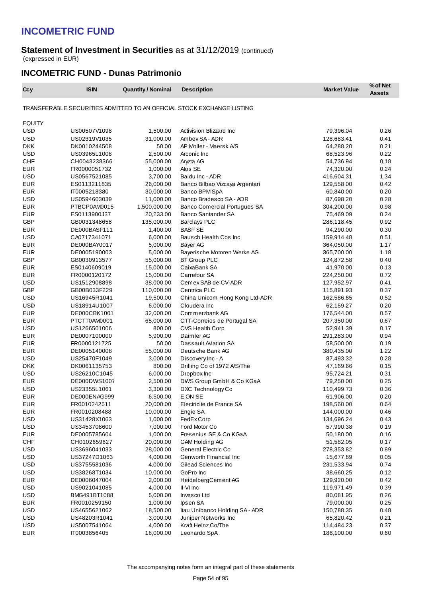#### **Statement of Investment in Securities** as at 31/12/2019 (continued) (expressed in EUR)

### **INCOMETRIC FUND - Dunas Patrimonio**

| Ccy           | <b>ISIN</b>  | <b>Quantity / Nominal</b> | <b>Description</b>                                                     | <b>Market Value</b> | % of Net<br><b>Assets</b> |
|---------------|--------------|---------------------------|------------------------------------------------------------------------|---------------------|---------------------------|
|               |              |                           | TRANSFERABLE SECURITIES ADMITTED TO AN OFFICIAL STOCK EXCHANGE LISTING |                     |                           |
| <b>EQUITY</b> |              |                           |                                                                        |                     |                           |
| <b>USD</b>    | US00507V1098 | 1,500.00                  | Activision Blizzard Inc                                                | 79,396.04           | 0.26                      |
| <b>USD</b>    | US02319V1035 | 31,000.00                 | Ambey SA - ADR                                                         | 128,683.41          | 0.41                      |
| <b>DKK</b>    | DK0010244508 | 50.00                     | AP Moller - Maersk A/S                                                 | 64,288.20           | 0.21                      |
| <b>USD</b>    | US03965L1008 | 2,500.00                  | Arconic Inc                                                            | 68,523.96           | 0.22                      |
| <b>CHF</b>    | CH0043238366 | 55,000.00                 | Aryzta AG                                                              | 54,736.94           | 0.18                      |
| <b>EUR</b>    | FR0000051732 | 1,000.00                  | Atos SE                                                                | 74,320.00           | 0.24                      |
| <b>USD</b>    | US0567521085 | 3,700.00                  | Baidu Inc - ADR                                                        | 416,604.31          | 1.34                      |
| <b>EUR</b>    | ES0113211835 | 26,000.00                 | Banco Bilbao Vizcaya Argentari                                         | 129,558.00          | 0.42                      |
| <b>EUR</b>    | IT0005218380 | 30,000.00                 | Banco BPM SpA                                                          | 60,840.00           | 0.20                      |
| <b>USD</b>    |              | 11,000.00                 | Banco Bradesco SA - ADR                                                |                     | 0.28                      |
| <b>EUR</b>    | US0594603039 |                           |                                                                        | 87,698.20           | 0.98                      |
| <b>EUR</b>    | PTBCP0AM0015 | 1,500,000.00<br>20,233.00 | <b>Banco Comercial Portugues SA</b><br><b>Banco Santander SA</b>       | 304,200.00          | 0.24                      |
| <b>GBP</b>    | ES0113900J37 |                           |                                                                        | 75,469.09           | 0.92                      |
|               | GB0031348658 | 135,000.00                | <b>Barclays PLC</b><br><b>BASF SE</b>                                  | 286,118.45          |                           |
| <b>EUR</b>    | DE000BASF111 | 1,400.00                  |                                                                        | 94,290.00           | 0.30                      |
| <b>USD</b>    | CA0717341071 | 6,000.00                  | Bausch Health Cos Inc                                                  | 159,914.48          | 0.51                      |
| <b>EUR</b>    | DE000BAY0017 | 5,000.00                  | Bayer AG                                                               | 364,050.00          | 1.17                      |
| <b>EUR</b>    | DE0005190003 | 5,000.00                  | Bayerische Motoren Werke AG                                            | 365,700.00          | 1.18                      |
| <b>GBP</b>    | GB0030913577 | 55,000.00                 | <b>BT Group PLC</b>                                                    | 124,872.58          | 0.40                      |
| <b>EUR</b>    | ES0140609019 | 15,000.00                 | CaixaBank SA                                                           | 41,970.00           | 0.13                      |
| <b>EUR</b>    | FR0000120172 | 15,000.00                 | Carrefour SA                                                           | 224,250.00          | 0.72                      |
| <b>USD</b>    | US1512908898 | 38,000.00                 | Cemex SAB de CV-ADR                                                    | 127,952.97          | 0.41                      |
| <b>GBP</b>    | GB00B033F229 | 110,000.00                | Centrica PLC                                                           | 115,891.93          | 0.37                      |
| <b>USD</b>    | US16945R1041 | 19,500.00                 | China Unicom Hong Kong Ltd-ADR                                         | 162,586.85          | 0.52                      |
| <b>USD</b>    | US18914U1007 | 6,000.00                  | Cloudera Inc                                                           | 62,159.27           | 0.20                      |
| <b>EUR</b>    | DE000CBK1001 | 32,000.00                 | Commerzbank AG                                                         | 176,544.00          | 0.57                      |
| <b>EUR</b>    | PTCTT0AM0001 | 65,000.00                 | CTT Correios de Portugal SA                                            | 207,350.00          | 0.67                      |
| <b>USD</b>    | US1266501006 | 800.00                    | <b>CVS Health Corp</b>                                                 | 52,941.39           | 0.17                      |
| <b>EUR</b>    | DE0007100000 | 5,900.00                  | Daimler AG                                                             | 291,283.00          | 0.94                      |
| <b>EUR</b>    | FR0000121725 | 50.00                     | Dassault Aviation SA                                                   | 58,500.00           | 0.19                      |
| <b>EUR</b>    | DE0005140008 | 55,000.00                 | Deutsche Bank AG                                                       | 380,435.00          | 1.22                      |
| <b>USD</b>    | US25470F1049 | 3,000.00                  | Discovery Inc - A                                                      | 87,493.32           | 0.28                      |
| <b>DKK</b>    | DK0061135753 | 800.00                    | Drilling Co of 1972 A/S/The                                            | 47,169.66           | 0.15                      |
| <b>USD</b>    | US26210C1045 | 6,000.00                  | Dropbox Inc                                                            | 95,724.21           | 0.31                      |
| <b>EUR</b>    | DE000DWS1007 | 2,500.00                  | DWS Group GmbH & Co KGaA                                               | 79,250.00           | 0.25                      |
| <b>USD</b>    | US23355L1061 | 3,300.00                  | DXC Technology Co                                                      | 110,499.73          | 0.36                      |
| <b>EUR</b>    | DE000ENAG999 | 6,500.00                  | E.ON SE                                                                | 61,906.00           | 0.20                      |
| <b>EUR</b>    | FR0010242511 | 20,000.00                 | Electricite de France SA                                               | 198,560.00          | 0.64                      |
| <b>EUR</b>    | FR0010208488 | 10,000.00                 | Engie SA                                                               | 144,000.00          | 0.46                      |
| <b>USD</b>    | US31428X1063 | 1,000.00                  | FedEx Corp                                                             | 134,696.24          | 0.43                      |
| <b>USD</b>    | US3453708600 | 7,000.00                  | Ford Motor Co                                                          | 57,990.38           | 0.19                      |
| <b>EUR</b>    | DE0005785604 | 1,000.00                  | Fresenius SE & Co KGaA                                                 | 50,180.00           | 0.16                      |
| CHF           | CH0102659627 | 20,000.00                 | GAM Holding AG                                                         | 51,582.05           | 0.17                      |
| USD           | US3696041033 | 28,000.00                 | General Electric Co                                                    | 278,353.82          | 0.89                      |
| <b>USD</b>    | US37247D1063 | 4,000.00                  | Genworth Financial Inc                                                 | 15,677.89           | 0.05                      |
| USD           | US3755581036 | 4,000.00                  | Gilead Sciences Inc                                                    | 231,533.94          | 0.74                      |
| USD           | US38268T1034 | 10,000.00                 | GoPro Inc                                                              | 38,660.25           | 0.12                      |
| <b>EUR</b>    | DE0006047004 | 2,000.00                  | HeidelbergCement AG                                                    | 129,920.00          | 0.42                      |
| USD           | US9021041085 | 4,000.00                  | II-VI Inc                                                              | 119,971.49          | 0.39                      |
| <b>USD</b>    | BMG491BT1088 | 5,000.00                  | Invesco Ltd                                                            | 80,081.95           | 0.26                      |
| <b>EUR</b>    | FR0010259150 | 1,000.00                  | Ipsen SA                                                               | 79,000.00           | 0.25                      |
| USD           | US4655621062 | 18,500.00                 | Itau Unibanco Holding SA - ADR                                         | 150,788.35          | 0.48                      |
| <b>USD</b>    | US48203R1041 | 3,000.00                  | Juniper Networks Inc                                                   | 65,820.42           | 0.21                      |
| USD           | US5007541064 | 4,000.00                  | Kraft Heinz Co/The                                                     | 114,484.23          | 0.37                      |
| <b>EUR</b>    | IT0003856405 | 18,000.00                 | Leonardo SpA                                                           | 188,100.00          | 0.60                      |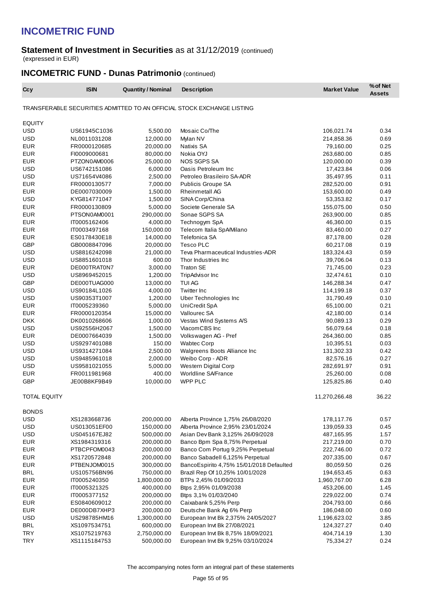#### **Statement of Investment in Securities** as at 31/12/2019 (continued) (expressed in EUR)

## **INCOMETRIC FUND - Dunas Patrimonio** (continued)

| Ccy                 | <b>ISIN</b>  | <b>Quantity / Nominal</b> | <b>Description</b>                                                     | <b>Market Value</b> | % of Net<br><b>Assets</b> |
|---------------------|--------------|---------------------------|------------------------------------------------------------------------|---------------------|---------------------------|
|                     |              |                           | TRANSFERABLE SECURITIES ADMITTED TO AN OFFICIAL STOCK EXCHANGE LISTING |                     |                           |
| <b>EQUITY</b>       |              |                           |                                                                        |                     |                           |
| <b>USD</b>          | US61945C1036 | 5,500.00                  | Mosaic Co/The                                                          | 106,021.74          | 0.34                      |
| <b>USD</b>          | NL0011031208 | 12,000.00                 | Mylan NV                                                               | 214,858.36          | 0.69                      |
| <b>EUR</b>          | FR0000120685 | 20,000.00                 | Natixis SA                                                             | 79,160.00           | 0.25                      |
| <b>EUR</b>          | FI0009000681 | 80,000.00                 | Nokia OYJ                                                              | 263,680.00          | 0.85                      |
| <b>EUR</b>          | PTZON0AM0006 | 25,000.00                 | <b>NOS SGPS SA</b>                                                     | 120,000.00          | 0.39                      |
| <b>USD</b>          | US6742151086 | 6,000.00                  | Oasis Petroleum Inc                                                    | 17,423.84           | 0.06                      |
| <b>USD</b>          | US71654V4086 | 2,500.00                  | Petroleo Brasileiro SA-ADR                                             | 35,497.95           | 0.11                      |
| <b>EUR</b>          | FR0000130577 | 7,000.00                  | Publicis Groupe SA                                                     | 282,520.00          | 0.91                      |
| <b>EUR</b>          | DE0007030009 | 1,500.00                  | <b>Rheinmetall AG</b>                                                  | 153,600.00          | 0.49                      |
| <b>USD</b>          | KYG814771047 | 1,500.00                  | SINA Corp/China                                                        | 53,353.82           | 0.17                      |
| <b>EUR</b>          | FR0000130809 | 5,000.00                  | Societe Generale SA                                                    | 155,075.00          | 0.50                      |
| <b>EUR</b>          | PTSON0AM0001 | 290,000.00                | Sonae SGPS SA                                                          | 263,900.00          | 0.85                      |
| <b>EUR</b>          | IT0005162406 | 4,000.00                  | Technogym SpA                                                          | 46,360.00           | 0.15                      |
| <b>EUR</b>          | IT0003497168 | 150,000.00                | Telecom Italia SpA/Milano                                              | 83,460.00           | 0.27                      |
| <b>EUR</b>          | ES0178430E18 | 14,000.00                 | Telefonica SA                                                          | 87,178.00           | 0.28                      |
| <b>GBP</b>          | GB0008847096 | 20,000.00                 | <b>Tesco PLC</b>                                                       | 60,217.08           | 0.19                      |
| <b>USD</b>          | US8816242098 | 21,000.00                 | Teva Pharmaceutical Industries-ADR                                     | 183,324.43          | 0.59                      |
| <b>USD</b>          | US8851601018 | 600.00                    | Thor Industries Inc.                                                   | 39,706.04           | 0.13                      |
| <b>EUR</b>          | DE000TRAT0N7 | 3,000.00                  | <b>Traton SE</b>                                                       | 71,745.00           | 0.23                      |
| <b>USD</b>          | US8969452015 | 1,200.00                  | TripAdvisor Inc                                                        | 32,474.61           | 0.10                      |
| <b>GBP</b>          | DE000TUAG000 | 13,000.00                 | <b>TUI AG</b>                                                          | 146,288.34          | 0.47                      |
| <b>USD</b>          | US90184L1026 | 4,000.00                  | <b>Twitter Inc</b>                                                     | 114,199.18          | 0.37                      |
| <b>USD</b>          | US90353T1007 | 1,200.00                  | Uber Technologies Inc                                                  | 31,790.49           | 0.10                      |
| <b>EUR</b>          | IT0005239360 | 5,000.00                  | UniCredit SpA                                                          | 65,100.00           | 0.21                      |
| <b>EUR</b>          | FR0000120354 | 15,000.00                 | Vallourec SA                                                           | 42,180.00           | 0.14                      |
| <b>DKK</b>          | DK0010268606 | 1,000.00                  | Vestas Wind Systems A/S                                                | 90,089.13           | 0.29                      |
| <b>USD</b>          | US92556H2067 | 1,500.00                  | ViacomCBS Inc                                                          | 56,079.64           | 0.18                      |
| <b>EUR</b>          | DE0007664039 | 1,500.00                  | Volkswagen AG - Pref                                                   | 264,360.00          | 0.85                      |
| <b>USD</b>          | US9297401088 | 150.00                    | <b>Wabtec Corp</b>                                                     | 10,395.51           | 0.03                      |
| <b>USD</b>          | US9314271084 | 2,500.00                  | Walgreens Boots Alliance Inc                                           | 131,302.33          | 0.42                      |
| <b>USD</b>          | US9485961018 | 2,000.00                  | Weibo Corp - ADR                                                       | 82,576.16           | 0.27                      |
| <b>USD</b>          | US9581021055 | 5,000.00                  | Western Digital Corp                                                   | 282,691.97          | 0.91                      |
| <b>EUR</b>          | FR0011981968 | 400.00                    | <b>Worldline SA/France</b>                                             | 25,260.00           | 0.08                      |
| <b>GBP</b>          | JE00B8KF9B49 | 10,000.00                 | WPP PLC                                                                | 125,825.86          | 0.40                      |
| <b>TOTAL EQUITY</b> |              |                           |                                                                        | 11,270,266.48       | 36.22                     |
| <b>BONDS</b>        |              |                           |                                                                        |                     |                           |
| <b>USD</b>          | XS1283668736 | 200,000.00                | Alberta Province 1,75% 26/08/2020                                      | 178,117.76          | 0.57                      |
| <b>USD</b>          | US013051EF00 | 150,000.00                | Alberta Province 2,95% 23/01/2024                                      | 139,059.33          | 0.45                      |
| <b>USD</b>          | US045167EJ82 | 500,000.00                | Asian Dev Bank 3,125% 26/09/2028                                       | 487,165.95          | 1.57                      |
| <b>EUR</b>          | XS1984319316 | 200,000.00                | Banco Bpm Spa 8,75% Perpetual                                          | 217,219.00          | 0.70                      |
| <b>EUR</b>          | PTBCPFOM0043 | 200,000.00                | Banco Com Portug 9,25% Perpetual                                       | 222,746.00          | 0.72                      |
| <b>EUR</b>          | XS1720572848 | 200,000.00                | Banco Sabadell 6,125% Perpetual                                        | 207,335.00          | 0.67                      |
| <b>EUR</b>          | PTBENJOM0015 | 300,000.00                | BancoEspirito 4,75% 15/01/2018 Defaulted                               | 80,059.50           | 0.26                      |
| <b>BRL</b>          | US105756BN96 | 750,000.00                | Brazil Rep Of 10,25% 10/01/2028                                        | 194,653.45          | 0.63                      |
| <b>EUR</b>          | IT0005240350 | 1,800,000.00              | BTPs 2,45% 01/09/2033                                                  | 1,960,767.00        | 6.28                      |
| <b>EUR</b>          | IT0005321325 | 400,000.00                | Btps 2,95% 01/09/2038                                                  | 453,206.00          | 1.45                      |
| <b>EUR</b>          | IT0005377152 | 200,000.00                | Btps 3,1% 01/03/2040                                                   | 229,022.00          | 0.74                      |
| <b>EUR</b>          | ES0840609012 | 200,000.00                | Caixabank 5,25% Perp                                                   | 204,793.00          | 0.66                      |
| <b>EUR</b>          | DE000DB7XHP3 | 200,000.00                | Deutsche Bank Ag 6% Perp                                               | 186,048.00          | 0.60                      |
| <b>USD</b>          | US298785HM16 | 1,300,000.00              | European Invt Bk 2,375% 24/05/2027                                     | 1,196,623.02        | 3.85                      |
| <b>BRL</b>          | XS1097534751 | 600,000.00                | European Invt Bk 27/08/2021                                            | 124,327.27          | 0.40                      |
| <b>TRY</b>          | XS1075219763 | 2,750,000.00              | European Invt Bk 8,75% 18/09/2021                                      | 404,714.19          | 1.30                      |
| <b>TRY</b>          | XS1115184753 | 500,000.00                | European Invt Bk 9,25% 03/10/2024                                      | 75,334.27           | 0.24                      |

The accompanying notes form an integral part of these statements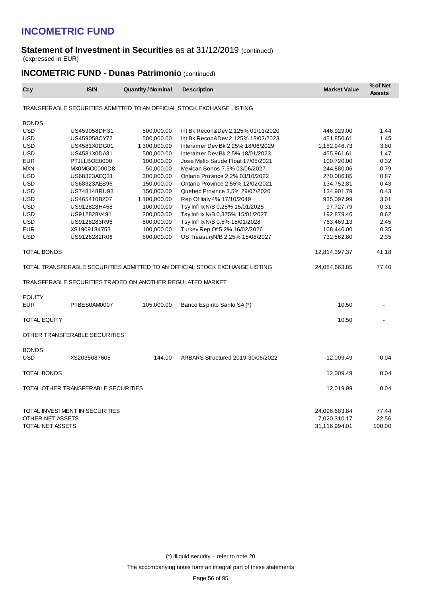#### **Statement of Investment in Securities** as at 31/12/2019 (continued) (expressed in EUR)

## **INCOMETRIC FUND - Dunas Patrimonio** (continued)

| Ccy                        | <b>ISIN</b>                         | <b>Quantity / Nominal</b>                                  | <b>Description</b>                                                           | <b>Market Value</b> | % of Net<br><b>Assets</b> |
|----------------------------|-------------------------------------|------------------------------------------------------------|------------------------------------------------------------------------------|---------------------|---------------------------|
|                            |                                     |                                                            | TRANSFERABLE SECURITIES ADMITTED TO AN OFFICIAL STOCK EXCHANGE LISTING       |                     |                           |
| <b>BONDS</b>               |                                     |                                                            |                                                                              |                     |                           |
| <b>USD</b>                 | US459058DH31                        | 500,000.00                                                 | Int Bk Recon&Dev 2,125% 01/11/2020                                           | 446,929.00          | 1.44                      |
| <b>USD</b>                 | US459058CY72                        | 500,000.00                                                 | Int Bk Recon&Dev 2,125% 13/02/2023                                           | 451,850.61          | 1.45                      |
| <b>USD</b>                 | US4581X0DG01                        | 1,300,000.00                                               | Interamer Dev Bk 2,25% 18/06/2029                                            | 1,182,946.73        | 3.80                      |
| <b>USD</b>                 | US4581X0DA31                        | 500,000.00                                                 | Interamer Dev Bk 2,5% 18/01/2023                                             | 455,961.61          | 1.47                      |
| <b>EUR</b>                 | PTJLLBOE0000                        | 100,000.00                                                 | Jose Mello Saude Float 17/05/2021                                            | 100,720.00          | 0.32                      |
| <b>MXN</b>                 | MX0MGO0000D8                        | 50,000.00                                                  | Mexican Bonos 7,5% 03/06/2027                                                | 244,880.06          | 0.79                      |
| <b>USD</b>                 | US68323AEQ31                        | 300,000.00                                                 | Ontario Province 2,2% 03/10/2022                                             | 270,086.85          | 0.87                      |
| <b>USD</b>                 | US68323AES96                        | 150,000.00                                                 | Ontario Province 2,55% 12/02/2021                                            | 134,752.81          | 0.43                      |
| <b>USD</b>                 | US748148RU93                        | 150,000.00                                                 | Quebec Province 3,5% 29/07/2020                                              | 134,901.79          | 0.43                      |
| <b>USD</b>                 | US465410BZ07                        | 1,100,000.00                                               | Rep Of Italy 4% 17/10/2049                                                   | 935,097.99          | 3.01                      |
| <b>USD</b>                 | US912828H458                        | 100,000.00                                                 | Tsy Infl Ix N/B 0,25% 15/01/2025                                             | 97,727.79           | 0.31                      |
| <b>USD</b>                 | US912828V491                        | 200,000.00                                                 | Tsy Infl Ix N/B 0,375% 15/01/2027                                            | 192,879.46          | 0.62                      |
| <b>USD</b>                 | US9128283R96                        | 800,000.00                                                 | Tsy Infl Ix N/B 0,5% 15/01/2028                                              | 763,469.13          | 2.45                      |
| <b>EUR</b>                 | XS1909184753                        | 100,000.00                                                 | Turkey Rep Of 5,2% 16/02/2026                                                | 108,440.00          | 0.35                      |
| <b>USD</b>                 | US9128282R06                        | 800,000.00                                                 | US TreasuryN/B 2,25% 15/08/2027                                              | 732,562.80          | 2.35                      |
| TOTAL BONDS                |                                     |                                                            |                                                                              | 12,814,397.37       | 41.18                     |
|                            |                                     |                                                            | TOTAL TRANSFERABLE SECURITIES ADMITTED TO AN OFFICIAL STOCK EXCHANGE LISTING | 24,084,663.85       | 77.40                     |
|                            |                                     | TRANSFERABLE SECURITIES TRADED ON ANOTHER REGULATED MARKET |                                                                              |                     |                           |
| <b>EQUITY</b>              |                                     |                                                            |                                                                              |                     |                           |
| <b>EUR</b>                 | PTBES0AM0007                        | 105,000.00                                                 | Banco Espirito Santo SA(*)                                                   | 10.50               |                           |
| <b>TOTAL EQUITY</b>        |                                     |                                                            |                                                                              | 10.50               |                           |
|                            | OTHER TRANSFERABLE SECURITIES       |                                                            |                                                                              |                     |                           |
|                            |                                     |                                                            |                                                                              |                     |                           |
| <b>BONDS</b><br><b>USD</b> | XS2035087605                        | 144.00                                                     | ARBARS Structured 2019-30/06/2022                                            | 12,009.49           | 0.04                      |
| TOTAL BONDS                |                                     |                                                            |                                                                              | 12,009.49           | 0.04                      |
|                            | TOTAL OTHER TRANSFERABLE SECURITIES |                                                            |                                                                              | 12,019.99           | 0.04                      |
|                            | TOTAL INVESTMENT IN SECURITIES      |                                                            |                                                                              | 24,096,683.84       | 77.44                     |
| OTHER NET ASSETS           |                                     |                                                            |                                                                              | 7,020,310.17        | 22.56                     |
| TOTAL NET ASSETS           |                                     |                                                            |                                                                              | 31,116,994.01       | 100.00                    |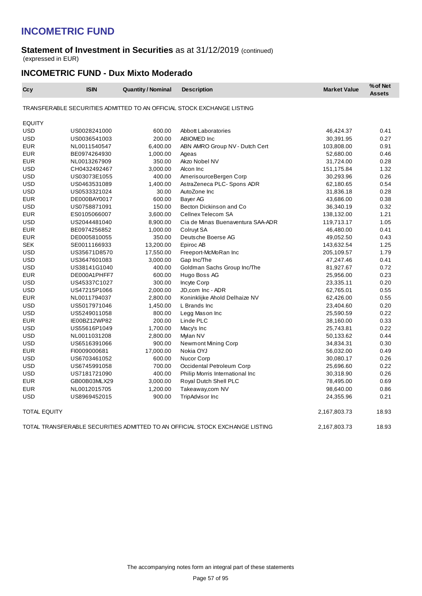#### **Statement of Investment in Securities** as at 31/12/2019 (continued) (expressed in EUR)

### **INCOMETRIC FUND - Dux Mixto Moderado**

| Ccy                 | <b>ISIN</b>  | <b>Quantity / Nominal</b> | <b>Description</b>                                                           | <b>Market Value</b> | % of Net<br><b>Assets</b> |
|---------------------|--------------|---------------------------|------------------------------------------------------------------------------|---------------------|---------------------------|
|                     |              |                           | TRANSFERABLE SECURITIES ADMITTED TO AN OFFICIAL STOCK EXCHANGE LISTING       |                     |                           |
| <b>EQUITY</b>       |              |                           |                                                                              |                     |                           |
| <b>USD</b>          | US0028241000 | 600.00                    | <b>Abbott Laboratories</b>                                                   | 46,424.37           | 0.41                      |
| <b>USD</b>          | US0036541003 | 200.00                    | ABIOMED Inc                                                                  | 30,391.95           | 0.27                      |
| <b>EUR</b>          | NL0011540547 | 6,400.00                  | ABN AMRO Group NV - Dutch Cert                                               | 103,808.00          | 0.91                      |
| <b>EUR</b>          | BE0974264930 | 1,000.00                  | Ageas                                                                        | 52,680.00           | 0.46                      |
| <b>EUR</b>          | NL0013267909 | 350.00                    | Akzo Nobel NV                                                                | 31,724.00           | 0.28                      |
| <b>USD</b>          | CH0432492467 | 3,000.00                  | Alcon Inc                                                                    | 151,175.84          | 1.32                      |
| <b>USD</b>          | US03073E1055 | 400.00                    | AmerisourceBergen Corp                                                       | 30,293.96           | 0.26                      |
| <b>USD</b>          | US0463531089 | 1,400.00                  | AstraZeneca PLC-Spons ADR                                                    | 62,180.65           | 0.54                      |
| <b>USD</b>          | US0533321024 | 30.00                     | AutoZone Inc                                                                 | 31,836.18           | 0.28                      |
| <b>EUR</b>          | DE000BAY0017 | 600.00                    | Bayer AG                                                                     | 43,686.00           | 0.38                      |
| <b>USD</b>          | US0758871091 | 150.00                    | Becton Dickinson and Co                                                      | 36,340.19           | 0.32                      |
| <b>EUR</b>          | ES0105066007 | 3,600.00                  | Cellnex Telecom SA                                                           | 138,132.00          | 1.21                      |
| <b>USD</b>          | US2044481040 | 8,900.00                  | Cia de Minas Buenaventura SAA-ADR                                            | 119,713.17          | 1.05                      |
| <b>EUR</b>          | BE0974256852 | 1,000.00                  | Colruyt SA                                                                   | 46,480.00           | 0.41                      |
| <b>EUR</b>          | DE0005810055 | 350.00                    | Deutsche Boerse AG                                                           | 49,052.50           | 0.43                      |
| <b>SEK</b>          | SE0011166933 | 13,200.00                 | Epiroc AB                                                                    | 143,632.54          | 1.25                      |
| <b>USD</b>          | US35671D8570 | 17,550.00                 | Freeport-McMoRan Inc                                                         | 205,109.57          | 1.79                      |
| <b>USD</b>          | US3647601083 | 3,000.00                  | Gap Inc/The                                                                  | 47,247.46           | 0.41                      |
| <b>USD</b>          | US38141G1040 | 400.00                    | Goldman Sachs Group Inc/The                                                  | 81,927.67           | 0.72                      |
| <b>EUR</b>          | DE000A1PHFF7 | 600.00                    | Hugo Boss AG                                                                 | 25,956.00           | 0.23                      |
| <b>USD</b>          | US45337C1027 | 300.00                    | Incyte Corp                                                                  | 23,335.11           | 0.20                      |
| <b>USD</b>          | US47215P1066 | 2.000.00                  | JD,com Inc - ADR                                                             | 62,765.01           | 0.55                      |
| <b>EUR</b>          | NL0011794037 | 2,800.00                  | Koninklijke Ahold Delhaize NV                                                | 62,426.00           | 0.55                      |
| <b>USD</b>          | US5017971046 | 1,450.00                  | L Brands Inc                                                                 | 23,404.60           | 0.20                      |
| <b>USD</b>          | US5249011058 | 800.00                    | Legg Mason Inc                                                               | 25,590.59           | 0.22                      |
| <b>EUR</b>          | IE00BZ12WP82 | 200.00                    | Linde PLC                                                                    | 38,160.00           | 0.33                      |
| <b>USD</b>          | US55616P1049 | 1,700.00                  | Macy's Inc                                                                   | 25,743.81           | 0.22                      |
| <b>USD</b>          | NL0011031208 | 2,800.00                  | Mylan NV                                                                     | 50,133.62           | 0.44                      |
| <b>USD</b>          | US6516391066 | 900.00                    | Newmont Mining Corp                                                          | 34,834.31           | 0.30                      |
| <b>EUR</b>          | FI0009000681 | 17,000.00                 | Nokia OYJ                                                                    | 56,032.00           | 0.49                      |
| <b>USD</b>          | US6703461052 | 600.00                    | Nucor Corp                                                                   | 30,080.17           | 0.26                      |
| <b>USD</b>          | US6745991058 | 700.00                    | Occidental Petroleum Corp                                                    | 25,696.60           | 0.22                      |
| <b>USD</b>          | US7181721090 | 400.00                    | Philip Morris International Inc.                                             | 30,318.90           | 0.26                      |
| <b>EUR</b>          | GB00B03MLX29 | 3,000.00                  | Royal Dutch Shell PLC                                                        | 78,495.00           | 0.69                      |
| <b>EUR</b>          | NL0012015705 | 1,200.00                  | Takeaway,com NV                                                              | 98,640.00           | 0.86                      |
| <b>USD</b>          | US8969452015 | 900.00                    | <b>TripAdvisor Inc</b>                                                       | 24,355.96           | 0.21                      |
| <b>TOTAL EQUITY</b> |              |                           |                                                                              | 2,167,803.73        | 18.93                     |
|                     |              |                           | TOTAL TRANSFERABLE SECURITIES ADMITTED TO AN OFFICIAL STOCK EXCHANGE LISTING | 2,167,803.73        | 18.93                     |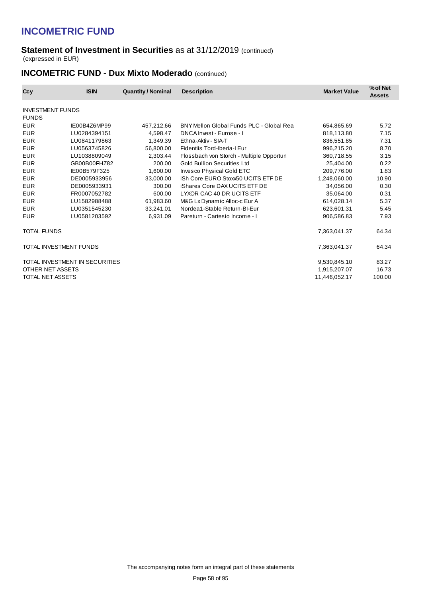#### **Statement of Investment in Securities** as at 31/12/2019 (continued) (expressed in EUR)

## **INCOMETRIC FUND - Dux Mixto Moderado** (continued)

| Ccy                                     | <b>ISIN</b>                    | <b>Quantity / Nominal</b> | <b>Description</b>                       | <b>Market Value</b> | % of Net<br><b>Assets</b> |
|-----------------------------------------|--------------------------------|---------------------------|------------------------------------------|---------------------|---------------------------|
| <b>INVESTMENT FUNDS</b><br><b>FUNDS</b> |                                |                           |                                          |                     |                           |
| <b>EUR</b>                              | IE00B4Z6MP99                   | 457,212.66                | BNY Mellon Global Funds PLC - Global Rea | 654,865.69          | 5.72                      |
| <b>EUR</b>                              | LU0284394151                   | 4,598.47                  | DNCA Invest - Eurose - I                 | 818,113.80          | 7.15                      |
| <b>EUR</b>                              | LU0841179863                   | 1,349.39                  | Ethna-Aktiv - SIA-T                      | 836.551.85          | 7.31                      |
| <b>EUR</b>                              | LU0563745826                   | 56,800.00                 | Fidentiis Tord-Iberia-I Eur              | 996,215.20          | 8.70                      |
| <b>EUR</b>                              | LU1038809049                   | 2,303.44                  | Flossbach von Storch - Multiple Opportun | 360,718.55          | 3.15                      |
| <b>EUR</b>                              | GB00B00FHZ82                   | 200.00                    | <b>Gold Bullion Securities Ltd</b>       | 25,404.00           | 0.22                      |
| <b>EUR</b>                              | IE00B579F325                   | 1,600.00                  | Invesco Physical Gold ETC                | 209.776.00          | 1.83                      |
| <b>EUR</b>                              | DE0005933956                   | 33,000.00                 | iSh Core EURO Stoxx50 UCITS ETF DE       | 1,248,060.00        | 10.90                     |
| <b>EUR</b>                              | DE0005933931                   | 300.00                    | iShares Core DAX UCITS ETF DE            | 34,056.00           | 0.30                      |
| <b>EUR</b>                              | FR0007052782                   | 600.00                    | LYXOR CAC 40 DR UCITS ETF                | 35,064.00           | 0.31                      |
| <b>EUR</b>                              | LU1582988488                   | 61,983.60                 | M&G Lx Dynamic Alloc-c Eur A             | 614.028.14          | 5.37                      |
| <b>EUR</b>                              | LU0351545230                   | 33,241.01                 | Nordea1-Stable Return-BI-Eur             | 623,601.31          | 5.45                      |
| <b>EUR</b>                              | LU0581203592                   | 6.931.09                  | Pareturn - Cartesio Income - I           | 906,586.83          | 7.93                      |
| TOTAL FUNDS                             |                                |                           |                                          | 7,363,041.37        | 64.34                     |
| TOTAL INVESTMENT FUNDS                  |                                |                           |                                          | 7,363,041.37        | 64.34                     |
|                                         | TOTAL INVESTMENT IN SECURITIES |                           |                                          | 9,530,845.10        | 83.27                     |
| OTHER NET ASSETS                        |                                |                           |                                          | 1,915,207.07        | 16.73                     |
| TOTAL NET ASSETS                        |                                |                           |                                          | 11,446,052.17       | 100.00                    |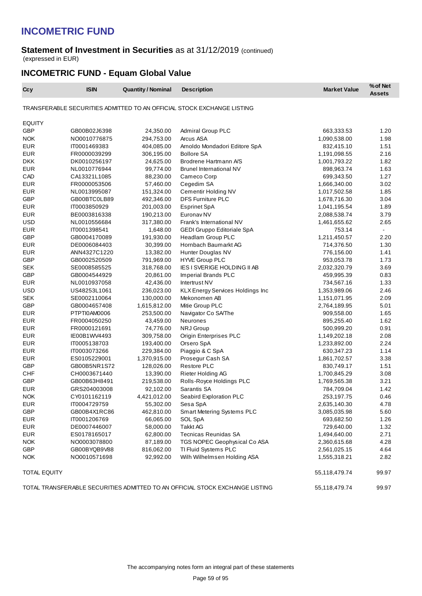#### **Statement of Investment in Securities** as at 31/12/2019 (continued) (expressed in EUR)

## **INCOMETRIC FUND - Equam Global Value**

| Ccy                                                                          | <b>ISIN</b>  | <b>Quantity / Nominal</b> | <b>Description</b>                                                     | <b>Market Value</b> | % of Net<br><b>Assets</b> |
|------------------------------------------------------------------------------|--------------|---------------------------|------------------------------------------------------------------------|---------------------|---------------------------|
|                                                                              |              |                           | TRANSFERABLE SECURITIES ADMITTED TO AN OFFICIAL STOCK EXCHANGE LISTING |                     |                           |
| <b>EQUITY</b>                                                                |              |                           |                                                                        |                     |                           |
| <b>GBP</b>                                                                   | GB00B02J6398 | 24,350.00                 | Admiral Group PLC                                                      | 663,333.53          | 1.20                      |
| <b>NOK</b>                                                                   | NO0010776875 | 294,753.00                | Arcus ASA                                                              | 1,090,538.00        | 1.98                      |
| <b>EUR</b>                                                                   | IT0001469383 | 404,085.00                | Arnoldo Mondadori Editore SpA                                          | 832,415.10          | 1.51                      |
| <b>EUR</b>                                                                   | FR0000039299 | 306,195.00                | <b>Bollore SA</b>                                                      | 1,191,098.55        | 2.16                      |
| <b>DKK</b>                                                                   | DK0010256197 | 24,625.00                 | Brodrene Hartmann A/S                                                  | 1,001,793.22        | 1.82                      |
| <b>EUR</b>                                                                   | NL0010776944 | 99,774.00                 | <b>Brunel International NV</b>                                         | 898,963.74          | 1.63                      |
| CAD                                                                          | CA13321L1085 | 88,230.00                 | Cameco Corp                                                            | 699,343.50          | 1.27                      |
| <b>EUR</b>                                                                   | FR0000053506 | 57,460.00                 | Cegedim SA                                                             | 1,666,340.00        | 3.02                      |
| <b>EUR</b>                                                                   | NL0013995087 | 151,324.00                | Cementir Holding NV                                                    | 1,017,502.58        | 1.85                      |
| GBP                                                                          | GB00BTC0LB89 | 492,346.00                | DFS Furniture PLC                                                      | 1,678,716.30        | 3.04                      |
| <b>EUR</b>                                                                   | IT0003850929 | 201,003.00                | Esprinet SpA                                                           | 1,041,195.54        | 1.89                      |
| <b>EUR</b>                                                                   | BE0003816338 | 190,213.00                | Euronav <sub>NV</sub>                                                  | 2,088,538.74        | 3.79                      |
| <b>USD</b>                                                                   | NL0010556684 | 317,380.00                | Frank's International NV                                               | 1,461,655.62        | 2.65                      |
| <b>EUR</b>                                                                   | IT0001398541 | 1,648.00                  | GEDI Gruppo Editoriale SpA                                             | 753.14              | $\sim$                    |
| <b>GBP</b>                                                                   | GB0004170089 | 191,930.00                | Headlam Group PLC                                                      | 1,211,450.57        | 2.20                      |
| <b>EUR</b>                                                                   | DE0006084403 | 30,399.00                 | Hornbach Baumarkt AG                                                   | 714,376.50          | 1.30                      |
| <b>EUR</b>                                                                   | ANN4327C1220 | 13,382.00                 | Hunter Douglas NV                                                      | 776,156.00          | 1.41                      |
| <b>GBP</b>                                                                   | GB0002520509 | 791,969.00                | <b>HYVE Group PLC</b>                                                  | 953,053.78          | 1.73                      |
| <b>SEK</b>                                                                   | SE0008585525 | 318,768.00                | <b>IES I SVERIGE HOLDING II AB</b>                                     | 2,032,320.79        | 3.69                      |
| GBP                                                                          | GB0004544929 | 20,861.00                 | Imperial Brands PLC                                                    | 459,995.39          | 0.83                      |
| <b>EUR</b>                                                                   | NL0010937058 | 42,436.00                 | Intertrust NV                                                          | 734,567.16          | 1.33                      |
| <b>USD</b>                                                                   | US48253L1061 | 236,023.00                | <b>KLX Energy Services Holdings Inc</b>                                | 1,353,989.06        | 2.46                      |
| <b>SEK</b>                                                                   | SE0002110064 | 130,000.00                | Mekonomen AB                                                           | 1,151,071.95        | 2.09                      |
| GBP                                                                          | GB0004657408 | 1,615,812.00              | Mitie Group PLC                                                        | 2,764,189.95        | 5.01                      |
| <b>EUR</b>                                                                   | PTPTI0AM0006 | 253,500.00                | Navigator Co SA/The                                                    | 909,558.00          | 1.65                      |
| <b>EUR</b>                                                                   | FR0004050250 | 43,459.00                 | Neurones                                                               | 895,255.40          | 1.62                      |
| <b>EUR</b>                                                                   | FR0000121691 | 74,776.00                 | <b>NRJ</b> Group                                                       | 500,999.20          | 0.91                      |
| <b>EUR</b>                                                                   | IE00B1WV4493 | 309,758.00                | Origin Enterprises PLC                                                 | 1,149,202.18        | 2.08                      |
| <b>EUR</b>                                                                   | IT0005138703 | 193,400.00                | Orsero SpA                                                             | 1,233,892.00        | 2.24                      |
| <b>EUR</b>                                                                   | IT0003073266 | 229,384.00                | Piaggio & C SpA                                                        | 630,347.23          | 1.14                      |
| <b>EUR</b>                                                                   | ES0105229001 | 1,370,915.00              | Prosegur Cash SA                                                       | 1,861,702.57        | 3.38                      |
| <b>GBP</b>                                                                   | GB00B5NR1S72 | 128,026.00                | <b>Restore PLC</b>                                                     | 830,749.17          | 1.51                      |
| <b>CHF</b>                                                                   | CH0003671440 | 13,390.00                 | Rieter Holding AG                                                      | 1,700,845.29        | 3.08                      |
| <b>GBP</b>                                                                   | GB00B63H8491 | 219,538.00                | Rolls-Royce Holdings PLC                                               | 1,769,565.38        | 3.21                      |
| <b>EUR</b>                                                                   | GRS204003008 | 92,102.00                 | Sarantis SA                                                            | 784,709.04          | 1.42                      |
| <b>NOK</b>                                                                   | CY0101162119 | 4,421,012.00              | Seabird Exploration PLC                                                | 253,197.75          | 0.46                      |
| EUR                                                                          | IT0004729759 | 55,302.00                 | Sesa SpA                                                               | 2,635,140.30        | 4.78                      |
| GBP                                                                          | GB00B4X1RC86 | 462,810.00                | Smart Metering Systems PLC                                             | 3,085,035.98        | 5.60                      |
| <b>EUR</b>                                                                   | IT0001206769 | 66,065.00                 | SOL SpA                                                                | 693,682.50          | 1.26                      |
| <b>EUR</b>                                                                   | DE0007446007 | 58,000.00                 | <b>Takkt AG</b>                                                        | 729,640.00          | 1.32                      |
| <b>EUR</b>                                                                   | ES0178165017 | 62,800.00                 | <b>Tecnicas Reunidas SA</b>                                            | 1,494,640.00        | 2.71                      |
| <b>NOK</b>                                                                   | NO0003078800 | 87,189.00                 | TGS NOPEC Geophysical Co ASA                                           | 2,360,615.68        | 4.28                      |
| GBP                                                                          | GB00BYQB9V88 | 816,062.00                | TI Fluid Systems PLC                                                   | 2,561,025.15        | 4.64                      |
| <b>NOK</b>                                                                   | NO0010571698 | 92,992.00                 | Wilh Wilhelmsen Holding ASA                                            | 1,555,318.21        | 2.82                      |
| TOTAL EQUITY                                                                 |              |                           |                                                                        | 55,118,479.74       | 99.97                     |
| TOTAL TRANSFERABLE SECURITIES ADMITTED TO AN OFFICIAL STOCK EXCHANGE LISTING |              |                           |                                                                        | 55,118,479.74       | 99.97                     |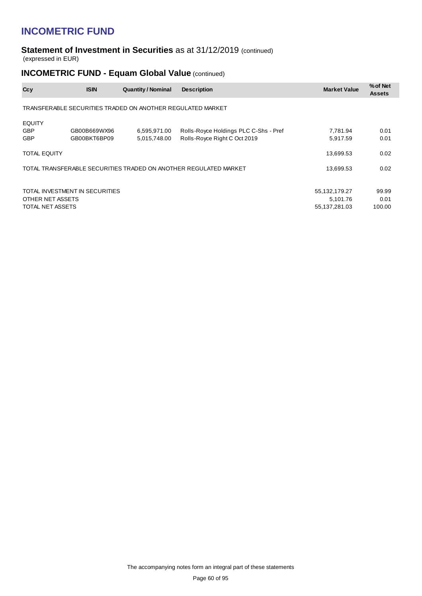#### **Statement of Investment in Securities** as at 31/12/2019 (continued) (expressed in EUR)

## **INCOMETRIC FUND - Equam Global Value (continued)**

| Ccy                                       | <b>ISIN</b>                                                | <b>Quantity / Nominal</b>    | <b>Description</b>                                                    | <b>Market Value</b>                        | % of Net<br><b>Assets</b> |  |  |  |  |  |
|-------------------------------------------|------------------------------------------------------------|------------------------------|-----------------------------------------------------------------------|--------------------------------------------|---------------------------|--|--|--|--|--|
|                                           | TRANSFERABLE SECURITIES TRADED ON ANOTHER REGULATED MARKET |                              |                                                                       |                                            |                           |  |  |  |  |  |
| <b>EQUITY</b><br><b>GBP</b><br><b>GBP</b> | GB00B669WX96<br>GB00BKT6BP09                               | 6,595,971.00<br>5,015,748.00 | Rolls-Royce Holdings PLC C-Shs - Pref<br>Rolls-Royce Right C Oct 2019 | 7,781.94<br>5,917.59                       | 0.01<br>0.01              |  |  |  |  |  |
| <b>TOTAL EQUITY</b>                       |                                                            |                              |                                                                       | 13,699.53                                  | 0.02                      |  |  |  |  |  |
|                                           |                                                            |                              | TOTAL TRANSFERABLE SECURITIES TRADED ON ANOTHER REGULATED MARKET      | 13,699.53                                  | 0.02                      |  |  |  |  |  |
| OTHER NET ASSETS<br>TOTAL NET ASSETS      | TOTAL INVESTMENT IN SECURITIES                             |                              |                                                                       | 55,132,179.27<br>5,101.76<br>55,137,281.03 | 99.99<br>0.01<br>100.00   |  |  |  |  |  |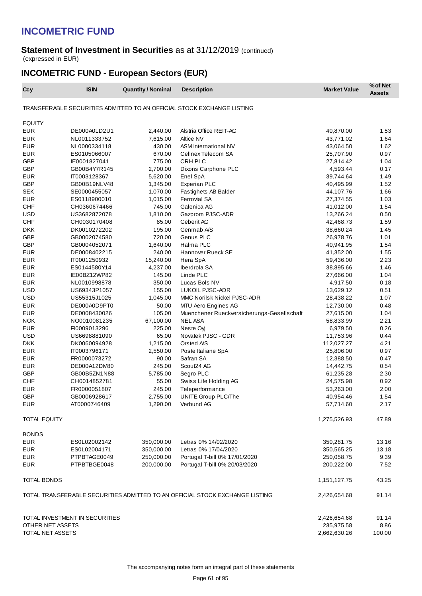#### **Statement of Investment in Securities** as at 31/12/2019 (continued) (expressed in EUR)

## **INCOMETRIC FUND - European Sectors (EUR)**

| Ccy                 | <b>ISIN</b>                    | <b>Quantity / Nominal</b> | <b>Description</b>                                                           | <b>Market Value</b> | % of Net<br><b>Assets</b> |
|---------------------|--------------------------------|---------------------------|------------------------------------------------------------------------------|---------------------|---------------------------|
|                     |                                |                           | TRANSFERABLE SECURITIES ADMITTED TO AN OFFICIAL STOCK EXCHANGE LISTING       |                     |                           |
| <b>EQUITY</b>       |                                |                           |                                                                              |                     |                           |
| <b>EUR</b>          | DE000A0LD2U1                   | 2,440.00                  | Alstria Office REIT-AG                                                       | 40,870.00           | 1.53                      |
| <b>EUR</b>          | NL0011333752                   | 7,615.00                  | Altice NV                                                                    | 43,771.02           | 1.64                      |
| <b>EUR</b>          | NL0000334118                   | 430.00                    | ASM International NV                                                         | 43,064.50           | 1.62                      |
| <b>EUR</b>          | ES0105066007                   | 670.00                    | Cellnex Telecom SA                                                           | 25,707.90           | 0.97                      |
| GBP                 | IE0001827041                   | 775.00                    | CRH PLC                                                                      | 27,814.42           | 1.04                      |
| GBP                 | GB00B4Y7R145                   | 2,700.00                  | Dixons Carphone PLC                                                          | 4,593.44            | 0.17                      |
| <b>EUR</b>          | IT0003128367                   | 5,620.00                  | Enel SpA                                                                     | 39,744.64           | 1.49                      |
| <b>GBP</b>          | GB00B19NLV48                   | 1,345.00                  | <b>Experian PLC</b>                                                          | 40,495.99           | 1.52                      |
| <b>SEK</b>          | SE0000455057                   | 1,070.00                  | Fastighets AB Balder                                                         | 44,107.76           | 1.66                      |
| <b>EUR</b>          | ES0118900010                   | 1,015.00                  | <b>Ferrovial SA</b>                                                          | 27,374.55           | 1.03                      |
| <b>CHF</b>          | CH0360674466                   | 745.00                    | Galenica AG                                                                  | 41,012.00           | 1.54                      |
| <b>USD</b>          | US3682872078                   | 1,810.00                  | Gazprom PJSC-ADR                                                             | 13,266.24           | 0.50                      |
| <b>CHF</b>          | CH0030170408                   | 85.00                     | Geberit AG                                                                   | 42,468.73           | 1.59                      |
| <b>DKK</b>          | DK0010272202                   | 195.00                    | Genmab A/S                                                                   | 38,660.24           | 1.45                      |
| GBP                 | GB0002074580                   | 720.00                    | Genus PLC                                                                    | 26,978.76           | 1.01                      |
| <b>GBP</b>          | GB0004052071                   | 1,640.00                  | Halma PLC                                                                    | 40,941.95           | 1.54                      |
| <b>EUR</b>          | DE0008402215                   | 240.00                    | Hannover Rueck SE                                                            | 41,352.00           | 1.55                      |
| <b>EUR</b>          | IT0001250932                   | 15,240.00                 | Hera SpA                                                                     | 59,436.00           | 2.23                      |
| <b>EUR</b>          | ES0144580Y14                   | 4,237.00                  | Iberdrola SA                                                                 | 38,895.66           | 1.46                      |
| <b>EUR</b>          | IE00BZ12WP82                   | 145.00                    | Linde PLC                                                                    | 27,666.00           | 1.04                      |
| <b>EUR</b>          | NL0010998878                   | 350.00                    | Lucas Bols NV                                                                | 4,917.50            | 0.18                      |
| <b>USD</b>          | US69343P1057                   | 155.00                    | LUKOIL PJSC-ADR                                                              | 13,629.12           | 0.51                      |
| <b>USD</b>          | US55315J1025                   | 1,045.00                  | MMC Norilsk Nickel PJSC-ADR                                                  | 28,438.22           | 1.07                      |
| <b>EUR</b>          | DE000A0D9PT0                   | 50.00                     | MTU Aero Engines AG                                                          | 12,730.00           | 0.48                      |
| <b>EUR</b>          | DE0008430026                   | 105.00                    | Muenchener Rueckversicherungs-Gesellschaft                                   | 27,615.00           | 1.04                      |
| <b>NOK</b>          | NO0010081235                   | 67,100.00                 | <b>NEL ASA</b>                                                               | 58,833.99           | 2.21                      |
| <b>EUR</b>          | FI0009013296                   | 225.00                    | Neste Oyi                                                                    | 6,979.50            | 0.26                      |
| <b>USD</b>          | US6698881090                   | 65.00                     | Novatek PJSC - GDR                                                           | 11,753.96           | 0.44                      |
| <b>DKK</b>          |                                | 1,215.00                  | Orsted A/S                                                                   | 112,027.27          | 4.21                      |
|                     | DK0060094928                   |                           |                                                                              |                     |                           |
| <b>EUR</b>          | IT0003796171                   | 2,550.00                  | Poste Italiane SpA                                                           | 25,806.00           | 0.97                      |
| <b>EUR</b>          | FR0000073272                   | 90.00                     | Safran SA<br>Scout24 AG                                                      | 12,388.50           | 0.47                      |
| <b>EUR</b>          | DE000A12DM80                   | 245.00                    |                                                                              | 14,442.75           | 0.54                      |
| <b>GBP</b>          | GB00B5ZN1N88                   | 5,785.00                  | Segro PLC                                                                    | 61,235.28           | 2.30                      |
| <b>CHF</b>          | CH0014852781                   | 55.00                     | Swiss Life Holding AG                                                        | 24,575.98           | 0.92                      |
| <b>EUR</b>          | FR0000051807                   | 245.00                    | Teleperformance                                                              | 53,263.00           | 2.00                      |
| <b>GBP</b>          | GB0006928617                   | 2,755.00                  | <b>UNITE Group PLC/The</b>                                                   | 40,954.46           | 1.54                      |
| <b>EUR</b>          | AT0000746409                   | 1,290.00                  | Verbund AG                                                                   | 57,714.60           | 2.17                      |
| <b>TOTAL EQUITY</b> |                                |                           |                                                                              | 1,275,526.93        | 47.89                     |
| <b>BONDS</b>        |                                |                           |                                                                              |                     |                           |
| <b>EUR</b>          | ES0L02002142                   | 350,000.00                | Letras 0% 14/02/2020                                                         | 350,281.75          | 13.16                     |
| <b>EUR</b>          | ES0L02004171                   | 350,000.00                | Letras 0% 17/04/2020                                                         | 350,565.25          | 13.18                     |
| <b>EUR</b>          | PTPBTAGE0049                   | 250,000.00                | Portugal T-bill 0% 17/01/2020                                                | 250,058.75          | 9.39                      |
| <b>EUR</b>          | PTPBTBGE0048                   | 200,000.00                | Portugal T-bill 0% 20/03/2020                                                | 200,222.00          | 7.52                      |
| TOTAL BONDS         |                                |                           |                                                                              | 1,151,127.75        | 43.25                     |
|                     |                                |                           | TOTAL TRANSFERABLE SECURITIES ADMITTED TO AN OFFICIAL STOCK EXCHANGE LISTING | 2,426,654.68        | 91.14                     |
|                     |                                |                           |                                                                              |                     |                           |
|                     | TOTAL INVESTMENT IN SECURITIES |                           |                                                                              | 2,426,654.68        | 91.14                     |
| OTHER NET ASSETS    |                                |                           |                                                                              | 235,975.58          | 8.86                      |
| TOTAL NET ASSETS    |                                |                           |                                                                              | 2,662,630.26        | 100.00                    |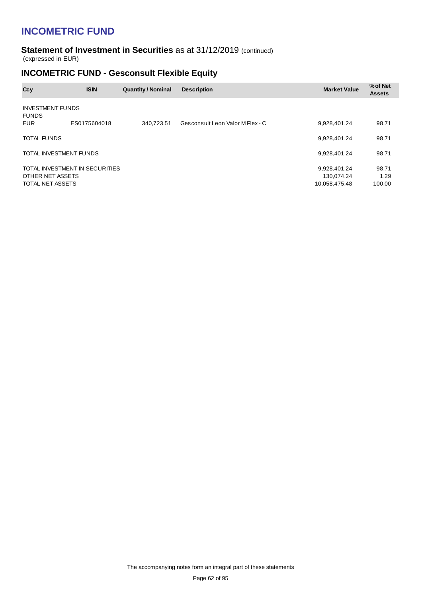#### **Statement of Investment in Securities** as at 31/12/2019 (continued) (expressed in EUR)

### **INCOMETRIC FUND - Gesconsult Flexible Equity**

| <b>ISIN</b>  | <b>Quantity / Nominal</b>                                                                 | <b>Description</b>               | <b>Market Value</b>                         | % of Net<br><b>Assets</b> |
|--------------|-------------------------------------------------------------------------------------------|----------------------------------|---------------------------------------------|---------------------------|
|              |                                                                                           |                                  |                                             |                           |
| ES0175604018 | 340.723.51                                                                                | Gesconsult Leon Valor M Flex - C | 9,928,401.24                                | 98.71                     |
|              |                                                                                           |                                  | 9,928,401.24                                | 98.71                     |
|              |                                                                                           |                                  | 9,928,401.24                                | 98.71                     |
|              |                                                                                           |                                  | 9,928,401.24<br>130.074.24<br>10,058,475.48 | 98.71<br>1.29<br>100.00   |
|              | <b>INVESTMENT FUNDS</b><br>TOTAL INVESTMENT FUNDS<br>OTHER NET ASSETS<br>TOTAL NET ASSETS | TOTAL INVESTMENT IN SECURITIES   |                                             |                           |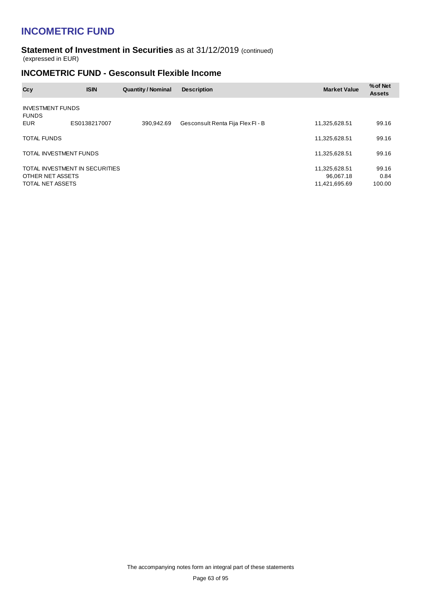#### **Statement of Investment in Securities** as at 31/12/2019 (continued) (expressed in EUR)

### **INCOMETRIC FUND - Gesconsult Flexible Income**

| Ccy                                     | <b>ISIN</b>                    | <b>Quantity / Nominal</b> | <b>Description</b>                | <b>Market Value</b>                         | % of Net<br><b>Assets</b> |
|-----------------------------------------|--------------------------------|---------------------------|-----------------------------------|---------------------------------------------|---------------------------|
| <b>INVESTMENT FUNDS</b><br><b>FUNDS</b> |                                |                           |                                   |                                             |                           |
| <b>EUR</b>                              | ES0138217007                   | 390.942.69                | Gesconsult Renta Fija Flex Fl - B | 11,325,628.51                               | 99.16                     |
| <b>TOTAL FUNDS</b>                      |                                |                           |                                   | 11,325,628.51                               | 99.16                     |
| TOTAL INVESTMENT FUNDS                  |                                |                           |                                   | 11,325,628.51                               | 99.16                     |
| OTHER NET ASSETS<br>TOTAL NET ASSETS    | TOTAL INVESTMENT IN SECURITIES |                           |                                   | 11,325,628.51<br>96.067.18<br>11,421,695.69 | 99.16<br>0.84<br>100.00   |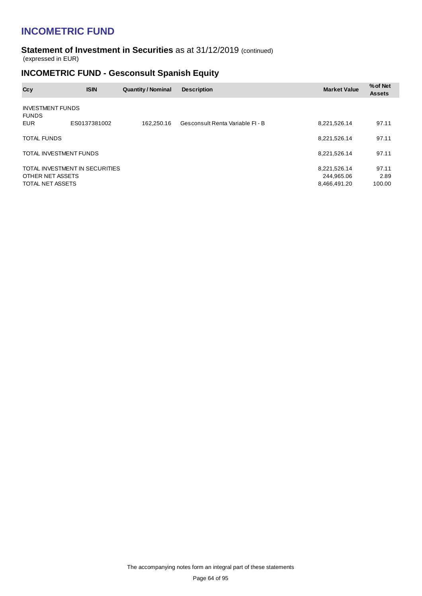#### **Statement of Investment in Securities** as at 31/12/2019 (continued) (expressed in EUR)

### **INCOMETRIC FUND - Gesconsult Spanish Equity**

| Ccy                                     | <b>ISIN</b>                    | <b>Quantity / Nominal</b> | <b>Description</b>               | <b>Market Value</b>                        | % of Net<br><b>Assets</b> |
|-----------------------------------------|--------------------------------|---------------------------|----------------------------------|--------------------------------------------|---------------------------|
| <b>INVESTMENT FUNDS</b><br><b>FUNDS</b> |                                |                           |                                  |                                            |                           |
| EUR                                     | ES0137381002                   | 162.250.16                | Gesconsult Renta Variable FI - B | 8,221,526.14                               | 97.11                     |
| TOTAL FUNDS                             |                                |                           |                                  | 8,221,526.14                               | 97.11                     |
| TOTAL INVESTMENT FUNDS                  |                                |                           |                                  | 8,221,526.14                               | 97.11                     |
| OTHER NET ASSETS<br>TOTAL NET ASSETS    | TOTAL INVESTMENT IN SECURITIES |                           |                                  | 8,221,526.14<br>244,965.06<br>8,466,491.20 | 97.11<br>2.89<br>100.00   |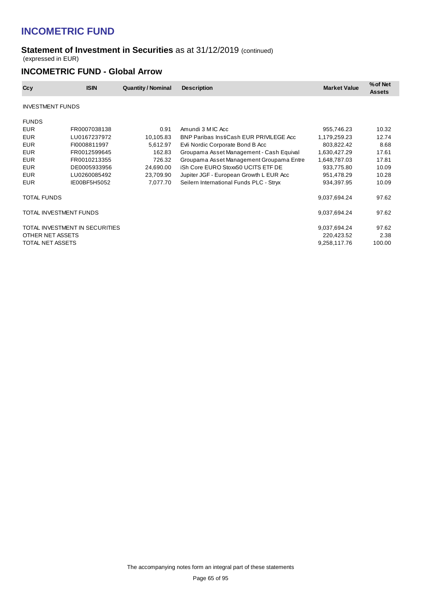### **Statement of Investment in Securities** as at 31/12/2019 (continued) (expressed in EUR)

### **INCOMETRIC FUND - Global Arrow**

| Ccy                     | <b>ISIN</b>                    | <b>Quantity / Nominal</b> | <b>Description</b>                       | <b>Market Value</b> | % of Net<br><b>Assets</b> |
|-------------------------|--------------------------------|---------------------------|------------------------------------------|---------------------|---------------------------|
| <b>INVESTMENT FUNDS</b> |                                |                           |                                          |                     |                           |
| <b>FUNDS</b>            |                                |                           |                                          |                     |                           |
| <b>EUR</b>              | FR0007038138                   | 0.91                      | Amundi 3 M IC Acc                        | 955,746.23          | 10.32                     |
| EUR                     | LU0167237972                   | 10,105.83                 | BNP Paribas InstiCash EUR PRIVILEGE Acc  | 1,179,259.23        | 12.74                     |
| <b>EUR</b>              | FI0008811997                   | 5,612.97                  | Evli Nordic Corporate Bond B Acc         | 803,822.42          | 8.68                      |
| EUR                     | FR0012599645                   | 162.83                    | Groupama Asset Management - Cash Equival | 1,630,427.29        | 17.61                     |
| <b>EUR</b>              | FR0010213355                   | 726.32                    | Groupama Asset Management Groupama Entre | 1,648,787.03        | 17.81                     |
| <b>EUR</b>              | DE0005933956                   | 24,690.00                 | iSh Core EURO Stoxx50 UCITS ETF DE       | 933,775.80          | 10.09                     |
| <b>EUR</b>              | LU0260085492                   | 23,709.90                 | Jupiter JGF - European Growth L EUR Acc  | 951,478.29          | 10.28                     |
| <b>EUR</b>              | IE00BF5H5052                   | 7,077.70                  | Seilern International Funds PLC - Stryx  | 934,397.95          | 10.09                     |
| TOTAL FUNDS             |                                |                           |                                          | 9,037,694.24        | 97.62                     |
|                         | TOTAL INVESTMENT FUNDS         |                           |                                          | 9,037,694.24        | 97.62                     |
|                         | TOTAL INVESTMENT IN SECURITIES |                           |                                          | 9,037,694.24        | 97.62                     |
| OTHER NET ASSETS        |                                |                           |                                          | 220,423.52          | 2.38                      |
| TOTAL NET ASSETS        |                                |                           |                                          | 9,258,117.76        | 100.00                    |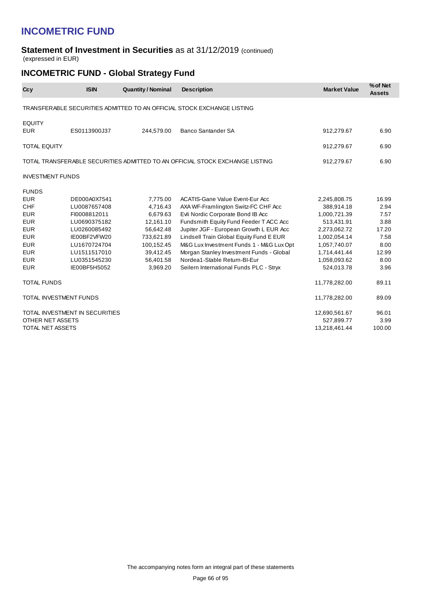#### **Statement of Investment in Securities** as at 31/12/2019 (continued) (expressed in EUR)

## **INCOMETRIC FUND - Global Strategy Fund**

| Ccy                         | <b>ISIN</b>                    | <b>Quantity / Nominal</b> | <b>Description</b>                                                           | <b>Market Value</b> | % of Net<br><b>Assets</b> |
|-----------------------------|--------------------------------|---------------------------|------------------------------------------------------------------------------|---------------------|---------------------------|
|                             |                                |                           | TRANSFERABLE SECURITIES ADMITTED TO AN OFFICIAL STOCK EXCHANGE LISTING       |                     |                           |
| <b>EQUITY</b><br><b>EUR</b> | ES0113900J37                   | 244,579.00                | <b>Banco Santander SA</b>                                                    | 912,279.67          | 6.90                      |
| <b>TOTAL EQUITY</b>         |                                |                           |                                                                              | 912,279.67          | 6.90                      |
|                             |                                |                           | TOTAL TRANSFERABLE SECURITIES ADMITTED TO AN OFFICIAL STOCK EXCHANGE LISTING | 912,279.67          | 6.90                      |
| <b>INVESTMENT FUNDS</b>     |                                |                           |                                                                              |                     |                           |
| <b>FUNDS</b>                |                                |                           |                                                                              |                     |                           |
| <b>EUR</b>                  | DE000A0X7541                   | 7,775.00                  | <b>ACATIS-Gane Value Event-Eur Acc</b>                                       | 2,245,808.75        | 16.99                     |
| <b>CHF</b>                  | LU0087657408                   | 4,716.43                  | AXA WF-Framlington Switz-FC CHF Acc                                          | 388,914.18          | 2.94                      |
| <b>EUR</b>                  | FI0008812011                   | 6,679.63                  | Evli Nordic Corporate Bond IB Acc                                            | 1,000,721.39        | 7.57                      |
| <b>EUR</b>                  | LU0690375182                   | 12,161.10                 | Fundsmith Equity Fund Feeder T ACC Acc                                       | 513,431.91          | 3.88                      |
| <b>EUR</b>                  | LU0260085492                   | 56,642.48                 | Jupiter JGF - European Growth L EUR Acc                                      | 2,273,062.72        | 17.20                     |
| <b>EUR</b>                  | IE00BF2VFW20                   | 733,621.89                | Lindsell Train Global Equity Fund E EUR                                      | 1,002,054.14        | 7.58                      |
| <b>EUR</b>                  | LU1670724704                   | 100,152.45                | M&G Lux Investment Funds 1 - M&G Lux Opt                                     | 1,057,740.07        | 8.00                      |
| <b>EUR</b>                  | LU1511517010                   | 39,412.45                 | Morgan Stanley Investment Funds - Global                                     | 1,714,441.44        | 12.99                     |
| <b>EUR</b>                  | LU0351545230                   | 56,401.58                 | Nordea1-Stable Return-BI-Eur                                                 | 1,058,093.62        | 8.00                      |
| <b>EUR</b>                  | IE00BF5H5052                   | 3,969.20                  | Seilern International Funds PLC - Stryx                                      | 524,013.78          | 3.96                      |
| <b>TOTAL FUNDS</b>          |                                |                           |                                                                              | 11,778,282.00       | 89.11                     |
|                             | TOTAL INVESTMENT FUNDS         |                           |                                                                              | 11,778,282.00       | 89.09                     |
|                             | TOTAL INVESTMENT IN SECURITIES |                           |                                                                              | 12,690,561.67       | 96.01                     |
| OTHER NET ASSETS            |                                |                           |                                                                              | 527,899.77          | 3.99                      |
| TOTAL NET ASSETS            |                                |                           |                                                                              | 13,218,461.44       | 100.00                    |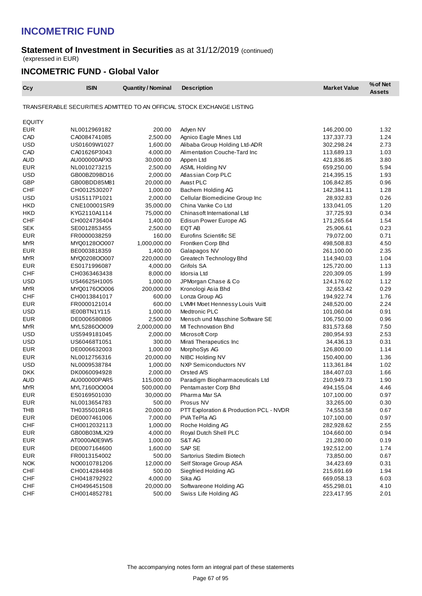### **Statement of Investment in Securities** as at 31/12/2019 (continued) (expressed in EUR)

## **INCOMETRIC FUND - Global Valor**

| Ccy           | <b>ISIN</b>  | <b>Quantity / Nominal</b> | <b>Description</b>                                                     | <b>Market Value</b> | % of Net<br><b>Assets</b> |
|---------------|--------------|---------------------------|------------------------------------------------------------------------|---------------------|---------------------------|
|               |              |                           | TRANSFERABLE SECURITIES ADMITTED TO AN OFFICIAL STOCK EXCHANGE LISTING |                     |                           |
| <b>EQUITY</b> |              |                           |                                                                        |                     |                           |
| <b>EUR</b>    | NL0012969182 | 200.00                    | Adyen NV                                                               | 146,200.00          | 1.32                      |
| CAD           | CA0084741085 | 2,500.00                  | Agnico Eagle Mines Ltd                                                 | 137,337.73          | 1.24                      |
| <b>USD</b>    | US01609W1027 | 1,600.00                  | Alibaba Group Holding Ltd-ADR                                          | 302,298.24          | 2.73                      |
| CAD           | CA01626P3043 | 4,000.00                  | Alimentation Couche-Tard Inc                                           | 113,689.13          | 1.03                      |
| <b>AUD</b>    | AU000000APX3 | 30,000.00                 | Appen Ltd                                                              | 421,836.85          | 3.80                      |
| <b>EUR</b>    | NL0010273215 | 2,500.00                  | ASML Holding NV                                                        | 659,250.00          | 5.94                      |
| <b>USD</b>    | GB00BZ09BD16 | 2,000.00                  | Atlassian Corp PLC                                                     | 214,395.15          | 1.93                      |
| <b>GBP</b>    | GB00BDD85M81 | 20,000.00                 | Avast PLC                                                              | 106,842.85          | 0.96                      |
| <b>CHF</b>    | CH0012530207 | 1,000.00                  | Bachem Holding AG                                                      | 142,384.11          | 1.28                      |
| <b>USD</b>    | US15117P1021 | 2,000.00                  | Cellular Biomedicine Group Inc                                         | 28,932.83           | 0.26                      |
| <b>HKD</b>    | CNE100001SR9 | 35,000.00                 | China Vanke Co Ltd                                                     | 133,041.05          | 1.20                      |
| <b>HKD</b>    | KYG2110A1114 | 75,000.00                 | Chinasoft International Ltd                                            | 37,725.93           | 0.34                      |
| <b>CHF</b>    | CH0024736404 | 1,400.00                  | Edisun Power Europe AG                                                 | 171,265.64          | 1.54                      |
| <b>SEK</b>    | SE0012853455 | 2,500.00                  | EQT AB                                                                 | 25,906.61           | 0.23                      |
| <b>EUR</b>    | FR0000038259 | 160.00                    | <b>Eurofins Scientific SE</b>                                          | 79,072.00           | 0.71                      |
| <b>MYR</b>    | MYQ0128OO007 | 1,000,000.00              | Frontken Corp Bhd                                                      | 498,508.83          | 4.50                      |
| <b>EUR</b>    | BE0003818359 | 1,400.00                  | Galapagos NV                                                           | 261,100.00          | 2.35                      |
| <b>MYR</b>    | MYQ0208OO007 | 220,000.00                | Greatech Technology Bhd                                                | 114,940.03          | 1.04                      |
| <b>EUR</b>    | ES0171996087 | 4,000.00                  | Grifols SA                                                             | 125,720.00          | 1.13                      |
| <b>CHF</b>    | CH0363463438 | 8,000.00                  | Idorsia Ltd                                                            | 220,309.05          | 1.99                      |
| <b>USD</b>    | US46625H1005 | 1,000.00                  | JPMorgan Chase & Co                                                    | 124,176.02          | 1.12                      |
| <b>MYR</b>    | MYQ0176OO006 | 200,000.00                | Kronologi Asia Bhd                                                     | 32,653.42           | 0.29                      |
| <b>CHF</b>    | CH0013841017 | 600.00                    | Lonza Group AG                                                         | 194,922.74          | 1.76                      |
| <b>EUR</b>    | FR0000121014 | 600.00                    | LVMH Moet Hennessy Louis Vuitt                                         | 248,520.00          | 2.24                      |
| <b>USD</b>    | IE00BTN1Y115 | 1,000.00                  | Medtronic PLC                                                          | 101,060.04          | 0.91                      |
| <b>EUR</b>    | DE0006580806 | 2,500.00                  | Mensch und Maschine Software SE                                        | 106,750.00          | 0.96                      |
| <b>MYR</b>    | MYL5286OO009 | 2,000,000.00              | MI Technovation Bhd                                                    | 831,573.68          | 7.50                      |
| <b>USD</b>    | US5949181045 | 2,000.00                  | Microsoft Corp                                                         | 280,954.93          | 2.53                      |
| <b>USD</b>    | US60468T1051 | 300.00                    | Mirati Therapeutics Inc                                                | 34,436.13           | 0.31                      |
| <b>EUR</b>    | DE0006632003 | 1,000.00                  | MorphoSys AG                                                           | 126,800.00          | 1.14                      |
| <b>EUR</b>    | NL0012756316 | 20,000.00                 | NIBC Holding NV                                                        | 150,400.00          | 1.36                      |
| <b>USD</b>    | NL0009538784 | 1,000.00                  | <b>NXP Semiconductors NV</b>                                           | 113,361.84          | 1.02                      |
| <b>DKK</b>    | DK0060094928 | 2,000.00                  | Orsted A/S                                                             | 184,407.03          | 1.66                      |
| <b>AUD</b>    | AU000000PAR5 | 115,000.00                | Paradigm Biopharmaceuticals Ltd                                        | 210,949.73          | 1.90                      |
| <b>MYR</b>    | MYL7160OO004 | 500,000.00                | Pentamaster Corp Bhd                                                   | 494,155.04          | 4.46                      |
| <b>EUR</b>    | ES0169501030 | 30,000.00                 | Pharma Mar SA                                                          | 107,100.00          | 0.97                      |
| <b>EUR</b>    | NL0013654783 | 500.00                    | Prosus NV                                                              | 33,265.00           | 0.30                      |
| <b>THB</b>    | TH0355010R16 | 20,000.00                 | PTT Exploration & Production PCL - NVDR                                | 74,553.58           | 0.67                      |
| <b>EUR</b>    | DE0007461006 | 7,000.00                  | PVA TePla AG                                                           | 107,100.00          | 0.97                      |
| <b>CHF</b>    | CH0012032113 | 1,000.00                  | Roche Holding AG                                                       | 282,928.62          | 2.55                      |
| <b>EUR</b>    | GB00B03MLX29 | 4,000.00                  | Royal Dutch Shell PLC                                                  | 104,660.00          | 0.94                      |
| <b>EUR</b>    | AT0000A0E9W5 | 1,000.00                  | S&T AG                                                                 | 21,280.00           | 0.19                      |
| <b>EUR</b>    | DE0007164600 | 1,600.00                  | SAP SE                                                                 | 192,512.00          | 1.74                      |
| <b>EUR</b>    | FR0013154002 | 500.00                    | Sartorius Stedim Biotech                                               | 73,850.00           | 0.67                      |
| <b>NOK</b>    | NO0010781206 | 12,000.00                 | Self Storage Group ASA                                                 | 34,423.69           | 0.31                      |
| CHF           | CH0014284498 | 500.00                    | Siegfried Holding AG                                                   | 215,691.69          | 1.94                      |
| CHF           | CH0418792922 | 4,000.00                  | Sika AG                                                                | 669,058.13          | 6.03                      |
| <b>CHF</b>    | CH0496451508 | 20,000.00                 | Softwareone Holding AG                                                 | 455,298.01          | 4.10                      |
| <b>CHF</b>    | CH0014852781 | 500.00                    | Swiss Life Holding AG                                                  | 223,417.95          | 2.01                      |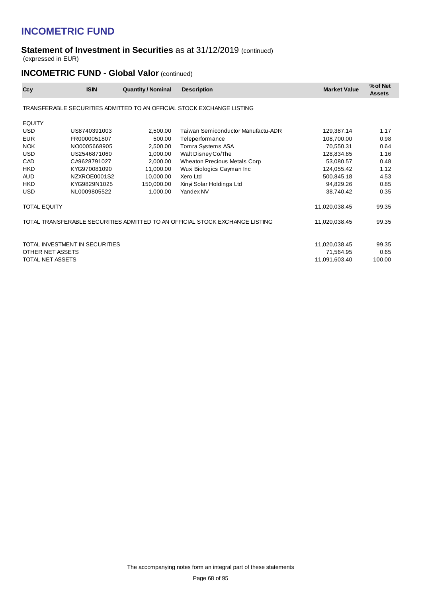#### **Statement of Investment in Securities** as at 31/12/2019 (continued) (expressed in EUR)

# **INCOMETRIC FUND - Global Valor (continued)**

| Ccy                 | <b>ISIN</b>                    | <b>Quantity / Nominal</b> | <b>Description</b>                                                           | <b>Market Value</b> | % of Net<br><b>Assets</b> |
|---------------------|--------------------------------|---------------------------|------------------------------------------------------------------------------|---------------------|---------------------------|
|                     |                                |                           | TRANSFERABLE SECURITIES ADMITTED TO AN OFFICIAL STOCK EXCHANGE LISTING       |                     |                           |
| <b>EQUITY</b>       |                                |                           |                                                                              |                     |                           |
| <b>USD</b>          | US8740391003                   | 2,500.00                  | Taiwan Semiconductor Manufactu-ADR                                           | 129,387.14          | 1.17                      |
| <b>EUR</b>          | FR0000051807                   | 500.00                    | Teleperformance                                                              | 108,700.00          | 0.98                      |
| <b>NOK</b>          | NO0005668905                   | 2,500.00                  | Tomra Systems ASA                                                            | 70,550.31           | 0.64                      |
| <b>USD</b>          | US2546871060                   | 1,000.00                  | Walt Disney Co/The                                                           | 128,834.85          | 1.16                      |
| CAD                 | CA9628791027                   | 2,000.00                  | <b>Wheaton Precious Metals Corp</b>                                          | 53,080.57           | 0.48                      |
| <b>HKD</b>          | KYG970081090                   | 11,000.00                 | Wuxi Biologics Cayman Inc                                                    | 124,055.42          | 1.12                      |
| <b>AUD</b>          | NZXROE0001S2                   | 10,000.00                 | Xero Ltd                                                                     | 500,845.18          | 4.53                      |
| <b>HKD</b>          | KYG9829N1025                   | 150,000.00                | Xinyi Solar Holdings Ltd                                                     | 94,829.26           | 0.85                      |
| <b>USD</b>          | NL0009805522                   | 1,000.00                  | Yandex NV                                                                    | 38,740.42           | 0.35                      |
| <b>TOTAL EQUITY</b> |                                |                           |                                                                              | 11,020,038.45       | 99.35                     |
|                     |                                |                           | TOTAL TRANSFERABLE SECURITIES ADMITTED TO AN OFFICIAL STOCK EXCHANGE LISTING | 11,020,038.45       | 99.35                     |
|                     | TOTAL INVESTMENT IN SECURITIES |                           |                                                                              | 11,020,038.45       | 99.35                     |
| OTHER NET ASSETS    |                                |                           |                                                                              | 71,564.95           | 0.65                      |
| TOTAL NET ASSETS    |                                |                           |                                                                              | 11,091,603.40       | 100.00                    |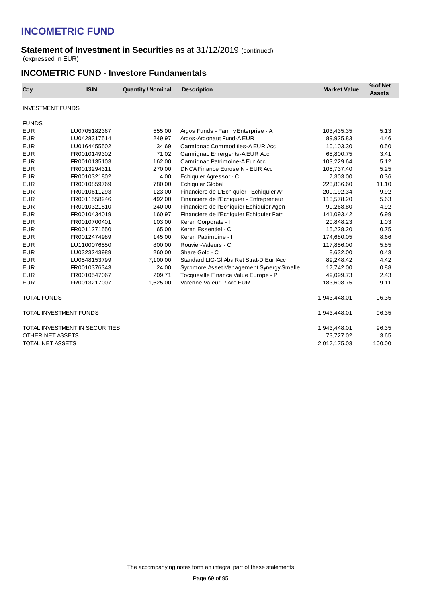#### **Statement of Investment in Securities** as at 31/12/2019 (continued) (expressed in EUR)

### **INCOMETRIC FUND - Investore Fundamentals**

| Ccy                     | <b>ISIN</b>                    | <b>Quantity / Nominal</b> | <b>Description</b>                       | <b>Market Value</b> | % of Net<br><b>Assets</b> |
|-------------------------|--------------------------------|---------------------------|------------------------------------------|---------------------|---------------------------|
| <b>INVESTMENT FUNDS</b> |                                |                           |                                          |                     |                           |
| <b>FUNDS</b>            |                                |                           |                                          |                     |                           |
| <b>EUR</b>              | LU0705182367                   | 555.00                    | Argos Funds - Family Enterprise - A      | 103,435.35          | 5.13                      |
| <b>EUR</b>              | LU0428317514                   | 249.97                    | Argos-Argonaut Fund-A EUR                | 89,925.83           | 4.46                      |
| <b>EUR</b>              | LU0164455502                   | 34.69                     | Carmignac Commodities-A EUR Acc          | 10,103.30           | 0.50                      |
| <b>EUR</b>              | FR0010149302                   | 71.02                     | Carmignac Emergents-A EUR Acc            | 68,800.75           | 3.41                      |
| <b>EUR</b>              | FR0010135103                   | 162.00                    | Carmignac Patrimoine-A Eur Acc           | 103,229.64          | 5.12                      |
| <b>EUR</b>              | FR0013294311                   | 270.00                    | DNCA Finance Eurose N - EUR Acc          | 105,737.40          | 5.25                      |
| <b>EUR</b>              | FR0010321802                   | 4.00                      | Echiquier Agressor - C                   | 7,303.00            | 0.36                      |
| <b>EUR</b>              | FR0010859769                   | 780.00                    | <b>Echiquier Global</b>                  | 223,836.60          | 11.10                     |
| <b>EUR</b>              | FR0010611293                   | 123.00                    | Financiere de L'Echiquier - Echiquier Ar | 200,192.34          | 9.92                      |
| <b>EUR</b>              | FR0011558246                   | 492.00                    | Financiere de l'Echiquier - Entrepreneur | 113,578.20          | 5.63                      |
| <b>EUR</b>              | FR0010321810                   | 240.00                    | Financiere de l'Echiquier Echiquier Agen | 99,268.80           | 4.92                      |
| <b>EUR</b>              | FR0010434019                   | 160.97                    | Financiere de l'Echiquier Echiquier Patr | 141,093.42          | 6.99                      |
| <b>EUR</b>              | FR0010700401                   | 103.00                    | Keren Corporate - I                      | 20,848.23           | 1.03                      |
| <b>EUR</b>              | FR0011271550                   | 65.00                     | Keren Essentiel - C                      | 15,228.20           | 0.75                      |
| <b>EUR</b>              | FR0012474989                   | 145.00                    | Keren Patrimoine - I                     | 174,680.05          | 8.66                      |
| <b>EUR</b>              | LU1100076550                   | 800.00                    | Rouvier-Valeurs - C                      | 117,856.00          | 5.85                      |
| <b>EUR</b>              | LU0323243989                   | 260.00                    | Share Gold - C                           | 8,632.00            | 0.43                      |
| <b>EUR</b>              | LU0548153799                   | 7,100.00                  | Standard LIG-GI Abs Ret Strat-D Eur IAcc | 89,248.42           | 4.42                      |
| <b>EUR</b>              | FR0010376343                   | 24.00                     | Sycomore Asset Management Synergy Smalle | 17,742.00           | 0.88                      |
| <b>EUR</b>              | FR0010547067                   | 209.71                    | Tocqueville Finance Value Europe - P     | 49,099.73           | 2.43                      |
| <b>EUR</b>              | FR0013217007                   | 1,625.00                  | Varenne Valeur-P Acc EUR                 | 183,608.75          | 9.11                      |
| <b>TOTAL FUNDS</b>      |                                |                           |                                          | 1,943,448.01        | 96.35                     |
|                         | <b>TOTAL INVESTMENT FUNDS</b>  |                           |                                          | 1,943,448.01        | 96.35                     |
|                         | TOTAL INVESTMENT IN SECURITIES |                           |                                          | 1,943,448.01        | 96.35                     |
| OTHER NET ASSETS        |                                |                           |                                          | 73,727.02           | 3.65                      |
| TOTAL NET ASSETS        |                                |                           |                                          | 2,017,175.03        | 100.00                    |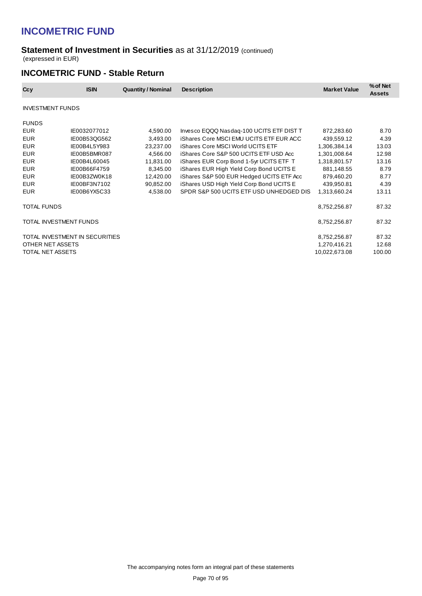#### **Statement of Investment in Securities** as at 31/12/2019 (continued) (expressed in EUR)

### **INCOMETRIC FUND - Stable Return**

| Ccy                     | <b>ISIN</b>                    | <b>Quantity / Nominal</b> | <b>Description</b>                             | <b>Market Value</b> | % of Net<br><b>Assets</b> |
|-------------------------|--------------------------------|---------------------------|------------------------------------------------|---------------------|---------------------------|
| <b>INVESTMENT FUNDS</b> |                                |                           |                                                |                     |                           |
| <b>FUNDS</b>            |                                |                           |                                                |                     |                           |
| <b>EUR</b>              | IE0032077012                   | 4,590.00                  | Invesco EQQQ Nasdaq-100 UCITS ETF DIST T       | 872,283.60          | 8.70                      |
| <b>EUR</b>              | IE00B53QG562                   | 3,493.00                  | <b>iShares Core MSCI EMU UCITS ETF EUR ACC</b> | 439,559.12          | 4.39                      |
| <b>EUR</b>              | IE00B4L5Y983                   | 23,237.00                 | iShares Core MSCI World UCITS ETF              | 1,306,384.14        | 13.03                     |
| <b>EUR</b>              | IE00B5BMR087                   | 4,566.00                  | iShares Core S&P 500 UCITS ETF USD Acc         | 1,301,008.64        | 12.98                     |
| <b>EUR</b>              | IE00B4L60045                   | 11,831.00                 | iShares EUR Corp Bond 1-5yr UCITS ETF T        | 1,318,801.57        | 13.16                     |
| <b>EUR</b>              | IE00B66F4759                   | 8,345.00                  | iShares EUR High Yield Corp Bond UCITS E       | 881,148.55          | 8.79                      |
| <b>EUR</b>              | IE00B3ZW0K18                   | 12,420.00                 | iShares S&P 500 EUR Hedged UCITS ETF Acc       | 879,460.20          | 8.77                      |
| <b>EUR</b>              | IE00BF3N7102                   | 90,852.00                 | iShares USD High Yield Corp Bond UCITS E       | 439,950.81          | 4.39                      |
| <b>EUR</b>              | IE00B6YX5C33                   | 4,538.00                  | SPDR S&P 500 UCITS ETF USD UNHEDGED DIS        | 1,313,660.24        | 13.11                     |
| <b>TOTAL FUNDS</b>      |                                |                           |                                                | 8,752,256.87        | 87.32                     |
|                         | TOTAL INVESTMENT FUNDS         |                           |                                                | 8,752,256.87        | 87.32                     |
|                         | TOTAL INVESTMENT IN SECURITIES |                           |                                                | 8,752,256.87        | 87.32                     |
| OTHER NET ASSETS        |                                |                           |                                                | 1,270,416.21        | 12.68                     |
| TOTAL NET ASSETS        |                                |                           |                                                | 10,022,673.08       | 100.00                    |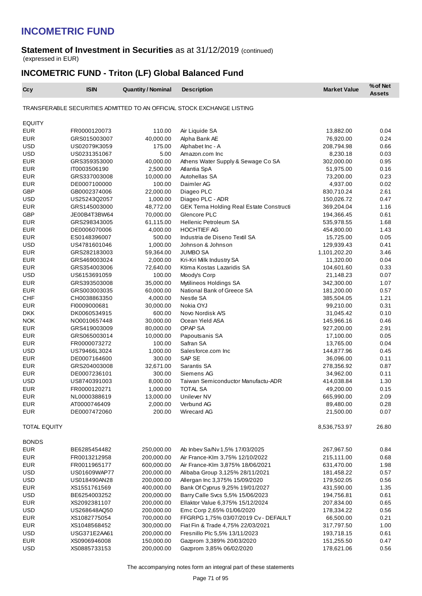#### **Statement of Investment in Securities** as at 31/12/2019 (continued) (expressed in EUR)

## **INCOMETRIC FUND - Triton (LF) Global Balanced Fund**

| Ccy                      | <b>ISIN</b>                  | <b>Quantity / Nominal</b> | <b>Description</b>                                                     | <b>Market Value</b>     | % of Net<br><b>Assets</b> |
|--------------------------|------------------------------|---------------------------|------------------------------------------------------------------------|-------------------------|---------------------------|
|                          |                              |                           | TRANSFERABLE SECURITIES ADMITTED TO AN OFFICIAL STOCK EXCHANGE LISTING |                         |                           |
| <b>EQUITY</b>            |                              |                           |                                                                        |                         |                           |
| <b>EUR</b>               | FR0000120073                 | 110.00                    | Air Liquide SA                                                         | 13,882.00               | 0.04                      |
| <b>EUR</b>               | GRS015003007                 | 40,000.00                 | Alpha Bank AE                                                          | 76,920.00               | 0.24                      |
| <b>USD</b>               | US02079K3059                 | 175.00                    | Alphabet Inc - A                                                       | 208,794.98              | 0.66                      |
| <b>USD</b>               | US0231351067                 | 5.00                      | Amazon.com Inc                                                         | 8,230.18                | 0.03                      |
| <b>EUR</b>               | GRS359353000                 | 40,000.00                 | Athens Water Supply & Sewage Co SA                                     | 302,000.00              | 0.95                      |
| <b>EUR</b>               | IT0003506190                 | 2,500.00                  | Atlantia SpA                                                           | 51,975.00               | 0.16                      |
| <b>EUR</b>               | GRS337003008                 | 10,000.00                 | Autohellas SA                                                          | 73,200.00               | 0.23                      |
| <b>EUR</b>               | DE0007100000                 | 100.00                    | Daimler AG                                                             | 4,937.00                | 0.02                      |
| <b>GBP</b>               | GB0002374006                 | 22,000.00                 | Diageo PLC                                                             | 830,710.24              | 2.61                      |
| <b>USD</b>               | US25243Q2057                 | 1,000.00                  | Diageo PLC - ADR                                                       | 150,026.72              | 0.47                      |
| <b>EUR</b>               | GRS145003000                 | 48,772.00                 | <b>GEK Terna Holding Real Estate Constructi</b>                        | 369,204.04              | 1.16                      |
| <b>GBP</b>               | JE00B4T3BW64                 | 70,000.00                 | Glencore PLC                                                           | 194,366.45              | 0.61                      |
| <b>EUR</b>               | GRS298343005                 | 61,115.00                 | <b>Hellenic Petroleum SA</b>                                           | 535,978.55              | 1.68                      |
| <b>EUR</b>               | DE0006070006                 | 4,000.00                  | <b>HOCHTIEF AG</b>                                                     | 454,800.00              | 1.43                      |
| <b>EUR</b>               | ES0148396007                 | 500.00                    | Industria de Diseno Textil SA                                          | 15,725.00               | 0.05                      |
| <b>USD</b>               | US4781601046                 | 1,000.00                  | Johnson & Johnson                                                      | 129,939.43              | 0.41                      |
| <b>EUR</b>               | GRS282183003                 | 59,364.00                 | <b>JUMBO SA</b>                                                        | 1,101,202.20            | 3.46                      |
| <b>EUR</b>               | GRS469003024                 | 2,000.00                  | Kri-Kri Milk Industry SA                                               | 11,320.00               | 0.04                      |
| <b>EUR</b>               | GRS354003006                 | 72,640.00                 | Ktima Kostas Lazaridis SA                                              | 104,601.60              | 0.33                      |
| <b>USD</b>               | US6153691059                 | 100.00                    | Moody's Corp                                                           | 21,148.23               | 0.07                      |
| <b>EUR</b>               | GRS393503008                 | 35,000.00                 | Mytilineos Holdings SA                                                 | 342,300.00              | 1.07                      |
| <b>EUR</b>               | GRS003003035                 | 60,000.00                 | National Bank of Greece SA                                             | 181,200.00              | 0.57                      |
| <b>CHF</b>               | CH0038863350                 | 4,000.00                  | Nestle SA                                                              | 385,504.05              | 1.21                      |
| <b>EUR</b>               | FI0009000681                 | 30,000.00                 | Nokia OYJ                                                              | 99,210.00               | 0.31                      |
| <b>DKK</b>               | DK0060534915                 | 600.00                    | Novo Nordisk A/S                                                       | 31,045.42               | 0.10                      |
| <b>NOK</b>               | NO0010657448                 | 30,000.00                 | Ocean Yield ASA                                                        | 145,966.16              | 0.46                      |
| <b>EUR</b>               | GRS419003009                 | 80,000.00                 | <b>OPAP SA</b>                                                         | 927,200.00              | 2.91                      |
| <b>EUR</b>               | GRS065003014                 | 10,000.00                 | Papoutsanis SA                                                         | 17,100.00               | 0.05                      |
| <b>EUR</b>               | FR0000073272                 | 100.00                    | Safran SA                                                              | 13,765.00               | 0.04                      |
| <b>USD</b>               | US79466L3024                 | 1,000.00                  | Salesforce.com Inc<br>SAP SE                                           | 144,877.96              | 0.45                      |
| <b>EUR</b>               | DE0007164600                 | 300.00                    |                                                                        | 36,096.00               | 0.11                      |
| <b>EUR</b><br><b>EUR</b> | GRS204003008                 | 32,671.00                 | Sarantis SA<br>Siemens AG                                              | 278,356.92              | 0.87<br>0.11              |
| <b>USD</b>               | DE0007236101<br>US8740391003 | 300.00<br>8,000.00        | Taiwan Semiconductor Manufactu-ADR                                     | 34,962.00<br>414,038.84 | 1.30                      |
| <b>EUR</b>               | FR0000120271                 | 1,000.00                  | <b>TOTAL SA</b>                                                        | 49,200.00               | 0.15                      |
| <b>EUR</b>               | NL0000388619                 | 13,000.00                 | Unilever NV                                                            | 665,990.00              | 2.09                      |
| EUR                      | AT0000746409                 | 2,000.00                  | Verbund AG                                                             | 89,480.00               | 0.28                      |
| <b>EUR</b>               | DE0007472060                 | 200.00                    | Wirecard AG                                                            | 21,500.00               | 0.07                      |
|                          |                              |                           |                                                                        |                         |                           |
| TOTAL EQUITY             |                              |                           |                                                                        | 8,536,753.97            | 26.80                     |
| <b>BONDS</b>             |                              |                           |                                                                        |                         |                           |
| <b>EUR</b>               | BE6285454482                 | 250,000.00                | Ab Inbev Sa/Nv 1,5% 17/03/2025                                         | 267,967.50              | 0.84                      |
| <b>EUR</b>               | FR0013212958                 | 200,000.00                | Air France-Klm 3,75% 12/10/2022                                        | 215,111.00              | 0.68                      |
| <b>EUR</b>               | FR0011965177                 | 600,000.00                | Air France-Klm 3,875% 18/06/2021                                       | 631,470.00              | 1.98                      |
| USD                      | US01609WAP77                 | 200,000.00                | Alibaba Group 3,125% 28/11/2021                                        | 181,458.22              | 0.57                      |
| USD                      | US018490AN28                 | 200,000.00                | Allergan Inc 3,375% 15/09/2020                                         | 179,502.05              | 0.56                      |
| <b>EUR</b>               | XS1551761569                 | 400,000.00                | Bank Of Cyprus 9,25% 19/01/2027                                        | 431,590.00              | 1.35                      |
| <b>USD</b>               | BE6254003252                 | 200,000.00                | Barry Calle Svcs 5,5% 15/06/2023                                       | 194,756.81              | 0.61                      |
| <b>EUR</b>               | XS2092381107                 | 200,000.00                | Ellaktor Value 6,375% 15/12/2024                                       | 207,834.00              | 0.65                      |
| USD                      | US268648AQ50                 | 200,000.00                | Emc Corp 2,65% 01/06/2020                                              | 178,334.22              | 0.56                      |
| <b>EUR</b>               | XS1082775054                 | 700,000.00                | FFGRPG 1,75% 03/07/2019 Cv - DEFAULT                                   | 66,500.00               | 0.21                      |
| <b>EUR</b>               | XS1048568452                 | 300,000.00                | Fiat Fin & Trade 4,75% 22/03/2021                                      | 317,797.50              | 1.00                      |
| USD                      | USG371E2AA61                 | 200,000.00                | Fresnillo Plc 5,5% 13/11/2023                                          | 193,718.15              | 0.61                      |
| <b>EUR</b>               | XS0906946008                 | 150,000.00                | Gazprom 3,389% 20/03/2020                                              | 151,255.50              | 0.47                      |
| <b>USD</b>               | XS0885733153                 | 200,000.00                | Gazprom 3,85% 06/02/2020                                               | 178,621.06              | 0.56                      |

The accompanying notes form an integral part of these statements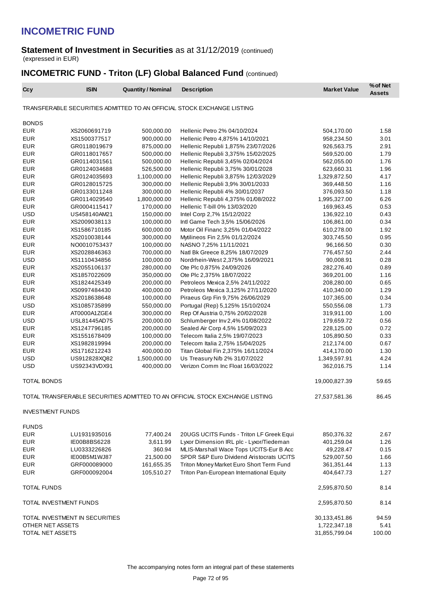#### **Statement of Investment in Securities** as at 31/12/2019 (continued) (expressed in EUR)

## **INCOMETRIC FUND - Triton (LF) Global Balanced Fund (continued)**

| Ccy                      | <b>ISIN</b>                    | <b>Quantity / Nominal</b> | <b>Description</b>                                                           | <b>Market Value</b>      | % of Net<br><b>Assets</b> |
|--------------------------|--------------------------------|---------------------------|------------------------------------------------------------------------------|--------------------------|---------------------------|
|                          |                                |                           | TRANSFERABLE SECURITIES ADMITTED TO AN OFFICIAL STOCK EXCHANGE LISTING       |                          |                           |
| <b>BONDS</b>             |                                |                           |                                                                              |                          |                           |
| <b>EUR</b>               | XS2060691719                   | 500,000.00                | Hellenic Petro 2% 04/10/2024                                                 | 504,170.00               | 1.58                      |
| <b>EUR</b>               | XS1500377517                   | 900,000.00                | Hellenic Petro 4,875% 14/10/2021                                             | 958,234.50               | 3.01                      |
| <b>EUR</b>               | GR0118019679                   | 875,000.00                | Hellenic Republi 1,875% 23/07/2026                                           | 926,563.75               | 2.91                      |
| <b>EUR</b>               | GR0118017657                   | 500,000.00                | Hellenic Republi 3,375% 15/02/2025                                           | 569,520.00               | 1.79                      |
| <b>EUR</b>               | GR0114031561                   | 500,000.00                | Hellenic Republi 3,45% 02/04/2024                                            | 562,055.00               | 1.76                      |
| <b>EUR</b>               | GR0124034688                   | 526,500.00                | Hellenic Republi 3,75% 30/01/2028                                            | 623,660.31               | 1.96                      |
| <b>EUR</b>               | GR0124035693                   | 1,100,000.00              | Hellenic Republi 3,875% 12/03/2029                                           | 1,329,872.50             | 4.17                      |
| <b>EUR</b>               | GR0128015725                   | 300,000.00                | Hellenic Republi 3,9% 30/01/2033                                             | 369,448.50               | 1.16                      |
| <b>EUR</b>               | GR0133011248                   | 300,000.00                | Hellenic Republi 4% 30/01/2037                                               | 376,093.50               | 1.18                      |
| <b>EUR</b>               | GR0114029540                   | 1,800,000.00              | Hellenic Republi 4,375% 01/08/2022                                           | 1,995,327.00             | 6.26                      |
| <b>EUR</b>               | GR0004115417                   | 170,000.00                | Hellenic T-bill 0% 13/03/2020                                                | 169,963.45               | 0.53                      |
| <b>USD</b>               | US458140AM21                   | 150,000.00                | Intel Corp 2,7% 15/12/2022                                                   | 136,922.10               | 0.43                      |
| <b>EUR</b>               | XS2009038113                   | 100,000.00                | Intl Game Tech 3,5% 15/06/2026                                               | 106,861.00               | 0.34                      |
| <b>EUR</b>               | XS1586710185                   | 600,000.00                | Motor Oil Financ 3,25% 01/04/2022                                            | 610,278.00               | 1.92                      |
| <b>EUR</b>               | XS2010038144                   | 300,000.00                | Mytilineos Fin 2,5% 01/12/2024                                               | 303,745.50               | 0.95                      |
| <b>EUR</b>               | NO0010753437                   | 100,000.00                | NASNO 7,25% 11/11/2021                                                       | 96,166.50                | 0.30                      |
| <b>EUR</b>               | XS2028846363                   | 700,000.00                | Natl Bk Greece 8,25% 18/07/2029                                              | 776,457.50               | 2.44                      |
| <b>USD</b>               | XS1110434856                   | 100,000.00                | Nordrhein-West 2,375% 16/09/2021                                             | 90,008.91                | 0.28                      |
| <b>EUR</b>               | XS2055106137                   | 280,000.00                | Ote Plc 0,875% 24/09/2026                                                    | 282,276.40               | 0.89                      |
| <b>EUR</b><br><b>EUR</b> | XS1857022609<br>XS1824425349   | 350,000.00<br>200,000.00  | Ote Plc 2,375% 18/07/2022<br>Petroleos Mexica 2,5% 24/11/2022                | 369,201.00               | 1.16<br>0.65              |
| <b>EUR</b>               | XS0997484430                   | 400,000.00                | Petroleos Mexica 3,125% 27/11/2020                                           | 208,280.00<br>410,340.00 | 1.29                      |
| <b>EUR</b>               | XS2018638648                   | 100,000.00                | Piraeus Grp Fin 9,75% 26/06/2029                                             | 107,365.00               | 0.34                      |
| <b>USD</b>               | XS1085735899                   | 550,000.00                | Portugal (Rep) 5,125% 15/10/2024                                             | 550,556.08               | 1.73                      |
| <b>EUR</b>               | AT0000A1ZGE4                   | 300,000.00                | Rep Of Austria 0,75% 20/02/2028                                              | 319,911.00               | 1.00                      |
| <b>USD</b>               | USL81445AD75                   | 200,000.00                | Schlumberger Inv 2,4% 01/08/2022                                             | 179,659.72               | 0.56                      |
| <b>EUR</b>               | XS1247796185                   | 200,000.00                | Sealed Air Corp 4,5% 15/09/2023                                              | 228,125.00               | 0.72                      |
| <b>EUR</b>               | XS1551678409                   | 100,000.00                | Telecom Italia 2,5% 19/07/2023                                               | 105,890.50               | 0.33                      |
| <b>EUR</b>               | XS1982819994                   | 200,000.00                | Telecom Italia 2,75% 15/04/2025                                              | 212,174.00               | 0.67                      |
| <b>EUR</b>               | XS1716212243                   | 400,000.00                | Titan Global Fin 2,375% 16/11/2024                                           | 414,170.00               | 1.30                      |
| USD                      | US912828XQ82                   | 1,500,000.00              | Us Treasury N/b 2% 31/07/2022                                                | 1,349,597.91             | 4.24                      |
| <b>USD</b>               | US92343VDX91                   | 400,000.00                | Verizon Comm Inc Float 16/03/2022                                            | 362,016.75               | 1.14                      |
| <b>TOTAL BONDS</b>       |                                |                           |                                                                              | 19,000,827.39            | 59.65                     |
|                          |                                |                           |                                                                              |                          |                           |
|                          |                                |                           | TOTAL TRANSFERABLE SECURITIES ADMITTED TO AN OFFICIAL STOCK EXCHANGE LISTING | 27,537,581.36            | 86.45                     |
| <b>INVESTMENT FUNDS</b>  |                                |                           |                                                                              |                          |                           |
| <b>FUNDS</b>             |                                |                           |                                                                              |                          |                           |
| <b>EUR</b>               | LU1931935016                   | 77,400.24                 | 20UGS UCITS Funds - Triton LF Greek Equi                                     | 850,376.32               | 2.67                      |
| <b>EUR</b>               | IE00B8BS6228                   | 3,611.99                  | Lyxor Dimension IRL plc - Lyxor/Tiedeman                                     | 401,259.04               | 1.26                      |
| <b>EUR</b>               | LU0333226826                   | 360.94                    | MLIS-Marshall Wace Tops UCITS-Eur B Acc                                      | 49,228.47                | 0.15                      |
| <b>EUR</b>               | IE00B5M1WJ87                   | 21,500.00                 | SPDR S&P Euro Dividend Aristocrats UCITS                                     | 529,007.50               | 1.66                      |
| <b>EUR</b>               | GRF000089000                   | 161,655.35                | Triton Money Market Euro Short Term Fund                                     | 361, 351.44              | 1.13                      |
| <b>EUR</b>               | GRF000092004                   | 105,510.27                | Triton Pan-European International Equity                                     | 404,647.73               | 1.27                      |
| TOTAL FUNDS              |                                |                           |                                                                              | 2,595,870.50             | 8.14                      |
| TOTAL INVESTMENT FUNDS   |                                |                           |                                                                              | 2,595,870.50             | 8.14                      |
|                          | TOTAL INVESTMENT IN SECURITIES |                           |                                                                              | 30,133,451.86            | 94.59                     |
| OTHER NET ASSETS         |                                |                           |                                                                              | 1,722,347.18             | 5.41                      |
| TOTAL NET ASSETS         |                                |                           |                                                                              | 31,855,799.04            | 100.00                    |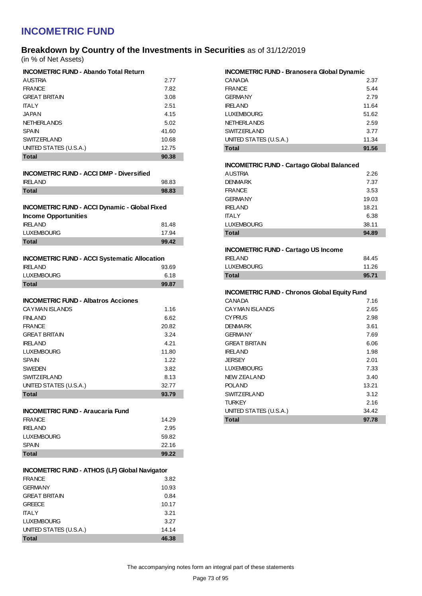### **Breakdown by Country of the Investments in Securities** as of 31/12/2019 (in % of Net Assets)

**INCOMETRIC FUND - Abando Total Return**

| INCOMETRIC FUND - Abando Total Return |       |
|---------------------------------------|-------|
| <b>AUSTRIA</b>                        | 2.77  |
| <b>FRANCE</b>                         | 7.82  |
| <b>GREAT BRITAIN</b>                  | 3.08  |
| <b>ITAI Y</b>                         | 2.51  |
| <b>JAPAN</b>                          | 4.15  |
| <b>NETHERLANDS</b>                    | 5.02  |
| <b>SPAIN</b>                          | 41.60 |
| <b>SWITZERLAND</b>                    | 10.68 |
| UNITED STATES (U.S.A.)                | 12.75 |
| <b>Total</b>                          | 90.38 |

| <b>INCOMETRIC FUND - ACCI DMP - Diversified</b> |  |
|-------------------------------------------------|--|

| <b>IRELAND</b> | 98.83 |
|----------------|-------|
| <b>Total</b>   | 98.83 |

| <b>INCOMETRIC FUND - ACCI Dynamic - Global Fixed</b> |  |
|------------------------------------------------------|--|
| <b>Income Opportunities</b>                          |  |

| <b>IRELAND</b>    | 81.48 |
|-------------------|-------|
| <b>LUXEMBOURG</b> | 17.94 |
| <b>Total</b>      | 99.42 |

| Total             | 99.87 |
|-------------------|-------|
| <b>LUXEMBOURG</b> | 6.18  |
| <b>IRELAND</b>    | 93.69 |

### **INCOMETRIC FUND - Albatros Acciones**

| <b>Total</b>           | 93.79 |
|------------------------|-------|
| UNITED STATES (U.S.A.) | 32.77 |
| <b>SWITZERLAND</b>     | 8.13  |
| <b>SWEDEN</b>          | 3.82  |
| <b>SPAIN</b>           | 1.22  |
| <b>LUXEMBOURG</b>      | 11.80 |
| <b>IRFI AND</b>        | 4.21  |
| <b>GREAT BRITAIN</b>   | 3.24  |
| <b>FRANCE</b>          | 20.82 |
| <b>FINLAND</b>         | 6.62  |
| CAYMAN ISLANDS         | 1.16  |
|                        |       |

#### **INCOMETRIC FUND - Araucaria Fund**

| <b>Total</b>      | 99.22 |
|-------------------|-------|
| <b>SPAIN</b>      | 22.16 |
| <b>LUXEMBOURG</b> | 59.82 |
| <b>IRELAND</b>    | 2.95  |
| <b>FRANCE</b>     | 14.29 |

| <b>Total</b>           | 46.38 |
|------------------------|-------|
| UNITED STATES (U.S.A.) | 14.14 |
| <b>LUXEMBOURG</b>      | 3.27  |
| <b>ITALY</b>           | 3.21  |
| <b>GREECE</b>          | 10.17 |
| <b>GREAT BRITAIN</b>   | 0.84  |
| <b>GERMANY</b>         | 10.93 |
| <b>FRANCE</b>          | 3.82  |

| <b>INCOMETRIC FUND - Branosera Global Dynamic</b> |       |
|---------------------------------------------------|-------|
| <b>CANADA</b>                                     | 2.37  |
| <b>FRANCE</b>                                     | 5.44  |
| <b>GERMANY</b>                                    | 2.79  |
| <b>IRELAND</b>                                    | 11.64 |
| <b>LUXEMBOURG</b>                                 | 51.62 |
| <b>NETHERLANDS</b>                                | 2.59  |
| <b>SWITZERLAND</b>                                | 3.77  |
| UNITED STATES (U.S.A.)                            | 11.34 |
| <b>Total</b>                                      | 91.56 |

#### **INCOMETRIC FUND - Cartago Global Balanced**

| <b>AUSTRIA</b>    | 2.26  |
|-------------------|-------|
| <b>DENMARK</b>    | 7.37  |
| <b>FRANCE</b>     | 3.53  |
| <b>GERMANY</b>    | 19.03 |
| <b>IRELAND</b>    | 18.21 |
| <b>ITALY</b>      | 6.38  |
| <b>LUXEMBOURG</b> | 38.11 |
| <b>Total</b>      | 94.89 |

#### **INCOMETRIC FUND - Cartago US Income**

| Total          | 95.71 |
|----------------|-------|
| LUXEMBOURG     | 11.26 |
| <b>IRELAND</b> | 84.45 |

#### **INCOMETRIC FUND - Chronos Global Equity Fund**

| Total                  | 97.78 |
|------------------------|-------|
| UNITED STATES (U.S.A.) | 34.42 |
| <b>TURKEY</b>          | 2.16  |
| <b>SWITZERLAND</b>     | 3.12  |
| <b>POLAND</b>          | 13.21 |
| <b>NEW ZEALAND</b>     | 3.40  |
| <b>LUXEMBOURG</b>      | 7.33  |
| <b>JERSEY</b>          | 2.01  |
| <b>IRELAND</b>         | 1.98  |
| <b>GREAT BRITAIN</b>   | 6.06  |
| <b>GERMANY</b>         | 7.69  |
| <b>DENMARK</b>         | 3.61  |
| <b>CYPRUS</b>          | 2.98  |
| CAYMAN ISLANDS         | 2.65  |
| <b>CANADA</b>          | 7.16  |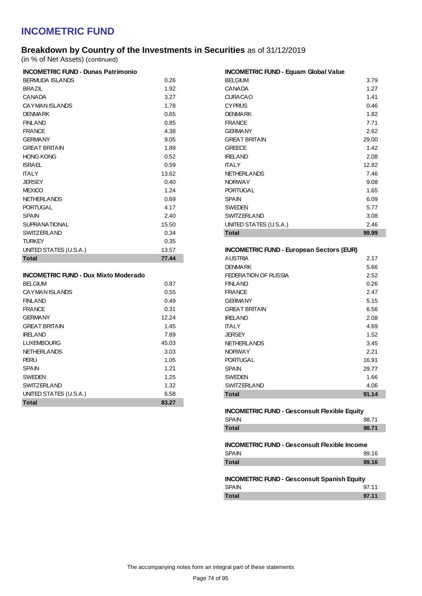## **Breakdown by Country of the Investments in Securities** as of 31/12/2019

(in % of Net Assets) (continued)

| <b>INCOMETRIC FUND - Dunas Patrimonio</b> |       |
|-------------------------------------------|-------|
| <b>BERMUDA ISLANDS</b>                    | 0.26  |
| <b>BRAZIL</b>                             | 1.92  |
| <b>CANADA</b>                             | 3.27  |
| CAYMAN ISLANDS                            | 1.78  |
| <b>DENMARK</b>                            | 0.65  |
| FINI AND                                  | 0.85  |
| <b>FRANCE</b>                             | 4.38  |
| <b>GERMANY</b>                            | 9.05  |
| <b>GREAT BRITAIN</b>                      | 1.89  |
| <b>HONG KONG</b>                          | 0.52  |
| <b>ISRAFI</b>                             | 0.59  |
| <b>TALY</b>                               | 13.62 |
| <b>JERSEY</b>                             | 0.40  |
| <b>MEXICO</b>                             | 1.24  |
| <b>NETHERLANDS</b>                        | 0.69  |
| <b>PORTUGAL</b>                           | 4.17  |
| <b>SPAIN</b>                              | 2.40  |
| <b>SUPRANATIONAL</b>                      | 15.50 |
| SWITZFRI AND                              | 0.34  |
| <b>TURKEY</b>                             | 0.35  |
| UNITED STATES (U.S.A.)                    | 13.57 |
| <b>Total</b>                              | 77.44 |

### **INCOMETRIC FUND - Dux Mixto Moderado**

| <b>Total</b>           | 83.27 |
|------------------------|-------|
| UNITED STATES (U.S.A.) | 6.58  |
| <b>SWITZERLAND</b>     | 1.32  |
| <b>SWEDEN</b>          | 1.25  |
| <b>SPAIN</b>           | 1.21  |
| PERU                   | 1.05  |
| <b>NETHERLANDS</b>     | 3.03  |
| <b>LUXEMBOURG</b>      | 45.03 |
| <b>IRELAND</b>         | 7.89  |
| <b>GREAT BRITAIN</b>   | 1.45  |
| <b>GERMANY</b>         | 12.24 |
| <b>FRANCE</b>          | 0.31  |
| <b>FINLAND</b>         | 0.49  |
| CAYMAN ISLANDS         | 0.55  |
| <b>BELGIUM</b>         | 0.87  |

| <b>INCOMETRIC FUND - Equam Global Value</b> |       |
|---------------------------------------------|-------|
| <b>BELGIUM</b>                              | 3.79  |
| <b>CANADA</b>                               | 1.27  |
| <b>CURACAO</b>                              | 1.41  |
| <b>CYPRUS</b>                               | 0.46  |
| <b>DENMARK</b>                              | 1.82  |
| <b>FRANCE</b>                               | 7.71  |
| <b>GERMANY</b>                              | 2.62  |
| <b>GREAT BRITAIN</b>                        | 29.00 |
| <b>GREECE</b>                               | 1.42  |
| <b>IRELAND</b>                              | 2.08  |
| <b>ITALY</b>                                | 12.82 |
| <b>NETHERLANDS</b>                          | 7.46  |
| <b>NORWAY</b>                               | 9.08  |
| <b>PORTUGAL</b>                             | 1.65  |
| <b>SPAIN</b>                                | 6.09  |
| <b>SWEDEN</b>                               | 5.77  |
| <b>SWITZERLAND</b>                          | 3.08  |
| UNITED STATES (U.S.A.)                      | 2.46  |
| <b>Total</b>                                | 99.99 |

#### **INCOMETRIC FUND - European Sectors (EUR)**

| Total                | 91.14 |
|----------------------|-------|
| <b>SWITZERLAND</b>   | 4.06  |
| <b>SWEDEN</b>        | 1.66  |
| <b>SPAIN</b>         | 29.77 |
| <b>PORTUGAL</b>      | 16.91 |
| <b>NORWAY</b>        | 2.21  |
| <b>NETHERLANDS</b>   | 3.45  |
| <b>JERSEY</b>        | 1.52  |
| <b>ITALY</b>         | 4.69  |
| <b>IRELAND</b>       | 2.08  |
| <b>GREAT BRITAIN</b> | 6.56  |
| <b>GERMANY</b>       | 5.15  |
| <b>FRANCE</b>        | 2.47  |
| <b>FINLAND</b>       | 0.26  |
| FEDERATION OF RUSSIA | 2.52  |
| <b>DENMARK</b>       | 5.66  |
| <b>AUSTRIA</b>       | 2.17  |

### **INCOMETRIC FUND - Gesconsult Flexible Equity** SPAIN 98.71 **Total 98.71**

### **INCOMETRIC FUND - Gesconsult Flexible Income** SPAIN 99.16 **Total 99.16**

#### **INCOMETRIC FUND - Gesconsult Spanish Equity**

| <b>SPAIN</b> | 97.11 |
|--------------|-------|
| <b>Total</b> | 97.11 |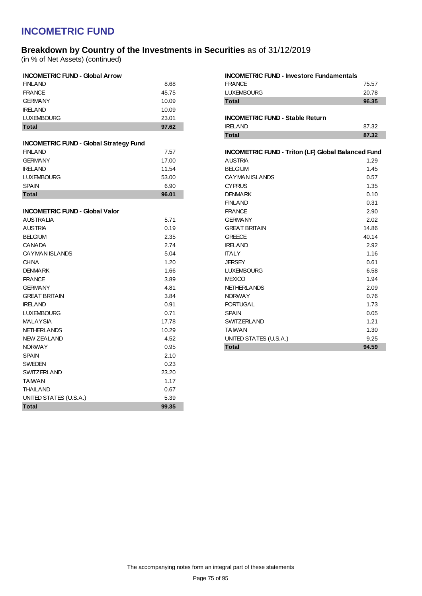## **Breakdown by Country of the Investments in Securities** as of 31/12/2019

(in % of Net Assets) (continued)

| <b>INCOMETRIC FUND - Global Arrow</b>         |       |
|-----------------------------------------------|-------|
| <b>FINLAND</b>                                | 8.68  |
| <b>FRANCE</b>                                 | 45.75 |
| <b>GERMANY</b>                                | 10.09 |
| <b>IRELAND</b>                                | 10.09 |
| <b>LUXEMBOURG</b>                             | 23.01 |
| <b>Total</b>                                  | 97.62 |
| <b>INCOMETRIC FUND - Global Strategy Fund</b> |       |
| <b>FINLAND</b>                                | 7.57  |
| <b>GERMANY</b>                                | 17.00 |
| <b>IRELAND</b>                                | 11.54 |
| <b>LUXEMBOURG</b>                             | 53.00 |
| <b>SPAIN</b>                                  | 6.90  |
| <b>Total</b>                                  | 96.01 |
|                                               |       |
| <b>INCOMETRIC FUND - Global Valor</b>         |       |
| AUSTRALIA                                     | 5.71  |
| AUSTRIA                                       | 0.19  |
| <b>BELGIUM</b>                                | 2.35  |
| <b>CANADA</b>                                 | 2.74  |
| <b>CAYMAN ISLANDS</b>                         | 5.04  |
| <b>CHINA</b>                                  | 1.20  |
| <b>DENMARK</b>                                | 1.66  |
| <b>FRANCE</b>                                 | 3.89  |
| <b>GERMANY</b>                                | 4.81  |
| <b>GREAT BRITAIN</b>                          | 3.84  |
| <b>IRELAND</b>                                | 0.91  |
| <b>LUXEMBOURG</b>                             | 0.71  |
| <b>MALAYSIA</b>                               | 17.78 |
| <b>NETHERLANDS</b>                            | 10.29 |
| <b>NEW ZEALAND</b>                            | 4.52  |
| <b>NORWAY</b>                                 | 0.95  |
| <b>SPAIN</b>                                  | 2.10  |
| <b>SWEDEN</b>                                 | 0.23  |
| <b>SWITZERLAND</b>                            | 23.20 |
| <b>TAIWAN</b>                                 | 1.17  |
| <b>THAILAND</b>                               | 0.67  |
| UNITED STATES (U.S.A.)                        | 5.39  |
| <b>Total</b>                                  | 99.35 |
|                                               |       |

| <b>INCOMETRIC FUND - Investore Fundamentals</b>           |       |
|-----------------------------------------------------------|-------|
| <b>FRANCE</b>                                             | 75.57 |
| <b>LUXEMBOURG</b>                                         | 20.78 |
| <b>Total</b>                                              | 96.35 |
|                                                           |       |
| <b>INCOMETRIC FUND - Stable Return</b>                    |       |
| <b>IRFI AND</b>                                           | 87.32 |
| <b>Total</b>                                              | 87.32 |
|                                                           |       |
| <b>INCOMETRIC FUND - Triton (LF) Global Balanced Fund</b> |       |
| AUSTRIA                                                   | 1.29  |
| <b>BELGIUM</b>                                            | 1.45  |
| CAYMAN ISLANDS                                            | 0.57  |
| <b>CYPRUS</b>                                             | 1.35  |
| <b>DENMARK</b>                                            | 0.10  |
| <b>FINI AND</b>                                           | 0.31  |
| <b>FRANCF</b>                                             | 2.90  |
| <b>GERMANY</b>                                            | 2.02  |
| <b>GREAT BRITAIN</b>                                      | 14.86 |
| <b>GREECE</b>                                             | 40.14 |
| <b>IRELAND</b>                                            | 2.92  |
| <b>ITALY</b>                                              | 1.16  |
| JERSEY                                                    | 0.61  |
| <b>LUXEMBOURG</b>                                         | 6.58  |
| <b>MEXICO</b>                                             | 1.94  |
| <b>NETHERLANDS</b>                                        | 2.09  |
| <b>NORWAY</b>                                             | 0.76  |
| <b>PORTUGAL</b>                                           | 1.73  |
| <b>SPAIN</b>                                              | 0.05  |
| <b>SWITZERLAND</b>                                        | 1.21  |
| TAWAN                                                     | 1.30  |
| UNITED STATES (U.S.A.)                                    | 9.25  |
| <b>Total</b>                                              | 94.59 |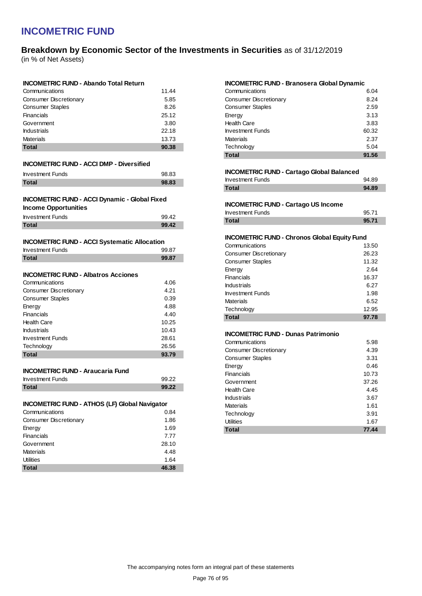## **Breakdown by Economic Sector of the Investments in Securities** as of 31/12/2019

(in % of Net Assets)

### **INCOMETRIC FUND - Abando Total Return**

| Communications          | 11.44 |
|-------------------------|-------|
| Consumer Discretionary  | 5.85  |
| <b>Consumer Staples</b> | 8.26  |
| Financials              | 25.12 |
| Government              | 3.80  |
| <b>Industrials</b>      | 22.18 |
| <b>Materials</b>        | 13.73 |
| <b>Total</b>            | 90.38 |

#### **INCOMETRIC FUND - ACCI DMP - Diversified**

| <b>Total</b>            | 98.83 |
|-------------------------|-------|
| <b>Investment Funds</b> | 98.83 |

### **INCOMETRIC FUND - ACCI Dynamic - Global Fixed**

| <b>Income Opportunities</b> |       |
|-----------------------------|-------|
| <b>Investment Funds</b>     | 99.42 |

|              | ◡◡.⊤← |
|--------------|-------|
| <b>Total</b> | QQ 12 |
|              |       |

| <b>INCOMETRIC FUND - ACCI Systematic Allocation</b> |  |
|-----------------------------------------------------|--|
|-----------------------------------------------------|--|

| <b>Investment Funds</b> | 99.87 |
|-------------------------|-------|
| <b>Total</b>            | 99.87 |

### **INCOMETRIC FUND - Albatros Acciones**

| Communications          | 4.06  |
|-------------------------|-------|
| Consumer Discretionary  | 4.21  |
| <b>Consumer Staples</b> | 0.39  |
| Energy                  | 4.88  |
| Financials              | 4.40  |
| <b>Health Care</b>      | 10.25 |
| <b>Industrials</b>      | 10.43 |
| <b>Investment Funds</b> | 28.61 |
| Technology              | 26.56 |
| <b>Total</b>            | 93.79 |

#### **INCOMETRIC FUND - Araucaria Fund**

| <b>Investment Funds</b> | 99.22 |
|-------------------------|-------|
| <b>Total</b>            | 99.22 |

### **INCOMETRIC FUND - ATHOS (LF) Global Navigator**

| Communications         | 0.84  |
|------------------------|-------|
| Consumer Discretionary | 1.86  |
| Energy                 | 1.69  |
| Financials             | 7.77  |
| Government             | 28.10 |
| <b>Materials</b>       | 4.48  |
| <b>Utilities</b>       | 1.64  |
| <b>Total</b>           | 46.38 |

#### **INCOMETRIC FUND - Branosera Global Dynamic**

| <b>Total</b>                  | 91.56 |
|-------------------------------|-------|
| Technology                    | 5.04  |
| <b>Materials</b>              | 2.37  |
| <b>Investment Funds</b>       | 60.32 |
| <b>Health Care</b>            | 3.83  |
| Energy                        | 3.13  |
| <b>Consumer Staples</b>       | 2.59  |
| <b>Consumer Discretionary</b> | 8.24  |
| Communications                | 6.04  |

#### **INCOMETRIC FUND - Cartago Global Balanced**

| Total                   | 94.89 |
|-------------------------|-------|
| <b>Investment Funds</b> | 94.89 |

#### **INCOMETRIC FUND - Cartago US Income**

| <b>Investment Funds</b> | 95.71 |
|-------------------------|-------|
| <b>Total</b>            | 95.71 |

### **INCOMETRIC FUND - Chronos Global Equity Fund**

| Communications          | 13.50 |
|-------------------------|-------|
| Consumer Discretionary  | 26.23 |
| <b>Consumer Staples</b> | 11.32 |
| Energy                  | 2.64  |
| Financials              | 16.37 |
| <b>Industrials</b>      | 6.27  |
| <b>Investment Funds</b> | 1.98  |
| <b>Materials</b>        | 6.52  |
| Technology              | 12.95 |
| <b>Total</b>            | 97.78 |

#### **INCOMETRIC FUND - Dunas Patrimonio**

| Communications          | 5.98  |
|-------------------------|-------|
| Consumer Discretionary  | 4.39  |
| <b>Consumer Staples</b> | 3.31  |
| Energy                  | 0.46  |
| Financials              | 10.73 |
| Government              | 37.26 |
| <b>Health Care</b>      | 4.45  |
| <b>Industrials</b>      | 3.67  |
| <b>Materials</b>        | 1.61  |
| Technology              | 3.91  |
| <b>Utilities</b>        | 1.67  |
| <b>Total</b>            | 77.44 |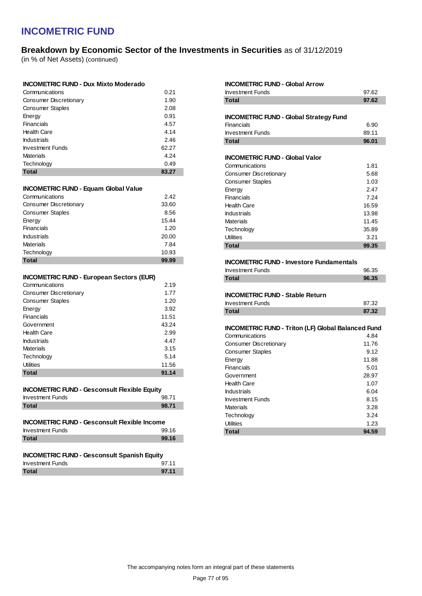## **Breakdown by Economic Sector of the Investments in Securities** as of 31/12/2019

(in % of Net Assets) (continued)

| <b>INCOMETRIC FUND - Dux Mixto Moderado</b> |      |
|---------------------------------------------|------|
| Communications                              | 0.21 |

| <b>Total</b>                  | 83.27 |
|-------------------------------|-------|
| Technology                    | 0.49  |
| <b>Materials</b>              | 4.24  |
| <b>Investment Funds</b>       | 62.27 |
| <b>Industrials</b>            | 2.46  |
| <b>Health Care</b>            | 4.14  |
| <b>Financials</b>             | 4.57  |
| Energy                        | 0.91  |
| <b>Consumer Staples</b>       | 2.08  |
| <b>Consumer Discretionary</b> | 1.90  |
|                               |       |

#### **INCOMETRIC FUND - Equam Global Value**

| <b>Total</b>                  | 99.99 |
|-------------------------------|-------|
| Technology                    | 10.93 |
| <b>Materials</b>              | 7.84  |
| <b>Industrials</b>            | 20.00 |
| Financials                    | 1.20  |
| Energy                        | 15.44 |
| <b>Consumer Staples</b>       | 8.56  |
| <b>Consumer Discretionary</b> | 33.60 |
| Communications                | 2.42  |

### **INCOMETRIC FUND - European Sectors (EUR)**

| Communications          | 2.19  |
|-------------------------|-------|
| Consumer Discretionary  | 1.77  |
| <b>Consumer Staples</b> | 1.20  |
| Energy                  | 3.92  |
| Financials              | 11.51 |
| Government              | 43.24 |
| <b>Health Care</b>      | 2.99  |
| <b>Industrials</b>      | 4.47  |
| Materials               | 3.15  |
| Technology              | 5.14  |
| Utilities               | 11.56 |
| <b>Total</b>            | 91.14 |

### **INCOMETRIC FUND - Gesconsult Flexible Equity**

| <b>Investment Funds</b> | 98.71 |
|-------------------------|-------|
| <b>Total</b>            | 98.71 |

### **INCOMETRIC FUND - Gesconsult Flexible Income**

| <b>Investment Funds</b> | 99.16 |
|-------------------------|-------|
| <b>Total</b>            | 99.16 |

### **INCOMETRIC FUND - Gesconsult Spanish Equity**

| <b>Investment Funds</b> | 97.11 |
|-------------------------|-------|
| <b>Total</b>            | 97.11 |

| <b>INCOMETRIC FUND - Global Arrow</b><br><b>Investment Funds</b><br><b>Total</b> | 97.62<br>97.62 |
|----------------------------------------------------------------------------------|----------------|
| <b>INCOMETRIC FUND - Global Strategy Fund</b>                                    |                |
| Financials                                                                       | 6.90           |
| <b>Investment Funds</b>                                                          | 89.11          |
| <b>Total</b>                                                                     | 96.01          |
| <b>INCOMETRIC FUND - Global Valor</b>                                            |                |
| Communications                                                                   | 1.81           |
| Consumer Discretionary                                                           | 5.68           |
| <b>Consumer Staples</b>                                                          | 1.03           |
| Energy                                                                           | 2.47           |
| Financials                                                                       | 7.24           |
| <b>Health Care</b>                                                               | 16.59          |
| <b>Industrials</b>                                                               | 13.98          |
| <b>Materials</b>                                                                 | 11.45          |
| Technology                                                                       | 35.89          |
| Utilities                                                                        | 3.21           |
| <b>Total</b>                                                                     | 99.35          |
|                                                                                  |                |
|                                                                                  |                |
| <b>INCOMETRIC FUND - Investore Fundamentals</b>                                  |                |
| <b>Investment Funds</b>                                                          | 96.35          |
| <b>Total</b>                                                                     | 96.35          |
|                                                                                  |                |
| <b>INCOMETRIC FUND - Stable Return</b>                                           |                |
| <b>Investment Funds</b>                                                          | 87.32          |
| <b>Total</b>                                                                     | 87.32          |
| <b>INCOMETRIC FUND - Triton (LF) Global Balanced Fund</b>                        |                |
| Communications                                                                   | 4.84           |
| <b>Consumer Discretionary</b>                                                    | 11.76          |
| <b>Consumer Staples</b>                                                          | 9.12           |
| Energy                                                                           | 11.88          |
| Financials                                                                       | 5.01           |
| Government                                                                       | 28.97          |
| <b>Health Care</b>                                                               | 1.07           |
| <b>Industrials</b>                                                               | 6.04           |
| <b>Investment Funds</b>                                                          | 8.15           |
| <b>Materials</b>                                                                 | 3.28           |
| Technology                                                                       | 3.24           |
| <b>Utilities</b><br><b>Total</b>                                                 | 1.23<br>94.59  |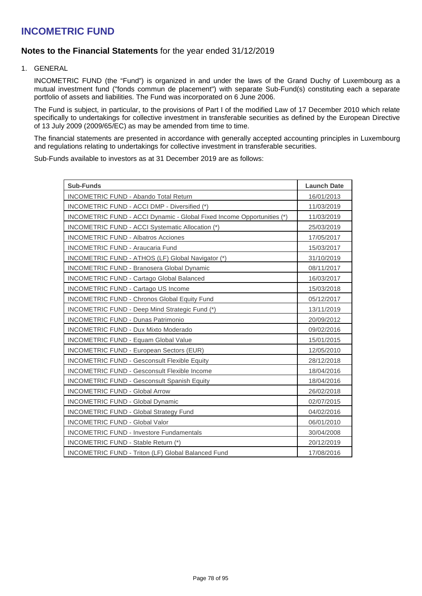## **Notes to the Financial Statements** for the year ended 31/12/2019

1. GENERAL

INCOMETRIC FUND (the "Fund") is organized in and under the laws of the Grand Duchy of Luxembourg as a mutual investment fund ("fonds commun de placement") with separate Sub-Fund(s) constituting each a separate portfolio of assets and liabilities. The Fund was incorporated on 6 June 2006.

The Fund is subject, in particular, to the provisions of Part I of the modified Law of 17 December 2010 which relate specifically to undertakings for collective investment in transferable securities as defined by the European Directive of 13 July 2009 (2009/65/EC) as may be amended from time to time.

The financial statements are presented in accordance with generally accepted accounting principles in Luxembourg and regulations relating to undertakings for collective investment in transferable securities.

Sub-Funds available to investors as at 31 December 2019 are as follows:

| <b>Sub-Funds</b>                                                       | <b>Launch Date</b> |
|------------------------------------------------------------------------|--------------------|
| <b>INCOMETRIC FUND - Abando Total Return</b>                           | 16/01/2013         |
| INCOMETRIC FUND - ACCI DMP - Diversified (*)                           | 11/03/2019         |
| INCOMETRIC FUND - ACCI Dynamic - Global Fixed Income Opportunities (*) | 11/03/2019         |
| INCOMETRIC FUND - ACCI Systematic Allocation (*)                       | 25/03/2019         |
| <b>INCOMETRIC FUND - Albatros Acciones</b>                             | 17/05/2017         |
| <b>INCOMETRIC FUND - Araucaria Fund</b>                                | 15/03/2017         |
| INCOMETRIC FUND - ATHOS (LF) Global Navigator (*)                      | 31/10/2019         |
| <b>INCOMETRIC FUND - Branosera Global Dynamic</b>                      | 08/11/2017         |
| <b>INCOMETRIC FUND - Cartago Global Balanced</b>                       | 16/03/2017         |
| <b>INCOMETRIC FUND - Cartago US Income</b>                             | 15/03/2018         |
| <b>INCOMETRIC FUND - Chronos Global Equity Fund</b>                    | 05/12/2017         |
| INCOMETRIC FUND - Deep Mind Strategic Fund (*)                         | 13/11/2019         |
| <b>INCOMETRIC FUND - Dunas Patrimonio</b>                              | 20/09/2012         |
| <b>INCOMETRIC FUND - Dux Mixto Moderado</b>                            | 09/02/2016         |
| <b>INCOMETRIC FUND - Equam Global Value</b>                            | 15/01/2015         |
| <b>INCOMETRIC FUND - European Sectors (EUR)</b>                        | 12/05/2010         |
| <b>INCOMETRIC FUND - Gesconsult Flexible Equity</b>                    | 28/12/2018         |
| <b>INCOMETRIC FUND - Gesconsult Flexible Income</b>                    | 18/04/2016         |
| <b>INCOMETRIC FUND - Gesconsult Spanish Equity</b>                     | 18/04/2016         |
| <b>INCOMETRIC FUND - Global Arrow</b>                                  | 26/02/2018         |
| <b>INCOMETRIC FUND - Global Dynamic</b>                                | 02/07/2015         |
| <b>INCOMETRIC FUND - Global Strategy Fund</b>                          | 04/02/2016         |
| <b>INCOMETRIC FUND - Global Valor</b>                                  | 06/01/2010         |
| <b>INCOMETRIC FUND - Investore Fundamentals</b>                        | 30/04/2008         |
| INCOMETRIC FUND - Stable Return (*)                                    | 20/12/2019         |
| <b>INCOMETRIC FUND - Triton (LF) Global Balanced Fund</b>              | 17/08/2016         |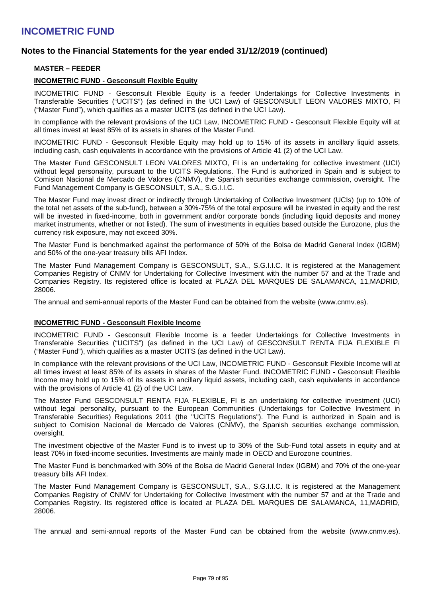## **Notes to the Financial Statements for the year ended 31/12/2019 (continued)**

### **MASTER – FEEDER**

### **INCOMETRIC FUND - Gesconsult Flexible Equity**

INCOMETRIC FUND - Gesconsult Flexible Equity is a feeder Undertakings for Collective Investments in Transferable Securities ("UCITS") (as defined in the UCI Law) of GESCONSULT LEON VALORES MIXTO, FI ("Master Fund"), which qualifies as a master UCITS (as defined in the UCI Law).

In compliance with the relevant provisions of the UCI Law, INCOMETRIC FUND - Gesconsult Flexible Equity will at all times invest at least 85% of its assets in shares of the Master Fund.

INCOMETRIC FUND - Gesconsult Flexible Equity may hold up to 15% of its assets in ancillary liquid assets, including cash, cash equivalents in accordance with the provisions of Article 41 (2) of the UCI Law.

The Master Fund GESCONSULT LEON VALORES MIXTO, FI is an undertaking for collective investment (UCI) without legal personality, pursuant to the UCITS Regulations. The Fund is authorized in Spain and is subject to Comision Nacional de Mercado de Valores (CNMV), the Spanish securities exchange commission, oversight. The Fund Management Company is GESCONSULT, S.A., S.G.I.I.C.

The Master Fund may invest direct or indirectly through Undertaking of Collective Investment (UCIs) (up to 10% of the total net assets of the sub-fund), between a 30%-75% of the total exposure will be invested in equity and the rest will be invested in fixed-income, both in government and/or corporate bonds (including liquid deposits and money market instruments, whether or not listed). The sum of investments in equities based outside the Eurozone, plus the currency risk exposure, may not exceed 30%.

The Master Fund is benchmarked against the performance of 50% of the Bolsa de Madrid General Index (IGBM) and 50% of the one-year treasury bills AFI Index.

The Master Fund Management Company is GESCONSULT, S.A., S.G.I.I.C. It is registered at the Management Companies Registry of CNMV for Undertaking for Collective Investment with the number 57 and at the Trade and Companies Registry. Its registered office is located at PLAZA DEL MARQUES DE SALAMANCA, 11,MADRID, 28006.

The annual and semi-annual reports of the Master Fund can be obtained from the website (www.cnmv.es).

### **INCOMETRIC FUND - Gesconsult Flexible Income**

INCOMETRIC FUND - Gesconsult Flexible Income is a feeder Undertakings for Collective Investments in Transferable Securities ("UCITS") (as defined in the UCI Law) of GESCONSULT RENTA FIJA FLEXIBLE FI ("Master Fund"), which qualifies as a master UCITS (as defined in the UCI Law).

In compliance with the relevant provisions of the UCI Law, INCOMETRIC FUND - Gesconsult Flexible Income will at all times invest at least 85% of its assets in shares of the Master Fund. INCOMETRIC FUND - Gesconsult Flexible Income may hold up to 15% of its assets in ancillary liquid assets, including cash, cash equivalents in accordance with the provisions of Article 41 (2) of the UCI Law.

The Master Fund GESCONSULT RENTA FIJA FLEXIBLE, FI is an undertaking for collective investment (UCI) without legal personality, pursuant to the European Communities (Undertakings for Collective Investment in Transferable Securities) Regulations 2011 (the "UCITS Regulations"). The Fund is authorized in Spain and is subject to Comision Nacional de Mercado de Valores (CNMV), the Spanish securities exchange commission, oversight.

The investment objective of the Master Fund is to invest up to 30% of the Sub-Fund total assets in equity and at least 70% in fixed-income securities. Investments are mainly made in OECD and Eurozone countries.

The Master Fund is benchmarked with 30% of the Bolsa de Madrid General Index (IGBM) and 70% of the one-year treasury bills AFI Index.

The Master Fund Management Company is GESCONSULT, S.A., S.G.I.I.C. It is registered at the Management Companies Registry of CNMV for Undertaking for Collective Investment with the number 57 and at the Trade and Companies Registry. Its registered office is located at PLAZA DEL MARQUES DE SALAMANCA, 11,MADRID, 28006.

The annual and semi-annual reports of the Master Fund can be obtained from the website (www.cnmv.es).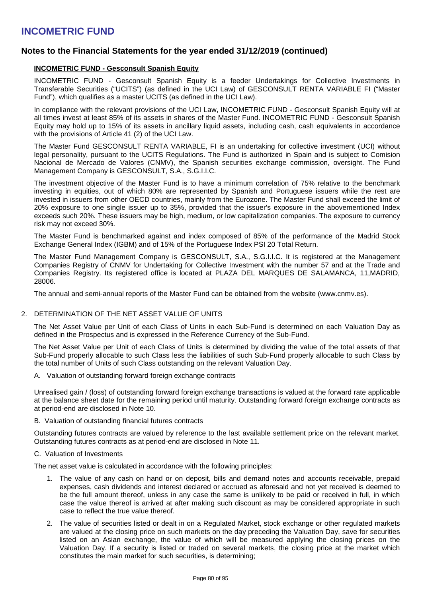## **Notes to the Financial Statements for the year ended 31/12/2019 (continued)**

### **INCOMETRIC FUND - Gesconsult Spanish Equity**

INCOMETRIC FUND - Gesconsult Spanish Equity is a feeder Undertakings for Collective Investments in Transferable Securities ("UCITS") (as defined in the UCI Law) of GESCONSULT RENTA VARIABLE FI ("Master Fund"), which qualifies as a master UCITS (as defined in the UCI Law).

In compliance with the relevant provisions of the UCI Law, INCOMETRIC FUND - Gesconsult Spanish Equity will at all times invest at least 85% of its assets in shares of the Master Fund. INCOMETRIC FUND - Gesconsult Spanish Equity may hold up to 15% of its assets in ancillary liquid assets, including cash, cash equivalents in accordance with the provisions of Article 41 (2) of the UCI Law.

The Master Fund GESCONSULT RENTA VARIABLE, FI is an undertaking for collective investment (UCI) without legal personality, pursuant to the UCITS Regulations. The Fund is authorized in Spain and is subject to Comision Nacional de Mercado de Valores (CNMV), the Spanish securities exchange commission, oversight. The Fund Management Company is GESCONSULT, S.A., S.G.I.I.C.

The investment objective of the Master Fund is to have a minimum correlation of 75% relative to the benchmark investing in equities, out of which 80% are represented by Spanish and Portuguese issuers while the rest are invested in issuers from other OECD countries, mainly from the Eurozone. The Master Fund shall exceed the limit of 20% exposure to one single issuer up to 35%, provided that the issuer's exposure in the abovementioned Index exceeds such 20%. These issuers may be high, medium, or low capitalization companies. The exposure to currency risk may not exceed 30%.

The Master Fund is benchmarked against and index composed of 85% of the performance of the Madrid Stock Exchange General Index (IGBM) and of 15% of the Portuguese Index PSI 20 Total Return.

The Master Fund Management Company is GESCONSULT, S.A., S.G.I.I.C. It is registered at the Management Companies Registry of CNMV for Undertaking for Collective Investment with the number 57 and at the Trade and Companies Registry. Its registered office is located at PLAZA DEL MARQUES DE SALAMANCA, 11,MADRID, 28006.

The annual and semi-annual reports of the Master Fund can be obtained from the website (www.cnmv.es).

### 2. DETERMINATION OF THE NET ASSET VALUE OF UNITS

The Net Asset Value per Unit of each Class of Units in each Sub-Fund is determined on each Valuation Day as defined in the Prospectus and is expressed in the Reference Currency of the Sub-Fund.

The Net Asset Value per Unit of each Class of Units is determined by dividing the value of the total assets of that Sub-Fund properly allocable to such Class less the liabilities of such Sub-Fund properly allocable to such Class by the total number of Units of such Class outstanding on the relevant Valuation Day.

A. Valuation of outstanding forward foreign exchange contracts

Unrealised gain / (loss) of outstanding forward foreign exchange transactions is valued at the forward rate applicable at the balance sheet date for the remaining period until maturity. Outstanding forward foreign exchange contracts as at period-end are disclosed in Note 10.

B. Valuation of outstanding financial futures contracts

Outstanding futures contracts are valued by reference to the last available settlement price on the relevant market. Outstanding futures contracts as at period-end are disclosed in Note 11.

C. Valuation of Investments

The net asset value is calculated in accordance with the following principles:

- 1. The value of any cash on hand or on deposit, bills and demand notes and accounts receivable, prepaid expenses, cash dividends and interest declared or accrued as aforesaid and not yet received is deemed to be the full amount thereof, unless in any case the same is unlikely to be paid or received in full, in which case the value thereof is arrived at after making such discount as may be considered appropriate in such case to reflect the true value thereof.
- 2. The value of securities listed or dealt in on a Regulated Market, stock exchange or other regulated markets are valued at the closing price on such markets on the day preceding the Valuation Day, save for securities listed on an Asian exchange, the value of which will be measured applying the closing prices on the Valuation Day. If a security is listed or traded on several markets, the closing price at the market which constitutes the main market for such securities, is determining;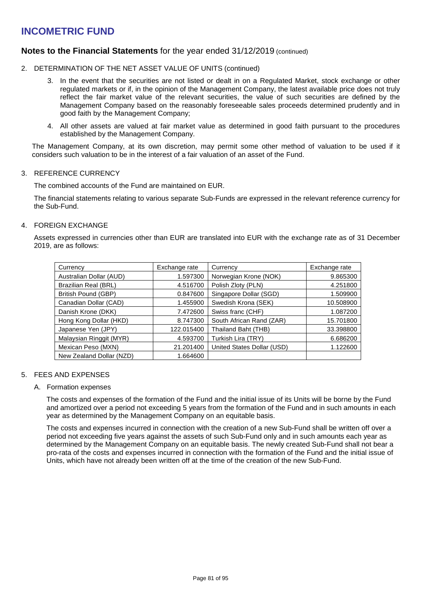## **Notes to the Financial Statements** for the year ended 31/12/2019 (continued)

- 2. DETERMINATION OF THE NET ASSET VALUE OF UNITS (continued)
	- 3. In the event that the securities are not listed or dealt in on a Regulated Market, stock exchange or other regulated markets or if, in the opinion of the Management Company, the latest available price does not truly reflect the fair market value of the relevant securities, the value of such securities are defined by the Management Company based on the reasonably foreseeable sales proceeds determined prudently and in good faith by the Management Company;
	- 4. All other assets are valued at fair market value as determined in good faith pursuant to the procedures established by the Management Company.

The Management Company, at its own discretion, may permit some other method of valuation to be used if it considers such valuation to be in the interest of a fair valuation of an asset of the Fund.

### 3. REFERENCE CURRENCY

The combined accounts of the Fund are maintained on EUR.

The financial statements relating to various separate Sub-Funds are expressed in the relevant reference currency for the Sub-Fund.

### 4. FOREIGN EXCHANGE

Assets expressed in currencies other than EUR are translated into EUR with the exchange rate as of 31 December 2019, are as follows:

| Currency                 | Exchange rate | Currency                   | Exchange rate |
|--------------------------|---------------|----------------------------|---------------|
| Australian Dollar (AUD)  | 1.597300      | Norwegian Krone (NOK)      | 9.865300      |
| Brazilian Real (BRL)     | 4.516700      | Polish Zloty (PLN)         | 4.251800      |
| British Pound (GBP)      | 0.847600      | Singapore Dollar (SGD)     | 1.509900      |
| Canadian Dollar (CAD)    | 1.455900      | Swedish Krona (SEK)        | 10.508900     |
| Danish Krone (DKK)       | 7.472600      | Swiss franc (CHF)          | 1.087200      |
| Hong Kong Dollar (HKD)   | 8.747300      | South African Rand (ZAR)   | 15.701800     |
| Japanese Yen (JPY)       | 122.015400    | Thailand Baht (THB)        | 33.398800     |
| Malaysian Ringgit (MYR)  | 4.593700      | Turkish Lira (TRY)         | 6.686200      |
| Mexican Peso (MXN)       | 21.201400     | United States Dollar (USD) | 1.122600      |
| New Zealand Dollar (NZD) | 1.664600      |                            |               |

### 5. FEES AND EXPENSES

### A. Formation expenses

The costs and expenses of the formation of the Fund and the initial issue of its Units will be borne by the Fund and amortized over a period not exceeding 5 years from the formation of the Fund and in such amounts in each year as determined by the Management Company on an equitable basis.

The costs and expenses incurred in connection with the creation of a new Sub-Fund shall be written off over a period not exceeding five years against the assets of such Sub-Fund only and in such amounts each year as determined by the Management Company on an equitable basis. The newly created Sub-Fund shall not bear a pro-rata of the costs and expenses incurred in connection with the formation of the Fund and the initial issue of Units, which have not already been written off at the time of the creation of the new Sub-Fund.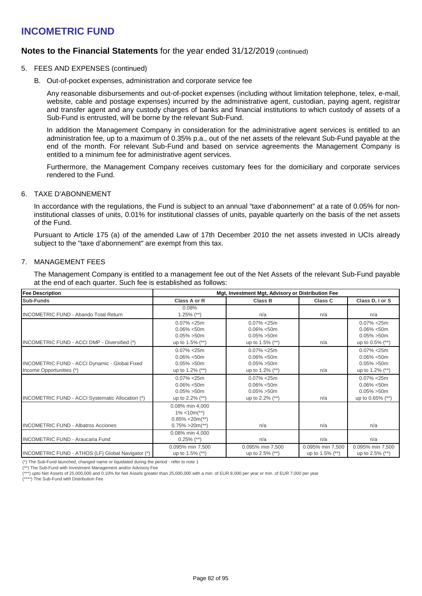## **Notes to the Financial Statements** for the year ended 31/12/2019 (continued)

- 5. FEES AND EXPENSES (continued)
	- B. Out-of-pocket expenses, administration and corporate service fee

Any reasonable disbursements and out-of-pocket expenses (including without limitation telephone, telex, e-mail, website, cable and postage expenses) incurred by the administrative agent, custodian, paying agent, registrar and transfer agent and any custody charges of banks and financial institutions to which custody of assets of a Sub-Fund is entrusted, will be borne by the relevant Sub-Fund.

In addition the Management Company in consideration for the administrative agent services is entitled to an administration fee, up to a maximum of 0.35% p.a., out of the net assets of the relevant Sub-Fund payable at the end of the month. For relevant Sub-Fund and based on service agreements the Management Company is entitled to a minimum fee for administrative agent services.

Furthermore, the Management Company receives customary fees for the domiciliary and corporate services rendered to the Fund.

### 6. TAXE D'ABONNEMENT

In accordance with the regulations, the Fund is subject to an annual "taxe d'abonnement" at a rate of 0.05% for noninstitutional classes of units, 0.01% for institutional classes of units, payable quarterly on the basis of the net assets of the Fund.

Pursuant to Article 175 (a) of the amended Law of 17th December 2010 the net assets invested in UCIs already subject to the "taxe d'abonnement" are exempt from this tax.

### 7. MANAGEMENT FEES

The Management Company is entitled to a management fee out of the Net Assets of the relevant Sub-Fund payable at the end of each quarter. Such fee is established as follows:

| <b>Fee Description</b>                                                    | Mgt, Investment Mgt, Advisory or Distribution Fee                                          |                                                                          |                                     |                                                                        |
|---------------------------------------------------------------------------|--------------------------------------------------------------------------------------------|--------------------------------------------------------------------------|-------------------------------------|------------------------------------------------------------------------|
| Sub-Funds                                                                 | Class A or R                                                                               | Class B                                                                  | Class C                             | Class D, I or S                                                        |
| <b>INCOMETRIC FUND - Abando Total Return</b>                              | 0.08%<br>$1.25\%$ (**)                                                                     | n/a                                                                      | n/a                                 | n/a                                                                    |
| INCOMETRIC FUND - ACCI DMP - Diversified (*)                              | $0.07\% < 25m$<br>$0.06\% < 50m$<br>$0.05\% > 50m$<br>up to 1.5% (**)                      | $0.07\% < 25m$<br>$0.06\% < 50m$<br>$0.05\% > 50m$<br>up to 1.5% (**)    | n/a                                 | $0.07\% < 25m$<br>$0.06\% < 50m$<br>$0.05\% > 50m$<br>up to 0.5% (**)  |
| INCOMETRIC FUND - ACCI Dynamic - Global Fixed<br>Income Opportunities (*) | $0.07\% < 25m$<br>$0.06\% < 50m$<br>$0.05\% > 50m$<br>up to 1.2% $(**)$                    | $0.07\% < 25m$<br>$0.06\% < 50m$<br>$0.05\% > 50m$<br>up to 1.2% (**)    | n/a                                 | $0.07\% < 25m$<br>$0.06\% < 50m$<br>$0.05\% > 50m$<br>up to 1.2% (**)  |
| INCOMETRIC FUND - ACCI Systematic Allocation (*)                          | $0.07\% < 25m$<br>$0.06\% < 50m$<br>$0.05\% > 50m$<br>up to $2.2\%$ (**)                   | $0.07\% < 25m$<br>$0.06\% < 50m$<br>$0.05\% > 50m$<br>up to $2.2\%$ (**) | n/a                                 | $0.07\% < 25m$<br>$0.06\% < 50m$<br>$0.05\% > 50m$<br>up to 0.65% (**) |
| <b>INCOMETRIC FUND - Albatros Acciones</b>                                | 0.08% min 4,000<br>$1\% < 10m$ <sup>**</sup> )<br>$0.85\% < 20m(**)$<br>$0.75\% > 20m(**)$ | n/a                                                                      | n/a                                 | n/a                                                                    |
| <b>INCOMETRIC FUND - Araucaria Fund</b>                                   | 0.08% min 4,000<br>$0.25\%$ (**)                                                           | n/a                                                                      | n/a                                 | n/a                                                                    |
| INCOMETRIC FUND - ATHOS (LF) Global Navigator (*)                         | 0.095% min 7,500<br>up to 1.5% (**)                                                        | 0.095% min 7,500<br>up to $2.5\%$ (**)                                   | 0.095% min 7,500<br>up to 1.5% (**) | 0.095% min 7,500<br>up to $2.5\%$ (**)                                 |

(\*) The Sub-Fund launched, changed name or liquidated during the period - refer to note 1

(\*\*) The Sub-Fund with Investment Management and/or Advisory Fee

(\*\*\*) upto Net Assets of 25,000,000 and 0.10% for Net Assets greater than 25,000,000 with a min. of EUR 8,000 per year or min. of EUR 7,000 per year

(\*\*\*\*) The Sub-Fund with Distribution Fee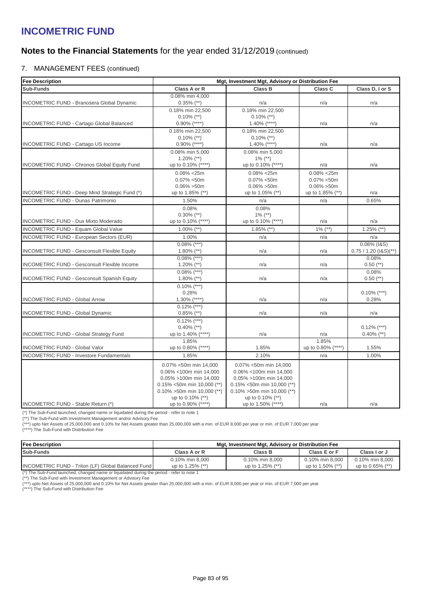## **Notes to the Financial Statements** for the year ended 31/12/2019 (continued)

### 7. MANAGEMENT FEES (continued)

| <b>Fee Description</b>                              | Mgt, Investment Mgt, Advisory or Distribution Fee                                                                                                                                     |                                                                                                                                                                                         |                                                                        |                                        |
|-----------------------------------------------------|---------------------------------------------------------------------------------------------------------------------------------------------------------------------------------------|-----------------------------------------------------------------------------------------------------------------------------------------------------------------------------------------|------------------------------------------------------------------------|----------------------------------------|
| Sub-Funds                                           | Class A or R                                                                                                                                                                          | <b>Class B</b>                                                                                                                                                                          | Class C                                                                | Class D, I or S                        |
| INCOMETRIC FUND - Branosera Global Dynamic          | 0.08% min 4,000<br>$0.35\%$ (**)                                                                                                                                                      | n/a                                                                                                                                                                                     | n/a                                                                    | n/a                                    |
| <b>INCOMETRIC FUND - Cartago Global Balanced</b>    | 0.18% min 22.500<br>$0.10\%$ (**)<br>$0.90\%$ (****)                                                                                                                                  | 0.18% min 22.500<br>$0.10\%$ (**)<br>$1.40\%$ (****)                                                                                                                                    | n/a                                                                    | n/a                                    |
|                                                     | 0.18% min 22.500<br>$0.10\%$ (**)                                                                                                                                                     | 0.18% min 22,500<br>$0.10\%$ (**)                                                                                                                                                       |                                                                        |                                        |
| INCOMETRIC FUND - Cartago US Income                 | $0.90\%$ (****)<br>0.08% min 5,000                                                                                                                                                    | $1.40\%$ (****)<br>0.08% min 5,000                                                                                                                                                      | n/a                                                                    | n/a                                    |
| <b>INCOMETRIC FUND - Chronos Global Equity Fund</b> | $1.20\%$ (**)<br>up to 0.10% (****)                                                                                                                                                   | $1\%$ (**)<br>up to 0.10% (****)                                                                                                                                                        | n/a                                                                    | n/a                                    |
| INCOMETRIC FUND - Deep Mind Strategic Fund (*)      | $0.08\% < 25m$<br>$0.07\% < 50m$<br>$0.06\% > 50m$<br>up to 1.85% (**)                                                                                                                | $0.08\% < 25m$<br>$0.07\% < 50m$<br>$0.06\% > 50m$<br>up to 1.05% (**)                                                                                                                  | $0.08\% < 25m$<br>$0.07\% < 50m$<br>$0.06\% > 50m$<br>up to 1.85% (**) | n/a                                    |
| <b>INCOMETRIC FUND - Dunas Patrimonio</b>           | 1.50%                                                                                                                                                                                 | n/a                                                                                                                                                                                     | n/a                                                                    | 0.65%                                  |
| <b>INCOMETRIC FUND - Dux Mixto Moderado</b>         | 0.08%<br>$0.30\%$ (**)<br>up to 0.10% (****)                                                                                                                                          | 0.08%<br>$1\%$ (**)<br>up to 0.10% (****)                                                                                                                                               | n/a                                                                    | n/a                                    |
| <b>INCOMETRIC FUND - Equam Global Value</b>         | $1.00\%$ (**)                                                                                                                                                                         | $1.85\%$ (**)                                                                                                                                                                           | $1\%$ (**)                                                             | $1.25\%$ (**)                          |
| <b>INCOMETRIC FUND - European Sectors (EUR)</b>     | 1.00%                                                                                                                                                                                 | n/a                                                                                                                                                                                     | n/a                                                                    | n/a                                    |
| <b>INCOMETRIC FUND - Gesconsult Flexible Equity</b> | $0.08\%$ (***)<br>$1.80\%$ (**)                                                                                                                                                       | n/a                                                                                                                                                                                     | n/a                                                                    | 0.08% (I&S)<br>$0.75 / 1.20 (18S)(**)$ |
| <b>INCOMETRIC FUND - Gesconsult Flexible Income</b> | $0.08\%$ (***)<br>1.20% $(**)$                                                                                                                                                        | n/a                                                                                                                                                                                     | n/a                                                                    | 0.08%<br>$0.50$ (**)                   |
| <b>INCOMETRIC FUND - Gesconsult Spanish Equity</b>  | $0.08\%$ (***)<br>$1.80\%$ (**)                                                                                                                                                       | n/a                                                                                                                                                                                     | n/a                                                                    | 0.08%<br>$0.50$ (**)                   |
| <b>INCOMETRIC FUND - Global Arrow</b>               | $0.10\%$ (***)<br>0.28%<br>$1.30\%$ (****)                                                                                                                                            | n/a                                                                                                                                                                                     | n/a                                                                    | $0.10\%$ (***)<br>0.28%                |
| <b>INCOMETRIC FUND - Global Dynamic</b>             | $0.12\%$ (***)<br>$0.85\%$ (**)                                                                                                                                                       | n/a                                                                                                                                                                                     | n/a                                                                    | n/a                                    |
| <b>INCOMETRIC FUND - Global Strategy Fund</b>       | $0.12\%$ (***)<br>$0.40\%$ (**)<br>up to 1.40% (****)                                                                                                                                 | n/a                                                                                                                                                                                     | n/a                                                                    | $0.12\%$ (***)<br>$0.40\%$ (**)        |
| <b>INCOMETRIC FUND - Global Valor</b>               | 1.85%<br>up to 0.80% (****)                                                                                                                                                           | 1.85%                                                                                                                                                                                   | 1.85%<br>up to 0.80% (****)                                            | 1.55%                                  |
| <b>INCOMETRIC FUND - Investore Fundamentals</b>     | 1.85%                                                                                                                                                                                 | 2.10%                                                                                                                                                                                   | n/a                                                                    | 1.00%                                  |
| INCOMETRIC FUND - Stable Return (*)                 | 0.07% <50m min 14,000<br>0.06% <100m min 14,000<br>0.05% >100m min 14,000<br>$0.15\%$ <50m min 10,000 (**)<br>$0.10\%$ >50m min 10,000 (**)<br>up to 0.10% (**)<br>up to 0.90% (****) | 0.07% <50m min 14,000<br>0.06% <100m min 14,000<br>0.05% >100m min 14,000<br>$0.15\%$ <50m min 10,000 (**)<br>$0.10\% > 50$ m min 10,000 (**)<br>up to 0.10% (**)<br>up to 1.50% (****) | n/a                                                                    | n/a                                    |

(\*) The Sub-Fund launched, changed name or liquidated during the period - refer to note 1

(\*\*) The Sub-Fund with Investment Management and/or Advisory Fee<br>(\*\*\*) upto Net Assets of 25,000,000 and 0.10% for Net Assets greater than 25,000,000 with a min. of EUR 8,000 per year or min. of EUR 7,000 per year

(\*\*\*\*) The Sub-Fund with Distribution Fee

| lFee Description                                        | Mgt, Investment Mgt, Advisory or Distribution Fee |                  |                  |                     |  |  |  |
|---------------------------------------------------------|---------------------------------------------------|------------------|------------------|---------------------|--|--|--|
| Sub-Funds                                               | Class A or R                                      | Class B          | Class E or F     | Class I or J        |  |  |  |
|                                                         | 0.10% min 8,000                                   | 0.10% min 8,000  | 0.10% min 8,000  | 0.10% min 8.000     |  |  |  |
| INCOMETRIC FUND - Triton (LF) Global Balanced Fund<br>. | up to 1.25% (**)                                  | up to 1.25% (**) | up to 1.50% (**) | up to $0.65\%$ (**) |  |  |  |

(\*) The Sub-Fund launched, changed name or liquidated during the period - refer to note 1 (\*\*) The Sub-Fund with Investment Management or Advisory Fee

(\*\*\*) upto Net Assets of 25,000,000 and 0.10% for Net Assets greater than 25,000,000 with a min. of EUR 8,000 per year or min. of EUR 7,000 per year (\*\*\*\*) The Sub-Fund with Distribution Fee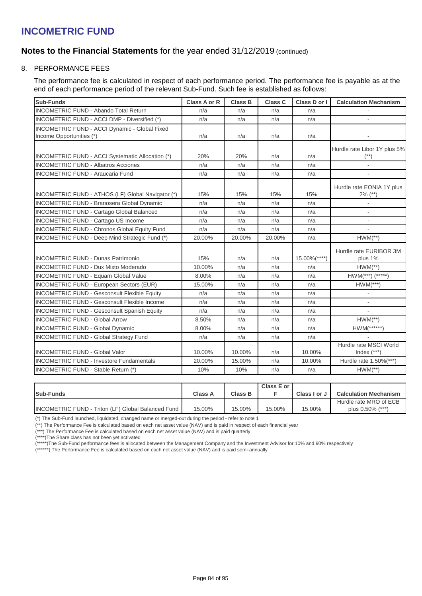## **Notes to the Financial Statements** for the year ended 31/12/2019 (continued)

### 8. PERFORMANCE FEES

The performance fee is calculated in respect of each performance period. The performance fee is payable as at the end of each performance period of the relevant Sub-Fund. Such fee is established as follows:

| <b>Sub-Funds</b>                                    | Class A or R  | <b>Class B</b> | Class C    | Class D or I     | <b>Calculation Mechanism</b>            |
|-----------------------------------------------------|---------------|----------------|------------|------------------|-----------------------------------------|
| <b>INCOMETRIC FUND - Abando Total Return</b>        | n/a           | n/a            | n/a        | n/a              |                                         |
| INCOMETRIC FUND - ACCI DMP - Diversified (*)        | n/a           | n/a            | n/a        | n/a              |                                         |
| INCOMETRIC FUND - ACCI Dynamic - Global Fixed       |               |                |            |                  |                                         |
| Income Opportunities (*)                            | n/a           | n/a            | n/a        | n/a              |                                         |
|                                                     |               |                |            |                  | Hurdle rate Libor 1Y plus 5%            |
| INCOMETRIC FUND - ACCI Systematic Allocation (*)    | 20%           | 20%            | n/a        | n/a              | $(**)$                                  |
| <b>INCOMETRIC FUND - Albatros Acciones</b>          | n/a           | n/a            | n/a        | n/a              | $\overline{\phantom{a}}$                |
| <b>INCOMETRIC FUND - Araucaria Fund</b>             | n/a           | n/a            | n/a        | n/a              | $\mathbf{r}$                            |
|                                                     |               |                |            |                  |                                         |
| INCOMETRIC FUND - ATHOS (LF) Global Navigator (*)   | 15%           | 15%            | 15%        | 15%              | Hurdle rate EONIA 1Y plus<br>$2\%$ (**) |
| <b>INCOMETRIC FUND - Branosera Global Dynamic</b>   | n/a           | n/a            | n/a        | n/a              | $\blacksquare$                          |
| <b>INCOMETRIC FUND - Cartago Global Balanced</b>    | n/a           | n/a            | n/a        | n/a              |                                         |
| <b>INCOMETRIC FUND - Cartago US Income</b>          | n/a           | n/a            | n/a        | n/a              |                                         |
| <b>INCOMETRIC FUND - Chronos Global Equity Fund</b> | n/a           | n/a            | n/a        | n/a              | $\blacksquare$                          |
| INCOMETRIC FUND - Deep Mind Strategic Fund (*)      | 20.00%        | 20.00%         | 20.00%     | n/a              | $HWM(**)$                               |
|                                                     |               |                |            |                  | Hurdle rate EURIBOR 3M                  |
| <b>INCOMETRIC FUND - Dunas Patrimonio</b>           | 15%           | n/a            | n/a        | $15.00\%$ (****) | plus 1%                                 |
| <b>INCOMETRIC FUND - Dux Mixto Moderado</b>         | 10.00%        | n/a            | n/a        | n/a              | $HWM(**)$                               |
| <b>INCOMETRIC FUND - Equam Global Value</b>         | 8.00%         | n/a            | n/a        | n/a              | $HWM(***)$ (*****)                      |
| INCOMETRIC FUND - European Sectors (EUR)            | 15.00%        | n/a            | n/a        | n/a              | $HWM(***)$                              |
| <b>INCOMETRIC FUND - Gesconsult Flexible Equity</b> | n/a           | n/a            | n/a        | n/a              | $\blacksquare$                          |
| <b>INCOMETRIC FUND - Gesconsult Flexible Income</b> | n/a           | n/a            | n/a        | n/a              | $\sim$                                  |
| <b>INCOMETRIC FUND - Gesconsult Spanish Equity</b>  | n/a           | n/a            | n/a        | n/a              |                                         |
| <b>INCOMETRIC FUND - Global Arrow</b>               | 8.50%         | n/a            | n/a        | n/a              | $HWM(**)$                               |
| <b>INCOMETRIC FUND - Global Dynamic</b>             | 8.00%         | n/a            | n/a        | n/a              | $HWM(*****)$                            |
| <b>INCOMETRIC FUND - Global Strategy Fund</b>       | n/a           | n/a            | n/a        | n/a              |                                         |
| <b>INCOMETRIC FUND - Global Valor</b>               | 10.00%        | 10.00%         |            | 10.00%           | Hurdle rate MSCI World                  |
| <b>INCOMETRIC FUND - Investore Fundamentals</b>     |               |                | n/a        |                  | Index $(***)$                           |
| INCOMETRIC FUND - Stable Return (*)                 | 20.00%<br>10% | 15.00%<br>10%  | n/a<br>n/a | 10.00%<br>n/a    | Hurdle rate 1.50%(***)<br>$HWM(**)$     |
|                                                     |               |                |            |                  |                                         |

| <b>Sub-Funds</b>                                   | <b>Class A</b> | <b>Class B</b> | Class E or | Class I or J | <b>Calculation Mechanism</b> |
|----------------------------------------------------|----------------|----------------|------------|--------------|------------------------------|
|                                                    |                |                |            |              | Hurdle rate MRO of ECB       |
| INCOMETRIC FUND - Triton (LF) Global Balanced Fund | 15.00%         | 15.00%         | 15.00%     | 15.00%       | plus 0.50% (***)             |

(\*) The Sub-Fund launched, liquidated, changed name or merged-out during the period - refer to note 1

(\*\*) The Performance Fee is calculated based on each net asset value (NAV) and is paid in respect of each financial year

(\*\*\*) The Performance Fee is calculated based on each net asset value (NAV) and is paid quarterly

(\*\*\*\*)The Share class has not been yet activated

(\*\*\*\*\*)The Sub-Fund performance fees is allocated between the Management Company and the Investment Advisor for 10% and 90% respectively

(\*\*\*\*\*\*) The Performance Fee is calculated based on each net asset value (NAV) and is paid semi-annually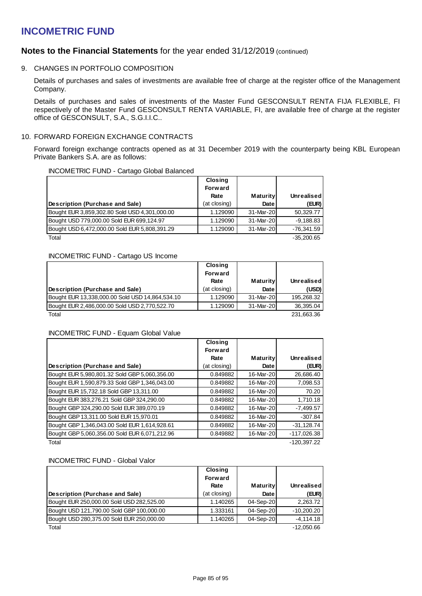### **Notes to the Financial Statements** for the year ended 31/12/2019 (continued)

### 9. CHANGES IN PORTFOLIO COMPOSITION

Details of purchases and sales of investments are available free of charge at the register office of the Management Company.

Details of purchases and sales of investments of the Master Fund GESCONSULT RENTA FIJA FLEXIBLE, FI respectively of the Master Fund GESCONSULT RENTA VARIABLE, FI, are available free of charge at the register office of GESCONSULT, S.A., S.G.I.I.C..

### 10. FORWARD FOREIGN EXCHANGE CONTRACTS

Forward foreign exchange contracts opened as at 31 December 2019 with the counterparty being KBL European Private Bankers S.A. are as follows:

### INCOMETRIC FUND - Cartago Global Balanced

|                                               | <b>Closing</b> |                 |              |
|-----------------------------------------------|----------------|-----------------|--------------|
|                                               | <b>Forward</b> |                 |              |
|                                               | Rate           | <b>Maturity</b> | Unrealised   |
| Description (Purchase and Sale)               | (at closing)   | Date            | (EUR)        |
| Bought EUR 3,859,302.80 Sold USD 4,301,000.00 | 1.129090       | 31-Mar-20       | 50.329.77    |
| Bought USD 779,000.00 Sold EUR 699,124.97     | 1.129090       | 31-Mar-20       | $-9,188.83$  |
| Bought USD 6,472,000.00 Sold EUR 5,808,391.29 | 1.129090       | 31-Mar-20       | $-76,341.59$ |
| Total                                         |                |                 | $-35.200.65$ |

### INCOMETRIC FUND - Cartago US Income

|                                                 | <b>Closing</b> |                 |            |
|-------------------------------------------------|----------------|-----------------|------------|
|                                                 | <b>Forward</b> |                 |            |
|                                                 | Rate           | <b>Maturity</b> | Unrealised |
| Description (Purchase and Sale)                 | (at closing)   | Date            | (USD)      |
| Bought EUR 13,338,000.00 Sold USD 14,864,534.10 | 1.129090       | 31-Mar-20       | 195,268.32 |
| Bought EUR 2,486,000.00 Sold USD 2,770,522.70   | 1.129090       | 31-Mar-20       | 36,395.04  |
| Total                                           |                |                 | 231,663.36 |

### INCOMETRIC FUND - Equam Global Value

|                                               | <b>Closing</b><br><b>Forward</b> |                 |               |
|-----------------------------------------------|----------------------------------|-----------------|---------------|
|                                               | Rate                             | <b>Maturity</b> | Unrealised    |
| Description (Purchase and Sale)               | (at closing)                     | Date            | (EUR)         |
| Bought EUR 5,980,801.32 Sold GBP 5,060,356.00 | 0.849882                         | 16-Mar-20       | 26,686.40     |
| Bought EUR 1,590,879.33 Sold GBP 1,346,043.00 | 0.849882                         | 16-Mar-20       | 7,098.53      |
| Bought EUR 15,732.18 Sold GBP 13,311.00       | 0.849882                         | 16-Mar-20       | 70.20         |
| Bought EUR 383,276.21 Sold GBP 324,290.00     | 0.849882                         | 16-Mar-20       | 1,710.18      |
| Bought GBP 324,290.00 Sold EUR 389,070.19     | 0.849882                         | 16-Mar-20       | $-7,499.57$   |
| Bought GBP 13,311.00 Sold EUR 15,970.01       | 0.849882                         | 16-Mar-20       | $-307.84$     |
| Bought GBP 1,346,043.00 Sold EUR 1,614,928.61 | 0.849882                         | 16-Mar-20       | $-31.128.74$  |
| Bought GBP 5,060,356.00 Sold EUR 6,071,212.96 | 0.849882                         | 16-Mar-20       | $-117,026.38$ |
| Total                                         |                                  |                 | $-120.397.22$ |

### INCOMETRIC FUND - Global Valor

|                                           | <b>Closing</b><br><b>Forward</b> |                 |                   |
|-------------------------------------------|----------------------------------|-----------------|-------------------|
|                                           | Rate                             | <b>Maturity</b> | <b>Unrealised</b> |
| Description (Purchase and Sale)           | (at closing)                     | Date            | (EUR)             |
| Bought EUR 250,000.00 Sold USD 282,525.00 | 1.140265                         | 04-Sep-20       | 2.263.72          |
| Bought USD 121,790.00 Sold GBP 100,000.00 | 1.333161                         | 04-Sep-20       | $-10.200.20$      |
| Bought USD 280,375.00 Sold EUR 250,000.00 | 1.140265                         | 04-Sep-20       | $-4.114.18$       |
| Total                                     |                                  |                 | $-12.050.66$      |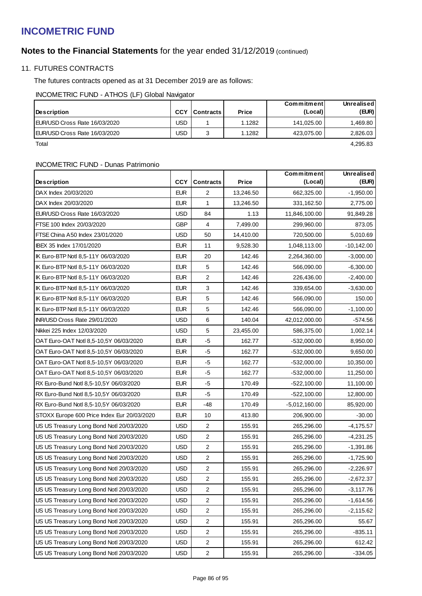## **Notes to the Financial Statements** for the year ended 31/12/2019 (continued)

### 11. FUTURES CONTRACTS

The futures contracts opened as at 31 December 2019 are as follows:

INCOMETRIC FUND - ATHOS (LF) Global Navigator

| <b>Description</b>            | <b>CCY</b> | <b>Contracts</b> I | <b>Price</b> | Commitment<br>(Local) | Unrealised<br>(EUR) |
|-------------------------------|------------|--------------------|--------------|-----------------------|---------------------|
| EUR/USD Cross Rate 16/03/2020 | USD        |                    | 1.1282       | 141.025.00            | 1.469.80            |
| EUR/USD Cross Rate 16/03/2020 | USD        |                    | 1.1282       | 423.075.00            | 2,826.03            |
| Total                         |            |                    |              |                       | 4.295.83            |

### INCOMETRIC FUND - Dunas Patrimonio

|                                             |            |                  |           | Commitment      | <b>Unrealised</b> |
|---------------------------------------------|------------|------------------|-----------|-----------------|-------------------|
| Description                                 | <b>CCY</b> | <b>Contracts</b> | Price     | (Local)         | (EUR)             |
| DAX Index 20/03/2020                        | <b>EUR</b> | 2                | 13,246.50 | 662,325.00      | $-1,950.00$       |
| DAX Index 20/03/2020                        | <b>EUR</b> | $\mathbf{1}$     | 13,246.50 | 331,162.50      | 2,775.00          |
| EUR/USD Cross Rate 16/03/2020               | <b>USD</b> | 84               | 1.13      | 11,846,100.00   | 91,849.28         |
| FTSE 100 Index 20/03/2020                   | <b>GBP</b> | 4                | 7,499.00  | 299,960.00      | 873.05            |
| FTSE China A50 Index 23/01/2020             | <b>USD</b> | 50               | 14,410.00 | 720,500.00      | 5,010.69          |
| IBEX 35 Index 17/01/2020                    | <b>EUR</b> | 11               | 9,528.30  | 1,048,113.00    | $-10,142.00$      |
| IK Euro-BTP Notl 8,5-11Y 06/03/2020         | <b>EUR</b> | 20               | 142.46    | 2,264,360.00    | $-3,000.00$       |
| IK Euro-BTP Notl 8,5-11Y 06/03/2020         | <b>EUR</b> | 5                | 142.46    | 566,090.00      | $-6,300.00$       |
| IK Euro-BTP Notl 8,5-11Y 06/03/2020         | <b>EUR</b> | $\overline{c}$   | 142.46    | 226,436.00      | $-2,400.00$       |
| IK Euro-BTP Notl 8,5-11Y 06/03/2020         | <b>EUR</b> | $\sqrt{3}$       | 142.46    | 339,654.00      | $-3,630.00$       |
| IK Euro-BTP Notl 8,5-11Y 06/03/2020         | <b>EUR</b> | $\,$ 5 $\,$      | 142.46    | 566,090.00      | 150.00            |
| IK Euro-BTP Notl 8,5-11Y 06/03/2020         | <b>EUR</b> | 5                | 142.46    | 566,090.00      | $-1,100.00$       |
| INR/USD Cross Rate 29/01/2020               | <b>USD</b> | 6                | 140.04    | 42,012,000.00   | $-574.56$         |
| Nikkei 225 Index 12/03/2020                 | <b>USD</b> | 5                | 23,455.00 | 586,375.00      | 1,002.14          |
| OAT Euro-OAT Notl 8,5-10,5Y 06/03/2020      | <b>EUR</b> | $-5$             | 162.77    | $-532,000.00$   | 8,950.00          |
| OAT Euro-OAT Notl 8,5-10,5Y 06/03/2020      | <b>EUR</b> | $-5$             | 162.77    | $-532,000.00$   | 9,650.00          |
| OAT Euro-OAT Notl 8,5-10,5Y 06/03/2020      | <b>EUR</b> | $-5$             | 162.77    | $-532,000.00$   | 10,350.00         |
| OAT Euro-OAT Notl 8,5-10,5Y 06/03/2020      | <b>EUR</b> | $-5$             | 162.77    | $-532,000.00$   | 11,250.00         |
| RX Euro-Bund Notl 8,5-10,5Y 06/03/2020      | <b>EUR</b> | $-5$             | 170.49    | $-522,100.00$   | 11,100.00         |
| RX Euro-Bund Notl 8,5-10,5Y 06/03/2020      | <b>EUR</b> | $-5$             | 170.49    | $-522,100.00$   | 12,800.00         |
| RX Euro-Bund Notl 8,5-10,5Y 06/03/2020      | <b>EUR</b> | $-48$            | 170.49    | $-5,012,160.00$ | 85,920.00         |
| STOXX Europe 600 Price Index Eur 20/03/2020 | <b>EUR</b> | 10               | 413.80    | 206,900.00      | $-30.00$          |
| US US Treasury Long Bond Notl 20/03/2020    | <b>USD</b> | $\overline{c}$   | 155.91    | 265,296.00      | $-4,175.57$       |
| US US Treasury Long Bond Notl 20/03/2020    | <b>USD</b> | $\overline{2}$   | 155.91    | 265,296.00      | $-4,231.25$       |
| US US Treasury Long Bond Notl 20/03/2020    | <b>USD</b> | $\sqrt{2}$       | 155.91    | 265,296.00      | $-1,391.86$       |
| US US Treasury Long Bond Notl 20/03/2020    | <b>USD</b> | $\overline{2}$   | 155.91    | 265,296.00      | $-1,725.90$       |
| US US Treasury Long Bond Notl 20/03/2020    | <b>USD</b> | $\sqrt{2}$       | 155.91    | 265,296.00      | $-2,226.97$       |
| US US Treasury Long Bond Notl 20/03/2020    | <b>USD</b> | $\sqrt{2}$       | 155.91    | 265,296.00      | $-2,672.37$       |
| US US Treasury Long Bond Notl 20/03/2020    | <b>USD</b> | 2                | 155.91    | 265,296.00      | $-3,117.76$       |
| US US Treasury Long Bond Notl 20/03/2020    | <b>USD</b> | $\sqrt{2}$       | 155.91    | 265,296.00      | $-1,614.56$       |
| US US Treasury Long Bond Notl 20/03/2020    | <b>USD</b> | $\boldsymbol{2}$ | 155.91    | 265,296.00      | $-2,115.62$       |
| US US Treasury Long Bond Notl 20/03/2020    | <b>USD</b> | $\sqrt{2}$       | 155.91    | 265,296.00      | 55.67             |
| US US Treasury Long Bond Notl 20/03/2020    | <b>USD</b> | $\boldsymbol{2}$ | 155.91    | 265,296.00      | $-835.11$         |
| US US Treasury Long Bond Notl 20/03/2020    | <b>USD</b> | $\sqrt{2}$       | 155.91    | 265,296.00      | 612.42            |
| US US Treasury Long Bond Notl 20/03/2020    | <b>USD</b> | $\boldsymbol{2}$ | 155.91    | 265,296.00      | $-334.05$         |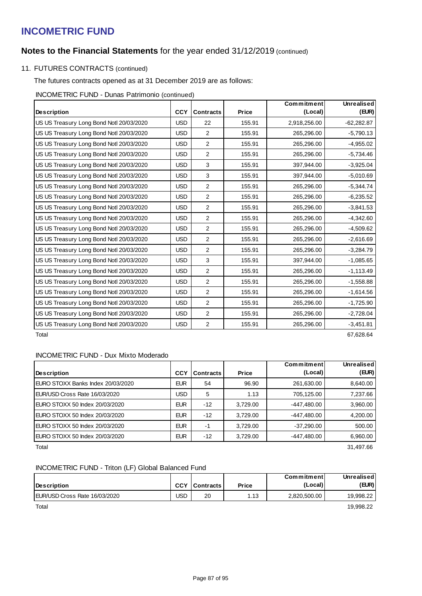## **Notes to the Financial Statements** for the year ended 31/12/2019 (continued)

## 11. FUTURES CONTRACTS (continued)

The futures contracts opened as at 31 December 2019 are as follows:

INCOMETRIC FUND - Dunas Patrimonio (continued)

|                                          |            |                  |        | Commitment   | <b>Unrealised</b> |
|------------------------------------------|------------|------------------|--------|--------------|-------------------|
| <b>Description</b>                       | <b>CCY</b> | <b>Contracts</b> | Price  | (Local)      | (EUR)             |
| US US Treasury Long Bond Notl 20/03/2020 | <b>USD</b> | 22               | 155.91 | 2,918,256.00 | $-62,282.87$      |
| US US Treasury Long Bond Notl 20/03/2020 | <b>USD</b> | 2                | 155.91 | 265,296.00   | $-5,790.13$       |
| US US Treasury Long Bond Notl 20/03/2020 | <b>USD</b> | 2                | 155.91 | 265,296.00   | $-4,955.02$       |
| US US Treasury Long Bond Notl 20/03/2020 | <b>USD</b> | 2                | 155.91 | 265,296.00   | $-5,734.46$       |
| US US Treasury Long Bond Notl 20/03/2020 | <b>USD</b> | 3                | 155.91 | 397,944.00   | $-3,925.04$       |
| US US Treasury Long Bond Notl 20/03/2020 | <b>USD</b> | 3                | 155.91 | 397,944.00   | $-5,010.69$       |
| US US Treasury Long Bond Notl 20/03/2020 | <b>USD</b> | $\overline{2}$   | 155.91 | 265,296.00   | $-5,344.74$       |
| US US Treasury Long Bond Notl 20/03/2020 | <b>USD</b> | $\overline{2}$   | 155.91 | 265,296.00   | $-6,235.52$       |
| US US Treasury Long Bond Notl 20/03/2020 | <b>USD</b> | $\overline{2}$   | 155.91 | 265,296.00   | $-3,841.53$       |
| US US Treasury Long Bond Notl 20/03/2020 | <b>USD</b> | $\overline{2}$   | 155.91 | 265,296.00   | $-4,342.60$       |
| US US Treasury Long Bond Notl 20/03/2020 | <b>USD</b> | 2                | 155.91 | 265,296.00   | $-4,509.62$       |
| US US Treasury Long Bond Notl 20/03/2020 | <b>USD</b> | 2                | 155.91 | 265,296.00   | $-2,616.69$       |
| US US Treasury Long Bond Notl 20/03/2020 | <b>USD</b> | $\overline{2}$   | 155.91 | 265,296.00   | $-3,284.79$       |
| US US Treasury Long Bond Notl 20/03/2020 | <b>USD</b> | 3                | 155.91 | 397,944.00   | $-1,085.65$       |
| US US Treasury Long Bond Notl 20/03/2020 | <b>USD</b> | 2                | 155.91 | 265,296.00   | $-1,113.49$       |
| US US Treasury Long Bond Notl 20/03/2020 | <b>USD</b> | $\overline{2}$   | 155.91 | 265,296.00   | $-1,558.88$       |
| US US Treasury Long Bond Notl 20/03/2020 | <b>USD</b> | $\overline{2}$   | 155.91 | 265,296.00   | $-1,614.56$       |
| US US Treasury Long Bond Notl 20/03/2020 | <b>USD</b> | 2                | 155.91 | 265,296.00   | $-1,725.90$       |
| US US Treasury Long Bond Notl 20/03/2020 | <b>USD</b> | 2                | 155.91 | 265,296.00   | $-2,728.04$       |
| US US Treasury Long Bond Notl 20/03/2020 | <b>USD</b> | 2                | 155.91 | 265,296.00   | $-3,451.81$       |

Total 67,628.64

### INCOMETRIC FUND - Dux Mixto Moderado

|                                   |            |                  |              | Commitment   | Unrealised |
|-----------------------------------|------------|------------------|--------------|--------------|------------|
| Description                       | <b>CCY</b> | <b>Contracts</b> | <b>Price</b> | (Local)      | (EUR)      |
| EURO STOXX Banks Index 20/03/2020 | <b>EUR</b> | 54               | 96.90        | 261,630.00   | 8,640.00   |
| EUR/USD Cross Rate 16/03/2020     | USD        | 5                | 1.13         | 705,125.00   | 7,237.66   |
| EURO STOXX 50 Index 20/03/2020    | <b>EUR</b> | $-12$            | 3,729.00     | -447.480.00  | 3,960.00   |
| EURO STOXX 50 Index 20/03/2020    | <b>EUR</b> | $-12$            | 3.729.00     | -447.480.00  | 4,200.00   |
| EURO STOXX 50 Index 20/03/2020    | <b>EUR</b> | -1               | 3,729.00     | $-37,290.00$ | 500.00     |
| EURO STOXX 50 Index 20/03/2020    | <b>EUR</b> | $-12$            | 3,729.00     | -447,480.00  | 6,960.00   |
| Total                             |            |                  |              |              | 31.497.66  |

### INCOMETRIC FUND - Triton (LF) Global Balanced Fund

|                               |            |                  |       | Commitment   | Unrealised |
|-------------------------------|------------|------------------|-------|--------------|------------|
| <b>IDescription</b>           | <b>CCY</b> | <b>Contracts</b> | Price | (Local)      | (EUR)      |
| EUR/USD Cross Rate 16/03/2020 | JSD        | 20               | 1.13  | 2,820,500.00 | 19.998.22  |
| Total                         |            |                  |       |              | 19.998.22  |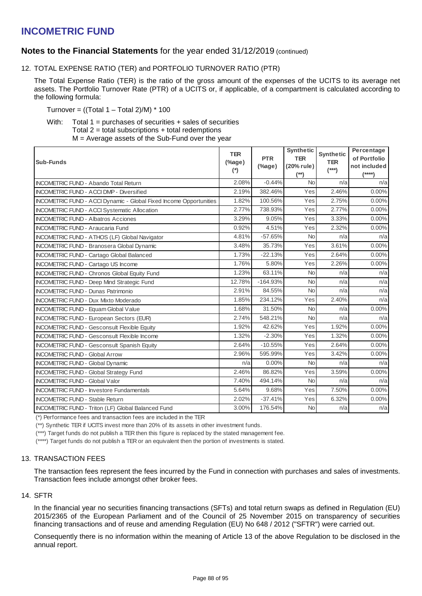### **Notes to the Financial Statements** for the year ended 31/12/2019 (continued)

12. TOTAL EXPENSE RATIO (TER) and PORTFOLIO TURNOVER RATIO (PTR)

The Total Expense Ratio (TER) is the ratio of the gross amount of the expenses of the UCITS to its average net assets. The Portfolio Turnover Rate (PTR) of a UCITS or, if applicable, of a compartment is calculated according to the following formula:

Turnover =  $((Total 1 - Total 2)/M) * 100$ 

With: Total 1 = purchases of securities + sales of securities Total  $2$  = total subscriptions  $+$  total redemptions M = Average assets of the Sub-Fund over the year

| <b>Sub-Funds</b>                                                   | <b>TER</b><br>$(\%$ age)<br>(*) | <b>PTR</b><br>(%age) | <b>Synthetic</b><br><b>TER</b><br>(20% rule)<br>(**) | <b>Synthetic</b><br><b>TER</b><br>$(***)$ | Percentage<br>of Portfolio<br>not included<br>$(***)$ |
|--------------------------------------------------------------------|---------------------------------|----------------------|------------------------------------------------------|-------------------------------------------|-------------------------------------------------------|
| <b>INCOMETRIC FUND - Abando Total Return</b>                       | 2.08%                           | $-0.44%$             | <b>No</b>                                            | n/a                                       | n/a                                                   |
| <b>INCOMETRIC FUND - ACCI DMP - Diversified</b>                    | 2.19%                           | 382.46%              | Yes                                                  | 2.46%                                     | 0.00%                                                 |
| INCOMETRIC FUND - ACCI Dynamic - Global Fixed Income Opportunities | 1.82%                           | 100.56%              | Yes                                                  | 2.75%                                     | $0.00\%$                                              |
| <b>INCOMETRIC FUND - ACCI Systematic Allocation</b>                | 2.77%                           | 738.93%              | Yes                                                  | 2.77%                                     | $0.00\%$                                              |
| <b>INCOMETRIC FUND - Albatros Acciones</b>                         | 3.29%                           | 9.05%                | Yes                                                  | 3.33%                                     | 0.00%                                                 |
| <b>INCOMETRIC FUND - Araucaria Fund</b>                            | 0.92%                           | 4.51%                | Yes                                                  | 2.32%                                     | 0.00%                                                 |
| INCOMETRIC FUND - ATHOS (LF) Global Navigator                      | 4.81%                           | $-57.65%$            | <b>No</b>                                            | n/a                                       | n/a                                                   |
| <b>INCOMETRIC FUND - Branosera Global Dynamic</b>                  | 3.48%                           | 35.73%               | Yes                                                  | 3.61%                                     | $0.00\%$                                              |
| <b>INCOMETRIC FUND - Cartago Global Balanced</b>                   | 1.73%                           | $-22.13%$            | Yes                                                  | 2.64%                                     | 0.00%                                                 |
| INCOMETRIC FUND - Cartago US Income                                | 1.76%                           | 5.80%                | Yes                                                  | 2.26%                                     | $0.00\%$                                              |
| <b>INCOMETRIC FUND - Chronos Global Equity Fund</b>                | 1.23%                           | 63.11%               | <b>No</b>                                            | n/a                                       | n/a                                                   |
| <b>INCOMETRIC FUND - Deep Mind Strategic Fund</b>                  | 12.78%                          | $-164.93%$           | <b>No</b>                                            | n/a                                       | n/a                                                   |
| <b>INCOMETRIC FUND - Dunas Patrimonio</b>                          | 2.91%                           | 84.55%               | <b>No</b>                                            | n/a                                       | n/a                                                   |
| <b>INCOMETRIC FUND - Dux Mixto Moderado</b>                        | 1.85%                           | 234.12%              | Yes                                                  | 2.40%                                     | n/a                                                   |
| <b>INCOMETRIC FUND - Equam Global Value</b>                        | 1.68%                           | 31.50%               | <b>No</b>                                            | n/a                                       | 0.00%                                                 |
| INCOMETRIC FUND - European Sectors (EUR)                           | 2.74%                           | 548.21%              | <b>No</b>                                            | n/a                                       | n/a                                                   |
| <b>INCOMETRIC FUND - Gesconsult Flexible Equity</b>                | 1.92%                           | 42.62%               | Yes                                                  | 1.92%                                     | 0.00%                                                 |
| <b>INCOMETRIC FUND - Gesconsult Flexible Income</b>                | 1.32%                           | $-2.30%$             | Yes                                                  | 1.32%                                     | 0.00%                                                 |
| <b>INCOMETRIC FUND - Gesconsult Spanish Equity</b>                 | 2.64%                           | $-10.55%$            | Yes                                                  | 2.64%                                     | $0.00\%$                                              |
| <b>INCOMETRIC FUND - Global Arrow</b>                              | 2.96%                           | 595.99%              | Yes                                                  | 3.42%                                     | 0.00%                                                 |
| <b>INCOMETRIC FUND - Global Dynamic</b>                            | n/a                             | $0.00\%$             | <b>No</b>                                            | n/a                                       | n/a                                                   |
| <b>INCOMETRIC FUND - Global Strategy Fund</b>                      | 2.46%                           | 86.82%               | Yes                                                  | 3.59%                                     | $0.00\%$                                              |
| <b>INCOMETRIC FUND - Global Valor</b>                              | 7.40%                           | 494.14%              | <b>No</b>                                            | n/a                                       | n/a                                                   |
| <b>INCOMETRIC FUND - Investore Fundamentals</b>                    | 5.64%                           | 9.68%                | Yes                                                  | 7.50%                                     | $0.00\%$                                              |
| <b>INCOMETRIC FUND - Stable Return</b>                             | 2.02%                           | $-37.41%$            | Yes                                                  | 6.32%                                     | $0.00\%$                                              |
| <b>INCOMETRIC FUND - Triton (LF) Global Balanced Fund</b>          | 3.00%                           | 176.54%              | <b>No</b>                                            | n/a                                       | n/a                                                   |

(\*) Performance fees and transaction fees are included in the TER

(\*\*) Synthetic TER if UCITS invest more than 20% of its assets in other investment funds.

(\*\*\*) Target funds do not publish a TER then this figure is replaced by the stated management fee.

(\*\*\*\*) Target funds do not publish a TER or an equivalent then the portion of investments is stated.

### 13. TRANSACTION FEES

The transaction fees represent the fees incurred by the Fund in connection with purchases and sales of investments. Transaction fees include amongst other broker fees.

### 14. SFTR

In the financial year no securities financing transactions (SFTs) and total return swaps as defined in Regulation (EU) 2015/2365 of the European Parliament and of the Council of 25 November 2015 on transparency of securities financing transactions and of reuse and amending Regulation (EU) No 648 / 2012 ("SFTR") were carried out.

Consequently there is no information within the meaning of Article 13 of the above Regulation to be disclosed in the annual report.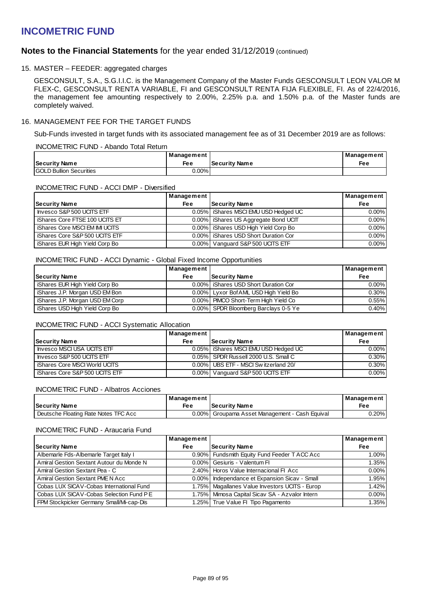### **Notes to the Financial Statements** for the year ended 31/12/2019 (continued)

### 15. MASTER – FEEDER: aggregated charges

GESCONSULT, S.A., S.G.I.I.C. is the Management Company of the Master Funds GESCONSULT LEON VALOR M FLEX-C, GESCONSULT RENTA VARIABLE, FI and GESCONSULT RENTA FIJA FLEXIBLE, FI. As of 22/4/2016, the management fee amounting respectively to 2.00%, 2.25% p.a. and 1.50% p.a. of the Master funds are completely waived.

### 16. MANAGEMENT FEE FOR THE TARGET FUNDS

Sub-Funds invested in target funds with its associated management fee as of 31 December 2019 are as follows:

#### INCOMETRIC FUND - Abando Total Return

|                                 | Management |                      | Management |
|---------------------------------|------------|----------------------|------------|
| <b>Security Name</b>            | Fee        | <b>Security Name</b> | Fee        |
| <b>IGOLD Bullion Securities</b> | $0.00\%$   |                      |            |

### INCOMETRIC FUND - ACCI DMP - Diversified

|                                       | Management |                                        | Management |
|---------------------------------------|------------|----------------------------------------|------------|
| <b>Security Name</b>                  | <b>Fee</b> | <b>Security Name</b>                   | Fee        |
| Invesco S&P 500 UCITS ETF             |            | 0.05%   iShares MSCI EMU USD Hedged UC | $0.00\%$   |
| iShares Core FTSE 100 UCITS ET        |            | 0.00% Shares US Aggregate Bond UCIT    | $0.00\%$   |
| <b>iShares Core MSCI EM IMI UCITS</b> |            | 0.00%   iShares USD High Yield Corp Bo | $0.00\%$   |
| iShares Core S&P 500 UCITS ETF        |            | 0.00% Shares USD Short Duration Cor    | $0.00\%$   |
| iShares EUR High Yield Corp Bo        |            | 0.00% Vanguard S&P 500 UCITS ETF       | $0.00\%$   |

#### INCOMETRIC FUND - ACCI Dynamic - Global Fixed Income Opportunities

|                                 | <b>Management</b> |                                       | Management |
|---------------------------------|-------------------|---------------------------------------|------------|
| <b>Security Name</b>            | <b>Fee</b>        | <b>Security Name</b>                  | Fee        |
| Shares EUR High Yield Corp Bo   |                   | 0.00% Shares USD Short Duration Cor   | $0.00\%$   |
| iShares J.P. Morgan USD EM Bon  |                   | 0.00% Lyxor Bof AML USD High Yield Bo | $0.30\%$   |
| iShares J.P. Morgan USD EM Corp |                   | 0.00% PIMCO Short-Term High Yield Co  | 0.55%      |
| Shares USD High Yield Corp Bo   |                   | 0.00% SPDR Bloomberg Barclays 0-5 Ye  | 0.40%      |

### INCOMETRIC FUND - ACCI Systematic Allocation

|                                  | <b>Management</b> |                                        | ∣ Management |
|----------------------------------|-------------------|----------------------------------------|--------------|
| <b>Security Name</b>             | Fee               | Security Name                          | Fee          |
| I Invesco MSCI USA UCITS ETF     |                   | 0.05%   iShares MSCI EMU USD Hedged UC | $0.00\%$     |
| Invesco S&P 500 UCITS ETF        |                   | 0.05% SPDR Russell 2000 U.S. Small C   | $0.30\%$     |
| iShares Core MSCI World UCITS    |                   | 0.00% UBS ETF - MSCI Switzerland 20/   | $0.30\%$     |
| l iShares Core S&P 500 UCITS ETF |                   | 0.00% Vanguard S&P 500 UCITS ETF       | $0.00\%$     |

#### INCOMETRIC FUND - Albatros Acciones

|                                      | Management |                                                | Management |
|--------------------------------------|------------|------------------------------------------------|------------|
| <b>Security Name</b>                 | Fee        | l Securitv Name                                | Fee        |
| Deutsche Floating Rate Notes TFC Acc |            | 0.00% Groupama Asset Management - Cash Equival | $0.20\%$   |

#### INCOMETRIC FUND - Araucaria Fund

|                                          | Management |                                                 | Management |
|------------------------------------------|------------|-------------------------------------------------|------------|
| <b>Security Name</b>                     | <b>Fee</b> | Security Name                                   | <b>Fee</b> |
| Albemarle Fds-Albemarle Target Italy I   |            | 0.90% Fundsmith Equity Fund Feeder T ACC Acc    | 1.00%      |
| Amiral Gestion Sextant Autour du Monde N |            | 0.00% Gesiuris - Valentum FI                    | 1.35%      |
| Amiral Gestion Sextant Pea - C           |            | 2.40% Horos Value Internacional FI Acc          | $0.00\%$   |
| Amiral Gestion Sextant PME N Acc         |            | 0.00%   Independance et Expansion Sicav - Small | 1.95%      |
| Cobas LUX SICAV-Cobas International Fund |            | 1.75% Magallanes Value Investors UCITS - Europ  | 1.42%      |
| Cobas LUX SICAV-Cobas Selection Fund P E |            | 1.75% Mimosa Capital Sicav SA - Azvalor Intern  | $0.00\%$   |
| FPM Stockpicker Germany Small/Mi-cap-Dis |            | 1.25% True Value FI Tipo Pagamento              | 1.35%      |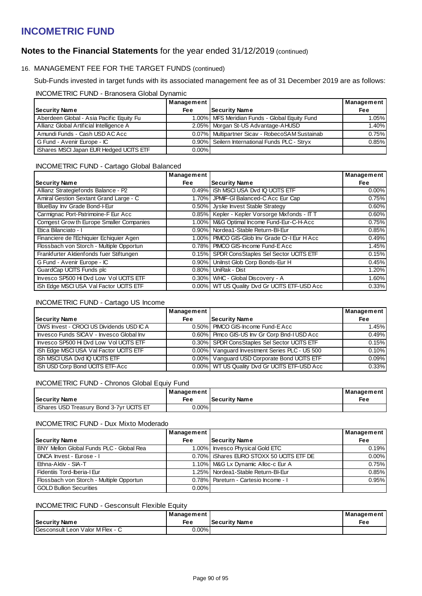## **Notes to the Financial Statements** for the year ended 31/12/2019 (continued)

### 16. MANAGEMENT FEE FOR THE TARGET FUNDS (continued)

Sub-Funds invested in target funds with its associated management fee as of 31 December 2019 are as follows:

### INCOMETRIC FUND - Branosera Global Dynamic

|                                          | Management |                                                  | <b>Management</b> |
|------------------------------------------|------------|--------------------------------------------------|-------------------|
| Security Name                            | <b>Fee</b> | Security Name                                    | <b>Fee</b>        |
| Aberdeen Global - Asia Pacific Equity Fu |            | 1.00% MFS Meridian Funds - Global Equity Fund    | 1.05%             |
| Allianz Global Artificial Intelligence A |            | 2.05% Morgan St-US Advantage-AHUSD               | 1.40%             |
| Amundi Funds - Cash USD AC Acc           |            | 0.07%   Multipartner Sicav - RobecoSAM Sustainab | 0.75%             |
| G Fund - Avenir Europe - IC              |            | 0.90% Seilern International Funds PLC - Stryx    | 0.85%             |
| iShares MSCI Japan EUR Hedged UCITS ETF  | $0.00\%$   |                                                  |                   |

### INCOMETRIC FUND - Cartago Global Balanced

|                                          | Management |                                                | Management |
|------------------------------------------|------------|------------------------------------------------|------------|
| <b>Security Name</b>                     | Fee        | <b>Security Name</b>                           | <b>Fee</b> |
| Allianz Strategiefonds Balance - P2      |            | 0.49%   iSh MSCI USA Dvd IQ UCITS ETF          | $0.00\%$   |
| Amiral Gestion Sextant Grand Large - C   | $1.70\%$   | JPMIF-GI Balanced-C Acc Eur Cap                | 0.75%      |
| BlueBay Inv Grade Bond-I-Eur             |            | 0.50% Jyske Invest Stable Strategy             | 0.60%      |
| Carmignac Port-Patrimoine-F Eur Acc      |            | 0.85% Kepler - Kepler Vorsorge Mixfonds - IT T | 0.60%      |
| Comgest Grow th Europe Smaller Companies |            | 1.00%   M&G Optimal Income Fund-Eur-C-H-Acc    | 0.75%      |
| Etica Bilanciato - I                     |            | 0.90% Nordea1-Stable Return-BI-Eur             | 0.85%      |
| Financiere de l'Echiquier Echiquier Agen |            | 1.00% PIMCO GIS-Glob Inv Grade Cr-I Eur H Acc  | 0.49%      |
| Flossbach von Storch - Multiple Opportun |            | 0.78% PIMCO GIS-Income Fund-E Acc              | 1.45%      |
| Frankfurter Aktienfonds fuer Stiftungen  |            | 0.15% SPDR ConsStaples Sel Sector UCITS ETF    | 0.15%      |
| G Fund - Avenir Europe - IC              | $0.90\%$   | Unilnst Glob Corp Bonds-Eur H                  | 0.45%      |
| GuardCap UCITS Funds plc                 |            | 0.80% UniRak - Dist                            | 1.20%      |
| Invesco SP500 Hi Dvd Low Vol UCITS ETF   |            | 0.30% WHC - Global Discovery - A               | 1.60%      |
| iSh Edge MSCI USA Val Factor UCITS ETF   |            | 0.00% WT US Quality Dvd Gr UCITS ETF-USD Acc   | 0.33%      |

### INCOMETRIC FUND - Cartago US Income

|                                          | Management |                                               | Management |
|------------------------------------------|------------|-----------------------------------------------|------------|
| <b>Security Name</b>                     | <b>Fee</b> | Security Name                                 | <b>Fee</b> |
| DWS Invest - CROCI US Dividends USD IC A |            | 0.50% PIMCO GIS-Income Fund-E Acc             | 1.45%      |
| Invesco Funds SICAV - Invesco Global Inv |            | 0.60% Pimco GIS-US Inv Gr Corp Bnd-I USD Acc  | 0.49%      |
| Invesco SP500 Hi Dvd Low Vol UCITS ETF   |            | 0.30% SPDR ConsStaples Sel Sector UCITS ETF   | 0.15%      |
| iSh Edge MSCI USA Val Factor UCITS ETF   |            | 0.00% Vanguard Investment Series PLC - US 500 | 0.10%      |
| iSh MSCI USA Dvd IQ UCITS ETF            |            | 0.00% Vanguard USD Corporate Bond UCITS ETF   | 0.09%      |
| iSh USD Corp Bond UCITS ETF-Acc          |            | 0.00% WT US Quality Dvd Gr UCITS ETF-USD Acc  | 0.33%      |

### INCOMETRIC FUND - Chronos Global Equiy Fund

|                                         | Management |                        | Management |
|-----------------------------------------|------------|------------------------|------------|
| <b>Security Name</b>                    | Fee        | <b>I Security Name</b> | Fee        |
| Shares USD Treasury Bond 3-7yr UCITS ET | 0.00%l     |                        |            |

### INCOMETRIC FUND - Dux Mixto Moderado

|                                          | Management |                                            | Management |
|------------------------------------------|------------|--------------------------------------------|------------|
| <b>Security Name</b>                     | <b>Fee</b> | <b>Security Name</b>                       | <b>Fee</b> |
| BNY Mellon Global Funds PLC - Global Rea |            | 1.00% Invesco Physical Gold ETC            | 0.19%      |
| DNCA Invest - Eurose - I                 |            | 0.70%   iShares EURO STOXX 50 UCITS ETF DE | $0.00\%$   |
| Ethna-Aktiv - SIA-T                      |            | 1.10% M&G Lx Dynamic Alloc-c Eur A         | 0.75%      |
| Fidentiis Tord-Iberia-I Eur              |            | 1.25% Nordea1-Stable Return-BI-Eur         | 0.85%      |
| Flossbach von Storch - Multiple Opportun |            | 0.78% Pareturn - Cartesio Income - I       | 0.95%      |
| <b>GOLD Bullion Securities</b>           | $0.00\%$   |                                            |            |

### INCOMETRIC FUND - Gesconsult Flexible Equity

|                                  | Management |                | Management |  |
|----------------------------------|------------|----------------|------------|--|
| Security Name                    | Fee        | 'Security Name | Fee        |  |
| Gesconsult Leon Valor M Flex - C | $0.00\%$   |                |            |  |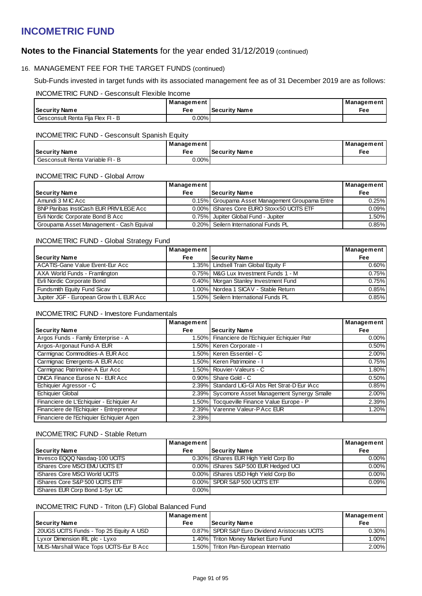## **Notes to the Financial Statements** for the year ended 31/12/2019 (continued)

### 16. MANAGEMENT FEE FOR THE TARGET FUNDS (continued)

Sub-Funds invested in target funds with its associated management fee as of 31 December 2019 are as follows:

#### INCOMETRIC FUND - Gesconsult Flexible Income

|                                   | Management |                      | Management |
|-----------------------------------|------------|----------------------|------------|
| Security Name                     | Fee        | <b>Security Name</b> | Fee        |
| Gesconsult Renta Fija Flex Fl - B | 0.00%l     |                      |            |

### INCOMETRIC FUND - Gesconsult Spanish Equity

|                                    | Management |                      | Management |
|------------------------------------|------------|----------------------|------------|
| Security Name                      | Fee        | <b>Security Name</b> | Fee        |
| l Gesconsult Renta Variable FI - B | $0.00\%$   |                      |            |

### INCOMETRIC FUND - Global Arrow

|                                                 | Management |                                                | Management |
|-------------------------------------------------|------------|------------------------------------------------|------------|
| <b>Security Name</b>                            | Fee        | Security Name                                  | Fee        |
| Amundi 3 M IC Acc                               |            | 0.15% Groupama Asset Management Groupama Entre | 0.25%      |
| <b>BNP Paribas InstiCash EUR PRIVILEGE Acc.</b> |            | 0.00% Shares Core EURO Stoxx50 UCITS ETF       | 0.09%      |
| Evli Nordic Corporate Bond B Acc                |            | 0.75% Jupiter Global Fund - Jupiter            | 1.50%      |
| Groupama Asset Management - Cash Equival        |            | 0.20% Seilern International Funds PL           | 0.85%      |

### INCOMETRIC FUND - Global Strategy Fund

|                                          | Management / |                                        | Management |
|------------------------------------------|--------------|----------------------------------------|------------|
| <b>Security Name</b>                     | <b>Fee</b>   | Security Name                          | Fee        |
| ACATIS-Gane Value Event-Eur Acc          |              | 1.35%   Lindsell Train Global Equity F | $0.60\%$   |
| AXA World Funds - Framlington            |              | 0.75%   M&G Lux Investment Funds 1 - M | 0.75%      |
| Evli Nordic Corporate Bond               |              | 0.40% Morgan Stanley Investment Fund   | 0.75%      |
| Fundsmith Equity Fund Sicav              |              | 1.00% Nordea 1 SICAV - Stable Return   | 0.85%      |
| Jupiter JGF - European Grow th L EUR Acc |              | 1.50% Seilern International Funds PL   | 0.85%      |

### INCOMETRIC FUND - Investore Fundamentals

|                                          | Management |                                                | Management |
|------------------------------------------|------------|------------------------------------------------|------------|
| <b>Security Name</b>                     | <b>Fee</b> | <b>Security Name</b>                           | <b>Fee</b> |
| Argos Funds - Family Enterprise - A      |            | 1.50% Financiere de l'Echiquier Echiquier Patr | $0.00\%$   |
| Argos-Argonaut Fund-A EUR                |            | 1.50%   Keren Corporate - I                    | 0.50%      |
| Carmignac Commodities-A EUR Acc          |            | 1.50% Keren Essentiel - C                      | $2.00\%$   |
| Carmignac Emergents-A EUR Acc            |            | 1.50% Keren Patrimoine - I                     | 0.75%      |
| Carmignac Patrimoine-A Eur Acc           |            | 1.50% Rouvier-Valeurs - C                      | 1.80%      |
| DNCA Finance Eurose N - EUR Acc          | $0.90\%$   | Share Gold - C                                 | 0.50%      |
| Echiquier Agressor - C                   | $2.39\%$   | Standard LIG-GI Abs Ret Strat-D Eur IAcc       | 0.85%      |
| <b>Echiquier Global</b>                  |            | 2.39% Sycomore Asset Management Synergy Smalle | 2.00%      |
| Financiere de L'Echiquier - Echiquier Ar |            | 1.50% Tocqueville Finance Value Europe - P     | 2.39%      |
| Financiere de l'Echiquier - Entrepreneur |            | 2.39% Varenne Valeur-PAcc EUR                  | 1.20%      |
| Financiere de l'Echiquier Echiquier Agen | 2.39%      |                                                |            |

### INCOMETRIC FUND - Stable Return

|                                       | Management |                                        | Management |
|---------------------------------------|------------|----------------------------------------|------------|
| <b>Security Name</b>                  | <b>Fee</b> | Security Name                          | <b>Fee</b> |
| Invesco EQQQ Nasdaq-100 UCITS         |            | 0.30%   iShares EUR High Yield Corp Bo | $0.00\%$   |
| <b>iShares Core MSCI EMU UCITS ET</b> |            | 0.00%   iShares S&P 500 EUR Hedged UCI | $0.00\%$   |
| iShares Core MSCI World UCITS         |            | 0.00% Shares USD High Yield Corp Bo    | $0.00\%$   |
| iShares Core S&P 500 UCITS ETF        |            | 0.00% SPDR S&P 500 UCITS ETF           | 0.09%      |
| iShares EUR Corp Bond 1-5yr UC        | $0.00\%$   |                                        |            |

### INCOMETRIC FUND - Triton (LF) Global Balanced Fund

|                                         | Management |                                                | Management |
|-----------------------------------------|------------|------------------------------------------------|------------|
| <b>Security Name</b>                    | Fee        | <b>Security Name</b>                           | Fee        |
| 20UGS UCITS Funds - Top 25 Equity A USD |            | 0.87% SPDR S&P Euro Dividend Aristocrats UCITS | $0.30\%$   |
| Lyxor Dimension IRL plc - Lyxo          |            | 1.40% Triton Money Market Euro Fund            | 1.00%l     |
| MLIS-Marshall Wace Tops UCITS-Eur B Acc |            | 1.50% Triton Pan-European Internatio           | 2.00%      |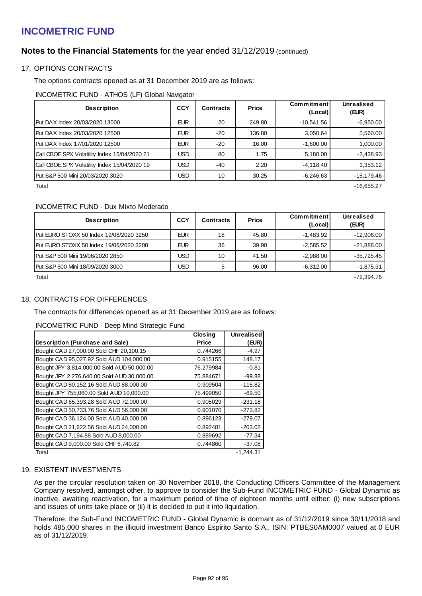## **Notes to the Financial Statements** for the year ended 31/12/2019 (continued)

### 17. OPTIONS CONTRACTS

The options contracts opened as at 31 December 2019 are as follows:

INCOMETRIC FUND - ATHOS (LF) Global Navigator

| <b>Description</b>                           | <b>CCY</b> | <b>Contracts</b> | Price  | Commitment<br>(Local) | Unrealised<br>(EUR) |
|----------------------------------------------|------------|------------------|--------|-----------------------|---------------------|
| Put DAX Index 20/03/2020 13000               | <b>EUR</b> | 20               | 249.80 | -10,541.56            | $-6,950.00$         |
| Put DAX Index 20/03/2020 12500               | <b>EUR</b> | -20              | 136.80 | 3,050.64              | 5,560.00            |
| Put DAX Index 17/01/2020 12500               | <b>EUR</b> | -20              | 16.00  | $-1,600.00$           | 1,000.00            |
| Call CBOE SPX Volatility Index 15/04/2020 21 | USD        | 80               | 1.75   | 5,180.00              | $-2,438.93$         |
| Call CBOE SPX Volatility Index 15/04/2020 19 | <b>JSD</b> | -40              | 2.20   | $-4.118.40$           | 1.353.12            |
| Put S&P 500 Mini 20/03/2020 3020             | <b>USD</b> | 10               | 30.25  | $-6.246.63$           | $-15.179.46$        |

 $\blacksquare$ Total -16,655.27  $\blacksquare$ 

### INCOMETRIC FUND - Dux Mixto Moderado

| <b>Description</b>                       | <b>CCY</b> | Contracts | Price | Commitment<br>(Local) | Unrealised<br>(EUR) |
|------------------------------------------|------------|-----------|-------|-----------------------|---------------------|
| IPut EURO STOXX 50 Index 19/06/2020 3250 | <b>EUR</b> | 18        | 45.80 | $-1,483.92$           | $-12,906.00$        |
| Put EURO STOXX 50 Index 19/06/2020 3200  | <b>EUR</b> | 36        | 39.90 | $-2,585.52$           | $-21,888.00$        |
| l Put S&P 500 Mini 19/06/2020 2850       | USD        | 10        | 41.50 | $-2,988.00$           | $-35,725.45$        |
| IPut S&P 500 Mini 18/09/2020 3000        | USD        | 5         | 96.00 | $-6,312.00$           | $-1,875.31$         |

Total -72,394.76

### 18. CONTRACTS FOR DIFFERENCES

The contracts for differences opened as at 31 December 2019 are as follows:

### INCOMETRIC FUND - Deep Mind Strategic Fund

|                                            | <b>Closing</b> | <b>Unrealised</b> |
|--------------------------------------------|----------------|-------------------|
| Description (Purchase and Sale)            | <b>Price</b>   | (EUR)             |
| Bought CAD 27,000.00 Sold CHF 20,100.15    | 0.744266       | $-4.97$           |
| Bought CAD 95,027.92 Sold AUD 104,000.00   | 0.915155       | 148.17            |
| Bought JPY 3,814,000.00 Sold AUD 50,000.00 | 76.279984      | $-0.81$           |
| Bought JPY 2,276,640.00 Sold AUD 30,000.00 | 75.884671      | $-99.88$          |
| Bought CAD 80,152.16 Sold AUD 88,000.00    | 0.909504       | $-115.82$         |
| Bought JPY 755,060.00 Sold AUD 10,000.00   | 75.499050      | $-69.50$          |
| Bought CAD 65,393.28 Sold AUD 72,000.00    | 0.905029       | $-231.18$         |
| Bought CAD 50,733.76 Sold AUD 56,000.00    | 0.901070       | $-273.82$         |
| Bought CAD 36,124.00 Sold AUD 40,000.00    | 0.896123       | $-279.07$         |
| Bought CAD 21,622.56 Sold AUD 24,000.00    | 0.892481       | $-203.02$         |
| Bought CAD 7,194.88 Sold AUD 8,000.00      | 0.889692       | $-77.34$          |
| Bought CAD 9,000.00 Sold CHF 6,740.82      | 0.744860       | $-37.08$          |
| Total                                      |                | $-1.244.31$       |

## 19. EXISTENT INVESTMENTS

As per the circular resolution taken on 30 November 2018, the Conducting Officers Committee of the Management Company resolved, amongst other, to approve to consider the Sub-Fund INCOMETRIC FUND - Global Dynamic as inactive, awaiting reactivation, for a maximum period of time of eighteen months until either: (i) new subscriptions and issues of units take place or (ii) it is decided to put it into liquidation.

Therefore, the Sub-Fund INCOMETRIC FUND - Global Dynamic is dormant as of 31/12/2019 since 30/11/2018 and holds 485,000 shares in the illiquid investment Banco Espirito Santo S.A., ISIN: PTBES0AM0007 valued at 0 EUR as of 31/12/2019.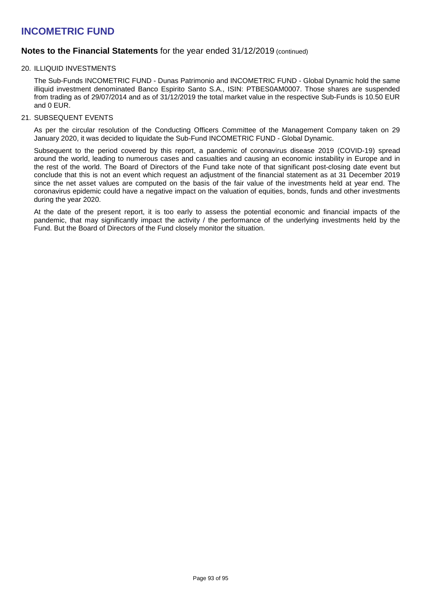### **Notes to the Financial Statements** for the year ended 31/12/2019 (continued)

### 20. ILLIQUID INVESTMENTS

The Sub-Funds INCOMETRIC FUND - Dunas Patrimonio and INCOMETRIC FUND - Global Dynamic hold the same illiquid investment denominated Banco Espirito Santo S.A., ISIN: PTBES0AM0007. Those shares are suspended from trading as of 29/07/2014 and as of 31/12/2019 the total market value in the respective Sub-Funds is 10.50 EUR and 0 EUR.

### 21. SUBSEQUENT EVENTS

As per the circular resolution of the Conducting Officers Committee of the Management Company taken on 29 January 2020, it was decided to liquidate the Sub-Fund INCOMETRIC FUND - Global Dynamic.

Subsequent to the period covered by this report, a pandemic of coronavirus disease 2019 (COVID-19) spread around the world, leading to numerous cases and casualties and causing an economic instability in Europe and in the rest of the world. The Board of Directors of the Fund take note of that significant post-closing date event but conclude that this is not an event which request an adjustment of the financial statement as at 31 December 2019 since the net asset values are computed on the basis of the fair value of the investments held at year end. The coronavirus epidemic could have a negative impact on the valuation of equities, bonds, funds and other investments during the year 2020.

At the date of the present report, it is too early to assess the potential economic and financial impacts of the pandemic, that may significantly impact the activity / the performance of the underlying investments held by the Fund. But the Board of Directors of the Fund closely monitor the situation.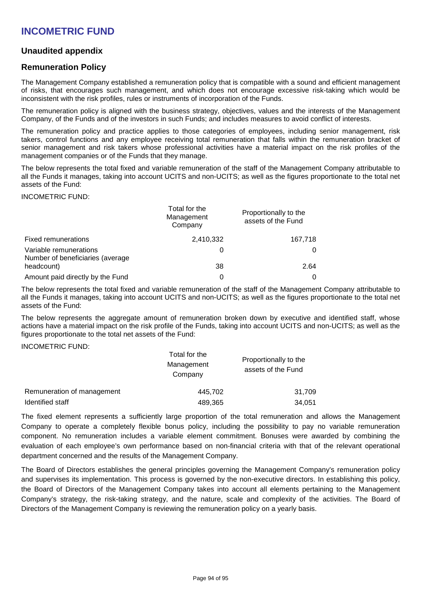## **Unaudited appendix**

## **Remuneration Policy**

The Management Company established a remuneration policy that is compatible with a sound and efficient management of risks, that encourages such management, and which does not encourage excessive risk-taking which would be inconsistent with the risk profiles, rules or instruments of incorporation of the Funds.

The remuneration policy is aligned with the business strategy, objectives, values and the interests of the Management Company, of the Funds and of the investors in such Funds; and includes measures to avoid conflict of interests.

The remuneration policy and practice applies to those categories of employees, including senior management, risk takers, control functions and any employee receiving total remuneration that falls within the remuneration bracket of senior management and risk takers whose professional activities have a material impact on the risk profiles of the management companies or of the Funds that they manage.

The below represents the total fixed and variable remuneration of the staff of the Management Company attributable to all the Funds it manages, taking into account UCITS and non-UCITS; as well as the figures proportionate to the total net assets of the Fund:

#### INCOMETRIC FUND:

|                                                            | Total for the<br>Management<br>Company | Proportionally to the<br>assets of the Fund |
|------------------------------------------------------------|----------------------------------------|---------------------------------------------|
| <b>Fixed remunerations</b>                                 | 2,410,332                              | 167,718                                     |
| Variable remunerations<br>Number of beneficiaries (average | 0                                      |                                             |
| headcount)                                                 | 38                                     | 2.64                                        |
| Amount paid directly by the Fund                           | 0                                      |                                             |

The below represents the total fixed and variable remuneration of the staff of the Management Company attributable to all the Funds it manages, taking into account UCITS and non-UCITS; as well as the figures proportionate to the total net assets of the Fund:

The below represents the aggregate amount of remuneration broken down by executive and identified staff, whose actions have a material impact on the risk profile of the Funds, taking into account UCITS and non-UCITS; as well as the figures proportionate to the total net assets of the Fund:

### INCOMETRIC FUND:

|                            | Total for the<br>Management<br>Company | Proportionally to the<br>assets of the Fund<br>31.709 |  |
|----------------------------|----------------------------------------|-------------------------------------------------------|--|
| Remuneration of management | 445,702                                |                                                       |  |
| Identified staff           | 489,365                                | 34,051                                                |  |

The fixed element represents a sufficiently large proportion of the total remuneration and allows the Management Company to operate a completely flexible bonus policy, including the possibility to pay no variable remuneration component. No remuneration includes a variable element commitment. Bonuses were awarded by combining the evaluation of each employee's own performance based on non-financial criteria with that of the relevant operational department concerned and the results of the Management Company.

The Board of Directors establishes the general principles governing the Management Company's remuneration policy and supervises its implementation. This process is governed by the non-executive directors. In establishing this policy, the Board of Directors of the Management Company takes into account all elements pertaining to the Management Company's strategy, the risk-taking strategy, and the nature, scale and complexity of the activities. The Board of Directors of the Management Company is reviewing the remuneration policy on a yearly basis.